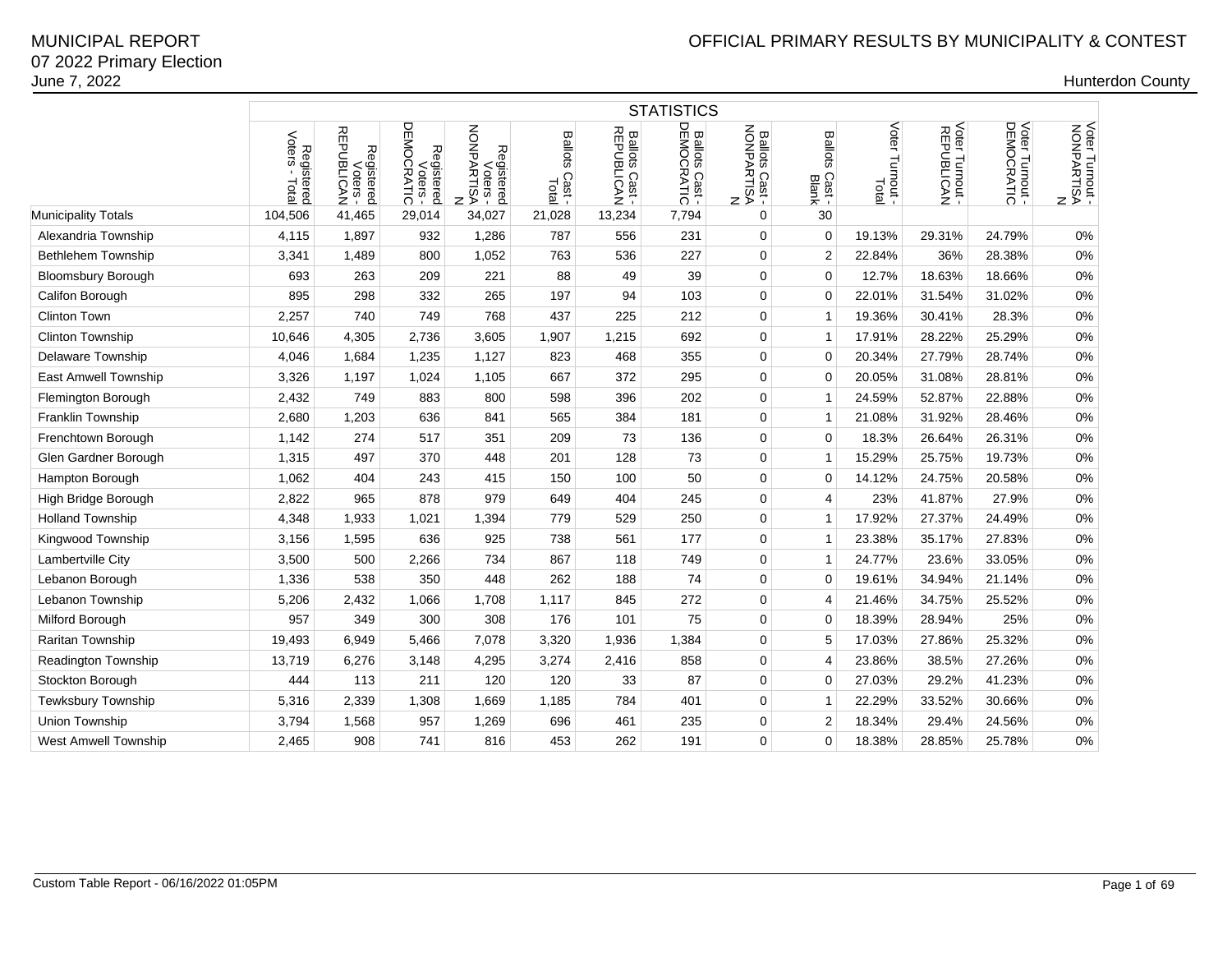|                             | <b>STATISTICS</b>                     |                                      |                                      |                                           |                                  |                              |                              |                                          |                                   |                             |                               |                               |                                             |  |
|-----------------------------|---------------------------------------|--------------------------------------|--------------------------------------|-------------------------------------------|----------------------------------|------------------------------|------------------------------|------------------------------------------|-----------------------------------|-----------------------------|-------------------------------|-------------------------------|---------------------------------------------|--|
|                             | Voters<br>Registered<br>oters - Total | Registered<br>Voters -<br>REPUBLICAN | Voters -<br>DEMOCRATIC<br>Registered | Registered<br>Voters -<br>NONPARTISA<br>z | <b>Ballots</b><br>Cast-<br>Total | Ballots Cast -<br>REPUBLICAN | Ballots Cast -<br>DEMOCRATIC | Ballots Cast<br>NONPARTISA<br>NONPARTISA | <b>Ballots</b><br>Cast -<br>Blank | Voter<br>Turnout -<br>Total | Voter Turnout -<br>REPUBLICAN | Voter Turnout -<br>DEMOCRATIC | Voter Turnout -<br>NONPARTISA<br>NONPARTISA |  |
| Municipality Totals         | 104,506                               | 41,465                               | 29,014                               | 34,027                                    | 21,028                           | 13,234                       | 7,794                        | 0                                        | 30                                |                             |                               |                               |                                             |  |
| Alexandria Township         | 4,115                                 | 1,897                                | 932                                  | 1,286                                     | 787                              | 556                          | 231                          | 0                                        | $\mathbf 0$                       | 19.13%                      | 29.31%                        | 24.79%                        | 0%                                          |  |
| <b>Bethlehem Township</b>   | 3,341                                 | 1,489                                | 800                                  | 1,052                                     | 763                              | 536                          | 227                          | 0                                        | 2                                 | 22.84%                      | 36%                           | 28.38%                        | 0%                                          |  |
| <b>Bloomsbury Borough</b>   | 693                                   | 263                                  | 209                                  | 221                                       | 88                               | 49                           | 39                           | 0                                        | $\Omega$                          | 12.7%                       | 18.63%                        | 18.66%                        | 0%                                          |  |
| Califon Borough             | 895                                   | 298                                  | 332                                  | 265                                       | 197                              | 94                           | 103                          | $\mathbf 0$                              | $\Omega$                          | 22.01%                      | 31.54%                        | 31.02%                        | 0%                                          |  |
| <b>Clinton Town</b>         | 2,257                                 | 740                                  | 749                                  | 768                                       | 437                              | 225                          | 212                          | $\mathbf 0$                              | 1                                 | 19.36%                      | 30.41%                        | 28.3%                         | 0%                                          |  |
| <b>Clinton Township</b>     | 10,646                                | 4,305                                | 2,736                                | 3,605                                     | 1,907                            | 1,215                        | 692                          | 0                                        | 1                                 | 17.91%                      | 28.22%                        | 25.29%                        | 0%                                          |  |
| <b>Delaware Township</b>    | 4,046                                 | 1,684                                | 1,235                                | 1,127                                     | 823                              | 468                          | 355                          | $\mathbf 0$                              | $\Omega$                          | 20.34%                      | 27.79%                        | 28.74%                        | 0%                                          |  |
| <b>East Amwell Township</b> | 3,326                                 | 1,197                                | 1,024                                | 1,105                                     | 667                              | 372                          | 295                          | 0                                        | $\Omega$                          | 20.05%                      | 31.08%                        | 28.81%                        | 0%                                          |  |
| Flemington Borough          | 2,432                                 | 749                                  | 883                                  | 800                                       | 598                              | 396                          | 202                          | $\mathbf 0$                              | 1                                 | 24.59%                      | 52.87%                        | 22.88%                        | 0%                                          |  |
| Franklin Township           | 2,680                                 | 1,203                                | 636                                  | 841                                       | 565                              | 384                          | 181                          | $\mathbf 0$                              | $\mathbf{1}$                      | 21.08%                      | 31.92%                        | 28.46%                        | 0%                                          |  |
| Frenchtown Borough          | 1,142                                 | 274                                  | 517                                  | 351                                       | 209                              | 73                           | 136                          | 0                                        | $\Omega$                          | 18.3%                       | 26.64%                        | 26.31%                        | 0%                                          |  |
| Glen Gardner Borough        | 1,315                                 | 497                                  | 370                                  | 448                                       | 201                              | 128                          | 73                           | 0                                        | 1                                 | 15.29%                      | 25.75%                        | 19.73%                        | 0%                                          |  |
| Hampton Borough             | 1,062                                 | 404                                  | 243                                  | 415                                       | 150                              | 100                          | 50                           | 0                                        | 0                                 | 14.12%                      | 24.75%                        | 20.58%                        | 0%                                          |  |
| High Bridge Borough         | 2,822                                 | 965                                  | 878                                  | 979                                       | 649                              | 404                          | 245                          | 0                                        | 4                                 | 23%                         | 41.87%                        | 27.9%                         | 0%                                          |  |
| <b>Holland Township</b>     | 4,348                                 | 1,933                                | 1,021                                | 1,394                                     | 779                              | 529                          | 250                          | 0                                        | 1                                 | 17.92%                      | 27.37%                        | 24.49%                        | 0%                                          |  |
| Kingwood Township           | 3,156                                 | 1,595                                | 636                                  | 925                                       | 738                              | 561                          | 177                          | 0                                        | $\mathbf{1}$                      | 23.38%                      | 35.17%                        | 27.83%                        | 0%                                          |  |
| Lambertville City           | 3,500                                 | 500                                  | 2,266                                | 734                                       | 867                              | 118                          | 749                          | 0                                        | 1                                 | 24.77%                      | 23.6%                         | 33.05%                        | 0%                                          |  |
| Lebanon Borough             | 1,336                                 | 538                                  | 350                                  | 448                                       | 262                              | 188                          | 74                           | 0                                        | $\Omega$                          | 19.61%                      | 34.94%                        | 21.14%                        | 0%                                          |  |
| Lebanon Township            | 5,206                                 | 2,432                                | 1,066                                | 1,708                                     | 1,117                            | 845                          | 272                          | $\Omega$                                 | 4                                 | 21.46%                      | 34.75%                        | 25.52%                        | 0%                                          |  |
| Milford Borough             | 957                                   | 349                                  | 300                                  | 308                                       | 176                              | 101                          | 75                           | $\mathbf 0$                              | $\Omega$                          | 18.39%                      | 28.94%                        | 25%                           | 0%                                          |  |
| Raritan Township            | 19,493                                | 6,949                                | 5,466                                | 7,078                                     | 3,320                            | 1,936                        | 1,384                        | 0                                        | 5                                 | 17.03%                      | 27.86%                        | 25.32%                        | 0%                                          |  |
| Readington Township         | 13,719                                | 6,276                                | 3,148                                | 4,295                                     | 3,274                            | 2,416                        | 858                          | 0                                        | 4                                 | 23.86%                      | 38.5%                         | 27.26%                        | 0%                                          |  |
| Stockton Borough            | 444                                   | 113                                  | 211                                  | 120                                       | 120                              | 33                           | 87                           | 0                                        | $\Omega$                          | 27.03%                      | 29.2%                         | 41.23%                        | 0%                                          |  |
| Tewksbury Township          | 5,316                                 | 2,339                                | 1,308                                | 1,669                                     | 1,185                            | 784                          | 401                          | 0                                        | 1                                 | 22.29%                      | 33.52%                        | 30.66%                        | 0%                                          |  |
| Union Township              | 3,794                                 | 1,568                                | 957                                  | 1,269                                     | 696                              | 461                          | 235                          | 0                                        | $\overline{2}$                    | 18.34%                      | 29.4%                         | 24.56%                        | 0%                                          |  |
| <b>West Amwell Township</b> | 2,465                                 | 908                                  | 741                                  | 816                                       | 453                              | 262                          | 191                          | 0                                        | 0                                 | 18.38%                      | 28.85%                        | 25.78%                        | $0\%$                                       |  |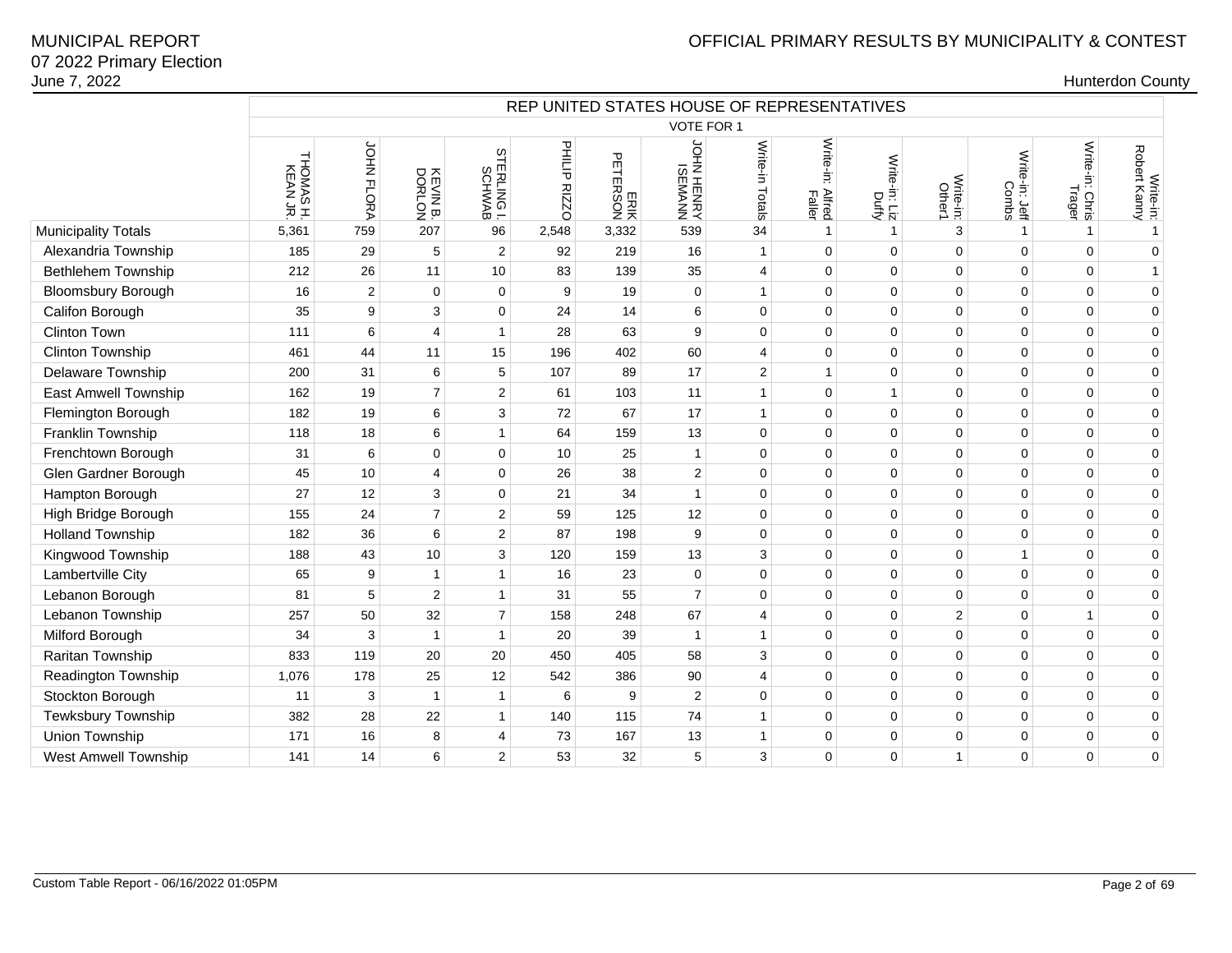|                             | REP UNITED STATES HOUSE OF REPRESENTATIVES |                  |                    |                         |                    |                                                |                     |                         |                                 |                        |                     |                         |                           |                           |
|-----------------------------|--------------------------------------------|------------------|--------------------|-------------------------|--------------------|------------------------------------------------|---------------------|-------------------------|---------------------------------|------------------------|---------------------|-------------------------|---------------------------|---------------------------|
|                             |                                            |                  |                    |                         |                    |                                                | <b>VOTE FOR 1</b>   |                         |                                 |                        |                     |                         |                           |                           |
|                             | THOMAS H.<br>KEAN JR.                      | JOHN FLORA       | KEVIN B.<br>DORLON | STERLING I.<br>SCHWAB   | 圣气<br><b>RIZZO</b> | $\mathbf{\tau}$<br>m<br>닆<br>π⊗<br>$rac{8}{2}$ | NNYMESI<br>ANHENHAN | Write-in Totals         | Write-in:<br>: Alfred<br>Faller | Write-in: Liz<br>Duffy | Write-in:<br>Other1 | Write-in: Jeff<br>Combs | Write-in: Chris<br>Trager | Write-in:<br>Robert Kanny |
| <b>Municipality Totals</b>  | 5,361                                      | 759              | 207                | 96                      | 2,548              | 3,332                                          | 539                 | 34                      | $\mathbf{1}$                    | $\mathbf{1}$           | 3                   | $\overline{1}$          | 1                         | $\mathbf{1}$              |
| Alexandria Township         | 185                                        | 29               | 5                  | $\overline{c}$          | 92                 | 219                                            | 16                  | $\mathbf{1}$            | $\mathbf 0$                     | $\mathbf 0$            | 0                   | $\mathbf 0$             | $\mathbf 0$               | $\mathbf 0$               |
| <b>Bethlehem Township</b>   | 212                                        | 26               | 11                 | 10                      | 83                 | 139                                            | 35                  | $\overline{4}$          | $\mathbf 0$                     | $\mathbf 0$            | $\Omega$            | $\Omega$                | $\Omega$                  | $\mathbf{1}$              |
| <b>Bloomsbury Borough</b>   | 16                                         | $\overline{2}$   | $\mathbf 0$        | $\mathbf 0$             | 9                  | 19                                             | $\mathbf 0$         | $\mathbf{1}$            | $\mathbf 0$                     | $\mathbf 0$            | $\mathbf 0$         | $\Omega$                | $\mathbf 0$               | $\mathbf 0$               |
| Califon Borough             | 35                                         | $\boldsymbol{9}$ | $\sqrt{3}$         | $\mathbf 0$             | 24                 | 14                                             | 6                   | 0                       | $\mathbf 0$                     | $\pmb{0}$              | 0                   | $\mathbf 0$             | $\mathbf 0$               | $\mathbf 0$               |
| <b>Clinton Town</b>         | 111                                        | $\,6$            | $\overline{4}$     | $\mathbf{1}$            | 28                 | 63                                             | 9                   | 0                       | $\mathbf 0$                     | $\mathbf 0$            | $\Omega$            | $\Omega$                | $\mathbf 0$               | $\mathbf 0$               |
| Clinton Township            | 461                                        | 44               | 11                 | 15                      | 196                | 402                                            | 60                  | 4                       | $\mathbf 0$                     | $\mathbf 0$            | $\mathbf 0$         | $\Omega$                | $\mathbf 0$               | $\mathbf 0$               |
| Delaware Township           | 200                                        | 31               | $\,6\,$            | 5                       | 107                | 89                                             | 17                  | $\overline{\mathbf{c}}$ | $\mathbf{1}$                    | $\mathbf 0$            | $\mathbf 0$         | $\mathbf 0$             | $\mathbf 0$               | $\pmb{0}$                 |
| East Amwell Township        | 162                                        | 19               | $\overline{7}$     | $\mathbf{2}$            | 61                 | 103                                            | 11                  | $\mathbf{1}$            | $\mathbf 0$                     | $\mathbf{1}$           | $\Omega$            | $\Omega$                | $\mathbf 0$               | $\mathbf 0$               |
| Flemington Borough          | 182                                        | 19               | 6                  | 3                       | 72                 | 67                                             | 17                  | $\mathbf{1}$            | $\mathbf 0$                     | $\mathbf 0$            | $\mathbf 0$         | $\Omega$                | $\mathbf 0$               | $\mathbf 0$               |
| Franklin Township           | 118                                        | 18               | 6                  | $\mathbf{1}$            | 64                 | 159                                            | 13                  | 0                       | $\mathbf 0$                     | $\mathbf 0$            | $\mathbf 0$         | $\mathbf 0$             | $\mathbf 0$               | $\pmb{0}$                 |
| Frenchtown Borough          | 31                                         | 6                | $\mathbf 0$        | $\mathbf 0$             | 10                 | 25                                             | $\overline{1}$      | 0                       | $\mathbf 0$                     | $\mathbf 0$            | $\Omega$            | $\Omega$                | $\mathbf 0$               | $\mathbf 0$               |
| Glen Gardner Borough        | 45                                         | 10               | 4                  | $\mathbf 0$             | 26                 | 38                                             | $\overline{2}$      | 0                       | $\mathbf 0$                     | $\mathbf 0$            | $\mathbf 0$         | $\mathbf 0$             | $\mathbf 0$               | $\mathbf 0$               |
| Hampton Borough             | 27                                         | 12               | 3                  | $\mathbf 0$             | 21                 | 34                                             | $\overline{1}$      | 0                       | $\mathbf 0$                     | $\mathbf 0$            | $\pmb{0}$           | $\mathbf 0$             | $\mathbf 0$               | $\pmb{0}$                 |
| High Bridge Borough         | 155                                        | 24               | $\overline{7}$     | $\mathbf{2}$            | 59                 | 125                                            | 12                  | 0                       | $\mathbf 0$                     | $\mathbf 0$            | $\Omega$            | $\Omega$                | $\mathbf 0$               | $\mathbf 0$               |
| <b>Holland Township</b>     | 182                                        | 36               | 6                  | $\overline{\mathbf{c}}$ | 87                 | 198                                            | 9                   | 0                       | $\mathbf 0$                     | $\mathbf 0$            | $\mathbf 0$         | $\Omega$                | $\mathbf 0$               | $\pmb{0}$                 |
| Kingwood Township           | 188                                        | 43               | 10                 | 3                       | 120                | 159                                            | 13                  | 3                       | $\mathbf 0$                     | $\mathbf 0$            | $\mathbf 0$         | $\mathbf{1}$            | $\mathbf 0$               | $\mathbf 0$               |
| Lambertville City           | 65                                         | 9                | $\mathbf{1}$       | $\mathbf{1}$            | 16                 | 23                                             | $\mathbf 0$         | 0                       | $\mathbf 0$                     | $\mathbf 0$            | $\mathbf 0$         | $\mathbf 0$             | $\mathbf 0$               | $\mathbf 0$               |
| Lebanon Borough             | 81                                         | 5                | $\boldsymbol{2}$   | $\mathbf{1}$            | 31                 | 55                                             | $\overline{7}$      | 0                       | $\mathbf 0$                     | $\mathbf 0$            | $\mathbf 0$         | $\Omega$                | $\mathbf 0$               | $\mathbf 0$               |
| Lebanon Township            | 257                                        | 50               | 32                 | $\overline{7}$          | 158                | 248                                            | 67                  | 4                       | $\mathbf 0$                     | $\mathbf 0$            | $\overline{2}$      | $\mathbf 0$             | $\mathbf{1}$              | $\mathbf 0$               |
| Milford Borough             | 34                                         | 3                | $\overline{1}$     | $\mathbf 1$             | 20                 | 39                                             | $\overline{1}$      | $\mathbf{1}$            | $\mathbf 0$                     | $\mathbf 0$            | $\mathbf 0$         | $\mathbf 0$             | $\mathbf 0$               | $\mathbf 0$               |
| Raritan Township            | 833                                        | 119              | 20                 | 20                      | 450                | 405                                            | 58                  | 3                       | $\mathbf 0$                     | $\mathbf 0$            | $\mathbf 0$         | $\mathbf 0$             | $\mathbf 0$               | $\mathbf 0$               |
| Readington Township         | 1,076                                      | 178              | 25                 | 12                      | 542                | 386                                            | 90                  | $\overline{4}$          | $\mathbf 0$                     | $\mathbf 0$            | $\Omega$            | $\Omega$                | $\Omega$                  | $\mathbf 0$               |
| Stockton Borough            | 11                                         | 3                | $\overline{1}$     | $\mathbf{1}$            | 6                  | 9                                              | $\overline{c}$      | 0                       | $\mathbf 0$                     | $\mathbf 0$            | $\mathbf 0$         | $\mathbf 0$             | $\mathbf 0$               | $\mathbf 0$               |
| Tewksbury Township          | 382                                        | 28               | 22                 | $\mathbf{1}$            | 140                | 115                                            | 74                  | $\mathbf{1}$            | $\mathbf 0$                     | $\mathbf 0$            | $\mathbf 0$         | $\mathbf 0$             | $\mathbf 0$               | $\mathbf 0$               |
| Union Township              | 171                                        | 16               | 8                  | 4                       | 73                 | 167                                            | 13                  | $\mathbf{1}$            | $\mathbf 0$                     | $\mathbf 0$            | $\mathbf 0$         | $\Omega$                | $\mathbf 0$               | $\mathbf 0$               |
| <b>West Amwell Township</b> | 141                                        | 14               | 6                  | $\mathbf{2}$            | 53                 | 32                                             | 5                   | 3                       | $\mathbf 0$                     | $\mathbf 0$            | 1                   | $\mathbf 0$             | $\mathbf 0$               | $\mathbf 0$               |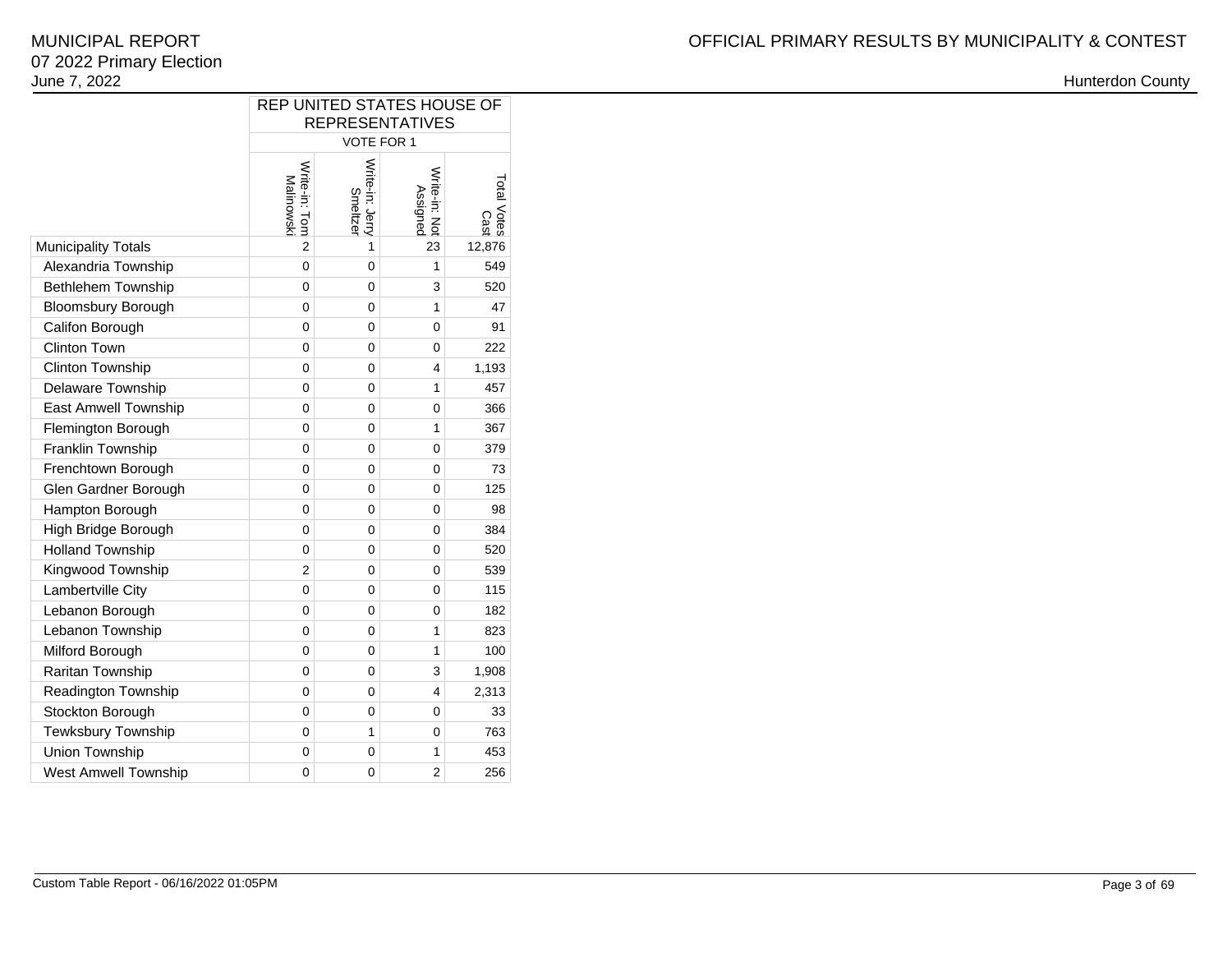|                             | REP UNITED STATES HOUSE OF<br><b>REPRESENTATIVES</b> |                             |                           |                     |  |  |  |  |  |  |  |  |
|-----------------------------|------------------------------------------------------|-----------------------------|---------------------------|---------------------|--|--|--|--|--|--|--|--|
|                             | VOTE FOR 1                                           |                             |                           |                     |  |  |  |  |  |  |  |  |
|                             | Write-in: Tom<br>Malinowski                          | Write-in: Jerry<br>Smeltzer | Write-in: Not<br>Assigned | Total Votes<br>Cast |  |  |  |  |  |  |  |  |
| <b>Municipality Totals</b>  | $\overline{2}$                                       | 1                           | 23                        | 12,876              |  |  |  |  |  |  |  |  |
| Alexandria Township         | $\mathbf 0$                                          | 0                           | 1                         | 549                 |  |  |  |  |  |  |  |  |
| Bethlehem Township          | 0                                                    | 0                           | 3                         | 520                 |  |  |  |  |  |  |  |  |
| <b>Bloomsbury Borough</b>   | $\overline{0}$                                       | 0                           | $\mathbf{1}$              | 47                  |  |  |  |  |  |  |  |  |
| Califon Borough             | 0                                                    | 0                           | 0                         | 91                  |  |  |  |  |  |  |  |  |
| <b>Clinton Town</b>         | 0                                                    | 0                           | 0                         | 222                 |  |  |  |  |  |  |  |  |
| Clinton Township            | 0                                                    | 0                           | 4                         | 1,193               |  |  |  |  |  |  |  |  |
| Delaware Township           | 0                                                    | 0                           | 1                         | 457                 |  |  |  |  |  |  |  |  |
| <b>East Amwell Township</b> | 0                                                    | 0                           | 0                         | 366                 |  |  |  |  |  |  |  |  |
| Flemington Borough          | 0                                                    | 0                           | 1                         | 367                 |  |  |  |  |  |  |  |  |
| Franklin Township           | 0                                                    | 0                           | 0                         | 379                 |  |  |  |  |  |  |  |  |
| Frenchtown Borough          | 0                                                    | 0                           | 0                         | 73                  |  |  |  |  |  |  |  |  |
| Glen Gardner Borough        | 0                                                    | 0                           | 0                         | 125                 |  |  |  |  |  |  |  |  |
| Hampton Borough             | 0                                                    | 0                           | 0                         | 98                  |  |  |  |  |  |  |  |  |
| High Bridge Borough         | 0                                                    | 0                           | 0                         | 384                 |  |  |  |  |  |  |  |  |
| <b>Holland Township</b>     | 0                                                    | 0                           | 0                         | 520                 |  |  |  |  |  |  |  |  |
| Kingwood Township           | $\overline{2}$                                       | 0                           | 0                         | 539                 |  |  |  |  |  |  |  |  |
| Lambertville City           | 0                                                    | 0                           | 0                         | 115                 |  |  |  |  |  |  |  |  |
| Lebanon Borough             | 0                                                    | 0                           | 0                         | 182                 |  |  |  |  |  |  |  |  |
| Lebanon Township            | 0                                                    | 0                           | 1                         | 823                 |  |  |  |  |  |  |  |  |
| Milford Borough             | 0                                                    | 0                           | $\mathbf{1}$              | 100                 |  |  |  |  |  |  |  |  |
| Raritan Township            | 0                                                    | 0                           | 3                         | 1,908               |  |  |  |  |  |  |  |  |
| Readington Township         | 0                                                    | 0                           | 4                         | 2,313               |  |  |  |  |  |  |  |  |
| Stockton Borough            | 0                                                    | 0                           | 0                         | 33                  |  |  |  |  |  |  |  |  |
| Tewksbury Township          | 0                                                    | 1                           | 0                         | 763                 |  |  |  |  |  |  |  |  |
| Union Township              | 0                                                    | 0                           | 1                         | 453                 |  |  |  |  |  |  |  |  |
| West Amwell Township        | 0                                                    | 0                           | $\overline{2}$            | 256                 |  |  |  |  |  |  |  |  |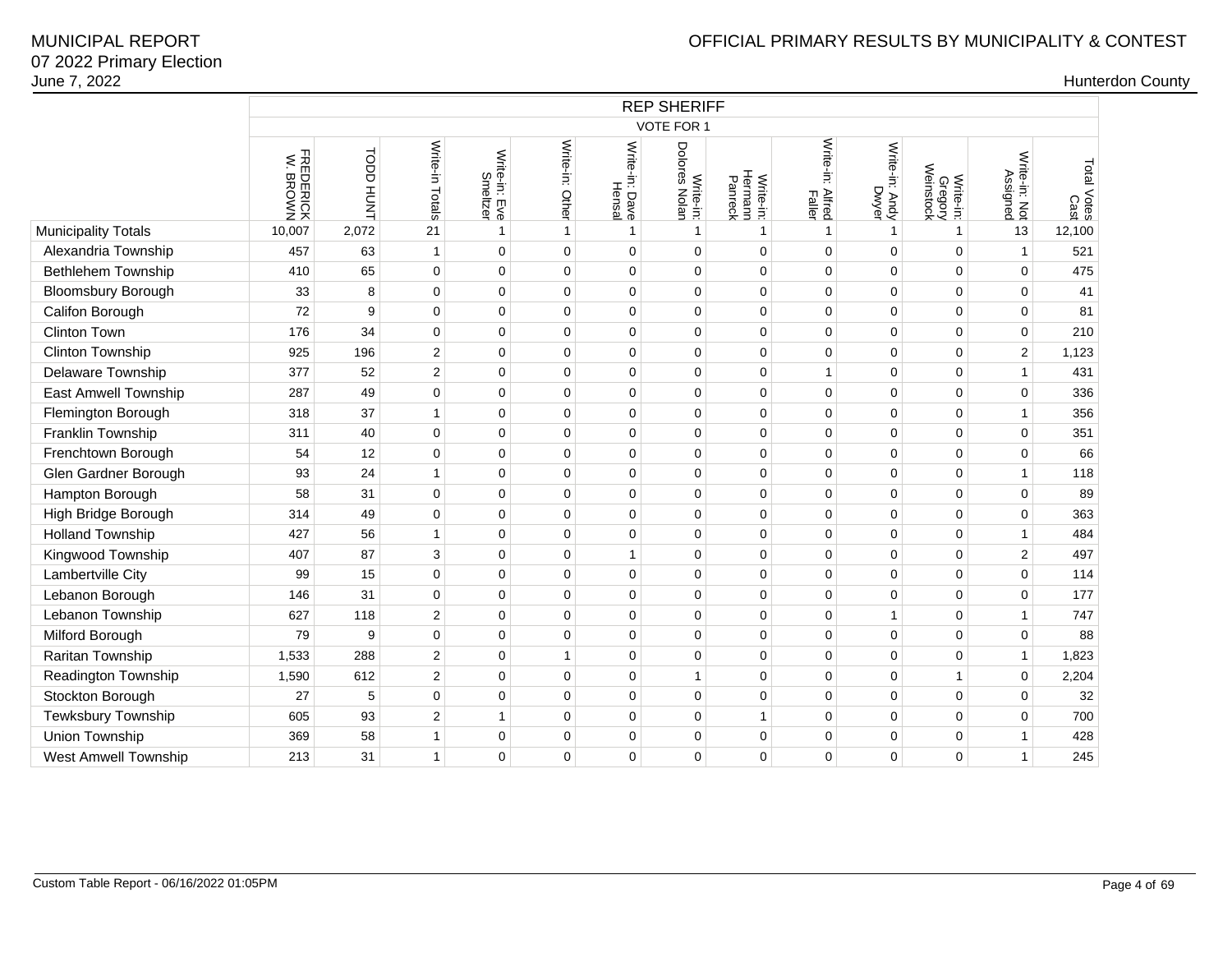|                           | <b>REP SHERIFF</b>    |           |                 |                           |                 |                          |                               |                                 |                            |                         |                                   |                           |                     |  |
|---------------------------|-----------------------|-----------|-----------------|---------------------------|-----------------|--------------------------|-------------------------------|---------------------------------|----------------------------|-------------------------|-----------------------------------|---------------------------|---------------------|--|
|                           |                       |           |                 |                           |                 |                          | VOTE FOR 1                    |                                 |                            |                         |                                   |                           |                     |  |
|                           | FREDERICK<br>W. BROWN | TUNH QODT | Write-in Totals | Write-in: Eve<br>Smeltzer | Write-in: Other | Write-in: Dave<br>Hensal | Dolores<br>Nolan<br>Write-in: | Hermann<br>Panreck<br>Write-in: | Write-in: Alfred<br>Faller | Write-in: Andy<br>Dwyer | Write-in:<br>Gregory<br>Weinstock | Write-in: Not<br>Assigned | Total Votes<br>Cast |  |
| Municipality Totals       | 10,007                | 2,072     | 21              | $\mathbf{1}$              | $\mathbf{1}$    | $\mathbf{1}$             | $\mathbf{1}$                  | $\mathbf{1}$                    | $\mathbf{1}$               | $\mathbf{1}$            | $\mathbf{1}$                      | 13                        | 12,100              |  |
| Alexandria Township       | 457                   | 63        | $\mathbf{1}$    | $\mathbf 0$               | $\pmb{0}$       | 0                        | 0                             | 0                               | $\mathbf 0$                | $\Omega$                | $\Omega$                          | $\mathbf{1}$              | 521                 |  |
| <b>Bethlehem Township</b> | 410                   | 65        | $\mathbf 0$     | $\mathbf 0$               | 0               | 0                        | 0                             | 0                               | $\mathbf 0$                | 0                       | $\mathbf 0$                       | $\mathbf 0$               | 475                 |  |
| <b>Bloomsbury Borough</b> | 33                    | 8         | 0               | $\pmb{0}$                 | $\pmb{0}$       | 0                        | 0                             | 0                               | 0                          | 0                       | $\mathbf 0$                       | $\mathbf 0$               | 41                  |  |
| Califon Borough           | 72                    | 9         | $\mathbf 0$     | $\mathbf 0$               | $\pmb{0}$       | 0                        | 0                             | 0                               | $\mathbf 0$                | 0                       | $\mathbf 0$                       | $\mathbf 0$               | 81                  |  |
| Clinton Town              | 176                   | 34        | $\pmb{0}$       | $\pmb{0}$                 | $\pmb{0}$       | 0                        | 0                             | 0                               | $\mathbf 0$                | 0                       | $\mathbf 0$                       | $\mathbf 0$               | 210                 |  |
| Clinton Township          | 925                   | 196       | $\overline{2}$  | $\mathbf 0$               | $\pmb{0}$       | 0                        | 0                             | 0                               | $\mathbf 0$                | 0                       | $\mathbf 0$                       | $\overline{2}$            | 1,123               |  |
| <b>Delaware Township</b>  | 377                   | 52        | 2               | $\mathbf 0$               | 0               | 0                        | 0                             | 0                               | $\mathbf{1}$               | 0                       | $\mathbf 0$                       | $\mathbf{1}$              | 431                 |  |
| East Amwell Township      | 287                   | 49        | $\mathbf 0$     | $\mathbf 0$               | $\pmb{0}$       | 0                        | 0                             | 0                               | $\mathbf 0$                | 0                       | $\mathbf 0$                       | $\mathbf 0$               | 336                 |  |
| Flemington Borough        | 318                   | 37        | $\mathbf{1}$    | $\mathbf 0$               | 0               | 0                        | 0                             | 0                               | 0                          | 0                       | $\mathbf 0$                       | $\mathbf{1}$              | 356                 |  |
| Franklin Township         | 311                   | 40        | 0               | $\mathbf 0$               | $\pmb{0}$       | 0                        | 0                             | 0                               | $\mathbf 0$                | 0                       | 0                                 | $\mathbf{0}$              | 351                 |  |
| Frenchtown Borough        | 54                    | 12        | $\mathbf 0$     | 0                         | 0               | 0                        | 0                             | 0                               | 0                          | 0                       | $\mathbf 0$                       | $\mathbf 0$               | 66                  |  |
| Glen Gardner Borough      | 93                    | 24        | $\mathbf{1}$    | $\pmb{0}$                 | $\pmb{0}$       | 0                        | 0                             | 0                               | $\mathbf 0$                | 0                       | $\mathbf 0$                       | $\mathbf{1}$              | 118                 |  |
| Hampton Borough           | 58                    | 31        | $\mathbf 0$     | $\mathbf 0$               | $\pmb{0}$       | 0                        | 0                             | 0                               | $\mathbf 0$                | 0                       | $\mathbf 0$                       | $\mathbf 0$               | 89                  |  |
| High Bridge Borough       | 314                   | 49        | $\mathbf 0$     | $\mathbf 0$               | $\pmb{0}$       | 0                        | 0                             | 0                               | $\mathbf 0$                | 0                       | $\mathbf 0$                       | $\mathbf 0$               | 363                 |  |
| <b>Holland Township</b>   | 427                   | 56        | $\mathbf{1}$    | $\pmb{0}$                 | $\pmb{0}$       | 0                        | 0                             | 0                               | $\mathbf 0$                | 0                       | $\pmb{0}$                         | 1                         | 484                 |  |
| Kingwood Township         | 407                   | 87        | 3               | $\pmb{0}$                 | $\pmb{0}$       | $\mathbf{1}$             | 0                             | 0                               | $\mathbf 0$                | 0                       | 0                                 | $\overline{c}$            | 497                 |  |
| Lambertville City         | 99                    | 15        | 0               | $\pmb{0}$                 | $\pmb{0}$       | 0                        | 0                             | 0                               | $\mathbf 0$                | 0                       | 0                                 | $\mathbf 0$               | 114                 |  |
| Lebanon Borough           | 146                   | 31        | $\mathbf 0$     | 0                         | $\pmb{0}$       | 0                        | 0                             | 0                               | $\mathbf 0$                | $\Omega$                | $\Omega$                          | $\mathbf 0$               | 177                 |  |
| Lebanon Township          | 627                   | 118       | $\overline{2}$  | 0                         | 0               | 0                        | 0                             | 0                               | 0                          | $\mathbf{1}$            | $\mathbf 0$                       | $\mathbf{1}$              | 747                 |  |
| Milford Borough           | 79                    | 9         | $\pmb{0}$       | $\pmb{0}$                 | $\pmb{0}$       | 0                        | 0                             | 0                               | $\pmb{0}$                  | 0                       | $\mathbf 0$                       | $\pmb{0}$                 | 88                  |  |
| Raritan Township          | 1,533                 | 288       | $\overline{2}$  | 0                         | $\mathbf{1}$    | 0                        | 0                             | 0                               | $\mathbf 0$                | 0                       | 0                                 | $\mathbf{1}$              | 1,823               |  |
| Readington Township       | 1,590                 | 612       | $\overline{c}$  | $\mathbf 0$               | $\pmb{0}$       | 0                        | 1                             | 0                               | $\mathbf 0$                | 0                       | $\mathbf{1}$                      | $\mathsf 0$               | 2,204               |  |
| Stockton Borough          | 27                    | 5         | 0               | 0                         | $\pmb{0}$       | 0                        | 0                             | 0                               | $\mathbf 0$                | 0                       | $\mathbf 0$                       | $\mathbf 0$               | 32                  |  |
| Tewksbury Township        | 605                   | 93        | $\overline{c}$  | 1                         | $\pmb{0}$       | 0                        | 0                             | $\mathbf{1}$                    | 0                          | 0                       | 0                                 | $\mathbf 0$               | 700                 |  |
| Union Township            | 369                   | 58        | $\mathbf{1}$    | 0                         | $\pmb{0}$       | 0                        | 0                             | 0                               | $\mathbf 0$                | 0                       | 0                                 | $\mathbf{1}$              | 428                 |  |
| West Amwell Township      | 213                   | 31        | 1               | 0                         | 0               | 0                        | 0                             | 0                               | 0                          | $\Omega$                | 0                                 | $\mathbf{1}$              | 245                 |  |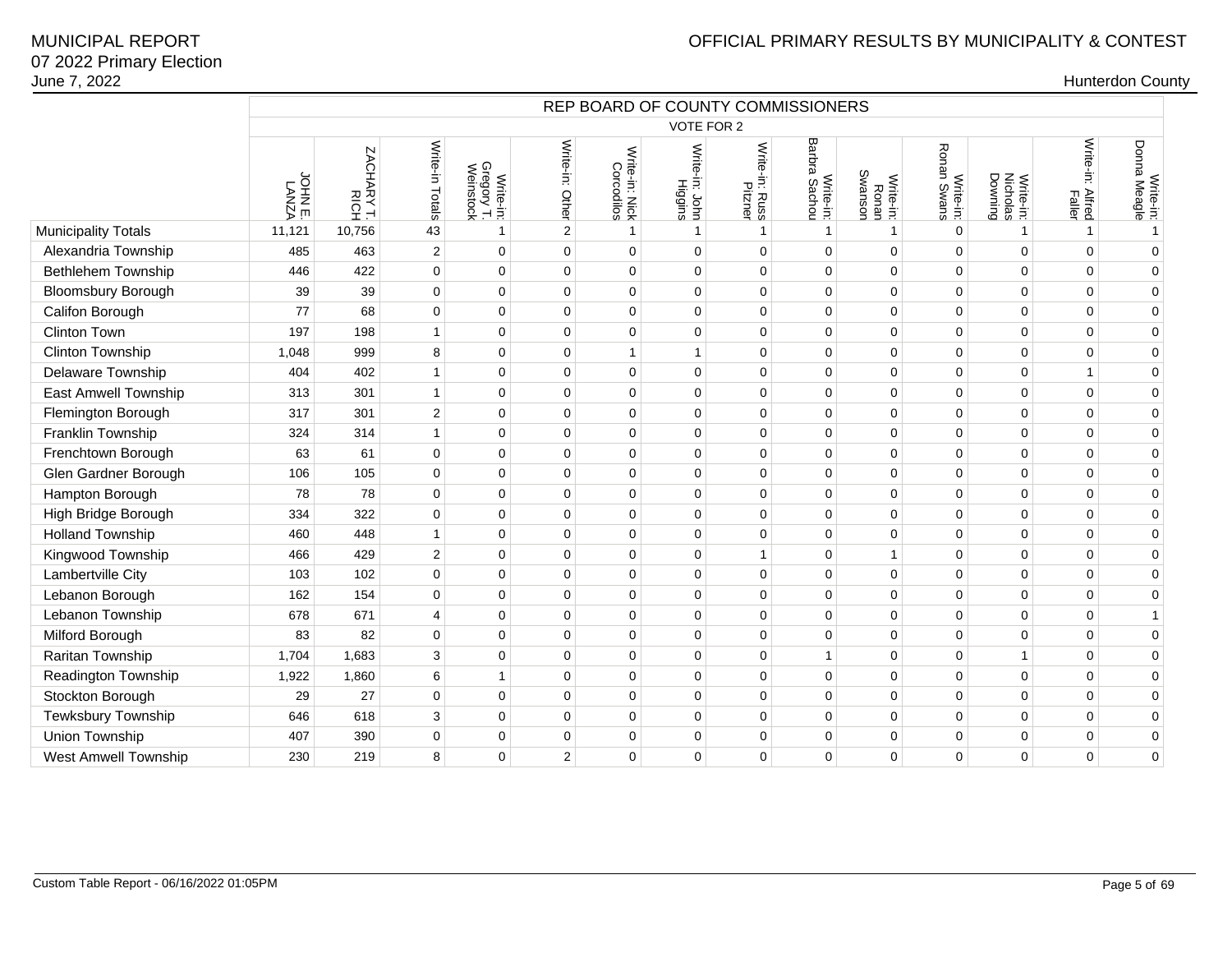|                             | REP BOARD OF COUNTY COMMISSIONERS<br><b>VOTE FOR 2</b> |                    |                 |                                      |                 |                              |                           |                           |                                 |                               |                                |                                  |                            |                           |
|-----------------------------|--------------------------------------------------------|--------------------|-----------------|--------------------------------------|-----------------|------------------------------|---------------------------|---------------------------|---------------------------------|-------------------------------|--------------------------------|----------------------------------|----------------------------|---------------------------|
|                             |                                                        |                    |                 |                                      |                 |                              |                           |                           |                                 |                               |                                |                                  |                            |                           |
|                             | LANA<br>LANA                                           | ZACHARY T.<br>RICH | Write-in Totals | Write-in:<br>Gregory T.<br>Weinstock | Write-in: Other | Write-in: Nick<br>Corcodilos | Write-in: John<br>Higgins | Write-in: Russ<br>Pitzner | Barbra<br>Write-in:<br>a Sachou | Write-in:<br>Ronan<br>Swanson | Ronan<br>Write-in:<br>an Swans | Nicholas<br>Downing<br>Write-in: | Write-in: Alfred<br>Faller | Write-in:<br>Donna Meagle |
| Municipality Totals         | 11,121                                                 | 10,756             | 43              | 1                                    | $\overline{2}$  | $\mathbf{1}$                 | $\mathbf 1$               | $\mathbf{1}$              | $\mathbf{1}$                    | $\mathbf{1}$                  | $\mathbf 0$                    | $\mathbf{1}$                     | $\mathbf{1}$               | $\mathbf{1}$              |
| Alexandria Township         | 485                                                    | 463                | $\overline{c}$  | $\mathbf 0$                          | $\mathbf 0$     | $\mathbf 0$                  | $\Omega$                  | 0                         | $\mathbf 0$                     | $\mathbf 0$                   | $\Omega$                       | $\Omega$                         | $\mathbf 0$                | $\mathbf 0$               |
| <b>Bethlehem Township</b>   | 446                                                    | 422                | $\mathbf 0$     | $\mathbf 0$                          | $\mathbf 0$     | $\mathbf 0$                  | $\Omega$                  | 0                         | $\mathbf 0$                     | $\mathbf 0$                   | $\Omega$                       | $\Omega$                         | $\Omega$                   | $\mathbf 0$               |
| <b>Bloomsbury Borough</b>   | 39                                                     | 39                 | $\mathbf 0$     | $\mathbf 0$                          | $\mathbf 0$     | $\mathbf 0$                  | $\mathbf 0$               | 0                         | $\mathbf 0$                     | $\mathbf 0$                   | $\mathbf 0$                    | $\mathbf 0$                      | $\mathbf 0$                | $\mathbf 0$               |
| Califon Borough             | 77                                                     | 68                 | 0               | 0                                    | $\mathbf 0$     | $\mathbf 0$                  | $\mathbf 0$               | 0                         | $\mathbf 0$                     | $\mathbf 0$                   | 0                              | $\mathbf 0$                      | $\mathbf 0$                | $\mathbf 0$               |
| Clinton Town                | 197                                                    | 198                | $\mathbf{1}$    | 0                                    | $\mathbf 0$     | $\pmb{0}$                    | $\mathbf 0$               | 0                         | $\pmb{0}$                       | $\mathbf 0$                   | $\mathbf 0$                    | 0                                | $\mathbf 0$                | $\mathbf 0$               |
| Clinton Township            | 1,048                                                  | 999                | 8               | 0                                    | $\Omega$        | $\mathbf{1}$                 | $\overline{1}$            | 0                         | $\pmb{0}$                       | $\mathbf 0$                   | $\Omega$                       | $\Omega$                         | $\mathbf 0$                | $\mathbf 0$               |
| Delaware Township           | 404                                                    | 402                | $\mathbf{1}$    | $\mathbf 0$                          | $\mathbf 0$     | $\mathbf 0$                  | 0                         | 0                         | $\mathbf 0$                     | $\mathbf 0$                   | $\mathbf 0$                    | $\mathbf 0$                      | $\mathbf{1}$               | $\mathbf 0$               |
| East Amwell Township        | 313                                                    | 301                | $\mathbf{1}$    | 0                                    | $\mathbf 0$     | $\mathbf 0$                  | $\mathbf 0$               | 0                         | $\mathbf 0$                     | $\mathbf 0$                   | 0                              | 0                                | $\mathbf 0$                | $\mathbf 0$               |
| Flemington Borough          | 317                                                    | 301                | $\overline{c}$  | $\mathbf 0$                          | $\mathbf 0$     | $\mathbf 0$                  | $\mathbf 0$               | 0                         | $\mathbf 0$                     | $\mathbf 0$                   | $\Omega$                       | $\Omega$                         | $\mathbf 0$                | $\mathbf 0$               |
| Franklin Township           | 324                                                    | 314                | $\mathbf{1}$    | $\mathbf 0$                          | $\mathbf 0$     | $\mathbf 0$                  | $\mathbf 0$               | 0                         | $\mathbf 0$                     | $\mathbf 0$                   | $\mathbf 0$                    | $\mathbf 0$                      | $\mathbf 0$                | $\mathbf 0$               |
| Frenchtown Borough          | 63                                                     | 61                 | $\mathbf 0$     | $\mathbf 0$                          | $\Omega$        | $\mathbf 0$                  | $\mathbf 0$               | 0                         | $\mathbf 0$                     | $\mathbf 0$                   | $\mathbf 0$                    | $\Omega$                         | $\mathbf 0$                | $\mathbf 0$               |
| Glen Gardner Borough        | 106                                                    | 105                | 0               | $\mathbf 0$                          | $\mathbf 0$     | $\mathbf 0$                  | $\mathbf 0$               | 0                         | $\mathbf 0$                     | $\mathbf 0$                   | $\mathbf 0$                    | $\mathbf 0$                      | $\mathbf 0$                | $\mathbf 0$               |
| Hampton Borough             | 78                                                     | 78                 | $\mathbf 0$     | $\mathbf 0$                          | $\mathbf 0$     | $\mathbf 0$                  | $\Omega$                  | 0                         | $\mathbf 0$                     | $\mathbf 0$                   | $\Omega$                       | $\Omega$                         | $\mathbf 0$                | $\mathbf 0$               |
| High Bridge Borough         | 334                                                    | 322                | $\mathbf 0$     | $\mathbf 0$                          | $\mathbf 0$     | $\mathbf 0$                  | $\mathbf 0$               | 0                         | $\mathbf 0$                     | $\mathbf 0$                   | $\mathbf 0$                    | $\mathbf 0$                      | $\mathbf 0$                | $\mathbf 0$               |
| <b>Holland Township</b>     | 460                                                    | 448                | $\mathbf{1}$    | $\pmb{0}$                            | $\mathbf 0$     | $\mathbf 0$                  | $\mathbf 0$               | 0                         | $\mathbf 0$                     | $\mathbf 0$                   | $\mathbf 0$                    | 0                                | $\mathbf 0$                | $\pmb{0}$                 |
| Kingwood Township           | 466                                                    | 429                | 2               | $\mathbf 0$                          | $\mathbf 0$     | $\mathbf 0$                  | $\mathbf 0$               | $\mathbf{1}$              | $\mathbf 0$                     | $\mathbf{1}$                  | 0                              | $\mathbf 0$                      | $\mathbf 0$                | $\mathbf 0$               |
| Lambertville City           | 103                                                    | 102                | $\mathbf 0$     | $\mathbf 0$                          | $\mathbf 0$     | $\mathbf 0$                  | $\mathbf 0$               | 0                         | $\mathbf 0$                     | $\mathbf 0$                   | $\mathbf 0$                    | $\mathbf 0$                      | $\mathbf 0$                | $\mathbf 0$               |
| Lebanon Borough             | 162                                                    | 154                | $\mathbf 0$     | $\mathbf 0$                          | $\Omega$        | $\mathbf 0$                  | $\Omega$                  | 0                         | $\mathbf 0$                     | $\mathbf 0$                   | $\Omega$                       | $\Omega$                         | $\Omega$                   | $\mathbf 0$               |
| Lebanon Township            | 678                                                    | 671                | 4               | $\mathbf 0$                          | $\mathbf 0$     | $\mathbf 0$                  | $\mathbf 0$               | 0                         | $\mathbf 0$                     | $\mathbf 0$                   | $\mathbf 0$                    | $\Omega$                         | $\mathbf 0$                | $\mathbf{1}$              |
| Milford Borough             | 83                                                     | 82                 | 0               | $\pmb{0}$                            | $\mathbf 0$     | $\mathbf 0$                  | $\mathbf 0$               | 0                         | $\mathbf 0$                     | $\mathbf 0$                   | $\mathbf 0$                    | 0                                | $\pmb{0}$                  | $\mathbf 0$               |
| Raritan Township            | 1,704                                                  | 1,683              | 3               | $\mathbf 0$                          | $\mathbf 0$     | $\mathbf 0$                  | $\mathbf 0$               | 0                         | $\mathbf{1}$                    | $\mathbf 0$                   | $\mathbf 0$                    | $\mathbf{1}$                     | $\mathbf 0$                | $\mathbf 0$               |
| Readington Township         | 1,922                                                  | 1,860              | $\,6$           | 1                                    | $\mathbf 0$     | $\mathbf 0$                  | $\mathbf 0$               | 0                         | $\pmb{0}$                       | $\mathbf 0$                   | $\mathbf 0$                    | $\mathbf 0$                      | $\mathbf 0$                | $\mathbf 0$               |
| Stockton Borough            | 29                                                     | 27                 | 0               | $\mathbf 0$                          | $\Omega$        | $\mathbf 0$                  | $\mathbf 0$               | 0                         | $\mathbf 0$                     | $\mathbf 0$                   | $\mathbf 0$                    | $\Omega$                         | $\mathbf 0$                | $\mathbf 0$               |
| Tewksbury Township          | 646                                                    | 618                | 3               | $\mathbf 0$                          | $\mathbf 0$     | $\mathbf 0$                  | $\mathbf 0$               | 0                         | $\mathbf 0$                     | $\mathbf 0$                   | $\mathbf 0$                    | $\mathbf 0$                      | $\mathbf 0$                | $\mathbf 0$               |
| Union Township              | 407                                                    | 390                | $\mathbf 0$     | $\Omega$                             | $\Omega$        | $\mathbf 0$                  | $\Omega$                  | 0                         | $\mathbf 0$                     | $\mathbf 0$                   | $\mathbf 0$                    | $\Omega$                         | $\mathbf 0$                | $\mathbf 0$               |
| <b>West Amwell Township</b> | 230                                                    | 219                | 8               | $\mathbf 0$                          | $\overline{2}$  | $\mathbf 0$                  | $\Omega$                  | 0                         | $\mathbf 0$                     | $\mathbf 0$                   | $\mathbf 0$                    | $\mathbf 0$                      | $\mathbf 0$                | $\mathbf 0$               |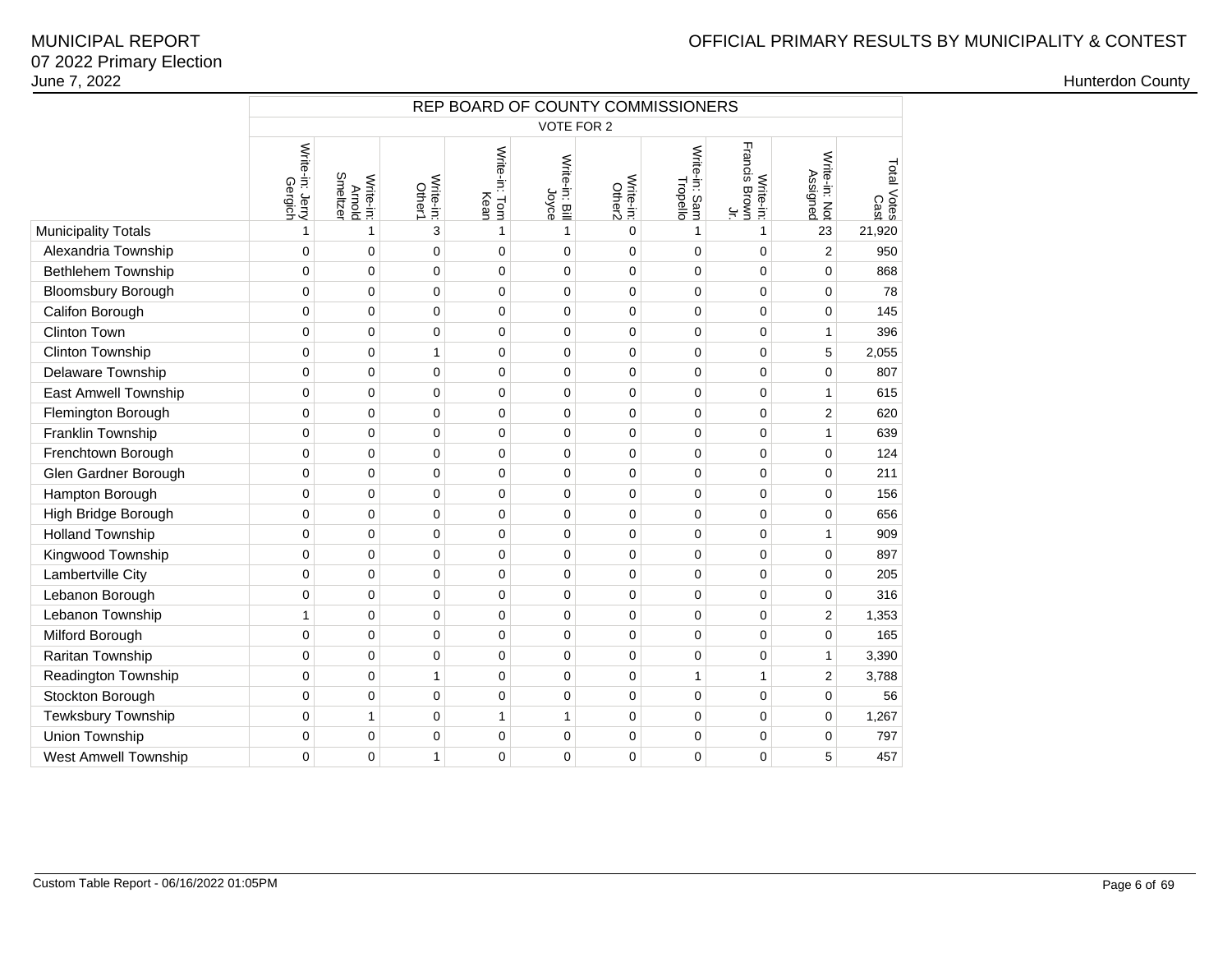# OFFICIAL PRIMARY RESULTS BY MUNICIPALITY & CONTEST

|                             | REP BOARD OF COUNTY COMMISSIONERS<br>VOTE FOR 2 |                                 |                     |                       |                         |                     |                           |                                                    |                           |                     |  |  |  |
|-----------------------------|-------------------------------------------------|---------------------------------|---------------------|-----------------------|-------------------------|---------------------|---------------------------|----------------------------------------------------|---------------------------|---------------------|--|--|--|
|                             |                                                 |                                 |                     |                       |                         |                     |                           |                                                    |                           |                     |  |  |  |
|                             | Write-in: Jerry<br>Gergich                      | Smeltzer<br>Write-in:<br>Arnold | Write-in:<br>Other1 | Write-in: Tom<br>Kean | Write-in: Bill<br>Joyce | Write-in:<br>Other2 | Write-in: Sam<br>Tropello | Write-in:<br>Francis Brown<br>$\frac{1}{\sqrt{2}}$ | Write-in: Not<br>Assigned | Total Votes<br>Cast |  |  |  |
| <b>Municipality Totals</b>  | 1                                               | 1                               | 3                   | 1                     | 1                       | $\mathbf 0$         | 1                         | 1                                                  | 23                        | 21,920              |  |  |  |
| Alexandria Township         | 0                                               | 0                               | $\overline{0}$      | 0                     | 0                       | $\mathbf 0$         | 0                         | $\mathbf 0$                                        | $\overline{2}$            | 950                 |  |  |  |
| <b>Bethlehem Township</b>   | 0                                               | 0                               | 0                   | 0                     | 0                       | $\mathbf 0$         | $\mathbf 0$               | $\mathbf 0$                                        | 0                         | 868                 |  |  |  |
| <b>Bloomsbury Borough</b>   | 0                                               | $\mathbf 0$                     | 0                   | $\Omega$              | $\Omega$                | $\mathbf 0$         | $\mathbf 0$               | $\Omega$                                           | $\overline{0}$            | 78                  |  |  |  |
| Califon Borough             | 0                                               | 0                               | 0                   | 0                     | 0                       | $\mathbf 0$         | $\pmb{0}$                 | $\mathbf 0$                                        | 0                         | 145                 |  |  |  |
| <b>Clinton Town</b>         | 0                                               | 0                               | 0                   | 0                     | 0                       | $\mathbf 0$         | 0                         | $\mathbf 0$                                        | 1                         | 396                 |  |  |  |
| <b>Clinton Township</b>     | 0                                               | $\pmb{0}$                       | $\mathbf{1}$        | 0                     | 0                       | $\mathbf 0$         | $\mathbf 0$               | $\mathbf 0$                                        | 5                         | 2,055               |  |  |  |
| Delaware Township           | 0                                               | 0                               | 0                   | 0                     | 0                       | $\mathbf 0$         | $\mathbf 0$               | $\mathbf 0$                                        | 0                         | 807                 |  |  |  |
| <b>East Amwell Township</b> | $\Omega$                                        | 0                               | 0                   | $\mathbf 0$           | 0                       | $\mathbf 0$         | $\mathbf 0$               | $\mathbf 0$                                        | 1                         | 615                 |  |  |  |
| Flemington Borough          | 0                                               | 0                               | 0                   | 0                     | 0                       | $\mathbf 0$         | 0                         | $\mathbf 0$                                        | 2                         | 620                 |  |  |  |
| Franklin Township           | 0                                               | 0                               | 0                   | $\overline{0}$        | 0                       | $\mathbf 0$         | $\mathbf 0$               | $\mathbf 0$                                        | 1                         | 639                 |  |  |  |
| Frenchtown Borough          | 0                                               | 0                               | 0                   | 0                     | 0                       | $\mathbf 0$         | $\pmb{0}$                 | $\mathbf 0$                                        | 0                         | 124                 |  |  |  |
| Glen Gardner Borough        | 0                                               | 0                               | 0                   | 0                     | 0                       | $\mathbf 0$         | $\mathbf 0$               | $\mathbf 0$                                        | $\mathbf 0$               | 211                 |  |  |  |
| Hampton Borough             | 0                                               | $\pmb{0}$                       | 0                   | 0                     | $\mathsf 0$             | $\mathbf 0$         | 0                         | $\mathbf 0$                                        | 0                         | 156                 |  |  |  |
| High Bridge Borough         | $\mathbf 0$                                     | $\mathbf 0$                     | 0                   | 0                     | 0                       | $\mathbf 0$         | $\mathbf 0$               | $\mathbf 0$                                        | 0                         | 656                 |  |  |  |
| <b>Holland Township</b>     | $\Omega$                                        | 0                               | 0                   | $\Omega$              | $\overline{0}$          | $\mathbf 0$         | 0                         | $\mathbf 0$                                        | 1                         | 909                 |  |  |  |
| Kingwood Township           | 0                                               | 0                               | 0                   | 0                     | 0                       | $\mathbf 0$         | 0                         | $\mathbf 0$                                        | 0                         | 897                 |  |  |  |
| Lambertville City           | 0                                               | 0                               | 0                   | 0                     | 0                       | $\mathbf 0$         | $\mathbf 0$               | $\mathbf 0$                                        | 0                         | 205                 |  |  |  |
| Lebanon Borough             | $\mathbf 0$                                     | 0                               | 0                   | 0                     | 0                       | $\mathbf 0$         | $\mathbf 0$               | $\mathbf 0$                                        | $\mathbf 0$               | 316                 |  |  |  |
| Lebanon Township            | 1                                               | 0                               | 0                   | 0                     | 0                       | $\mathbf 0$         | $\mathbf 0$               | $\mathbf 0$                                        | 2                         | 1,353               |  |  |  |
| Milford Borough             | 0                                               | 0                               | 0                   | 0                     | 0                       | $\mathbf 0$         | $\mathbf 0$               | $\mathbf 0$                                        | 0                         | 165                 |  |  |  |
| Raritan Township            | 0                                               | 0                               | 0                   | 0                     | 0                       | $\mathbf 0$         | $\mathbf 0$               | $\mathbf 0$                                        | 1                         | 3,390               |  |  |  |
| Readington Township         | 0                                               | 0                               | $\mathbf{1}$        | 0                     | 0                       | $\mathbf 0$         | $\mathbf{1}$              | 1                                                  | $\overline{2}$            | 3,788               |  |  |  |
| Stockton Borough            | 0                                               | 0                               | 0                   | 0                     | 0                       | $\mathbf 0$         | $\mathbf 0$               | $\mathbf 0$                                        | 0                         | 56                  |  |  |  |
| Tewksbury Township          | 0                                               | $\mathbf{1}$                    | 0                   | $\mathbf{1}$          | $\mathbf{1}$            | $\mathbf 0$         | $\mathbf 0$               | $\mathbf 0$                                        | 0                         | 1,267               |  |  |  |
| Union Township              | 0                                               | $\mathbf 0$                     | 0                   | 0                     | 0                       | $\pmb{0}$           | $\pmb{0}$                 | $\mathbf 0$                                        | $\mathbf 0$               | 797                 |  |  |  |
| <b>West Amwell Township</b> | 0                                               | 0                               | $\mathbf{1}$        | 0                     | 0                       | $\mathbf 0$         | 0                         | $\mathbf 0$                                        | 5                         | 457                 |  |  |  |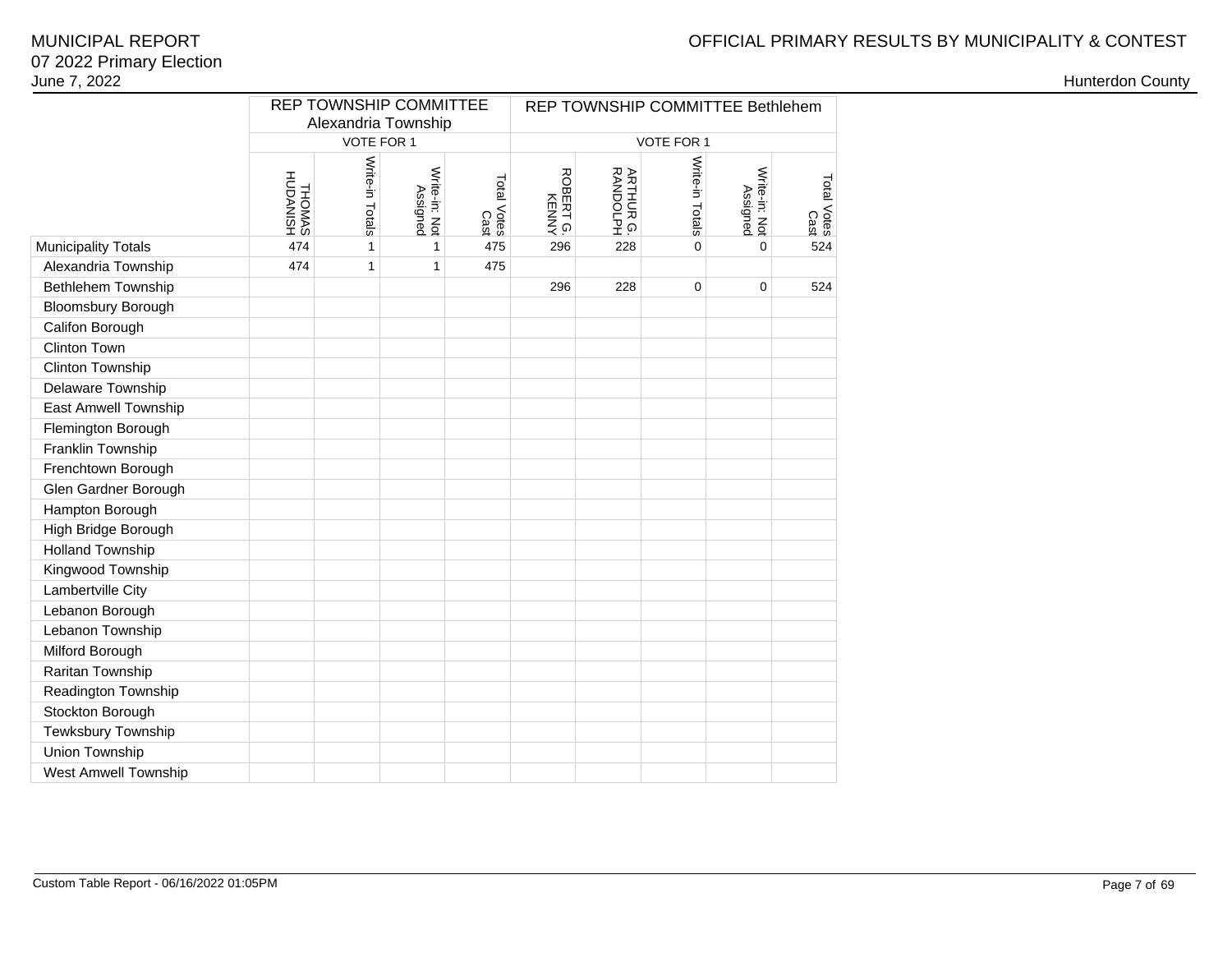# OFFICIAL PRIMARY RESULTS BY MUNICIPALITY & CONTEST

### 07 2022 Primary ElectionJune 7, 2022MUNICIPAL REPORT

|                             |                           |                 | <b>REP TOWNSHIP COMMITTEE</b> |                     | REP TOWNSHIP COMMITTEE Bethlehem |                               |                 |                           |                     |  |  |
|-----------------------------|---------------------------|-----------------|-------------------------------|---------------------|----------------------------------|-------------------------------|-----------------|---------------------------|---------------------|--|--|
|                             |                           | VOTE FOR 1      | Alexandria Township           |                     |                                  |                               | VOTE FOR 1      |                           |                     |  |  |
|                             |                           |                 |                               |                     |                                  |                               |                 |                           |                     |  |  |
|                             | <b>HSINADUH</b><br>SAMOHT | Write-in Totals | Write-in: Not<br>Assigned     | Total Votes<br>Cast | ROBERT G.<br>KENNY               | <b>ARTHUR G.<br/>RANDOLPH</b> | Write-in Totals | Write-in: Not<br>Assigned | Total Votes<br>Cast |  |  |
| <b>Municipality Totals</b>  | 474                       | 1               | 1                             | 475                 | 296                              | 228                           | $\mathbf 0$     | $\mathbf 0$               | 524                 |  |  |
| Alexandria Township         | 474                       | 1               | 1                             | 475                 |                                  |                               |                 |                           |                     |  |  |
| Bethlehem Township          |                           |                 |                               |                     | 296                              | 228                           | $\mathbf 0$     | $\pmb{0}$                 | 524                 |  |  |
| <b>Bloomsbury Borough</b>   |                           |                 |                               |                     |                                  |                               |                 |                           |                     |  |  |
| Califon Borough             |                           |                 |                               |                     |                                  |                               |                 |                           |                     |  |  |
| <b>Clinton Town</b>         |                           |                 |                               |                     |                                  |                               |                 |                           |                     |  |  |
| Clinton Township            |                           |                 |                               |                     |                                  |                               |                 |                           |                     |  |  |
| Delaware Township           |                           |                 |                               |                     |                                  |                               |                 |                           |                     |  |  |
| East Amwell Township        |                           |                 |                               |                     |                                  |                               |                 |                           |                     |  |  |
| Flemington Borough          |                           |                 |                               |                     |                                  |                               |                 |                           |                     |  |  |
| Franklin Township           |                           |                 |                               |                     |                                  |                               |                 |                           |                     |  |  |
| Frenchtown Borough          |                           |                 |                               |                     |                                  |                               |                 |                           |                     |  |  |
| Glen Gardner Borough        |                           |                 |                               |                     |                                  |                               |                 |                           |                     |  |  |
| Hampton Borough             |                           |                 |                               |                     |                                  |                               |                 |                           |                     |  |  |
| High Bridge Borough         |                           |                 |                               |                     |                                  |                               |                 |                           |                     |  |  |
| <b>Holland Township</b>     |                           |                 |                               |                     |                                  |                               |                 |                           |                     |  |  |
| Kingwood Township           |                           |                 |                               |                     |                                  |                               |                 |                           |                     |  |  |
| Lambertville City           |                           |                 |                               |                     |                                  |                               |                 |                           |                     |  |  |
| Lebanon Borough             |                           |                 |                               |                     |                                  |                               |                 |                           |                     |  |  |
| Lebanon Township            |                           |                 |                               |                     |                                  |                               |                 |                           |                     |  |  |
| Milford Borough             |                           |                 |                               |                     |                                  |                               |                 |                           |                     |  |  |
| Raritan Township            |                           |                 |                               |                     |                                  |                               |                 |                           |                     |  |  |
| Readington Township         |                           |                 |                               |                     |                                  |                               |                 |                           |                     |  |  |
| Stockton Borough            |                           |                 |                               |                     |                                  |                               |                 |                           |                     |  |  |
| Tewksbury Township          |                           |                 |                               |                     |                                  |                               |                 |                           |                     |  |  |
| Union Township              |                           |                 |                               |                     |                                  |                               |                 |                           |                     |  |  |
| <b>West Amwell Township</b> |                           |                 |                               |                     |                                  |                               |                 |                           |                     |  |  |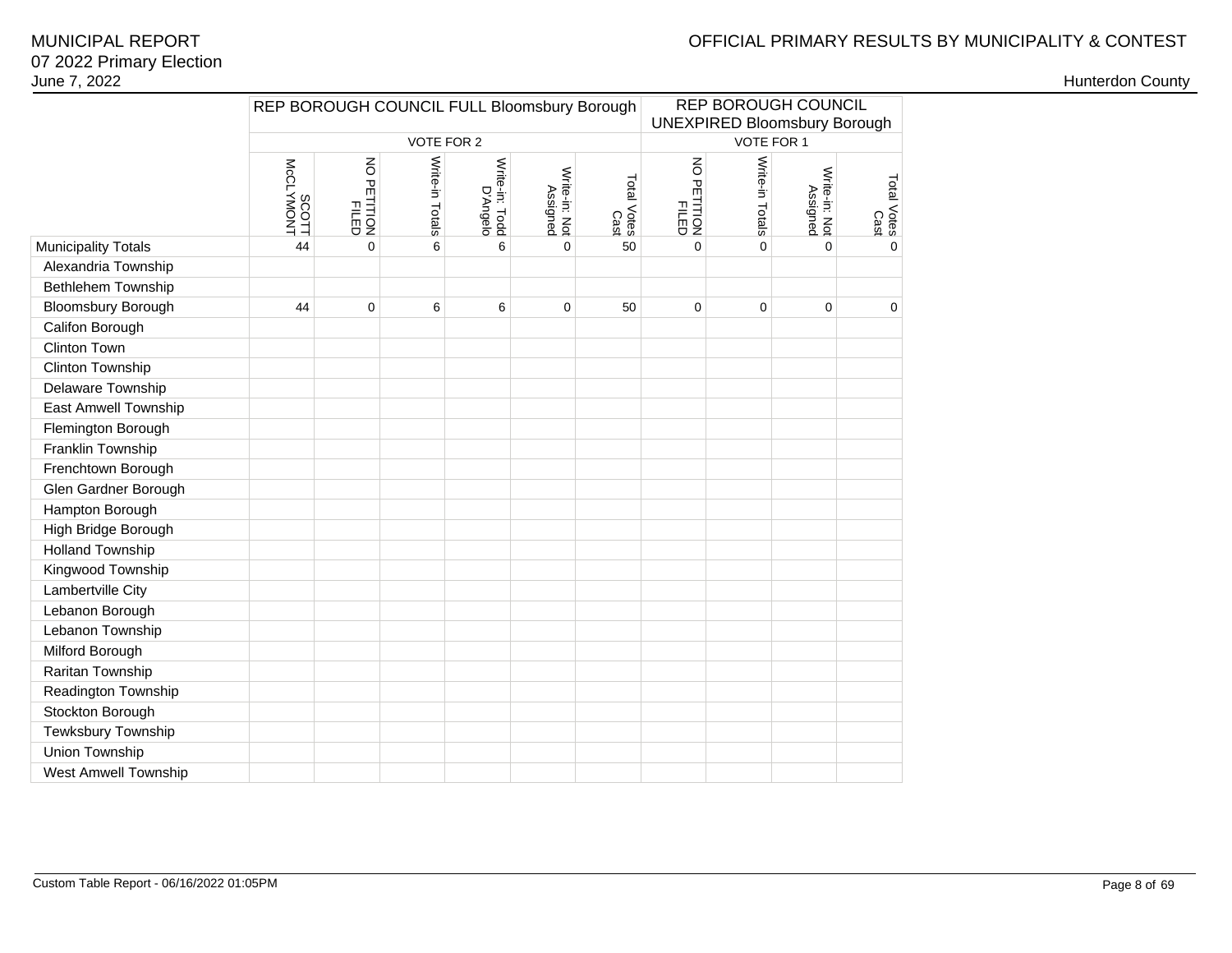# OFFICIAL PRIMARY RESULTS BY MUNICIPALITY & CONTEST

### 07 2022 Primary ElectionJune 7, 2022MUNICIPAL REPORT

|                             |                       | REP BOROUGH COUNCIL FULL Bloomsbury Borough |                 |                            |                     |                                                     |                 | <b>REP BOROUGH COUNCIL</b><br><b>UNEXPIRED Bloomsbury Borough</b> |                     |              |
|-----------------------------|-----------------------|---------------------------------------------|-----------------|----------------------------|---------------------|-----------------------------------------------------|-----------------|-------------------------------------------------------------------|---------------------|--------------|
|                             |                       |                                             | VOTE FOR 2      |                            |                     |                                                     |                 | VOTE FOR 1                                                        |                     |              |
|                             | MONVIONT<br>McCLYMONT | NO PETITION<br>FILED                        | Write-in Totals | Write-in: Todd<br>D'Angelo | Total Votes<br>Cast | $\overline{6}$<br><b>PETITION</b><br>PILED<br>PILED | Write-in Totals | Write-in: Not<br>Assigned                                         | Total Votes<br>Cast |              |
| <b>Municipality Totals</b>  | 44                    | 0                                           | 6               | 6                          | $\mathbf 0$         | 50                                                  | $\mathbf 0$     | $\Omega$                                                          | $\Omega$            | $\mathbf{0}$ |
| Alexandria Township         |                       |                                             |                 |                            |                     |                                                     |                 |                                                                   |                     |              |
| Bethlehem Township          |                       |                                             |                 |                            |                     |                                                     |                 |                                                                   |                     |              |
| <b>Bloomsbury Borough</b>   | 44                    | $\pmb{0}$                                   | 6               | 6                          | $\pmb{0}$           | 50                                                  | $\pmb{0}$       | 0                                                                 | $\pmb{0}$           | 0            |
| Califon Borough             |                       |                                             |                 |                            |                     |                                                     |                 |                                                                   |                     |              |
| Clinton Town                |                       |                                             |                 |                            |                     |                                                     |                 |                                                                   |                     |              |
| Clinton Township            |                       |                                             |                 |                            |                     |                                                     |                 |                                                                   |                     |              |
| Delaware Township           |                       |                                             |                 |                            |                     |                                                     |                 |                                                                   |                     |              |
| <b>East Amwell Township</b> |                       |                                             |                 |                            |                     |                                                     |                 |                                                                   |                     |              |
| Flemington Borough          |                       |                                             |                 |                            |                     |                                                     |                 |                                                                   |                     |              |
| Franklin Township           |                       |                                             |                 |                            |                     |                                                     |                 |                                                                   |                     |              |
| Frenchtown Borough          |                       |                                             |                 |                            |                     |                                                     |                 |                                                                   |                     |              |
| Glen Gardner Borough        |                       |                                             |                 |                            |                     |                                                     |                 |                                                                   |                     |              |
| Hampton Borough             |                       |                                             |                 |                            |                     |                                                     |                 |                                                                   |                     |              |
| High Bridge Borough         |                       |                                             |                 |                            |                     |                                                     |                 |                                                                   |                     |              |
| <b>Holland Township</b>     |                       |                                             |                 |                            |                     |                                                     |                 |                                                                   |                     |              |
| Kingwood Township           |                       |                                             |                 |                            |                     |                                                     |                 |                                                                   |                     |              |
| Lambertville City           |                       |                                             |                 |                            |                     |                                                     |                 |                                                                   |                     |              |
| Lebanon Borough             |                       |                                             |                 |                            |                     |                                                     |                 |                                                                   |                     |              |
| Lebanon Township            |                       |                                             |                 |                            |                     |                                                     |                 |                                                                   |                     |              |
| Milford Borough             |                       |                                             |                 |                            |                     |                                                     |                 |                                                                   |                     |              |
| Raritan Township            |                       |                                             |                 |                            |                     |                                                     |                 |                                                                   |                     |              |
| Readington Township         |                       |                                             |                 |                            |                     |                                                     |                 |                                                                   |                     |              |
| Stockton Borough            |                       |                                             |                 |                            |                     |                                                     |                 |                                                                   |                     |              |
| Tewksbury Township          |                       |                                             |                 |                            |                     |                                                     |                 |                                                                   |                     |              |
| Union Township              |                       |                                             |                 |                            |                     |                                                     |                 |                                                                   |                     |              |
| West Amwell Township        |                       |                                             |                 |                            |                     |                                                     |                 |                                                                   |                     |              |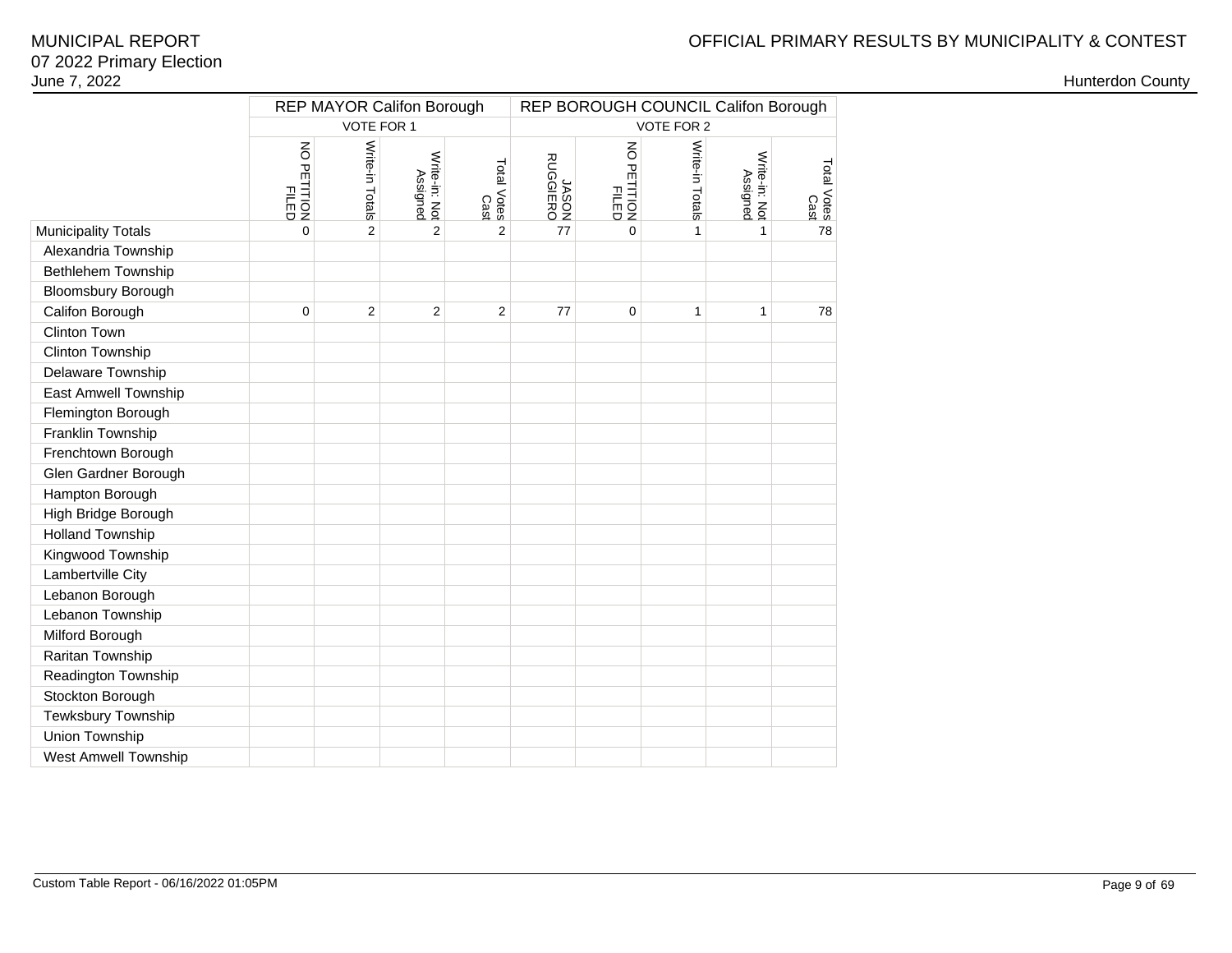# OFFICIAL PRIMARY RESULTS BY MUNICIPALITY & CONTEST

|                            | <b>REP MAYOR Califon Borough</b>              |                 |                           |                     |                   | REP BOROUGH COUNCIL Califon Borough |                 |                           |                     |  |  |  |
|----------------------------|-----------------------------------------------|-----------------|---------------------------|---------------------|-------------------|-------------------------------------|-----------------|---------------------------|---------------------|--|--|--|
|                            |                                               | VOTE FOR 1      |                           |                     |                   |                                     | VOTE FOR 2      |                           |                     |  |  |  |
|                            | $\overline{6}$<br><b>PETITION</b><br>PETITION | Write-in Totals | Write-in: Not<br>Assigned | Total Votes<br>Cast | JASON<br>RUGGIERO | NO PETITION<br>PETITION             | Write-in Totals | Write-in: Not<br>Assigned | Total Votes<br>Cast |  |  |  |
| <b>Municipality Totals</b> | 0                                             | $\overline{2}$  | $\overline{2}$            | $\overline{2}$      | 77                | 0                                   | 1               | 1                         | 78                  |  |  |  |
| Alexandria Township        |                                               |                 |                           |                     |                   |                                     |                 |                           |                     |  |  |  |
| Bethlehem Township         |                                               |                 |                           |                     |                   |                                     |                 |                           |                     |  |  |  |
| <b>Bloomsbury Borough</b>  |                                               |                 |                           |                     |                   |                                     |                 |                           |                     |  |  |  |
| Califon Borough            | 0                                             | $\overline{2}$  | $\overline{2}$            | $\overline{2}$      | 77                | 0                                   | 1               | $\mathbf{1}$              | 78                  |  |  |  |
| Clinton Town               |                                               |                 |                           |                     |                   |                                     |                 |                           |                     |  |  |  |
| Clinton Township           |                                               |                 |                           |                     |                   |                                     |                 |                           |                     |  |  |  |
| Delaware Township          |                                               |                 |                           |                     |                   |                                     |                 |                           |                     |  |  |  |
| East Amwell Township       |                                               |                 |                           |                     |                   |                                     |                 |                           |                     |  |  |  |
| Flemington Borough         |                                               |                 |                           |                     |                   |                                     |                 |                           |                     |  |  |  |
| Franklin Township          |                                               |                 |                           |                     |                   |                                     |                 |                           |                     |  |  |  |
| Frenchtown Borough         |                                               |                 |                           |                     |                   |                                     |                 |                           |                     |  |  |  |
| Glen Gardner Borough       |                                               |                 |                           |                     |                   |                                     |                 |                           |                     |  |  |  |
| Hampton Borough            |                                               |                 |                           |                     |                   |                                     |                 |                           |                     |  |  |  |
| High Bridge Borough        |                                               |                 |                           |                     |                   |                                     |                 |                           |                     |  |  |  |
| <b>Holland Township</b>    |                                               |                 |                           |                     |                   |                                     |                 |                           |                     |  |  |  |
| Kingwood Township          |                                               |                 |                           |                     |                   |                                     |                 |                           |                     |  |  |  |
| Lambertville City          |                                               |                 |                           |                     |                   |                                     |                 |                           |                     |  |  |  |
| Lebanon Borough            |                                               |                 |                           |                     |                   |                                     |                 |                           |                     |  |  |  |
| Lebanon Township           |                                               |                 |                           |                     |                   |                                     |                 |                           |                     |  |  |  |
| Milford Borough            |                                               |                 |                           |                     |                   |                                     |                 |                           |                     |  |  |  |
| Raritan Township           |                                               |                 |                           |                     |                   |                                     |                 |                           |                     |  |  |  |
| Readington Township        |                                               |                 |                           |                     |                   |                                     |                 |                           |                     |  |  |  |
| Stockton Borough           |                                               |                 |                           |                     |                   |                                     |                 |                           |                     |  |  |  |
| Tewksbury Township         |                                               |                 |                           |                     |                   |                                     |                 |                           |                     |  |  |  |
| Union Township             |                                               |                 |                           |                     |                   |                                     |                 |                           |                     |  |  |  |
| West Amwell Township       |                                               |                 |                           |                     |                   |                                     |                 |                           |                     |  |  |  |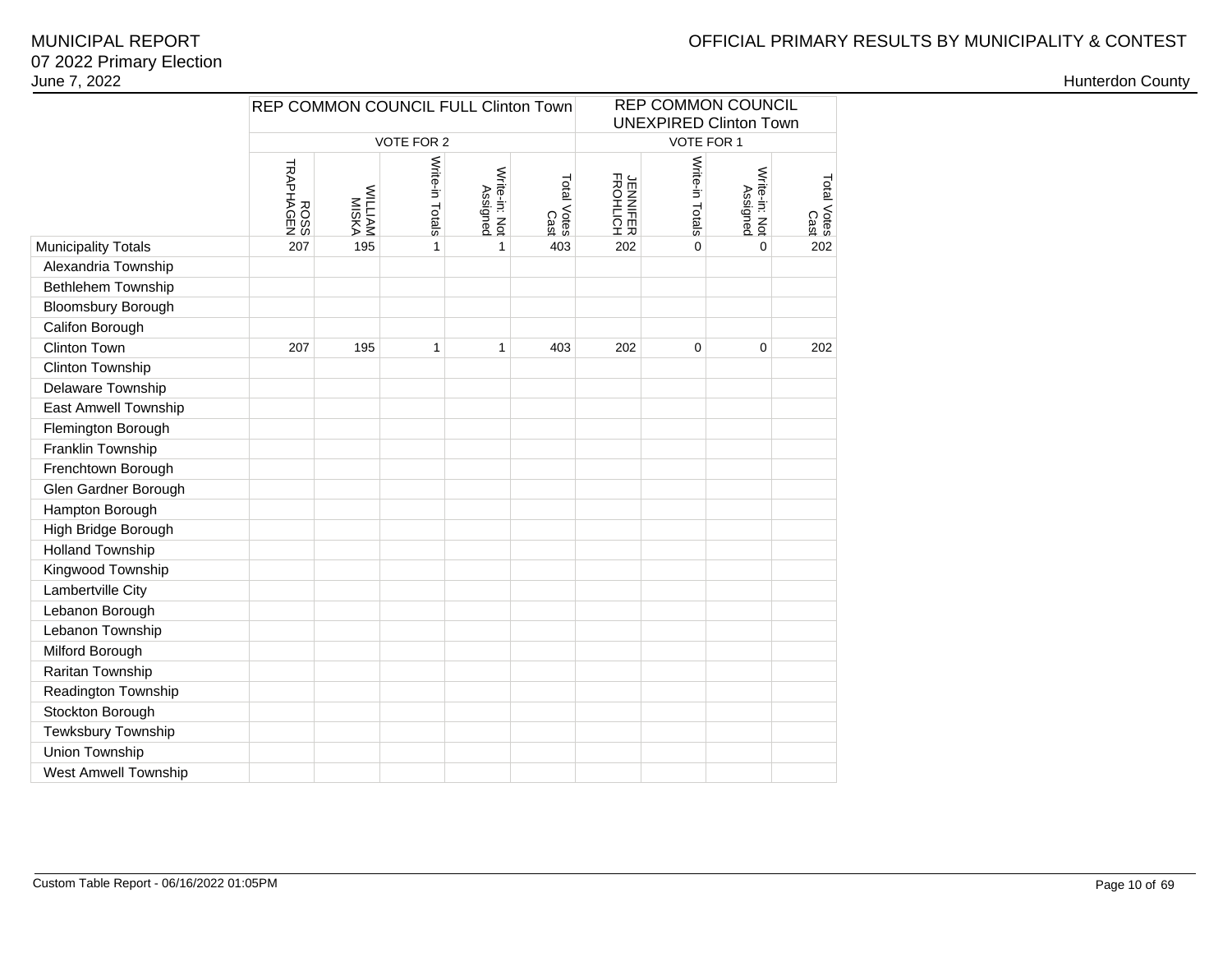# OFFICIAL PRIMARY RESULTS BY MUNICIPALITY & CONTEST

### 07 2022 Primary ElectionJune 7, 2022MUNICIPAL REPORT

|                             | REP COMMON COUNCIL FULL Clinton Town |                                |                 |                           |                     | REP COMMON COUNCIL<br><b>UNEXPIRED Clinton Town</b> |                 |                           |                     |  |  |
|-----------------------------|--------------------------------------|--------------------------------|-----------------|---------------------------|---------------------|-----------------------------------------------------|-----------------|---------------------------|---------------------|--|--|
|                             |                                      |                                | VOTE FOR 2      |                           |                     |                                                     | VOTE FOR 1      |                           |                     |  |  |
|                             | ROSS<br>TRAPHAGEN                    | <b>MILLIAM</b><br><b>MISKA</b> | Write-in Totals | Write-in: Not<br>Assigned | Total Votes<br>Cast | <b>JENNIFER</b><br>FROHLICH                         | Write-in Totals | Write-in: Not<br>Assigned | Total Votes<br>Cast |  |  |
| <b>Municipality Totals</b>  | 207                                  | 195                            | 1               | $\mathbf{1}$              | 403                 | 202                                                 | 0               | 0                         | 202                 |  |  |
| Alexandria Township         |                                      |                                |                 |                           |                     |                                                     |                 |                           |                     |  |  |
| Bethlehem Township          |                                      |                                |                 |                           |                     |                                                     |                 |                           |                     |  |  |
| <b>Bloomsbury Borough</b>   |                                      |                                |                 |                           |                     |                                                     |                 |                           |                     |  |  |
| Califon Borough             |                                      |                                |                 |                           |                     |                                                     |                 |                           |                     |  |  |
| <b>Clinton Town</b>         | 207                                  | 195                            | $\mathbf{1}$    | $\mathbf{1}$              | 202                 | 0                                                   | $\mathbf 0$     | 202                       |                     |  |  |
| Clinton Township            |                                      |                                |                 |                           |                     |                                                     |                 |                           |                     |  |  |
| Delaware Township           |                                      |                                |                 |                           |                     |                                                     |                 |                           |                     |  |  |
| <b>East Amwell Township</b> |                                      |                                |                 |                           |                     |                                                     |                 |                           |                     |  |  |
| Flemington Borough          |                                      |                                |                 |                           |                     |                                                     |                 |                           |                     |  |  |
| Franklin Township           |                                      |                                |                 |                           |                     |                                                     |                 |                           |                     |  |  |
| Frenchtown Borough          |                                      |                                |                 |                           |                     |                                                     |                 |                           |                     |  |  |
| Glen Gardner Borough        |                                      |                                |                 |                           |                     |                                                     |                 |                           |                     |  |  |
| Hampton Borough             |                                      |                                |                 |                           |                     |                                                     |                 |                           |                     |  |  |
| High Bridge Borough         |                                      |                                |                 |                           |                     |                                                     |                 |                           |                     |  |  |
| <b>Holland Township</b>     |                                      |                                |                 |                           |                     |                                                     |                 |                           |                     |  |  |
| Kingwood Township           |                                      |                                |                 |                           |                     |                                                     |                 |                           |                     |  |  |
| Lambertville City           |                                      |                                |                 |                           |                     |                                                     |                 |                           |                     |  |  |
| Lebanon Borough             |                                      |                                |                 |                           |                     |                                                     |                 |                           |                     |  |  |
| Lebanon Township            |                                      |                                |                 |                           |                     |                                                     |                 |                           |                     |  |  |
| Milford Borough             |                                      |                                |                 |                           |                     |                                                     |                 |                           |                     |  |  |
| Raritan Township            |                                      |                                |                 |                           |                     |                                                     |                 |                           |                     |  |  |
| Readington Township         |                                      |                                |                 |                           |                     |                                                     |                 |                           |                     |  |  |
| Stockton Borough            |                                      |                                |                 |                           |                     |                                                     |                 |                           |                     |  |  |
| Tewksbury Township          |                                      |                                |                 |                           |                     |                                                     |                 |                           |                     |  |  |
| Union Township              |                                      |                                |                 |                           |                     |                                                     |                 |                           |                     |  |  |
| West Amwell Township        |                                      |                                |                 |                           |                     |                                                     |                 |                           |                     |  |  |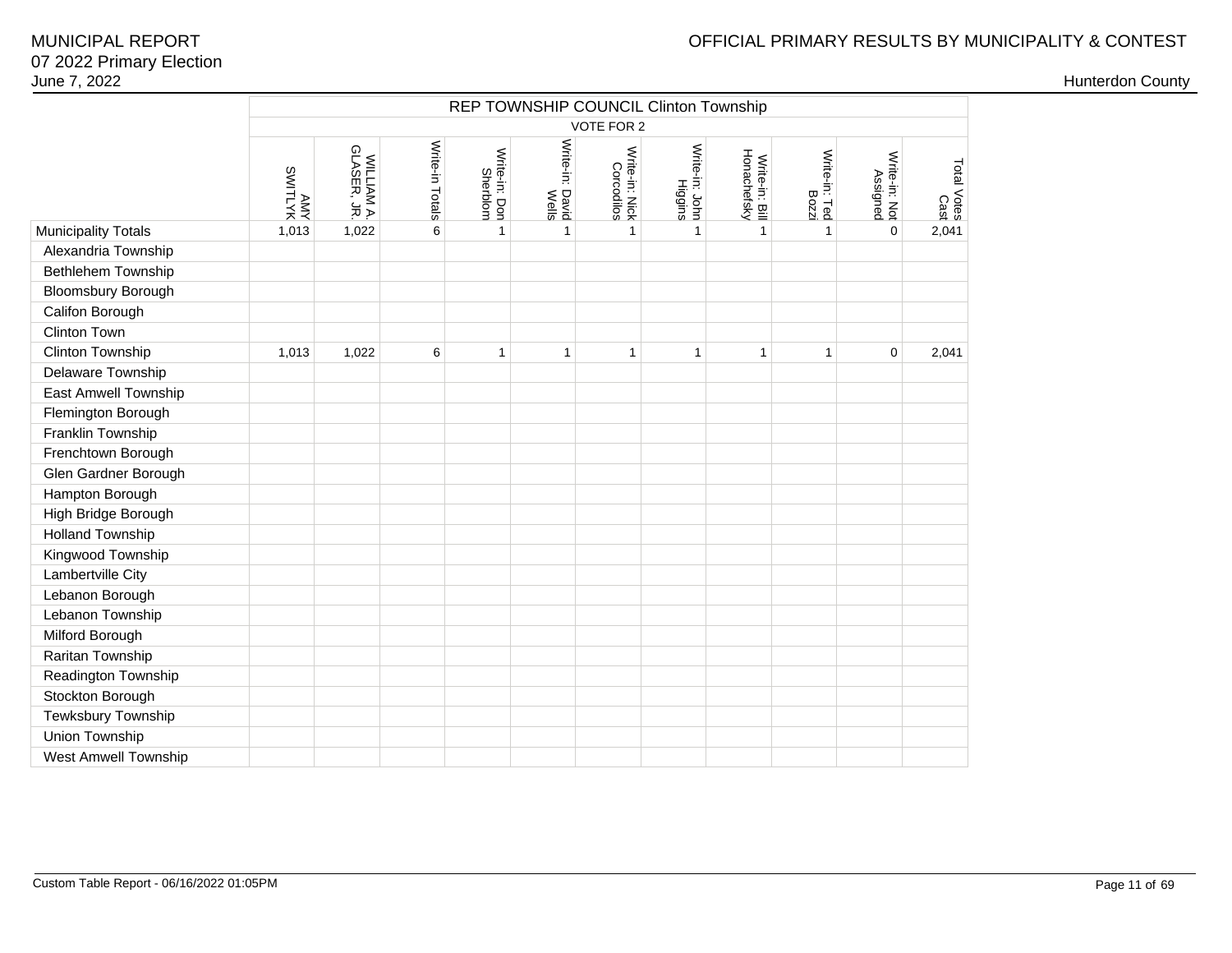|                             |                     | REP TOWNSHIP COUNCIL Clinton Township<br>VOTE FOR 2 |                 |                           |                                    |                              |                           |                               |                        |                           |                                |  |  |  |
|-----------------------------|---------------------|-----------------------------------------------------|-----------------|---------------------------|------------------------------------|------------------------------|---------------------------|-------------------------------|------------------------|---------------------------|--------------------------------|--|--|--|
|                             |                     |                                                     |                 |                           |                                    |                              |                           |                               |                        |                           |                                |  |  |  |
|                             | ANTITIWS<br>SWITLYK | WILLIAM A.<br>GLASER, JR.                           | Write-in Totals | Write-in: Don<br>Sherblom | Write-in: David<br>Write-in: David | Write-in: Nick<br>Corcodilos | Write-in: John<br>Higgins | Write-in: Bill<br>Honachefsky | Write-in: Ted<br>Bozzi | Write-in: Not<br>Assigned | Total Votes :<br>Total Votes : |  |  |  |
| <b>Municipality Totals</b>  | 1,013               | 1,022                                               | 6               | $\mathbf{1}$              | $\mathbf{1}$                       | $\mathbf{1}$                 | $\mathbf{1}$              | $\mathbf{1}$                  | $\mathbf{1}$           | 0                         | 2,041                          |  |  |  |
| Alexandria Township         |                     |                                                     |                 |                           |                                    |                              |                           |                               |                        |                           |                                |  |  |  |
| Bethlehem Township          |                     |                                                     |                 |                           |                                    |                              |                           |                               |                        |                           |                                |  |  |  |
| <b>Bloomsbury Borough</b>   |                     |                                                     |                 |                           |                                    |                              |                           |                               |                        |                           |                                |  |  |  |
| Califon Borough             |                     |                                                     |                 |                           |                                    |                              |                           |                               |                        |                           |                                |  |  |  |
| Clinton Town                |                     |                                                     |                 |                           |                                    |                              |                           |                               |                        |                           |                                |  |  |  |
| Clinton Township            | 1,013               | 1,022                                               | 6               | 1                         | 1                                  | $\mathbf{1}$                 | 1                         | 1                             | 1                      | $\mathbf 0$               | 2,041                          |  |  |  |
| Delaware Township           |                     |                                                     |                 |                           |                                    |                              |                           |                               |                        |                           |                                |  |  |  |
| East Amwell Township        |                     |                                                     |                 |                           |                                    |                              |                           |                               |                        |                           |                                |  |  |  |
| Flemington Borough          |                     |                                                     |                 |                           |                                    |                              |                           |                               |                        |                           |                                |  |  |  |
| Franklin Township           |                     |                                                     |                 |                           |                                    |                              |                           |                               |                        |                           |                                |  |  |  |
| Frenchtown Borough          |                     |                                                     |                 |                           |                                    |                              |                           |                               |                        |                           |                                |  |  |  |
| Glen Gardner Borough        |                     |                                                     |                 |                           |                                    |                              |                           |                               |                        |                           |                                |  |  |  |
| Hampton Borough             |                     |                                                     |                 |                           |                                    |                              |                           |                               |                        |                           |                                |  |  |  |
| High Bridge Borough         |                     |                                                     |                 |                           |                                    |                              |                           |                               |                        |                           |                                |  |  |  |
| <b>Holland Township</b>     |                     |                                                     |                 |                           |                                    |                              |                           |                               |                        |                           |                                |  |  |  |
| Kingwood Township           |                     |                                                     |                 |                           |                                    |                              |                           |                               |                        |                           |                                |  |  |  |
| Lambertville City           |                     |                                                     |                 |                           |                                    |                              |                           |                               |                        |                           |                                |  |  |  |
| Lebanon Borough             |                     |                                                     |                 |                           |                                    |                              |                           |                               |                        |                           |                                |  |  |  |
| Lebanon Township            |                     |                                                     |                 |                           |                                    |                              |                           |                               |                        |                           |                                |  |  |  |
| Milford Borough             |                     |                                                     |                 |                           |                                    |                              |                           |                               |                        |                           |                                |  |  |  |
| Raritan Township            |                     |                                                     |                 |                           |                                    |                              |                           |                               |                        |                           |                                |  |  |  |
| Readington Township         |                     |                                                     |                 |                           |                                    |                              |                           |                               |                        |                           |                                |  |  |  |
| Stockton Borough            |                     |                                                     |                 |                           |                                    |                              |                           |                               |                        |                           |                                |  |  |  |
| Tewksbury Township          |                     |                                                     |                 |                           |                                    |                              |                           |                               |                        |                           |                                |  |  |  |
| <b>Union Township</b>       |                     |                                                     |                 |                           |                                    |                              |                           |                               |                        |                           |                                |  |  |  |
| <b>West Amwell Township</b> |                     |                                                     |                 |                           |                                    |                              |                           |                               |                        |                           |                                |  |  |  |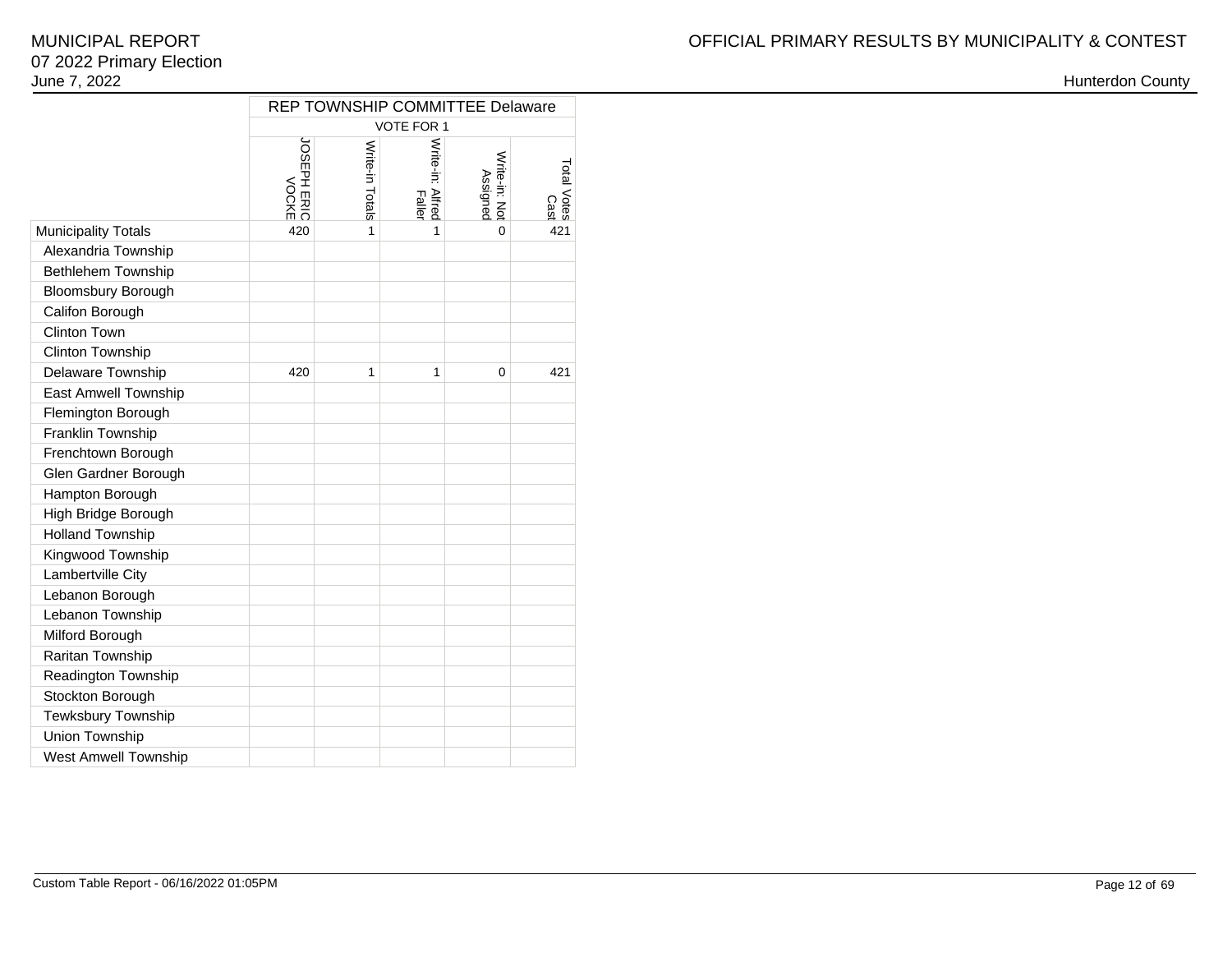|                             | REP TOWNSHIP COMMITTEE Delaware |                 |                            |                          |                     |  |  |  |  |  |  |  |  |
|-----------------------------|---------------------------------|-----------------|----------------------------|--------------------------|---------------------|--|--|--|--|--|--|--|--|
|                             | <b>VOTE FOR 1</b>               |                 |                            |                          |                     |  |  |  |  |  |  |  |  |
|                             | DISEPH ERIC                     | Write-in Totals | Write-in: Alfred<br>Faller | Write-in: No<br>Assigned | Total Votes<br>Cast |  |  |  |  |  |  |  |  |
| <b>Municipality Totals</b>  | 420                             | 1               | 1                          | 0                        | 421                 |  |  |  |  |  |  |  |  |
| Alexandria Township         |                                 |                 |                            |                          |                     |  |  |  |  |  |  |  |  |
| <b>Bethlehem Township</b>   |                                 |                 |                            |                          |                     |  |  |  |  |  |  |  |  |
| <b>Bloomsbury Borough</b>   |                                 |                 |                            |                          |                     |  |  |  |  |  |  |  |  |
| Califon Borough             |                                 |                 |                            |                          |                     |  |  |  |  |  |  |  |  |
| Clinton Town                |                                 |                 |                            |                          |                     |  |  |  |  |  |  |  |  |
| Clinton Township            |                                 |                 |                            |                          |                     |  |  |  |  |  |  |  |  |
| Delaware Township           | 420                             | 1               | 1                          | $\Omega$                 | 421                 |  |  |  |  |  |  |  |  |
| <b>East Amwell Township</b> |                                 |                 |                            |                          |                     |  |  |  |  |  |  |  |  |
| Flemington Borough          |                                 |                 |                            |                          |                     |  |  |  |  |  |  |  |  |
| Franklin Township           |                                 |                 |                            |                          |                     |  |  |  |  |  |  |  |  |
| Frenchtown Borough          |                                 |                 |                            |                          |                     |  |  |  |  |  |  |  |  |
| Glen Gardner Borough        |                                 |                 |                            |                          |                     |  |  |  |  |  |  |  |  |
| Hampton Borough             |                                 |                 |                            |                          |                     |  |  |  |  |  |  |  |  |
| High Bridge Borough         |                                 |                 |                            |                          |                     |  |  |  |  |  |  |  |  |
| <b>Holland Township</b>     |                                 |                 |                            |                          |                     |  |  |  |  |  |  |  |  |
| Kingwood Township           |                                 |                 |                            |                          |                     |  |  |  |  |  |  |  |  |
| Lambertville City           |                                 |                 |                            |                          |                     |  |  |  |  |  |  |  |  |
| Lebanon Borough             |                                 |                 |                            |                          |                     |  |  |  |  |  |  |  |  |
| Lebanon Township            |                                 |                 |                            |                          |                     |  |  |  |  |  |  |  |  |
| Milford Borough             |                                 |                 |                            |                          |                     |  |  |  |  |  |  |  |  |
| Raritan Township            |                                 |                 |                            |                          |                     |  |  |  |  |  |  |  |  |
| Readington Township         |                                 |                 |                            |                          |                     |  |  |  |  |  |  |  |  |
| Stockton Borough            |                                 |                 |                            |                          |                     |  |  |  |  |  |  |  |  |
| Tewksbury Township          |                                 |                 |                            |                          |                     |  |  |  |  |  |  |  |  |
| Union Township              |                                 |                 |                            |                          |                     |  |  |  |  |  |  |  |  |
| <b>West Amwell Township</b> |                                 |                 |                            |                          |                     |  |  |  |  |  |  |  |  |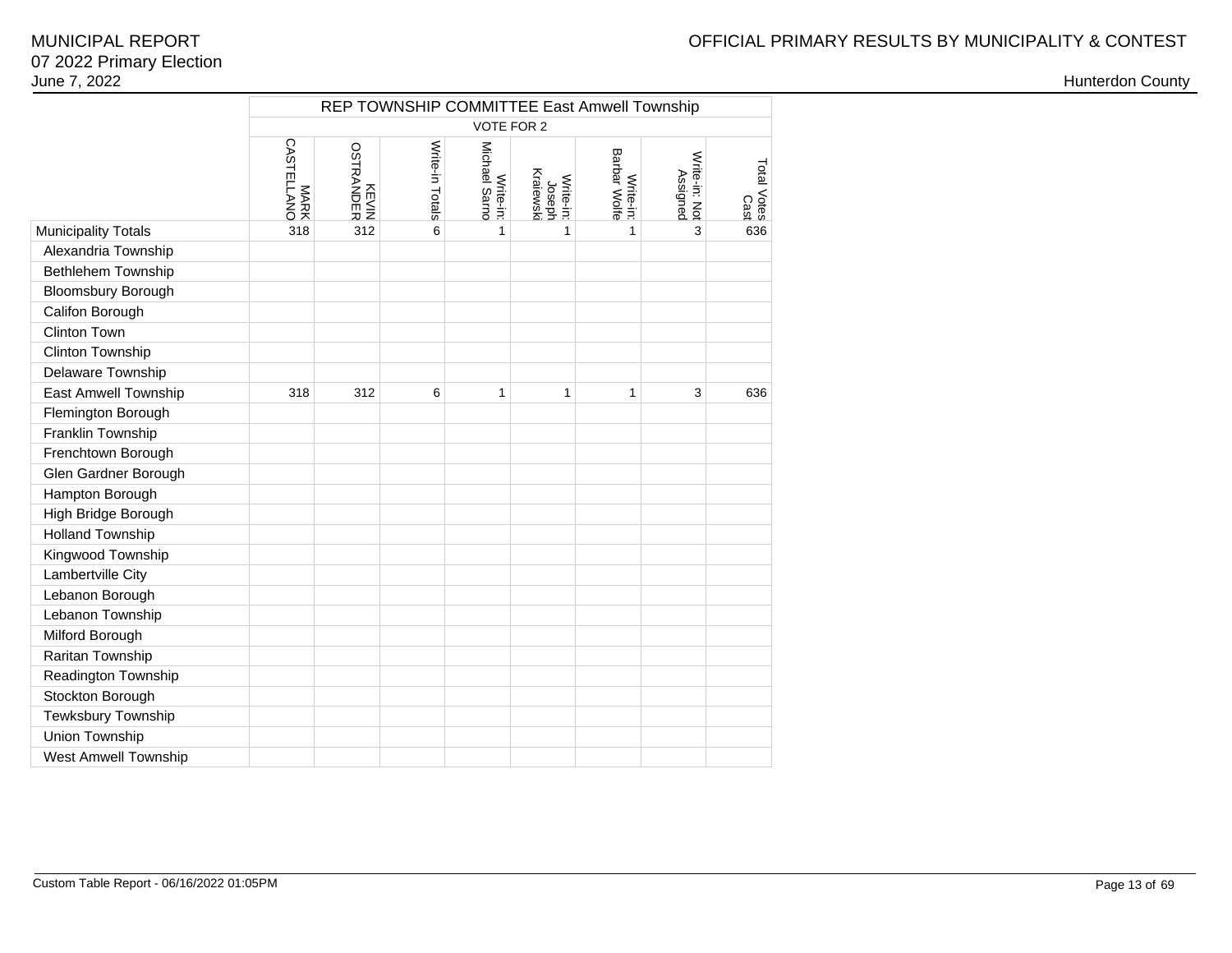|                            | REP TOWNSHIP COMMITTEE East Amwell Township |                    |                 |                            |                                  |                           |                           |                     |  |  |  |  |
|----------------------------|---------------------------------------------|--------------------|-----------------|----------------------------|----------------------------------|---------------------------|---------------------------|---------------------|--|--|--|--|
|                            |                                             |                    |                 | <b>VOTE FOR 2</b>          |                                  |                           |                           |                     |  |  |  |  |
|                            | MARK<br>CASTELLANO                          | KEVIN<br>OSTRANDER | Write-in Totals | Michael Sarno<br>Write-in: | Kraiewski<br>Write-in:<br>Joseph | Write-in:<br>Barbar Wolfe | Write-in: Not<br>Assigned | Total Votes<br>Cast |  |  |  |  |
| <b>Municipality Totals</b> | 318                                         | 312                | 6               | 1                          | 1                                | 1                         | 3                         | 636                 |  |  |  |  |
| Alexandria Township        |                                             |                    |                 |                            |                                  |                           |                           |                     |  |  |  |  |
| Bethlehem Township         |                                             |                    |                 |                            |                                  |                           |                           |                     |  |  |  |  |
| <b>Bloomsbury Borough</b>  |                                             |                    |                 |                            |                                  |                           |                           |                     |  |  |  |  |
| Califon Borough            |                                             |                    |                 |                            |                                  |                           |                           |                     |  |  |  |  |
| Clinton Town               |                                             |                    |                 |                            |                                  |                           |                           |                     |  |  |  |  |
| Clinton Township           |                                             |                    |                 |                            |                                  |                           |                           |                     |  |  |  |  |
| Delaware Township          |                                             |                    |                 |                            |                                  |                           |                           |                     |  |  |  |  |
| East Amwell Township       | 318                                         | 312                | 6               | $\mathbf{1}$               | $\mathbf{1}$                     | $\mathbf{1}$              | 3                         | 636                 |  |  |  |  |
| Flemington Borough         |                                             |                    |                 |                            |                                  |                           |                           |                     |  |  |  |  |
| Franklin Township          |                                             |                    |                 |                            |                                  |                           |                           |                     |  |  |  |  |
| Frenchtown Borough         |                                             |                    |                 |                            |                                  |                           |                           |                     |  |  |  |  |
| Glen Gardner Borough       |                                             |                    |                 |                            |                                  |                           |                           |                     |  |  |  |  |
| Hampton Borough            |                                             |                    |                 |                            |                                  |                           |                           |                     |  |  |  |  |
| High Bridge Borough        |                                             |                    |                 |                            |                                  |                           |                           |                     |  |  |  |  |
| <b>Holland Township</b>    |                                             |                    |                 |                            |                                  |                           |                           |                     |  |  |  |  |
| Kingwood Township          |                                             |                    |                 |                            |                                  |                           |                           |                     |  |  |  |  |
| Lambertville City          |                                             |                    |                 |                            |                                  |                           |                           |                     |  |  |  |  |
| Lebanon Borough            |                                             |                    |                 |                            |                                  |                           |                           |                     |  |  |  |  |
| Lebanon Township           |                                             |                    |                 |                            |                                  |                           |                           |                     |  |  |  |  |
| Milford Borough            |                                             |                    |                 |                            |                                  |                           |                           |                     |  |  |  |  |
| Raritan Township           |                                             |                    |                 |                            |                                  |                           |                           |                     |  |  |  |  |
| Readington Township        |                                             |                    |                 |                            |                                  |                           |                           |                     |  |  |  |  |
| Stockton Borough           |                                             |                    |                 |                            |                                  |                           |                           |                     |  |  |  |  |
| Tewksbury Township         |                                             |                    |                 |                            |                                  |                           |                           |                     |  |  |  |  |
| Union Township             |                                             |                    |                 |                            |                                  |                           |                           |                     |  |  |  |  |
| West Amwell Township       |                                             |                    |                 |                            |                                  |                           |                           |                     |  |  |  |  |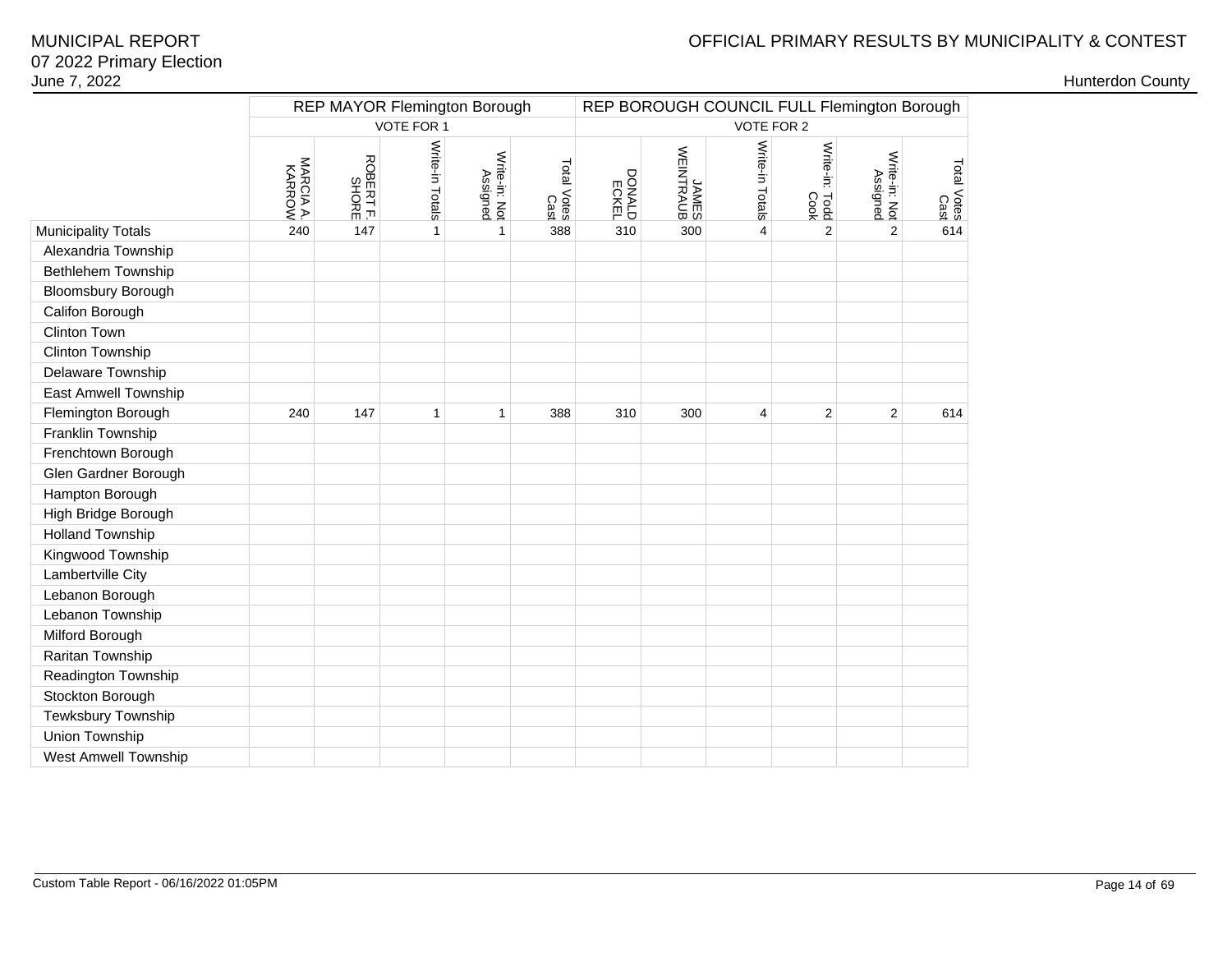## OFFICIAL PRIMARY RESULTS BY MUNICIPALITY & CONTEST

|                             |           |                    | <b>REP MAYOR Flemington Borough</b> |                           |                     | REP BOROUGH COUNCIL FULL Flemington Borough |                    |                         |                        |                           |                     |  |
|-----------------------------|-----------|--------------------|-------------------------------------|---------------------------|---------------------|---------------------------------------------|--------------------|-------------------------|------------------------|---------------------------|---------------------|--|
|                             |           |                    | VOTE FOR 1                          |                           |                     | VOTE FOR 2                                  |                    |                         |                        |                           |                     |  |
|                             | NARCIA A. | ROBERT F.<br>SHORE | Write-in Totals                     | Write-in: Not<br>Assigned | Total Votes<br>Cast | <b>ECKEL</b><br>BONALD                      | JAMES<br>WEINTRAUB | Write-in Totals         | Write-in: Todd<br>Cook | Write-in: Not<br>Assigned | Total Votes<br>Cast |  |
| <b>Municipality Totals</b>  | 240       | 147                | $\mathbf{1}$                        | 1                         | 388                 | 310                                         | 300                | $\overline{\mathbf{4}}$ | $\overline{2}$         | $\overline{2}$            | 614                 |  |
| Alexandria Township         |           |                    |                                     |                           |                     |                                             |                    |                         |                        |                           |                     |  |
| Bethlehem Township          |           |                    |                                     |                           |                     |                                             |                    |                         |                        |                           |                     |  |
| <b>Bloomsbury Borough</b>   |           |                    |                                     |                           |                     |                                             |                    |                         |                        |                           |                     |  |
| Califon Borough             |           |                    |                                     |                           |                     |                                             |                    |                         |                        |                           |                     |  |
| Clinton Town                |           |                    |                                     |                           |                     |                                             |                    |                         |                        |                           |                     |  |
| Clinton Township            |           |                    |                                     |                           |                     |                                             |                    |                         |                        |                           |                     |  |
| Delaware Township           |           |                    |                                     |                           |                     |                                             |                    |                         |                        |                           |                     |  |
| East Amwell Township        |           |                    |                                     |                           |                     |                                             |                    |                         |                        |                           |                     |  |
| Flemington Borough          | 240       | 147                | $\mathbf{1}$                        | $\mathbf{1}$              | 388                 | 310                                         | 300                | $\overline{\mathbf{4}}$ | $\overline{2}$         | $\overline{2}$            | 614                 |  |
| Franklin Township           |           |                    |                                     |                           |                     |                                             |                    |                         |                        |                           |                     |  |
| Frenchtown Borough          |           |                    |                                     |                           |                     |                                             |                    |                         |                        |                           |                     |  |
| Glen Gardner Borough        |           |                    |                                     |                           |                     |                                             |                    |                         |                        |                           |                     |  |
| Hampton Borough             |           |                    |                                     |                           |                     |                                             |                    |                         |                        |                           |                     |  |
| High Bridge Borough         |           |                    |                                     |                           |                     |                                             |                    |                         |                        |                           |                     |  |
| <b>Holland Township</b>     |           |                    |                                     |                           |                     |                                             |                    |                         |                        |                           |                     |  |
| Kingwood Township           |           |                    |                                     |                           |                     |                                             |                    |                         |                        |                           |                     |  |
| Lambertville City           |           |                    |                                     |                           |                     |                                             |                    |                         |                        |                           |                     |  |
| Lebanon Borough             |           |                    |                                     |                           |                     |                                             |                    |                         |                        |                           |                     |  |
| Lebanon Township            |           |                    |                                     |                           |                     |                                             |                    |                         |                        |                           |                     |  |
| Milford Borough             |           |                    |                                     |                           |                     |                                             |                    |                         |                        |                           |                     |  |
| Raritan Township            |           |                    |                                     |                           |                     |                                             |                    |                         |                        |                           |                     |  |
| Readington Township         |           |                    |                                     |                           |                     |                                             |                    |                         |                        |                           |                     |  |
| Stockton Borough            |           |                    |                                     |                           |                     |                                             |                    |                         |                        |                           |                     |  |
| Tewksbury Township          |           |                    |                                     |                           |                     |                                             |                    |                         |                        |                           |                     |  |
| Union Township              |           |                    |                                     |                           |                     |                                             |                    |                         |                        |                           |                     |  |
| <b>West Amwell Township</b> |           |                    |                                     |                           |                     |                                             |                    |                         |                        |                           |                     |  |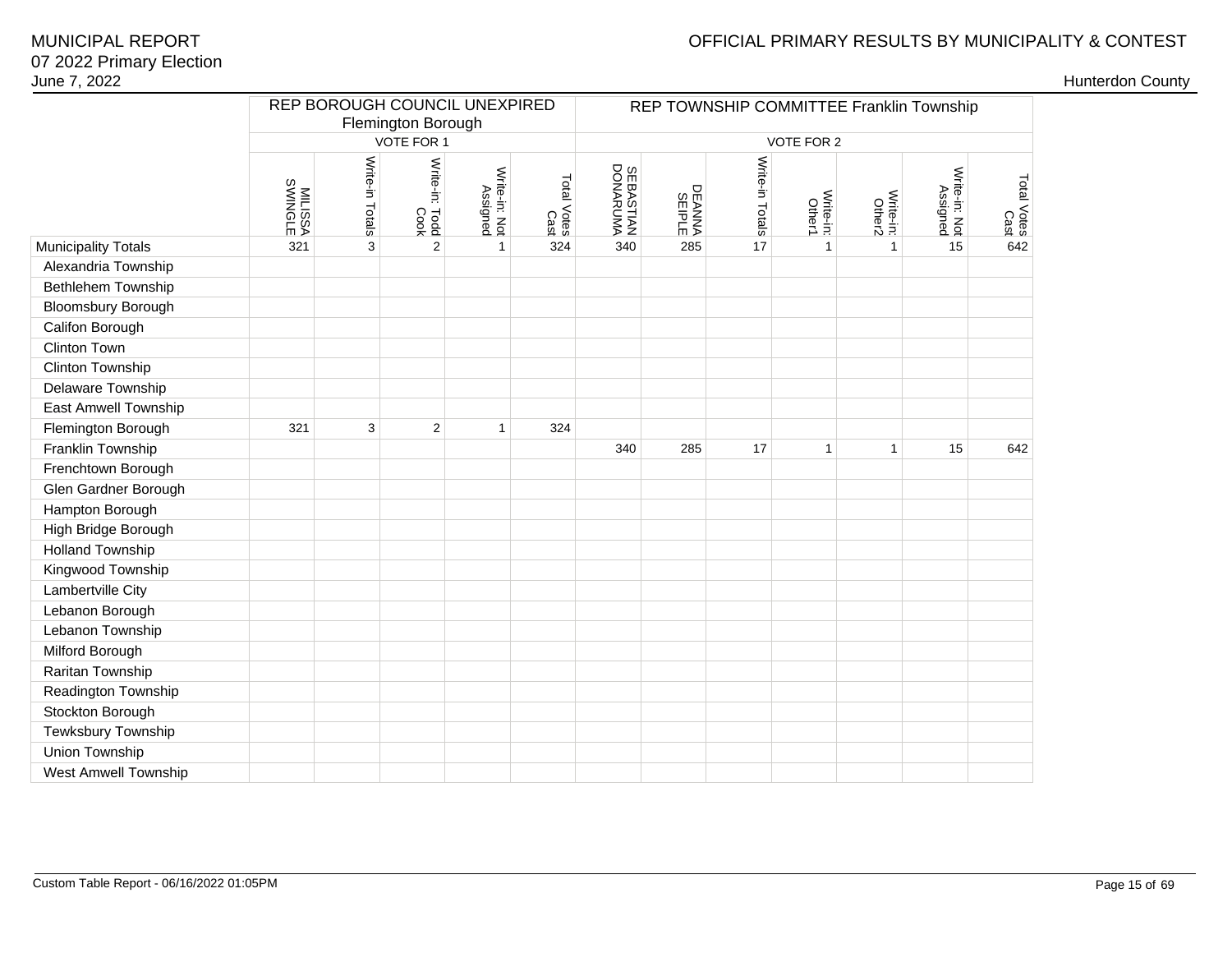## OFFICIAL PRIMARY RESULTS BY MUNICIPALITY & CONTEST

| June 7, 2022              |                    |                                                     |                        |                           |                     |                               |                                          |                 |                     |                     |                           |                     | <b>Hunterdon County</b> |
|---------------------------|--------------------|-----------------------------------------------------|------------------------|---------------------------|---------------------|-------------------------------|------------------------------------------|-----------------|---------------------|---------------------|---------------------------|---------------------|-------------------------|
|                           |                    | REP BOROUGH COUNCIL UNEXPIRED<br>Flemington Borough |                        |                           |                     |                               | REP TOWNSHIP COMMITTEE Franklin Township |                 |                     |                     |                           |                     |                         |
|                           |                    |                                                     | VOTE FOR 1             |                           |                     |                               |                                          |                 | VOTE FOR 2          |                     |                           |                     |                         |
|                           | MILISSA<br>SWINGLE | Write-in Totals                                     | Write-in: Todd<br>Cook | Write-in: Not<br>Assigned | Total Votes<br>Cast | <b>SEBASTIAN<br/>DONARUMA</b> | DEANNA<br>SEIPLE                         | Write-in Totals | Write-in:<br>Other1 | Write-in:<br>Other2 | Write-in: Not<br>Assigned | Total Votes<br>Cast |                         |
| Municipality Totals       | 321                | 3                                                   | $\mathbf{2}$           | $\mathbf{1}$              | 324                 | 340                           | 285                                      | 17              | $\mathbf{1}$        | $\mathbf{1}$        | 15                        | 642                 |                         |
| Alexandria Township       |                    |                                                     |                        |                           |                     |                               |                                          |                 |                     |                     |                           |                     |                         |
| <b>Bethlehem Township</b> |                    |                                                     |                        |                           |                     |                               |                                          |                 |                     |                     |                           |                     |                         |
| Bloomsbury Borough        |                    |                                                     |                        |                           |                     |                               |                                          |                 |                     |                     |                           |                     |                         |
| Califon Borough           |                    |                                                     |                        |                           |                     |                               |                                          |                 |                     |                     |                           |                     |                         |
| Clinton Town              |                    |                                                     |                        |                           |                     |                               |                                          |                 |                     |                     |                           |                     |                         |
| Clinton Township          |                    |                                                     |                        |                           |                     |                               |                                          |                 |                     |                     |                           |                     |                         |
| Delaware Township         |                    |                                                     |                        |                           |                     |                               |                                          |                 |                     |                     |                           |                     |                         |
| East Amwell Township      |                    |                                                     |                        |                           |                     |                               |                                          |                 |                     |                     |                           |                     |                         |
| Flemington Borough        | 321                | 3                                                   | $\overline{2}$         | $\mathbf{1}$              | 324                 |                               |                                          |                 |                     |                     |                           |                     |                         |
| Franklin Township         |                    |                                                     |                        |                           |                     | 340                           | 285                                      | 17              | $\mathbf{1}$        | $\mathbf{1}$        | 15                        | 642                 |                         |
| Frenchtown Borough        |                    |                                                     |                        |                           |                     |                               |                                          |                 |                     |                     |                           |                     |                         |
| Glen Gardner Borough      |                    |                                                     |                        |                           |                     |                               |                                          |                 |                     |                     |                           |                     |                         |
| Hampton Borough           |                    |                                                     |                        |                           |                     |                               |                                          |                 |                     |                     |                           |                     |                         |
| High Bridge Borough       |                    |                                                     |                        |                           |                     |                               |                                          |                 |                     |                     |                           |                     |                         |
| <b>Holland Township</b>   |                    |                                                     |                        |                           |                     |                               |                                          |                 |                     |                     |                           |                     |                         |
| Kingwood Township         |                    |                                                     |                        |                           |                     |                               |                                          |                 |                     |                     |                           |                     |                         |
| Lambertville City         |                    |                                                     |                        |                           |                     |                               |                                          |                 |                     |                     |                           |                     |                         |
| Lebanon Borough           |                    |                                                     |                        |                           |                     |                               |                                          |                 |                     |                     |                           |                     |                         |
| Lebanon Township          |                    |                                                     |                        |                           |                     |                               |                                          |                 |                     |                     |                           |                     |                         |
| Milford Borough           |                    |                                                     |                        |                           |                     |                               |                                          |                 |                     |                     |                           |                     |                         |
| Raritan Township          |                    |                                                     |                        |                           |                     |                               |                                          |                 |                     |                     |                           |                     |                         |
| Readington Township       |                    |                                                     |                        |                           |                     |                               |                                          |                 |                     |                     |                           |                     |                         |
| Stockton Borough          |                    |                                                     |                        |                           |                     |                               |                                          |                 |                     |                     |                           |                     |                         |
| Tewksbury Township        |                    |                                                     |                        |                           |                     |                               |                                          |                 |                     |                     |                           |                     |                         |
| Union Township            |                    |                                                     |                        |                           |                     |                               |                                          |                 |                     |                     |                           |                     |                         |
| West Amwell Township      |                    |                                                     |                        |                           |                     |                               |                                          |                 |                     |                     |                           |                     |                         |
|                           |                    |                                                     |                        |                           |                     |                               |                                          |                 |                     |                     |                           |                     |                         |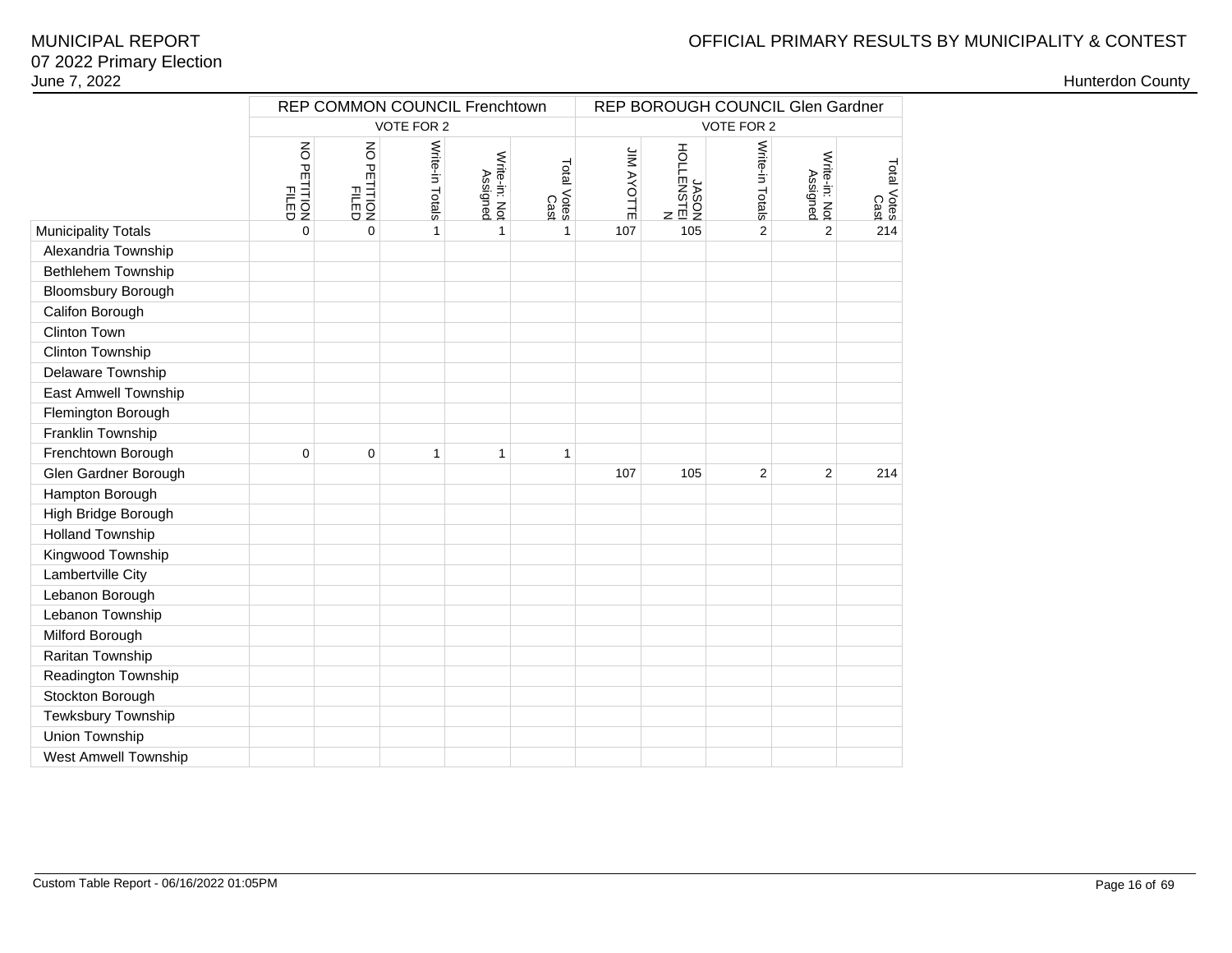# OFFICIAL PRIMARY RESULTS BY MUNICIPALITY & CONTEST

|                            | REP COMMON COUNCIL Frenchtown |                         | REP BOROUGH COUNCIL Glen Gardner |                           |                     |                   |                             |                 |                           |                     |  |
|----------------------------|-------------------------------|-------------------------|----------------------------------|---------------------------|---------------------|-------------------|-----------------------------|-----------------|---------------------------|---------------------|--|
|                            |                               |                         | VOTE FOR 2                       |                           |                     | VOTE FOR 2        |                             |                 |                           |                     |  |
|                            | NO PETITION<br>FILED<br>FILED | NO PETITION<br>PETITION | Write-in Totals                  | Write-in: Not<br>Assigned | Total Votes<br>Cast | <b>JIM AYOTTE</b> | M<br>HOLENSTEI<br>HOLENSTEI | Write-in Totals | Write-in: Not<br>Assigned | Total Votes<br>Cast |  |
| <b>Municipality Totals</b> | $\mathbf 0$                   | $\mathbf 0$             | $\mathbf{1}$                     | $\mathbf{1}$              | $\mathbf{1}$        | 107               | 105                         | $\overline{2}$  | $\overline{2}$            | 214                 |  |
| Alexandria Township        |                               |                         |                                  |                           |                     |                   |                             |                 |                           |                     |  |
| Bethlehem Township         |                               |                         |                                  |                           |                     |                   |                             |                 |                           |                     |  |
| <b>Bloomsbury Borough</b>  |                               |                         |                                  |                           |                     |                   |                             |                 |                           |                     |  |
| Califon Borough            |                               |                         |                                  |                           |                     |                   |                             |                 |                           |                     |  |
| Clinton Town               |                               |                         |                                  |                           |                     |                   |                             |                 |                           |                     |  |
| Clinton Township           |                               |                         |                                  |                           |                     |                   |                             |                 |                           |                     |  |
| Delaware Township          |                               |                         |                                  |                           |                     |                   |                             |                 |                           |                     |  |
| East Amwell Township       |                               |                         |                                  |                           |                     |                   |                             |                 |                           |                     |  |
| Flemington Borough         |                               |                         |                                  |                           |                     |                   |                             |                 |                           |                     |  |
| Franklin Township          |                               |                         |                                  |                           |                     |                   |                             |                 |                           |                     |  |
| Frenchtown Borough         | $\mathbf 0$                   | $\mathbf 0$             | $\mathbf{1}$                     | $\mathbf{1}$              | 1                   |                   |                             |                 |                           |                     |  |
| Glen Gardner Borough       |                               |                         |                                  |                           |                     | 107               | 105                         | $\overline{2}$  | $\overline{2}$            | 214                 |  |
| Hampton Borough            |                               |                         |                                  |                           |                     |                   |                             |                 |                           |                     |  |
| High Bridge Borough        |                               |                         |                                  |                           |                     |                   |                             |                 |                           |                     |  |
| <b>Holland Township</b>    |                               |                         |                                  |                           |                     |                   |                             |                 |                           |                     |  |
| Kingwood Township          |                               |                         |                                  |                           |                     |                   |                             |                 |                           |                     |  |
| Lambertville City          |                               |                         |                                  |                           |                     |                   |                             |                 |                           |                     |  |
| Lebanon Borough            |                               |                         |                                  |                           |                     |                   |                             |                 |                           |                     |  |
| Lebanon Township           |                               |                         |                                  |                           |                     |                   |                             |                 |                           |                     |  |
| Milford Borough            |                               |                         |                                  |                           |                     |                   |                             |                 |                           |                     |  |
| Raritan Township           |                               |                         |                                  |                           |                     |                   |                             |                 |                           |                     |  |
| Readington Township        |                               |                         |                                  |                           |                     |                   |                             |                 |                           |                     |  |
| Stockton Borough           |                               |                         |                                  |                           |                     |                   |                             |                 |                           |                     |  |
| Tewksbury Township         |                               |                         |                                  |                           |                     |                   |                             |                 |                           |                     |  |
| Union Township             |                               |                         |                                  |                           |                     |                   |                             |                 |                           |                     |  |
| West Amwell Township       |                               |                         |                                  |                           |                     |                   |                             |                 |                           |                     |  |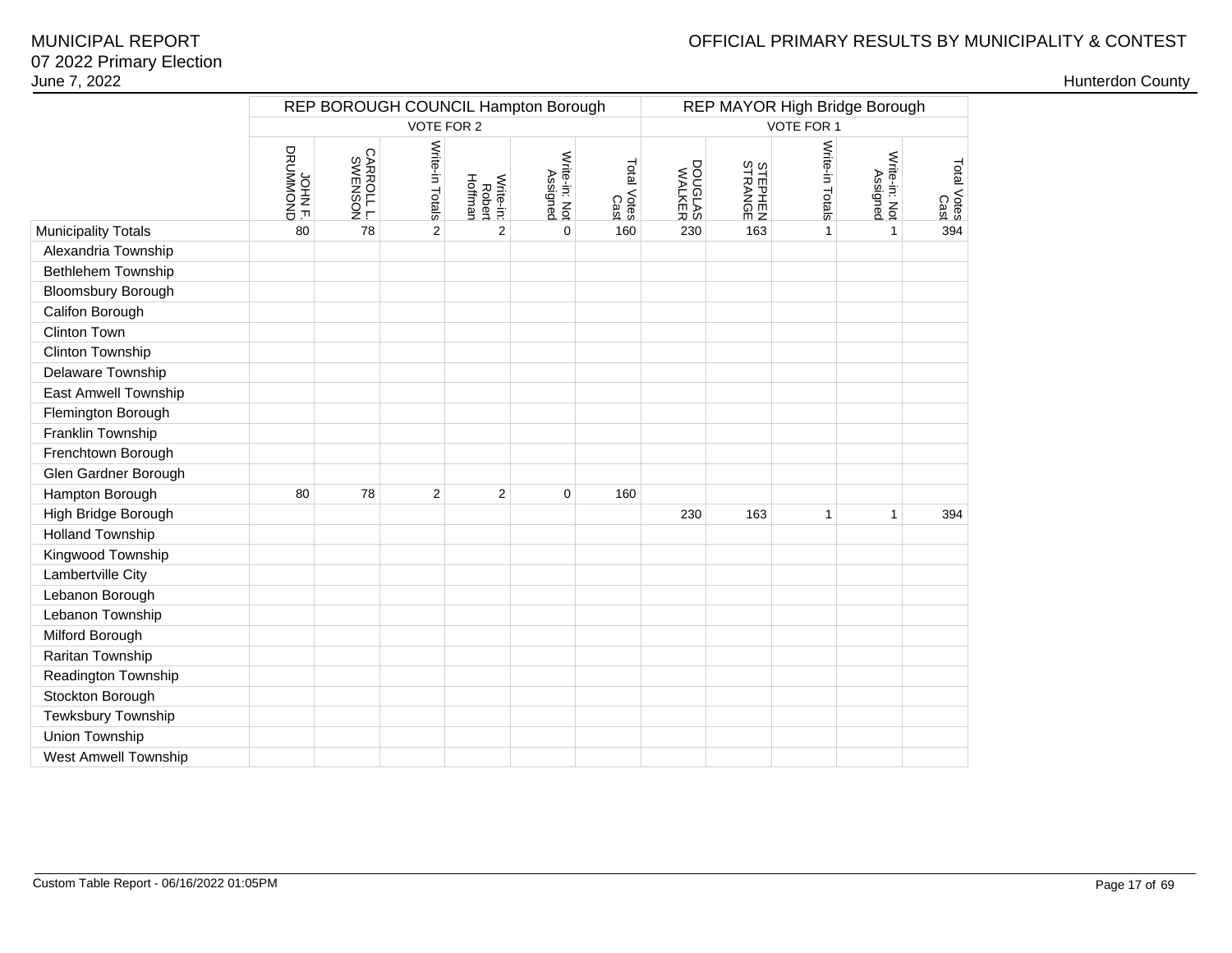# OFFICIAL PRIMARY RESULTS BY MUNICIPALITY & CONTEST

|                            |                              | REP BOROUGH COUNCIL Hampton Borough |                 |                                |                           |                     | REP MAYOR High Bridge Borough |                           |                 |                           |                     |  |
|----------------------------|------------------------------|-------------------------------------|-----------------|--------------------------------|---------------------------|---------------------|-------------------------------|---------------------------|-----------------|---------------------------|---------------------|--|
|                            |                              |                                     | VOTE FOR 2      |                                |                           |                     | VOTE FOR 1                    |                           |                 |                           |                     |  |
|                            | <b>GINOMMORD</b><br>SRUMMOND | CARROLL L.                          | Write-in Totals | Write-in:<br>Robert<br>Hoffman | Write-in: Not<br>Assigned | Total Votes<br>Cast | DOUGLAS<br>WALKER             | <b>STEPHEN</b><br>STRANGE | Write-in Totals | Write-in: Not<br>Assigned | Total Votes<br>Cast |  |
| <b>Municipality Totals</b> | 80                           | 78                                  | $\overline{2}$  | $\overline{2}$                 | $\mathbf 0$               | 160                 | 230                           | 163                       | 1               | $\mathbf{1}$              | 394                 |  |
| Alexandria Township        |                              |                                     |                 |                                |                           |                     |                               |                           |                 |                           |                     |  |
| <b>Bethlehem Township</b>  |                              |                                     |                 |                                |                           |                     |                               |                           |                 |                           |                     |  |
| <b>Bloomsbury Borough</b>  |                              |                                     |                 |                                |                           |                     |                               |                           |                 |                           |                     |  |
| Califon Borough            |                              |                                     |                 |                                |                           |                     |                               |                           |                 |                           |                     |  |
| Clinton Town               |                              |                                     |                 |                                |                           |                     |                               |                           |                 |                           |                     |  |
| Clinton Township           |                              |                                     |                 |                                |                           |                     |                               |                           |                 |                           |                     |  |
| Delaware Township          |                              |                                     |                 |                                |                           |                     |                               |                           |                 |                           |                     |  |
| East Amwell Township       |                              |                                     |                 |                                |                           |                     |                               |                           |                 |                           |                     |  |
| Flemington Borough         |                              |                                     |                 |                                |                           |                     |                               |                           |                 |                           |                     |  |
| Franklin Township          |                              |                                     |                 |                                |                           |                     |                               |                           |                 |                           |                     |  |
| Frenchtown Borough         |                              |                                     |                 |                                |                           |                     |                               |                           |                 |                           |                     |  |
| Glen Gardner Borough       |                              |                                     |                 |                                |                           |                     |                               |                           |                 |                           |                     |  |
| Hampton Borough            | 80                           | 78                                  | 2               | $\overline{2}$                 | 0                         | 160                 |                               |                           |                 |                           |                     |  |
| High Bridge Borough        |                              |                                     |                 |                                |                           |                     | 230                           | 163                       | 1               | 1                         | 394                 |  |
| <b>Holland Township</b>    |                              |                                     |                 |                                |                           |                     |                               |                           |                 |                           |                     |  |
| Kingwood Township          |                              |                                     |                 |                                |                           |                     |                               |                           |                 |                           |                     |  |
| Lambertville City          |                              |                                     |                 |                                |                           |                     |                               |                           |                 |                           |                     |  |
| Lebanon Borough            |                              |                                     |                 |                                |                           |                     |                               |                           |                 |                           |                     |  |
| Lebanon Township           |                              |                                     |                 |                                |                           |                     |                               |                           |                 |                           |                     |  |
| Milford Borough            |                              |                                     |                 |                                |                           |                     |                               |                           |                 |                           |                     |  |
| Raritan Township           |                              |                                     |                 |                                |                           |                     |                               |                           |                 |                           |                     |  |
| Readington Township        |                              |                                     |                 |                                |                           |                     |                               |                           |                 |                           |                     |  |
| Stockton Borough           |                              |                                     |                 |                                |                           |                     |                               |                           |                 |                           |                     |  |
| Tewksbury Township         |                              |                                     |                 |                                |                           |                     |                               |                           |                 |                           |                     |  |
| Union Township             |                              |                                     |                 |                                |                           |                     |                               |                           |                 |                           |                     |  |
| West Amwell Township       |                              |                                     |                 |                                |                           |                     |                               |                           |                 |                           |                     |  |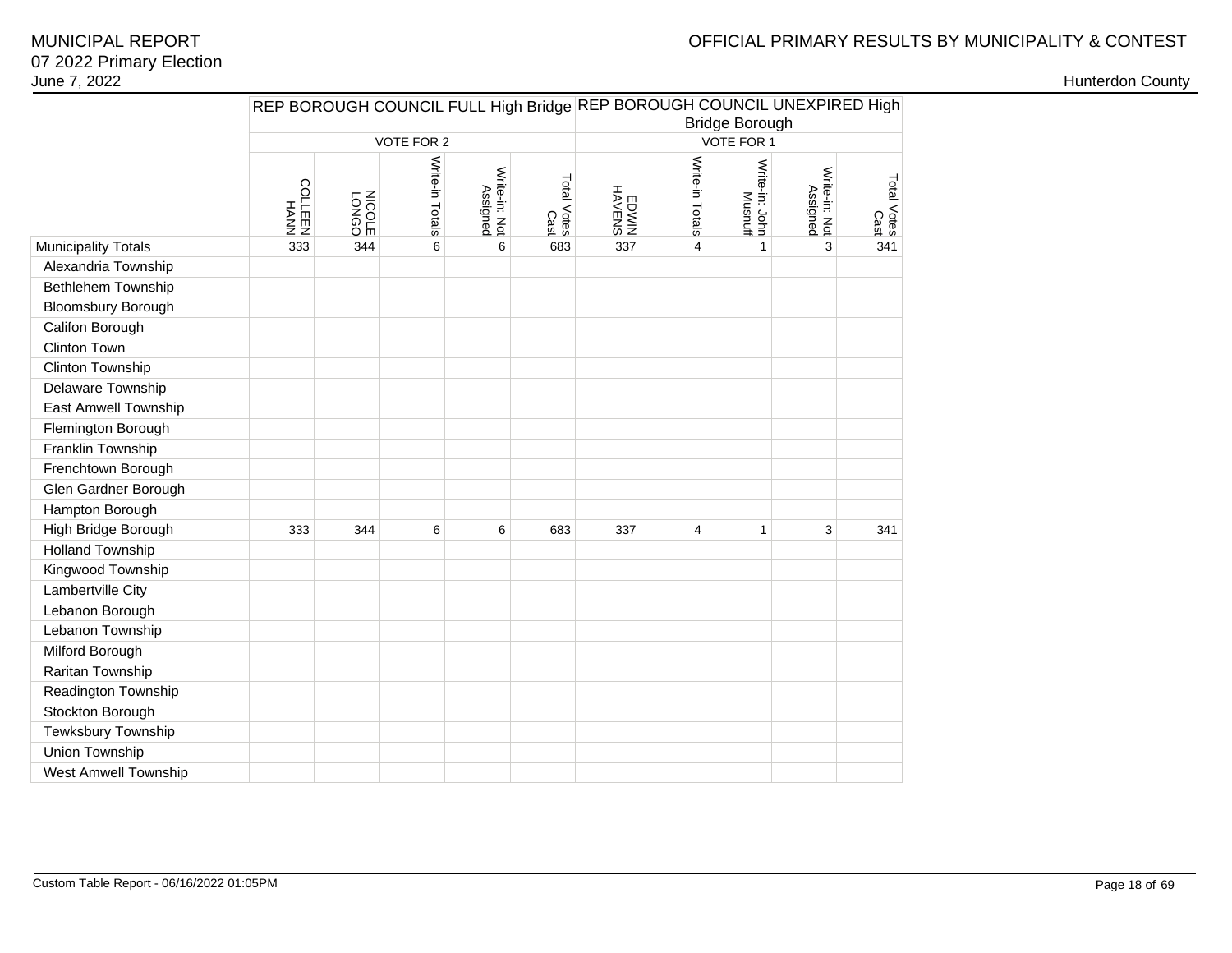# OFFICIAL PRIMARY RESULTS BY MUNICIPALITY & CONTEST

|                            |              |                |                 |                           |                     | REP BOROUGH COUNCIL FULL High Bridge REP BOROUGH COUNCIL UNEXPIRED High<br><b>Bridge Borough</b> |                 |                           |                           |                     |  |  |
|----------------------------|--------------|----------------|-----------------|---------------------------|---------------------|--------------------------------------------------------------------------------------------------|-----------------|---------------------------|---------------------------|---------------------|--|--|
|                            |              |                | VOTE FOR 2      |                           |                     | VOTE FOR 1                                                                                       |                 |                           |                           |                     |  |  |
|                            | HAMH<br>REEN | LONGO<br>LONGO | Write-in Totals | Write-in: Not<br>Assigned | Total Votes<br>Cast | HAVENS<br>MNOENS                                                                                 | Write-in Totals | Write-in: John<br>Musnuff | Write-in: Not<br>Assigned | Total Votes<br>Cast |  |  |
| <b>Municipality Totals</b> | 333          | 344            | 6               | 6                         | 683                 | 337                                                                                              | $\overline{4}$  | $\mathbf{1}$              | 3                         | 341                 |  |  |
| Alexandria Township        |              |                |                 |                           |                     |                                                                                                  |                 |                           |                           |                     |  |  |
| Bethlehem Township         |              |                |                 |                           |                     |                                                                                                  |                 |                           |                           |                     |  |  |
| <b>Bloomsbury Borough</b>  |              |                |                 |                           |                     |                                                                                                  |                 |                           |                           |                     |  |  |
| Califon Borough            |              |                |                 |                           |                     |                                                                                                  |                 |                           |                           |                     |  |  |
| Clinton Town               |              |                |                 |                           |                     |                                                                                                  |                 |                           |                           |                     |  |  |
| Clinton Township           |              |                |                 |                           |                     |                                                                                                  |                 |                           |                           |                     |  |  |
| Delaware Township          |              |                |                 |                           |                     |                                                                                                  |                 |                           |                           |                     |  |  |
| East Amwell Township       |              |                |                 |                           |                     |                                                                                                  |                 |                           |                           |                     |  |  |
| Flemington Borough         |              |                |                 |                           |                     |                                                                                                  |                 |                           |                           |                     |  |  |
| Franklin Township          |              |                |                 |                           |                     |                                                                                                  |                 |                           |                           |                     |  |  |
| Frenchtown Borough         |              |                |                 |                           |                     |                                                                                                  |                 |                           |                           |                     |  |  |
| Glen Gardner Borough       |              |                |                 |                           |                     |                                                                                                  |                 |                           |                           |                     |  |  |
| Hampton Borough            |              |                |                 |                           |                     |                                                                                                  |                 |                           |                           |                     |  |  |
| High Bridge Borough        | 333          | 344            | 6               | 6                         | 683                 | 337                                                                                              | 4               | 1                         | 3                         | 341                 |  |  |
| <b>Holland Township</b>    |              |                |                 |                           |                     |                                                                                                  |                 |                           |                           |                     |  |  |
| Kingwood Township          |              |                |                 |                           |                     |                                                                                                  |                 |                           |                           |                     |  |  |
| Lambertville City          |              |                |                 |                           |                     |                                                                                                  |                 |                           |                           |                     |  |  |
| Lebanon Borough            |              |                |                 |                           |                     |                                                                                                  |                 |                           |                           |                     |  |  |
| Lebanon Township           |              |                |                 |                           |                     |                                                                                                  |                 |                           |                           |                     |  |  |
| Milford Borough            |              |                |                 |                           |                     |                                                                                                  |                 |                           |                           |                     |  |  |
| Raritan Township           |              |                |                 |                           |                     |                                                                                                  |                 |                           |                           |                     |  |  |
| Readington Township        |              |                |                 |                           |                     |                                                                                                  |                 |                           |                           |                     |  |  |
| Stockton Borough           |              |                |                 |                           |                     |                                                                                                  |                 |                           |                           |                     |  |  |
| Tewksbury Township         |              |                |                 |                           |                     |                                                                                                  |                 |                           |                           |                     |  |  |
| Union Township             |              |                |                 |                           |                     |                                                                                                  |                 |                           |                           |                     |  |  |
| West Amwell Township       |              |                |                 |                           |                     |                                                                                                  |                 |                           |                           |                     |  |  |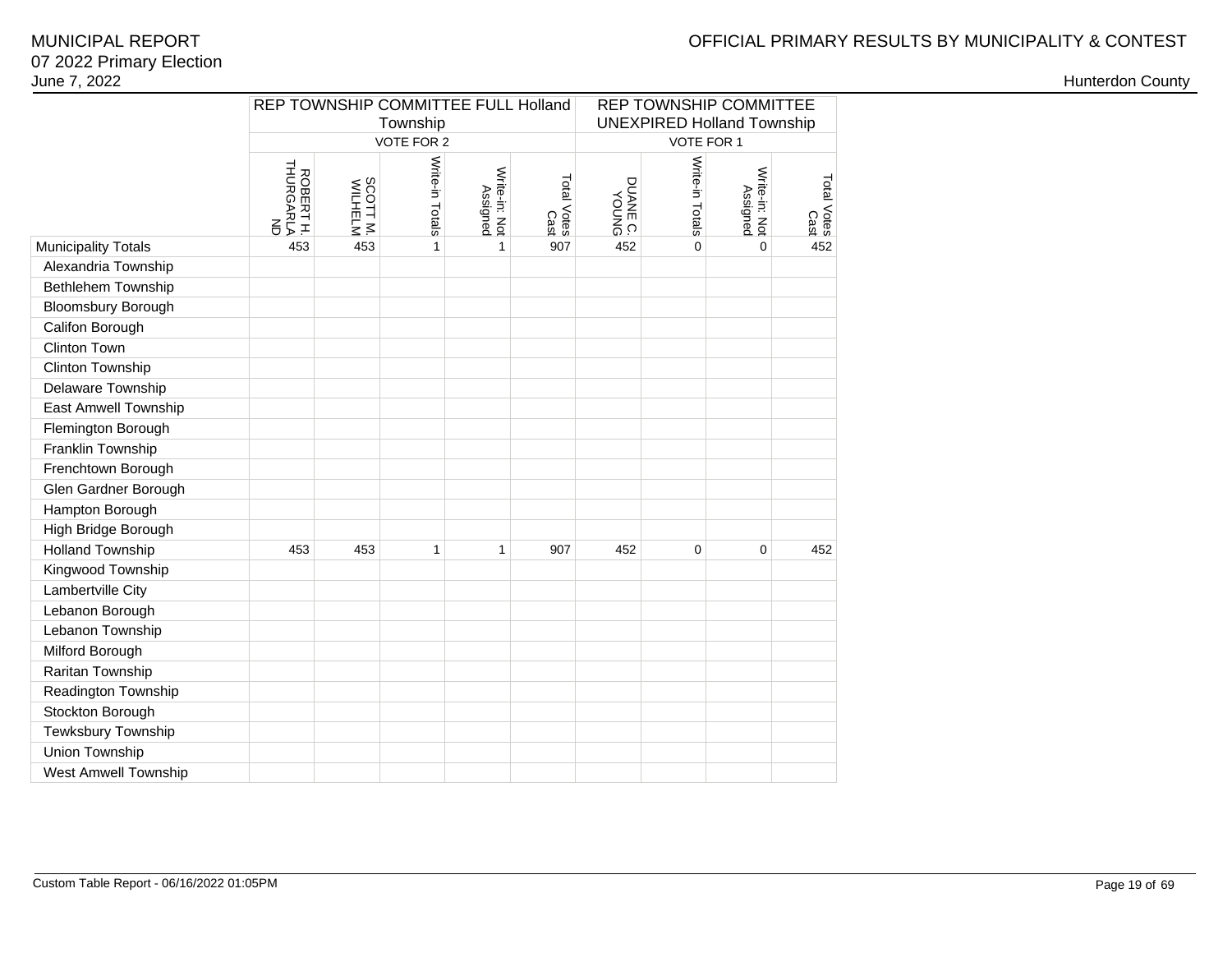# OFFICIAL PRIMARY RESULTS BY MUNICIPALITY & CONTEST

### 07 2022 Primary ElectionJune 7, 2022MUNICIPAL REPORT

|                            | REP TOWNSHIP COMMITTEE FULL Holland |                     |                        |                           |                     | <b>REP TOWNSHIP COMMITTEE</b><br><b>UNEXPIRED Holland Township</b> |                 |                           |                     |  |  |
|----------------------------|-------------------------------------|---------------------|------------------------|---------------------------|---------------------|--------------------------------------------------------------------|-----------------|---------------------------|---------------------|--|--|
|                            |                                     |                     | Township<br>VOTE FOR 2 |                           |                     | VOTE FOR 1                                                         |                 |                           |                     |  |  |
|                            | ROBERTH.<br>THURGARLA               | SCOTT M.<br>WILHELM | Write-in Totals        | Write-in: Not<br>Assigned | Total Votes<br>Cast | DNNOV<br>O BIANU                                                   | Write-in Totals | Write-in: Not<br>Assigned | Total Votes<br>Cast |  |  |
|                            | $\overline{5}$                      |                     |                        |                           |                     |                                                                    |                 |                           |                     |  |  |
| <b>Municipality Totals</b> | 453                                 | 453                 | 1                      | 1                         | 907                 | 452                                                                | $\mathbf 0$     | $\Omega$                  | 452                 |  |  |
| Alexandria Township        |                                     |                     |                        |                           |                     |                                                                    |                 |                           |                     |  |  |
| Bethlehem Township         |                                     |                     |                        |                           |                     |                                                                    |                 |                           |                     |  |  |
| <b>Bloomsbury Borough</b>  |                                     |                     |                        |                           |                     |                                                                    |                 |                           |                     |  |  |
| Califon Borough            |                                     |                     |                        |                           |                     |                                                                    |                 |                           |                     |  |  |
| <b>Clinton Town</b>        |                                     |                     |                        |                           |                     |                                                                    |                 |                           |                     |  |  |
| Clinton Township           |                                     |                     |                        |                           |                     |                                                                    |                 |                           |                     |  |  |
| Delaware Township          |                                     |                     |                        |                           |                     |                                                                    |                 |                           |                     |  |  |
| East Amwell Township       |                                     |                     |                        |                           |                     |                                                                    |                 |                           |                     |  |  |
| Flemington Borough         |                                     |                     |                        |                           |                     |                                                                    |                 |                           |                     |  |  |
| Franklin Township          |                                     |                     |                        |                           |                     |                                                                    |                 |                           |                     |  |  |
| Frenchtown Borough         |                                     |                     |                        |                           |                     |                                                                    |                 |                           |                     |  |  |
| Glen Gardner Borough       |                                     |                     |                        |                           |                     |                                                                    |                 |                           |                     |  |  |
| Hampton Borough            |                                     |                     |                        |                           |                     |                                                                    |                 |                           |                     |  |  |
| High Bridge Borough        |                                     |                     |                        |                           |                     |                                                                    |                 |                           |                     |  |  |
| <b>Holland Township</b>    | 453                                 | 453                 | 1                      | 1                         | 907                 | 452                                                                | $\mathbf 0$     | $\pmb{0}$                 | 452                 |  |  |
| Kingwood Township          |                                     |                     |                        |                           |                     |                                                                    |                 |                           |                     |  |  |
| Lambertville City          |                                     |                     |                        |                           |                     |                                                                    |                 |                           |                     |  |  |
| Lebanon Borough            |                                     |                     |                        |                           |                     |                                                                    |                 |                           |                     |  |  |
| Lebanon Township           |                                     |                     |                        |                           |                     |                                                                    |                 |                           |                     |  |  |
| Milford Borough            |                                     |                     |                        |                           |                     |                                                                    |                 |                           |                     |  |  |
| Raritan Township           |                                     |                     |                        |                           |                     |                                                                    |                 |                           |                     |  |  |
| Readington Township        |                                     |                     |                        |                           |                     |                                                                    |                 |                           |                     |  |  |
| Stockton Borough           |                                     |                     |                        |                           |                     |                                                                    |                 |                           |                     |  |  |
| Tewksbury Township         |                                     |                     |                        |                           |                     |                                                                    |                 |                           |                     |  |  |
| Union Township             |                                     |                     |                        |                           |                     |                                                                    |                 |                           |                     |  |  |
| West Amwell Township       |                                     |                     |                        |                           |                     |                                                                    |                 |                           |                     |  |  |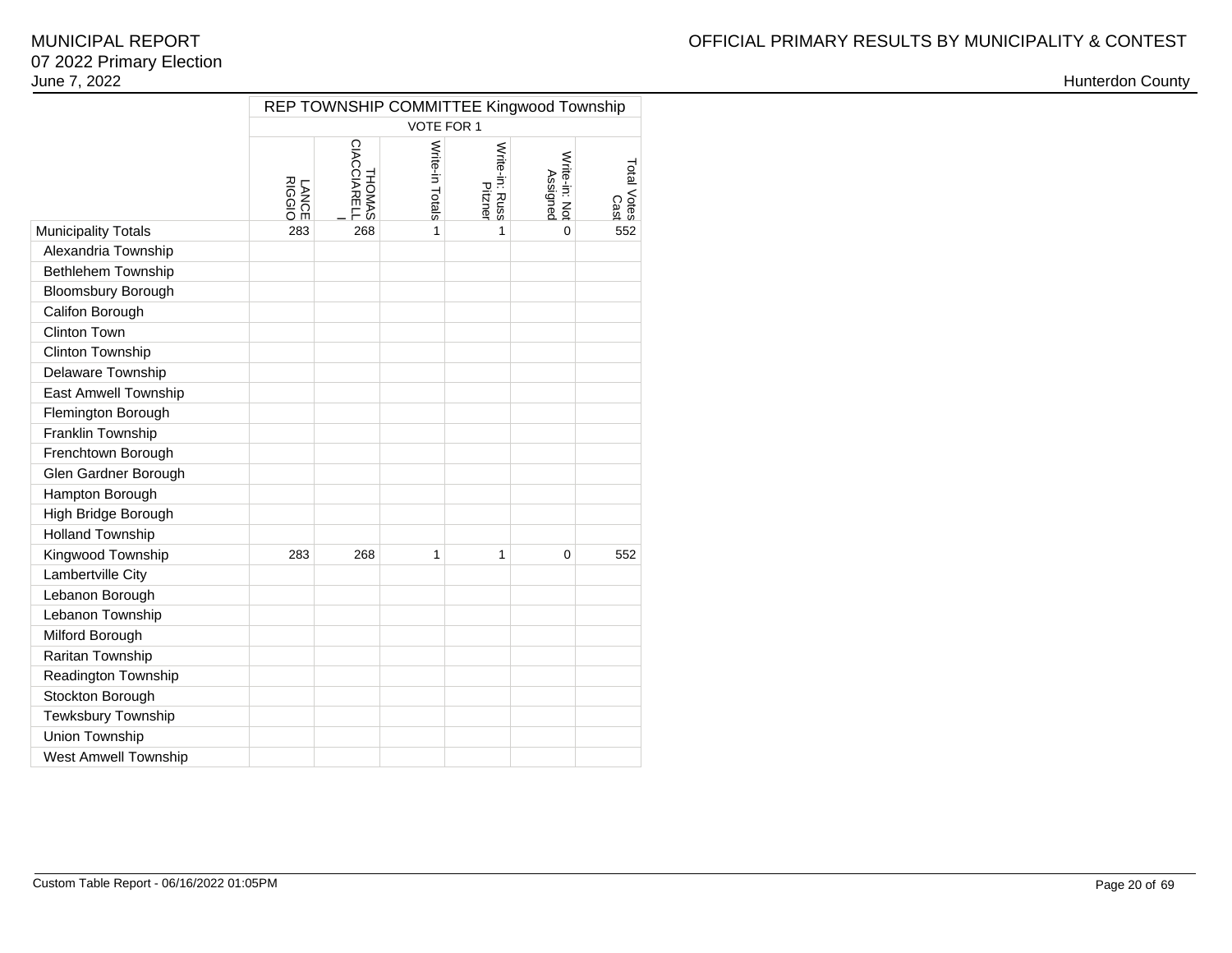|                             | REP TOWNSHIP COMMITTEE Kingwood Township |                       |                 |                           |                           |                                     |  |  |  |  |  |
|-----------------------------|------------------------------------------|-----------------------|-----------------|---------------------------|---------------------------|-------------------------------------|--|--|--|--|--|
|                             |                                          |                       | VOTE FOR 1      |                           |                           |                                     |  |  |  |  |  |
|                             | LANCE<br>RIGGIO                          | THOMAS<br>CIACCIARELL | Write-in Totals | Write-in: Russ<br>Pitzner | Write-in: Not<br>Assigned | Total Votes<br>Notes<br>Cast<br>255 |  |  |  |  |  |
| <b>Municipality Totals</b>  | 283                                      | 268                   | 1               | 1                         | $\Omega$                  |                                     |  |  |  |  |  |
| Alexandria Township         |                                          |                       |                 |                           |                           |                                     |  |  |  |  |  |
| Bethlehem Township          |                                          |                       |                 |                           |                           |                                     |  |  |  |  |  |
| <b>Bloomsbury Borough</b>   |                                          |                       |                 |                           |                           |                                     |  |  |  |  |  |
| Califon Borough             |                                          |                       |                 |                           |                           |                                     |  |  |  |  |  |
| <b>Clinton Town</b>         |                                          |                       |                 |                           |                           |                                     |  |  |  |  |  |
| Clinton Township            |                                          |                       |                 |                           |                           |                                     |  |  |  |  |  |
| Delaware Township           |                                          |                       |                 |                           |                           |                                     |  |  |  |  |  |
| East Amwell Township        |                                          |                       |                 |                           |                           |                                     |  |  |  |  |  |
| Flemington Borough          |                                          |                       |                 |                           |                           |                                     |  |  |  |  |  |
| Franklin Township           |                                          |                       |                 |                           |                           |                                     |  |  |  |  |  |
| Frenchtown Borough          |                                          |                       |                 |                           |                           |                                     |  |  |  |  |  |
| Glen Gardner Borough        |                                          |                       |                 |                           |                           |                                     |  |  |  |  |  |
| Hampton Borough             |                                          |                       |                 |                           |                           |                                     |  |  |  |  |  |
| High Bridge Borough         |                                          |                       |                 |                           |                           |                                     |  |  |  |  |  |
| <b>Holland Township</b>     |                                          |                       |                 |                           |                           |                                     |  |  |  |  |  |
| Kingwood Township           | 283                                      | 268                   | 1               | 1                         | $\mathbf 0$               | 552                                 |  |  |  |  |  |
| Lambertville City           |                                          |                       |                 |                           |                           |                                     |  |  |  |  |  |
| Lebanon Borough             |                                          |                       |                 |                           |                           |                                     |  |  |  |  |  |
| Lebanon Township            |                                          |                       |                 |                           |                           |                                     |  |  |  |  |  |
| Milford Borough             |                                          |                       |                 |                           |                           |                                     |  |  |  |  |  |
| Raritan Township            |                                          |                       |                 |                           |                           |                                     |  |  |  |  |  |
| Readington Township         |                                          |                       |                 |                           |                           |                                     |  |  |  |  |  |
| Stockton Borough            |                                          |                       |                 |                           |                           |                                     |  |  |  |  |  |
| Tewksbury Township          |                                          |                       |                 |                           |                           |                                     |  |  |  |  |  |
| Union Township              |                                          |                       |                 |                           |                           |                                     |  |  |  |  |  |
| <b>West Amwell Township</b> |                                          |                       |                 |                           |                           |                                     |  |  |  |  |  |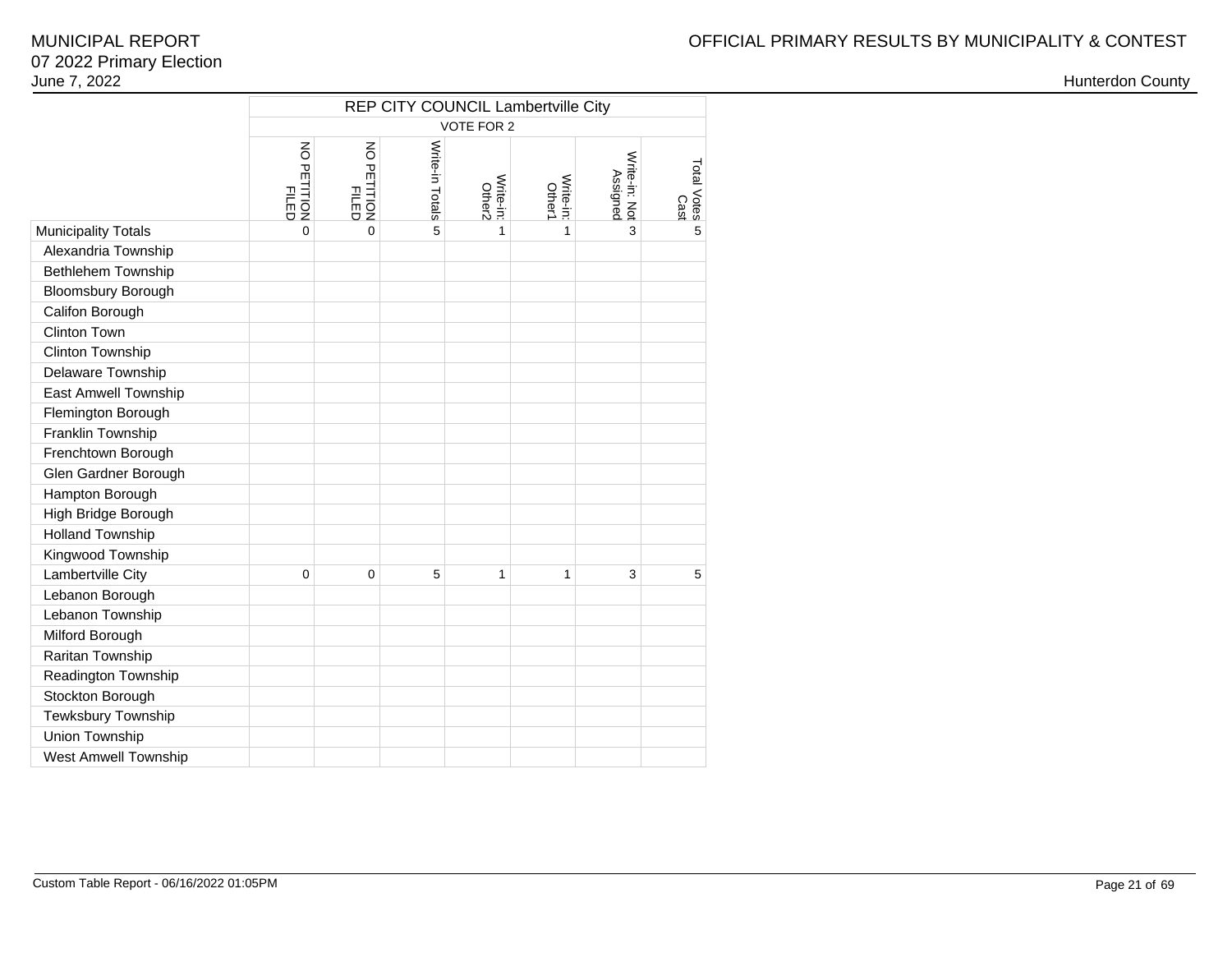|                            | REP CITY COUNCIL Lambertville City            |                                            |                 |                     |                     |                           |                     |  |  |  |  |  |
|----------------------------|-----------------------------------------------|--------------------------------------------|-----------------|---------------------|---------------------|---------------------------|---------------------|--|--|--|--|--|
|                            |                                               |                                            |                 | VOTE FOR 2          |                     |                           |                     |  |  |  |  |  |
|                            | $\overline{5}$<br><b>PETITION</b><br>PETITION | $\overline{5}$<br>PETITION<br><b>FILED</b> | Write-in Totals | Write-in:<br>Other2 | Write-in:<br>Other1 | Write-in: Not<br>Assigned | Total Votes<br>Cast |  |  |  |  |  |
| <b>Municipality Totals</b> | $\overline{0}$                                | $\overline{0}$                             | 5               | $\mathbf{1}$        | 1                   | 3                         | 5                   |  |  |  |  |  |
| Alexandria Township        |                                               |                                            |                 |                     |                     |                           |                     |  |  |  |  |  |
| Bethlehem Township         |                                               |                                            |                 |                     |                     |                           |                     |  |  |  |  |  |
| <b>Bloomsbury Borough</b>  |                                               |                                            |                 |                     |                     |                           |                     |  |  |  |  |  |
| Califon Borough            |                                               |                                            |                 |                     |                     |                           |                     |  |  |  |  |  |
| <b>Clinton Town</b>        |                                               |                                            |                 |                     |                     |                           |                     |  |  |  |  |  |
| Clinton Township           |                                               |                                            |                 |                     |                     |                           |                     |  |  |  |  |  |
| Delaware Township          |                                               |                                            |                 |                     |                     |                           |                     |  |  |  |  |  |
| East Amwell Township       |                                               |                                            |                 |                     |                     |                           |                     |  |  |  |  |  |
| Flemington Borough         |                                               |                                            |                 |                     |                     |                           |                     |  |  |  |  |  |
| Franklin Township          |                                               |                                            |                 |                     |                     |                           |                     |  |  |  |  |  |
| Frenchtown Borough         |                                               |                                            |                 |                     |                     |                           |                     |  |  |  |  |  |
| Glen Gardner Borough       |                                               |                                            |                 |                     |                     |                           |                     |  |  |  |  |  |
| Hampton Borough            |                                               |                                            |                 |                     |                     |                           |                     |  |  |  |  |  |
| High Bridge Borough        |                                               |                                            |                 |                     |                     |                           |                     |  |  |  |  |  |
| <b>Holland Township</b>    |                                               |                                            |                 |                     |                     |                           |                     |  |  |  |  |  |
| Kingwood Township          |                                               |                                            |                 |                     |                     |                           |                     |  |  |  |  |  |
| Lambertville City          | 0                                             | 0                                          | 5               | 1                   | 1                   | 3                         | 5                   |  |  |  |  |  |
| Lebanon Borough            |                                               |                                            |                 |                     |                     |                           |                     |  |  |  |  |  |
| Lebanon Township           |                                               |                                            |                 |                     |                     |                           |                     |  |  |  |  |  |
| Milford Borough            |                                               |                                            |                 |                     |                     |                           |                     |  |  |  |  |  |
| Raritan Township           |                                               |                                            |                 |                     |                     |                           |                     |  |  |  |  |  |
| Readington Township        |                                               |                                            |                 |                     |                     |                           |                     |  |  |  |  |  |
| Stockton Borough           |                                               |                                            |                 |                     |                     |                           |                     |  |  |  |  |  |
| Tewksbury Township         |                                               |                                            |                 |                     |                     |                           |                     |  |  |  |  |  |
| Union Township             |                                               |                                            |                 |                     |                     |                           |                     |  |  |  |  |  |
| West Amwell Township       |                                               |                                            |                 |                     |                     |                           |                     |  |  |  |  |  |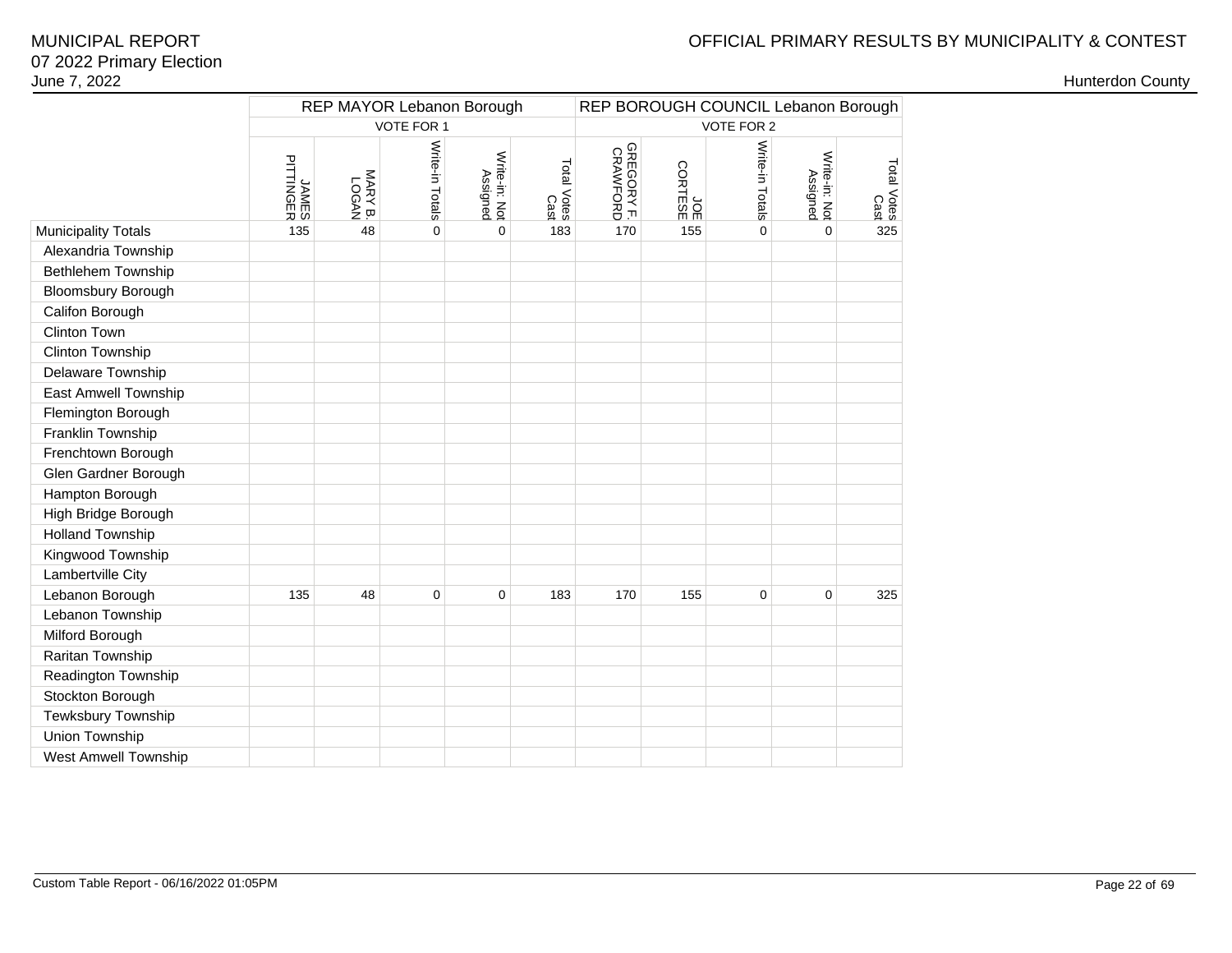# OFFICIAL PRIMARY RESULTS BY MUNICIPALITY & CONTEST

|                             |                    |                  | REP MAYOR Lebanon Borough |                           | REP BOROUGH COUNCIL Lebanon Borough |                        |                      |                 |                           |                     |  |
|-----------------------------|--------------------|------------------|---------------------------|---------------------------|-------------------------------------|------------------------|----------------------|-----------------|---------------------------|---------------------|--|
|                             |                    |                  | VOTE FOR 1                |                           |                                     | <b>VOTE FOR 2</b>      |                      |                 |                           |                     |  |
|                             | JAMES<br>PITTINGER | MARY B.<br>LOGAN | Write-in Totals           | Write-in: Not<br>Assigned | Total Votes<br>Cast                 | GREGORY F.<br>CRAWFORD | JOL<br>DOL<br>ORTESE | Write-in Totals | Write-in: Not<br>Assigned | Total Votes<br>Cast |  |
| <b>Municipality Totals</b>  | 135                | 48               | 0                         | $\mathbf 0$               | 183                                 | 170                    | 155                  | 0               | 0                         | 325                 |  |
| Alexandria Township         |                    |                  |                           |                           |                                     |                        |                      |                 |                           |                     |  |
| <b>Bethlehem Township</b>   |                    |                  |                           |                           |                                     |                        |                      |                 |                           |                     |  |
| <b>Bloomsbury Borough</b>   |                    |                  |                           |                           |                                     |                        |                      |                 |                           |                     |  |
| Califon Borough             |                    |                  |                           |                           |                                     |                        |                      |                 |                           |                     |  |
| Clinton Town                |                    |                  |                           |                           |                                     |                        |                      |                 |                           |                     |  |
| Clinton Township            |                    |                  |                           |                           |                                     |                        |                      |                 |                           |                     |  |
| Delaware Township           |                    |                  |                           |                           |                                     |                        |                      |                 |                           |                     |  |
| <b>East Amwell Township</b> |                    |                  |                           |                           |                                     |                        |                      |                 |                           |                     |  |
| Flemington Borough          |                    |                  |                           |                           |                                     |                        |                      |                 |                           |                     |  |
| Franklin Township           |                    |                  |                           |                           |                                     |                        |                      |                 |                           |                     |  |
| Frenchtown Borough          |                    |                  |                           |                           |                                     |                        |                      |                 |                           |                     |  |
| Glen Gardner Borough        |                    |                  |                           |                           |                                     |                        |                      |                 |                           |                     |  |
| Hampton Borough             |                    |                  |                           |                           |                                     |                        |                      |                 |                           |                     |  |
| High Bridge Borough         |                    |                  |                           |                           |                                     |                        |                      |                 |                           |                     |  |
| <b>Holland Township</b>     |                    |                  |                           |                           |                                     |                        |                      |                 |                           |                     |  |
| Kingwood Township           |                    |                  |                           |                           |                                     |                        |                      |                 |                           |                     |  |
| Lambertville City           |                    |                  |                           |                           |                                     |                        |                      |                 |                           |                     |  |
| Lebanon Borough             | 135                | 48               | $\pmb{0}$                 | $\mathbf 0$               | 183                                 | 170                    | 155                  | 0               | 0                         | 325                 |  |
| Lebanon Township            |                    |                  |                           |                           |                                     |                        |                      |                 |                           |                     |  |
| Milford Borough             |                    |                  |                           |                           |                                     |                        |                      |                 |                           |                     |  |
| Raritan Township            |                    |                  |                           |                           |                                     |                        |                      |                 |                           |                     |  |
| Readington Township         |                    |                  |                           |                           |                                     |                        |                      |                 |                           |                     |  |
| Stockton Borough            |                    |                  |                           |                           |                                     |                        |                      |                 |                           |                     |  |
| Tewksbury Township          |                    |                  |                           |                           |                                     |                        |                      |                 |                           |                     |  |
| Union Township              |                    |                  |                           |                           |                                     |                        |                      |                 |                           |                     |  |
| West Amwell Township        |                    |                  |                           |                           |                                     |                        |                      |                 |                           |                     |  |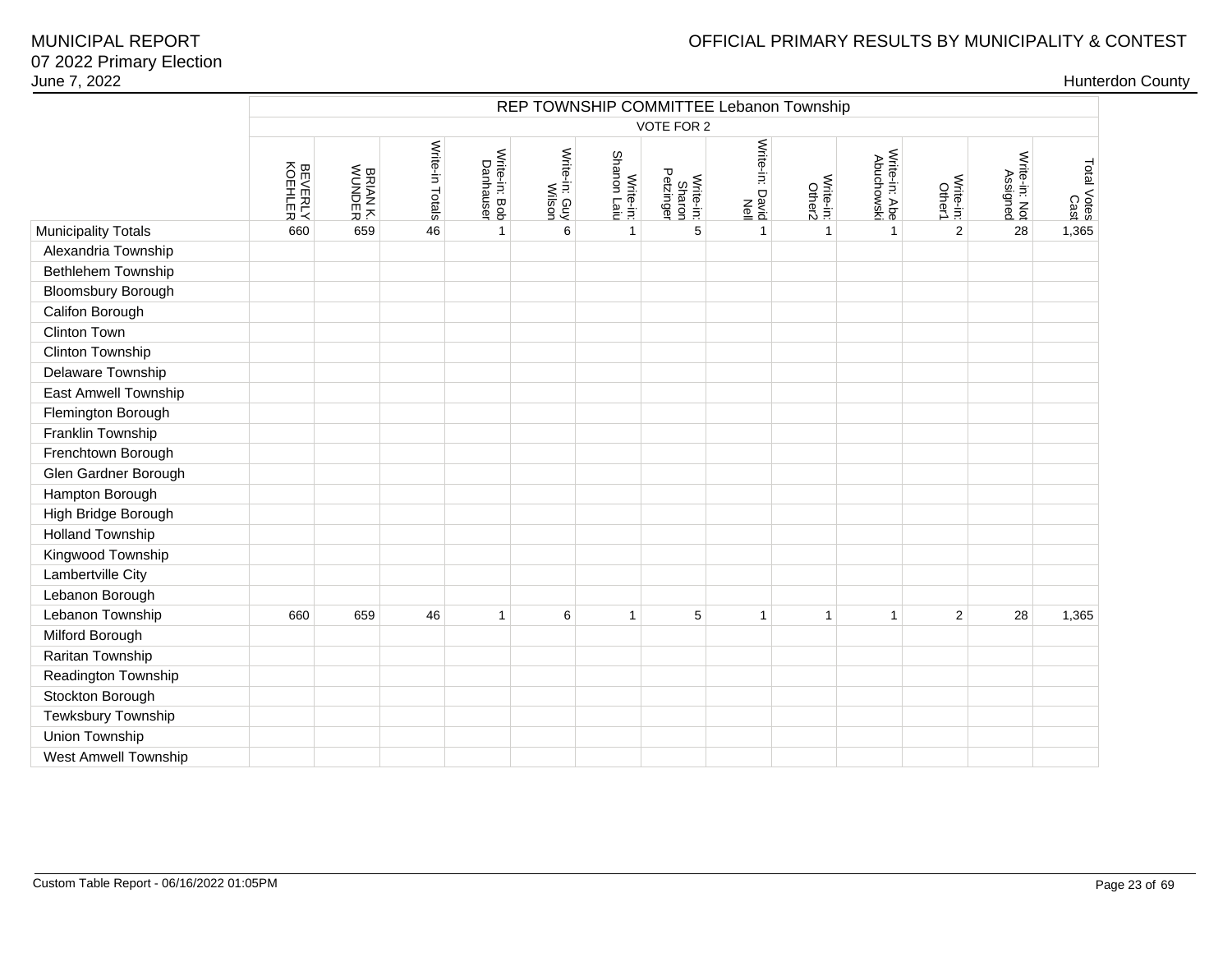| June 7, 2022               |                           |                           |                 |                            |                         |                          |                                  |                                         |                     |                             |                     |                           |                     | <b>Hunterdon County</b> |
|----------------------------|---------------------------|---------------------------|-----------------|----------------------------|-------------------------|--------------------------|----------------------------------|-----------------------------------------|---------------------|-----------------------------|---------------------|---------------------------|---------------------|-------------------------|
|                            |                           |                           |                 |                            |                         |                          |                                  | REP TOWNSHIP COMMITTEE Lebanon Township |                     |                             |                     |                           |                     |                         |
|                            |                           |                           |                 |                            |                         |                          | VOTE FOR 2                       |                                         |                     |                             |                     |                           |                     |                         |
|                            | <b>BEVERLY</b><br>KOEHLER | <b>BRIAN K.</b><br>WUNDER | Write-in Totals | Write-in: Bob<br>Danhauser | Write-in: Guy<br>Wilson | Write-in:<br>Shanon Laiu | Write-in:<br>Sharon<br>Petzinger | Write-in: David<br>Notie-in: David      | Write-in:<br>Other2 | Write-in: Abe<br>Abuchowski | Write-in:<br>Other1 | Write-in: Not<br>Assigned | Total Votes<br>Cast |                         |
|                            |                           |                           |                 |                            |                         |                          |                                  |                                         |                     |                             |                     |                           |                     |                         |
| <b>Municipality Totals</b> | 660                       | 659                       | 46              | $\mathbf{1}$               | 6                       | $\mathbf{1}$             | 5                                | $\mathbf{1}$                            | $\overline{1}$      | $\overline{1}$              | 2                   | 28                        | 1,365               |                         |
| Alexandria Township        |                           |                           |                 |                            |                         |                          |                                  |                                         |                     |                             |                     |                           |                     |                         |
| Bethlehem Township         |                           |                           |                 |                            |                         |                          |                                  |                                         |                     |                             |                     |                           |                     |                         |
| Bloomsbury Borough         |                           |                           |                 |                            |                         |                          |                                  |                                         |                     |                             |                     |                           |                     |                         |
| Califon Borough            |                           |                           |                 |                            |                         |                          |                                  |                                         |                     |                             |                     |                           |                     |                         |
| <b>Clinton Town</b>        |                           |                           |                 |                            |                         |                          |                                  |                                         |                     |                             |                     |                           |                     |                         |
| Clinton Township           |                           |                           |                 |                            |                         |                          |                                  |                                         |                     |                             |                     |                           |                     |                         |
| Delaware Township          |                           |                           |                 |                            |                         |                          |                                  |                                         |                     |                             |                     |                           |                     |                         |
| East Amwell Township       |                           |                           |                 |                            |                         |                          |                                  |                                         |                     |                             |                     |                           |                     |                         |
| Flemington Borough         |                           |                           |                 |                            |                         |                          |                                  |                                         |                     |                             |                     |                           |                     |                         |
| Franklin Township          |                           |                           |                 |                            |                         |                          |                                  |                                         |                     |                             |                     |                           |                     |                         |
| Frenchtown Borough         |                           |                           |                 |                            |                         |                          |                                  |                                         |                     |                             |                     |                           |                     |                         |
| Glen Gardner Borough       |                           |                           |                 |                            |                         |                          |                                  |                                         |                     |                             |                     |                           |                     |                         |
| Hampton Borough            |                           |                           |                 |                            |                         |                          |                                  |                                         |                     |                             |                     |                           |                     |                         |
| High Bridge Borough        |                           |                           |                 |                            |                         |                          |                                  |                                         |                     |                             |                     |                           |                     |                         |
| <b>Holland Township</b>    |                           |                           |                 |                            |                         |                          |                                  |                                         |                     |                             |                     |                           |                     |                         |
| Kingwood Township          |                           |                           |                 |                            |                         |                          |                                  |                                         |                     |                             |                     |                           |                     |                         |
| Lambertville City          |                           |                           |                 |                            |                         |                          |                                  |                                         |                     |                             |                     |                           |                     |                         |
| Lebanon Borough            |                           |                           |                 |                            |                         |                          |                                  |                                         |                     |                             |                     |                           |                     |                         |
| Lebanon Township           | 660                       | 659                       | 46              | $\mathbf{1}$               | 6                       | 1                        | 5                                | $\mathbf{1}$                            | $\mathbf{1}$        | $\overline{1}$              | 2                   | 28                        | 1,365               |                         |
| Milford Borough            |                           |                           |                 |                            |                         |                          |                                  |                                         |                     |                             |                     |                           |                     |                         |
| Raritan Township           |                           |                           |                 |                            |                         |                          |                                  |                                         |                     |                             |                     |                           |                     |                         |
| Readington Township        |                           |                           |                 |                            |                         |                          |                                  |                                         |                     |                             |                     |                           |                     |                         |
| Stockton Borough           |                           |                           |                 |                            |                         |                          |                                  |                                         |                     |                             |                     |                           |                     |                         |
| Tewksbury Township         |                           |                           |                 |                            |                         |                          |                                  |                                         |                     |                             |                     |                           |                     |                         |
| Union Township             |                           |                           |                 |                            |                         |                          |                                  |                                         |                     |                             |                     |                           |                     |                         |
| West Amwell Township       |                           |                           |                 |                            |                         |                          |                                  |                                         |                     |                             |                     |                           |                     |                         |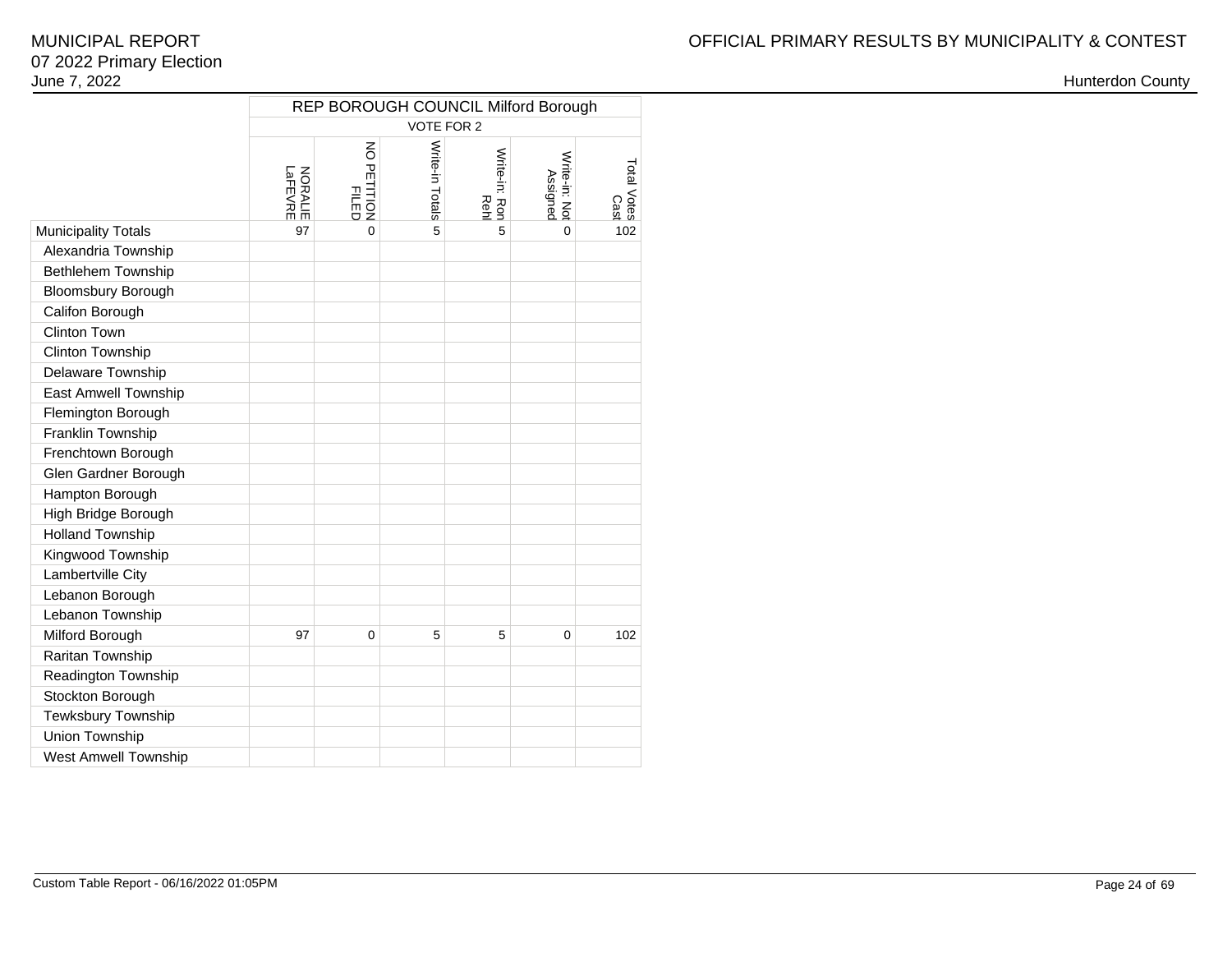|                             | <b>REP BOROUGH COUNCIL Milford Borough</b> |                                               |                 |                       |                           |                     |  |  |  |  |
|-----------------------------|--------------------------------------------|-----------------------------------------------|-----------------|-----------------------|---------------------------|---------------------|--|--|--|--|
|                             |                                            |                                               | VOTE FOR 2      |                       |                           |                     |  |  |  |  |
|                             | <b>NORALIE</b><br>LaFEVRE                  | $\overline{6}$<br><b>PETITION</b><br>PETITION | Write-in Totals | Write-in: Ron<br>Rehl | Write-in: Not<br>Assigned | Total Votes<br>Cast |  |  |  |  |
| <b>Municipality Totals</b>  | 97                                         | $\Omega$                                      | 5               | 5                     | $\Omega$                  | 102                 |  |  |  |  |
| Alexandria Township         |                                            |                                               |                 |                       |                           |                     |  |  |  |  |
| Bethlehem Township          |                                            |                                               |                 |                       |                           |                     |  |  |  |  |
| <b>Bloomsbury Borough</b>   |                                            |                                               |                 |                       |                           |                     |  |  |  |  |
| Califon Borough             |                                            |                                               |                 |                       |                           |                     |  |  |  |  |
| Clinton Town                |                                            |                                               |                 |                       |                           |                     |  |  |  |  |
| Clinton Township            |                                            |                                               |                 |                       |                           |                     |  |  |  |  |
| Delaware Township           |                                            |                                               |                 |                       |                           |                     |  |  |  |  |
| East Amwell Township        |                                            |                                               |                 |                       |                           |                     |  |  |  |  |
| Flemington Borough          |                                            |                                               |                 |                       |                           |                     |  |  |  |  |
| Franklin Township           |                                            |                                               |                 |                       |                           |                     |  |  |  |  |
| Frenchtown Borough          |                                            |                                               |                 |                       |                           |                     |  |  |  |  |
| Glen Gardner Borough        |                                            |                                               |                 |                       |                           |                     |  |  |  |  |
| Hampton Borough             |                                            |                                               |                 |                       |                           |                     |  |  |  |  |
| High Bridge Borough         |                                            |                                               |                 |                       |                           |                     |  |  |  |  |
| <b>Holland Township</b>     |                                            |                                               |                 |                       |                           |                     |  |  |  |  |
| Kingwood Township           |                                            |                                               |                 |                       |                           |                     |  |  |  |  |
| Lambertville City           |                                            |                                               |                 |                       |                           |                     |  |  |  |  |
| Lebanon Borough             |                                            |                                               |                 |                       |                           |                     |  |  |  |  |
| Lebanon Township            |                                            |                                               |                 |                       |                           |                     |  |  |  |  |
| Milford Borough             | 97                                         | $\overline{0}$                                | 5               | 5                     | 0                         | 102                 |  |  |  |  |
| Raritan Township            |                                            |                                               |                 |                       |                           |                     |  |  |  |  |
| Readington Township         |                                            |                                               |                 |                       |                           |                     |  |  |  |  |
| Stockton Borough            |                                            |                                               |                 |                       |                           |                     |  |  |  |  |
| Tewksbury Township          |                                            |                                               |                 |                       |                           |                     |  |  |  |  |
| Union Township              |                                            |                                               |                 |                       |                           |                     |  |  |  |  |
| <b>West Amwell Township</b> |                                            |                                               |                 |                       |                           |                     |  |  |  |  |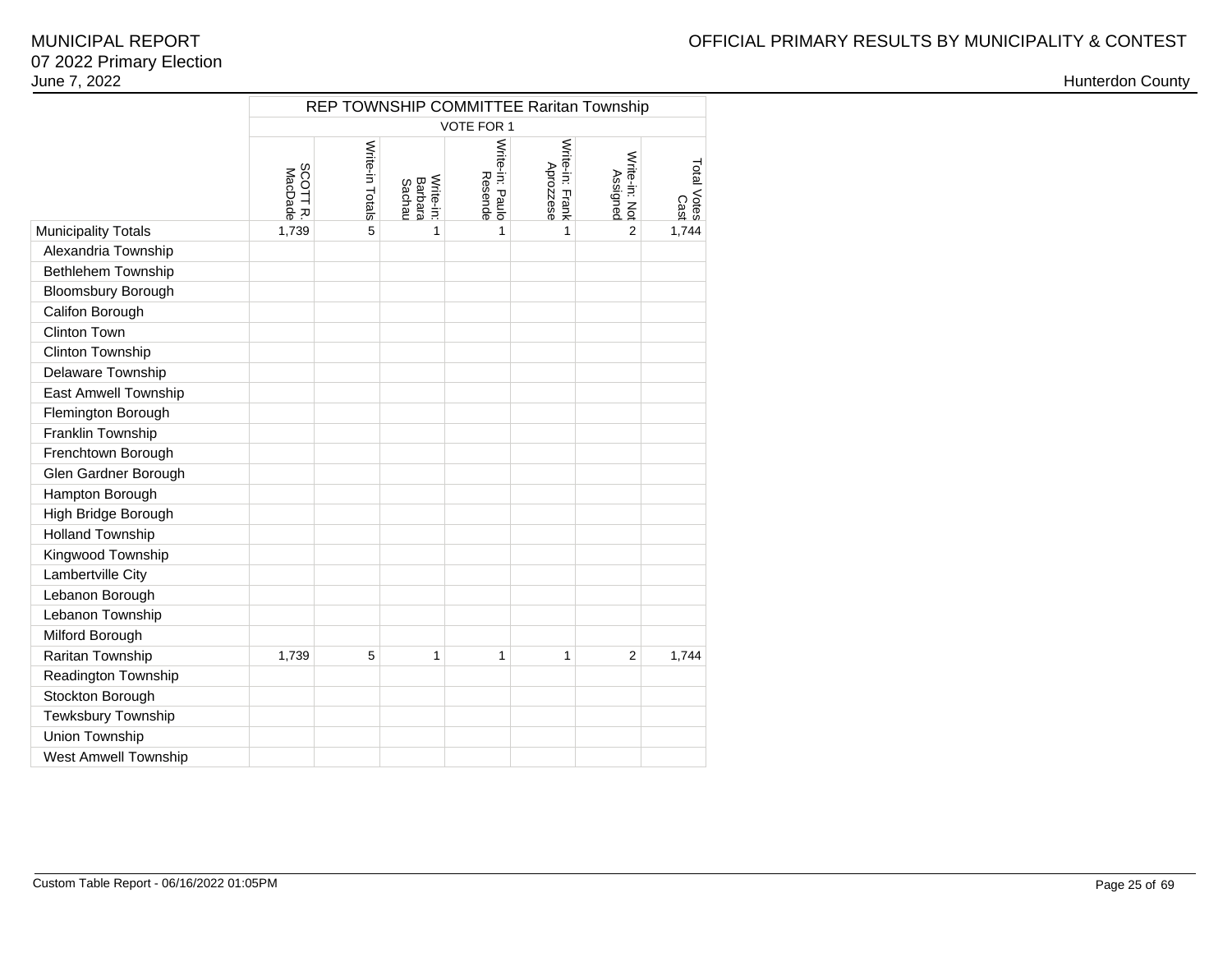|                             |                          | REP TOWNSHIP COMMITTEE Raritan Township |                                |                            |                              |                           |                                                                                                                                                                            |  |  |  |  |  |  |  |
|-----------------------------|--------------------------|-----------------------------------------|--------------------------------|----------------------------|------------------------------|---------------------------|----------------------------------------------------------------------------------------------------------------------------------------------------------------------------|--|--|--|--|--|--|--|
|                             | VOTE FOR 1               |                                         |                                |                            |                              |                           |                                                                                                                                                                            |  |  |  |  |  |  |  |
|                             | <b>SCOTTR</b><br>MacDade | Write-in Totals                         | Write-in:<br>Barbara<br>Sachau | Write-in: Paulo<br>Resende | Write-in: Frank<br>Aprozzese | Write-in: Not<br>Assigned | Total Votes<br>$\begin{array}{c}\n\stackrel{\frown}{\text{or}}\\ \stackrel{\frown}{\text{or}}\\ \stackrel{\frown}{\text{or}}\\ \stackrel{\frown}{\text{or}}\\ \end{array}$ |  |  |  |  |  |  |  |
| <b>Municipality Totals</b>  | 1,739                    | 5                                       | 1                              | 1                          | 1                            | $\overline{2}$            |                                                                                                                                                                            |  |  |  |  |  |  |  |
| Alexandria Township         |                          |                                         |                                |                            |                              |                           |                                                                                                                                                                            |  |  |  |  |  |  |  |
| Bethlehem Township          |                          |                                         |                                |                            |                              |                           |                                                                                                                                                                            |  |  |  |  |  |  |  |
| Bloomsbury Borough          |                          |                                         |                                |                            |                              |                           |                                                                                                                                                                            |  |  |  |  |  |  |  |
| Califon Borough             |                          |                                         |                                |                            |                              |                           |                                                                                                                                                                            |  |  |  |  |  |  |  |
| Clinton Town                |                          |                                         |                                |                            |                              |                           |                                                                                                                                                                            |  |  |  |  |  |  |  |
| Clinton Township            |                          |                                         |                                |                            |                              |                           |                                                                                                                                                                            |  |  |  |  |  |  |  |
| Delaware Township           |                          |                                         |                                |                            |                              |                           |                                                                                                                                                                            |  |  |  |  |  |  |  |
| East Amwell Township        |                          |                                         |                                |                            |                              |                           |                                                                                                                                                                            |  |  |  |  |  |  |  |
| Flemington Borough          |                          |                                         |                                |                            |                              |                           |                                                                                                                                                                            |  |  |  |  |  |  |  |
| Franklin Township           |                          |                                         |                                |                            |                              |                           |                                                                                                                                                                            |  |  |  |  |  |  |  |
| Frenchtown Borough          |                          |                                         |                                |                            |                              |                           |                                                                                                                                                                            |  |  |  |  |  |  |  |
| Glen Gardner Borough        |                          |                                         |                                |                            |                              |                           |                                                                                                                                                                            |  |  |  |  |  |  |  |
| Hampton Borough             |                          |                                         |                                |                            |                              |                           |                                                                                                                                                                            |  |  |  |  |  |  |  |
| High Bridge Borough         |                          |                                         |                                |                            |                              |                           |                                                                                                                                                                            |  |  |  |  |  |  |  |
| <b>Holland Township</b>     |                          |                                         |                                |                            |                              |                           |                                                                                                                                                                            |  |  |  |  |  |  |  |
| Kingwood Township           |                          |                                         |                                |                            |                              |                           |                                                                                                                                                                            |  |  |  |  |  |  |  |
| Lambertville City           |                          |                                         |                                |                            |                              |                           |                                                                                                                                                                            |  |  |  |  |  |  |  |
| Lebanon Borough             |                          |                                         |                                |                            |                              |                           |                                                                                                                                                                            |  |  |  |  |  |  |  |
| Lebanon Township            |                          |                                         |                                |                            |                              |                           |                                                                                                                                                                            |  |  |  |  |  |  |  |
| Milford Borough             |                          |                                         |                                |                            |                              |                           |                                                                                                                                                                            |  |  |  |  |  |  |  |
| Raritan Township            | 1,739                    | 5                                       | 1                              | 1                          | 1                            | $\overline{2}$            | 1,744                                                                                                                                                                      |  |  |  |  |  |  |  |
| Readington Township         |                          |                                         |                                |                            |                              |                           |                                                                                                                                                                            |  |  |  |  |  |  |  |
| Stockton Borough            |                          |                                         |                                |                            |                              |                           |                                                                                                                                                                            |  |  |  |  |  |  |  |
| Tewksbury Township          |                          |                                         |                                |                            |                              |                           |                                                                                                                                                                            |  |  |  |  |  |  |  |
| Union Township              |                          |                                         |                                |                            |                              |                           |                                                                                                                                                                            |  |  |  |  |  |  |  |
| <b>West Amwell Township</b> |                          |                                         |                                |                            |                              |                           |                                                                                                                                                                            |  |  |  |  |  |  |  |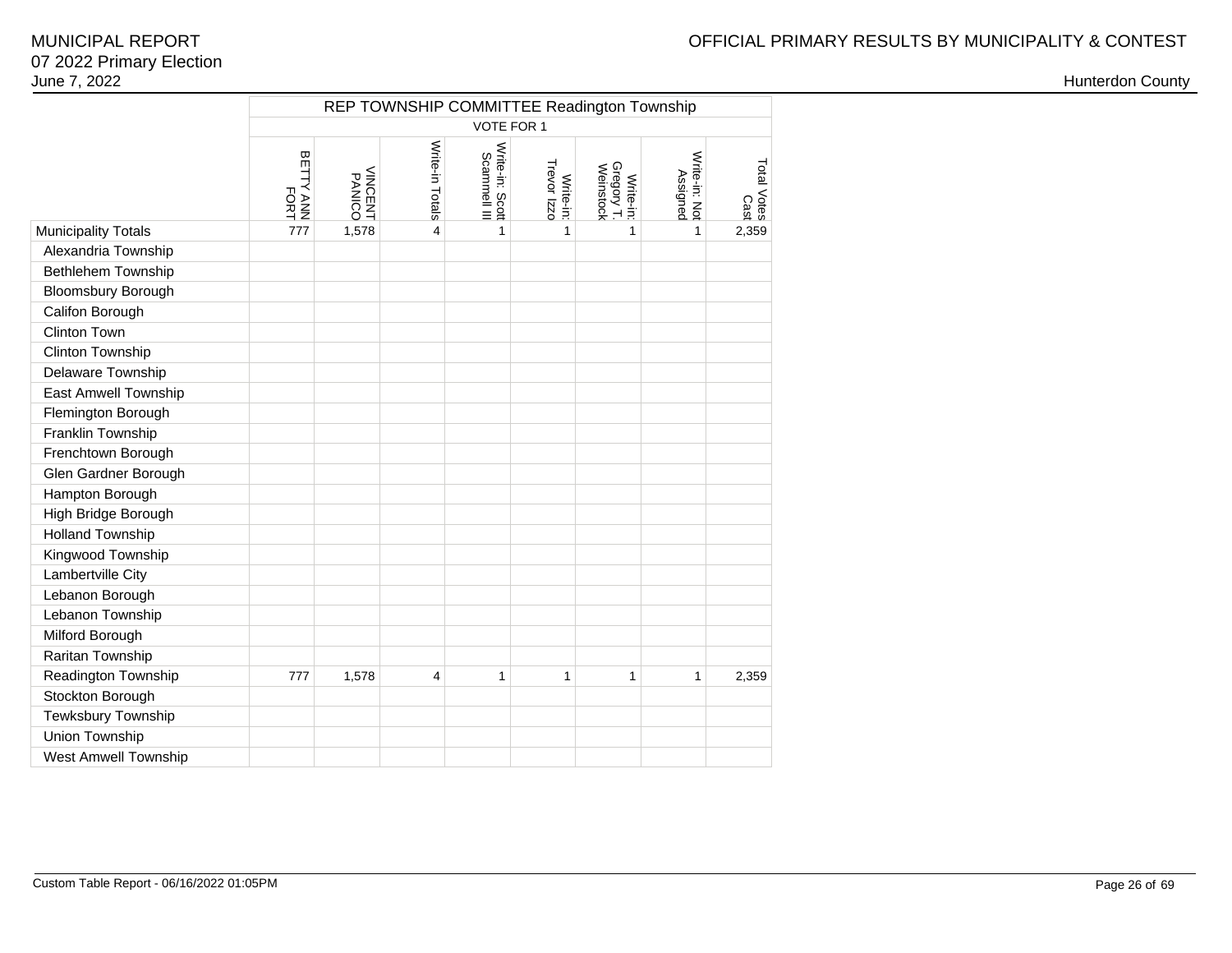|                             | REP TOWNSHIP COMMITTEE Readington Township<br>VOTE FOR 1 |                          |                 |                                 |                          |                                      |                           |                     |  |  |  |  |  |  |
|-----------------------------|----------------------------------------------------------|--------------------------|-----------------|---------------------------------|--------------------------|--------------------------------------|---------------------------|---------------------|--|--|--|--|--|--|
|                             |                                                          |                          |                 |                                 |                          |                                      |                           |                     |  |  |  |  |  |  |
|                             | BETTY ANN<br>FORT                                        | <b>VINCENT</b><br>PANICO | Write-in Totals | Write-in: Scott<br>Scammell III | Trevor Izzo<br>Write-in: | Write-in:<br>Gregory T.<br>Weinstock | Write-in: Not<br>Assigned | Total Votes<br>Cast |  |  |  |  |  |  |
| <b>Municipality Totals</b>  | 777                                                      | 1,578                    | 4               | 1                               | 1                        | 1                                    | 1                         | 2,359               |  |  |  |  |  |  |
| Alexandria Township         |                                                          |                          |                 |                                 |                          |                                      |                           |                     |  |  |  |  |  |  |
| Bethlehem Township          |                                                          |                          |                 |                                 |                          |                                      |                           |                     |  |  |  |  |  |  |
| <b>Bloomsbury Borough</b>   |                                                          |                          |                 |                                 |                          |                                      |                           |                     |  |  |  |  |  |  |
| Califon Borough             |                                                          |                          |                 |                                 |                          |                                      |                           |                     |  |  |  |  |  |  |
| Clinton Town                |                                                          |                          |                 |                                 |                          |                                      |                           |                     |  |  |  |  |  |  |
| Clinton Township            |                                                          |                          |                 |                                 |                          |                                      |                           |                     |  |  |  |  |  |  |
| Delaware Township           |                                                          |                          |                 |                                 |                          |                                      |                           |                     |  |  |  |  |  |  |
| East Amwell Township        |                                                          |                          |                 |                                 |                          |                                      |                           |                     |  |  |  |  |  |  |
| Flemington Borough          |                                                          |                          |                 |                                 |                          |                                      |                           |                     |  |  |  |  |  |  |
| Franklin Township           |                                                          |                          |                 |                                 |                          |                                      |                           |                     |  |  |  |  |  |  |
| Frenchtown Borough          |                                                          |                          |                 |                                 |                          |                                      |                           |                     |  |  |  |  |  |  |
| Glen Gardner Borough        |                                                          |                          |                 |                                 |                          |                                      |                           |                     |  |  |  |  |  |  |
| Hampton Borough             |                                                          |                          |                 |                                 |                          |                                      |                           |                     |  |  |  |  |  |  |
| High Bridge Borough         |                                                          |                          |                 |                                 |                          |                                      |                           |                     |  |  |  |  |  |  |
| <b>Holland Township</b>     |                                                          |                          |                 |                                 |                          |                                      |                           |                     |  |  |  |  |  |  |
| Kingwood Township           |                                                          |                          |                 |                                 |                          |                                      |                           |                     |  |  |  |  |  |  |
| Lambertville City           |                                                          |                          |                 |                                 |                          |                                      |                           |                     |  |  |  |  |  |  |
| Lebanon Borough             |                                                          |                          |                 |                                 |                          |                                      |                           |                     |  |  |  |  |  |  |
| Lebanon Township            |                                                          |                          |                 |                                 |                          |                                      |                           |                     |  |  |  |  |  |  |
| Milford Borough             |                                                          |                          |                 |                                 |                          |                                      |                           |                     |  |  |  |  |  |  |
| Raritan Township            |                                                          |                          |                 |                                 |                          |                                      |                           |                     |  |  |  |  |  |  |
| Readington Township         | 777                                                      | 1,578                    | 4               | 1                               | $\mathbf{1}$             | $\mathbf{1}$                         | 1                         | 2,359               |  |  |  |  |  |  |
| Stockton Borough            |                                                          |                          |                 |                                 |                          |                                      |                           |                     |  |  |  |  |  |  |
| Tewksbury Township          |                                                          |                          |                 |                                 |                          |                                      |                           |                     |  |  |  |  |  |  |
| Union Township              |                                                          |                          |                 |                                 |                          |                                      |                           |                     |  |  |  |  |  |  |
| <b>West Amwell Township</b> |                                                          |                          |                 |                                 |                          |                                      |                           |                     |  |  |  |  |  |  |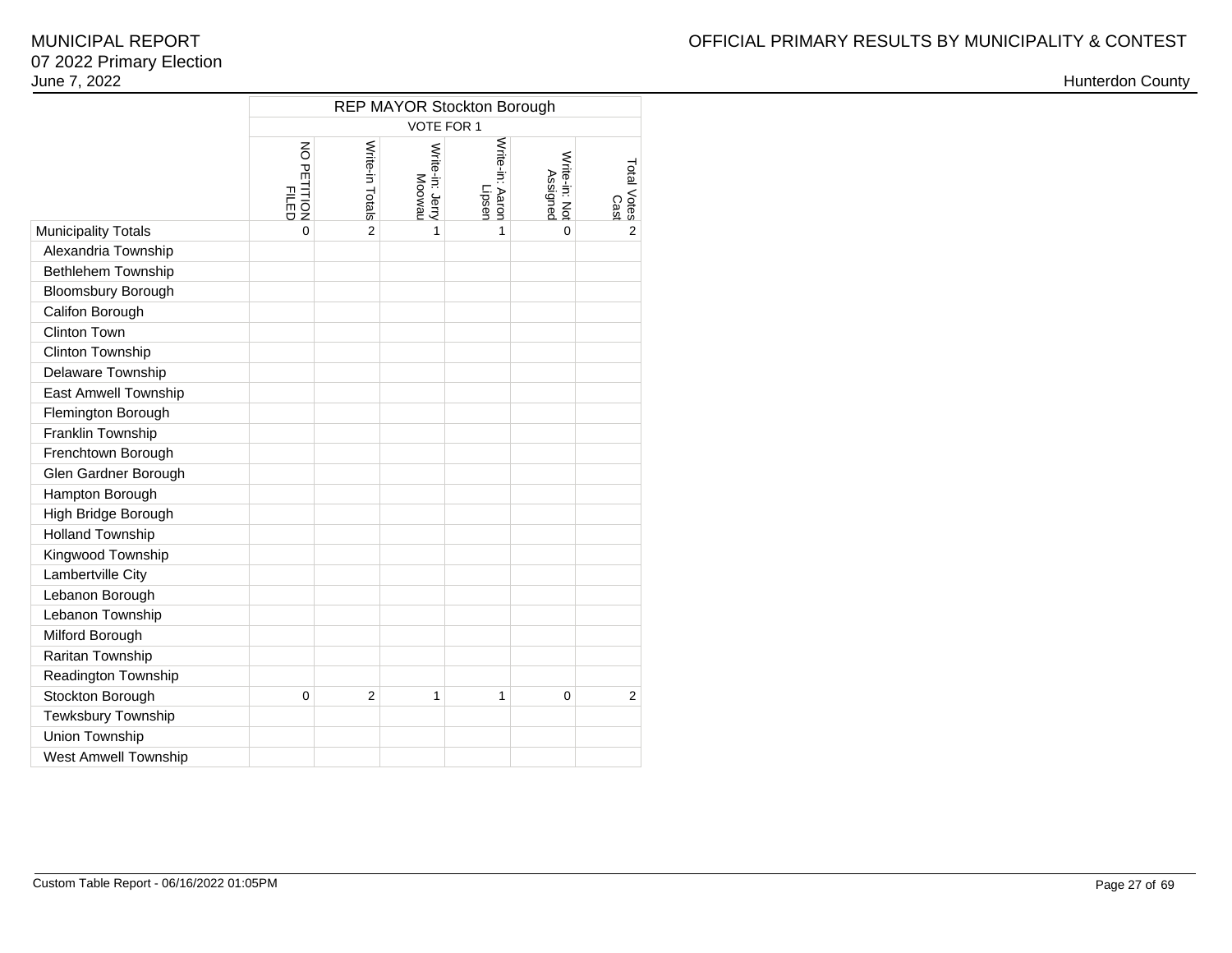|                            | REP MAYOR Stockton Borough<br><b>VOTE FOR 1</b> |                 |                           |                           |                           |                     |  |  |  |  |  |  |  |
|----------------------------|-------------------------------------------------|-----------------|---------------------------|---------------------------|---------------------------|---------------------|--|--|--|--|--|--|--|
|                            | $\overline{6}$<br>PETITION<br>三日                | Write-in Totals | Write-in: Jerry<br>Moowau | Write-in: Aaron<br>Lipsen | Write-in: Not<br>Assigned | Total Votes<br>Cast |  |  |  |  |  |  |  |
| <b>Municipality Totals</b> | $\overline{0}$                                  | $\overline{2}$  | 1                         | $\mathbf{1}$              | 0                         | $\overline{2}$      |  |  |  |  |  |  |  |
| Alexandria Township        |                                                 |                 |                           |                           |                           |                     |  |  |  |  |  |  |  |
| <b>Bethlehem Township</b>  |                                                 |                 |                           |                           |                           |                     |  |  |  |  |  |  |  |
| <b>Bloomsbury Borough</b>  |                                                 |                 |                           |                           |                           |                     |  |  |  |  |  |  |  |
| Califon Borough            |                                                 |                 |                           |                           |                           |                     |  |  |  |  |  |  |  |
| Clinton Town               |                                                 |                 |                           |                           |                           |                     |  |  |  |  |  |  |  |
| Clinton Township           |                                                 |                 |                           |                           |                           |                     |  |  |  |  |  |  |  |
| Delaware Township          |                                                 |                 |                           |                           |                           |                     |  |  |  |  |  |  |  |
| East Amwell Township       |                                                 |                 |                           |                           |                           |                     |  |  |  |  |  |  |  |
| Flemington Borough         |                                                 |                 |                           |                           |                           |                     |  |  |  |  |  |  |  |
| Franklin Township          |                                                 |                 |                           |                           |                           |                     |  |  |  |  |  |  |  |
| Frenchtown Borough         |                                                 |                 |                           |                           |                           |                     |  |  |  |  |  |  |  |
| Glen Gardner Borough       |                                                 |                 |                           |                           |                           |                     |  |  |  |  |  |  |  |
| Hampton Borough            |                                                 |                 |                           |                           |                           |                     |  |  |  |  |  |  |  |
| High Bridge Borough        |                                                 |                 |                           |                           |                           |                     |  |  |  |  |  |  |  |
| <b>Holland Township</b>    |                                                 |                 |                           |                           |                           |                     |  |  |  |  |  |  |  |
| Kingwood Township          |                                                 |                 |                           |                           |                           |                     |  |  |  |  |  |  |  |
| Lambertville City          |                                                 |                 |                           |                           |                           |                     |  |  |  |  |  |  |  |
| Lebanon Borough            |                                                 |                 |                           |                           |                           |                     |  |  |  |  |  |  |  |
| Lebanon Township           |                                                 |                 |                           |                           |                           |                     |  |  |  |  |  |  |  |
| Milford Borough            |                                                 |                 |                           |                           |                           |                     |  |  |  |  |  |  |  |
| Raritan Township           |                                                 |                 |                           |                           |                           |                     |  |  |  |  |  |  |  |
| Readington Township        |                                                 |                 |                           |                           |                           |                     |  |  |  |  |  |  |  |
| Stockton Borough           | 0                                               | $\overline{2}$  | 1                         | 1                         | 0                         | $\overline{2}$      |  |  |  |  |  |  |  |
| Tewksbury Township         |                                                 |                 |                           |                           |                           |                     |  |  |  |  |  |  |  |
| Union Township             |                                                 |                 |                           |                           |                           |                     |  |  |  |  |  |  |  |
| West Amwell Township       |                                                 |                 |                           |                           |                           |                     |  |  |  |  |  |  |  |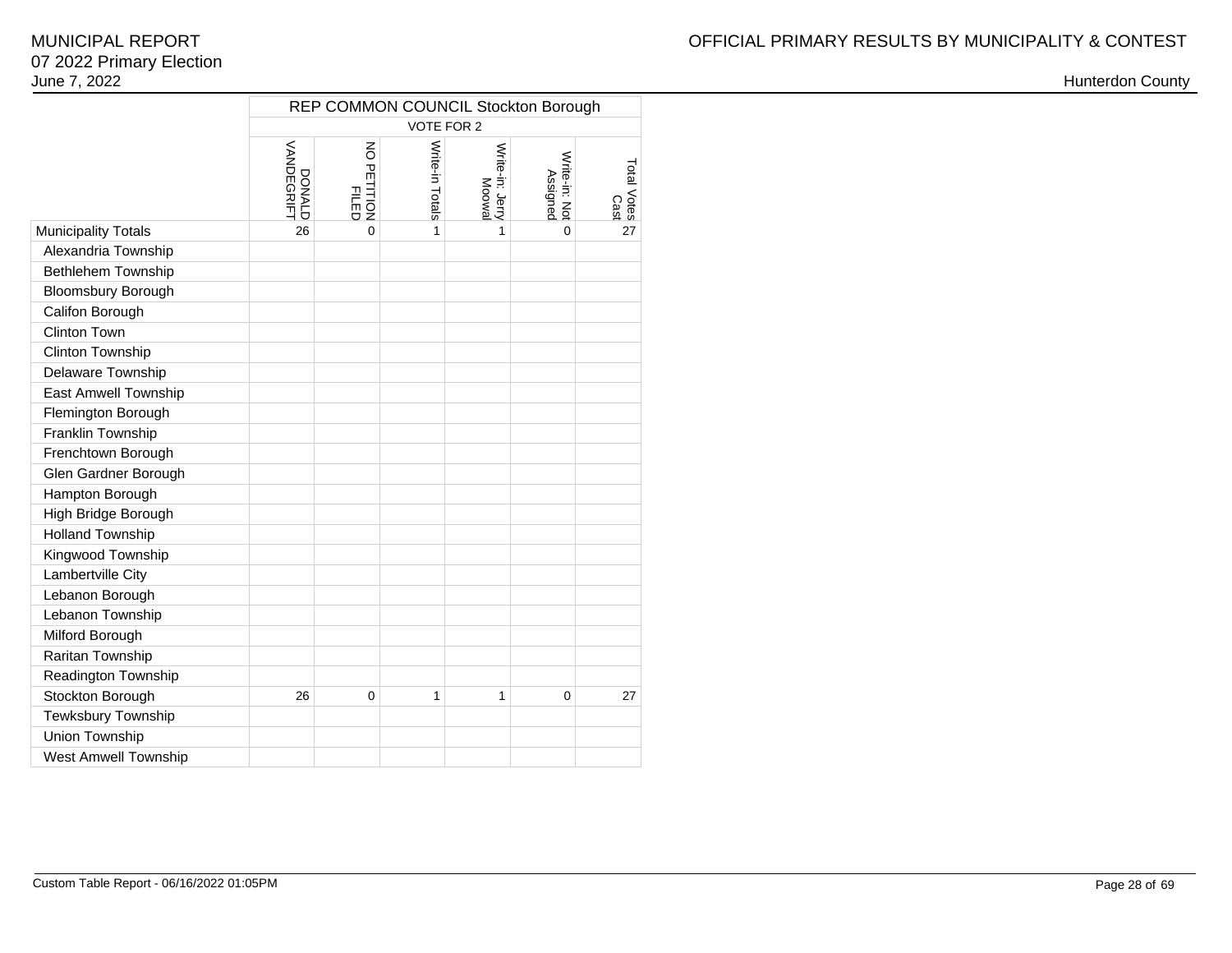|                             | REP COMMON COUNCIL Stockton Borough<br>VOTE FOR 2 |                         |                 |                          |                           |                     |  |  |  |  |  |  |  |  |
|-----------------------------|---------------------------------------------------|-------------------------|-----------------|--------------------------|---------------------------|---------------------|--|--|--|--|--|--|--|--|
|                             | VANDEGRIFT<br>DONALD                              | NO PETITION<br>PETITION | Write-in Totals | Write-in: Jerry<br>Moowa | Write-in: Not<br>Assigned | Total Votes<br>Cast |  |  |  |  |  |  |  |  |
| <b>Municipality Totals</b>  | 26                                                | $\overline{0}$          | 1               | 1                        | $\Omega$                  | 27                  |  |  |  |  |  |  |  |  |
| Alexandria Township         |                                                   |                         |                 |                          |                           |                     |  |  |  |  |  |  |  |  |
| Bethlehem Township          |                                                   |                         |                 |                          |                           |                     |  |  |  |  |  |  |  |  |
| <b>Bloomsbury Borough</b>   |                                                   |                         |                 |                          |                           |                     |  |  |  |  |  |  |  |  |
| Califon Borough             |                                                   |                         |                 |                          |                           |                     |  |  |  |  |  |  |  |  |
| Clinton Town                |                                                   |                         |                 |                          |                           |                     |  |  |  |  |  |  |  |  |
| Clinton Township            |                                                   |                         |                 |                          |                           |                     |  |  |  |  |  |  |  |  |
| Delaware Township           |                                                   |                         |                 |                          |                           |                     |  |  |  |  |  |  |  |  |
| East Amwell Township        |                                                   |                         |                 |                          |                           |                     |  |  |  |  |  |  |  |  |
| Flemington Borough          |                                                   |                         |                 |                          |                           |                     |  |  |  |  |  |  |  |  |
| Franklin Township           |                                                   |                         |                 |                          |                           |                     |  |  |  |  |  |  |  |  |
| Frenchtown Borough          |                                                   |                         |                 |                          |                           |                     |  |  |  |  |  |  |  |  |
| Glen Gardner Borough        |                                                   |                         |                 |                          |                           |                     |  |  |  |  |  |  |  |  |
| Hampton Borough             |                                                   |                         |                 |                          |                           |                     |  |  |  |  |  |  |  |  |
| High Bridge Borough         |                                                   |                         |                 |                          |                           |                     |  |  |  |  |  |  |  |  |
| <b>Holland Township</b>     |                                                   |                         |                 |                          |                           |                     |  |  |  |  |  |  |  |  |
| Kingwood Township           |                                                   |                         |                 |                          |                           |                     |  |  |  |  |  |  |  |  |
| Lambertville City           |                                                   |                         |                 |                          |                           |                     |  |  |  |  |  |  |  |  |
| Lebanon Borough             |                                                   |                         |                 |                          |                           |                     |  |  |  |  |  |  |  |  |
| Lebanon Township            |                                                   |                         |                 |                          |                           |                     |  |  |  |  |  |  |  |  |
| Milford Borough             |                                                   |                         |                 |                          |                           |                     |  |  |  |  |  |  |  |  |
| Raritan Township            |                                                   |                         |                 |                          |                           |                     |  |  |  |  |  |  |  |  |
| Readington Township         |                                                   |                         |                 |                          |                           |                     |  |  |  |  |  |  |  |  |
| Stockton Borough            | 26                                                | $\mathbf 0$             | $\mathbf{1}$    | $\mathbf{1}$             | 0                         | 27                  |  |  |  |  |  |  |  |  |
| Tewksbury Township          |                                                   |                         |                 |                          |                           |                     |  |  |  |  |  |  |  |  |
| Union Township              |                                                   |                         |                 |                          |                           |                     |  |  |  |  |  |  |  |  |
| <b>West Amwell Township</b> |                                                   |                         |                 |                          |                           |                     |  |  |  |  |  |  |  |  |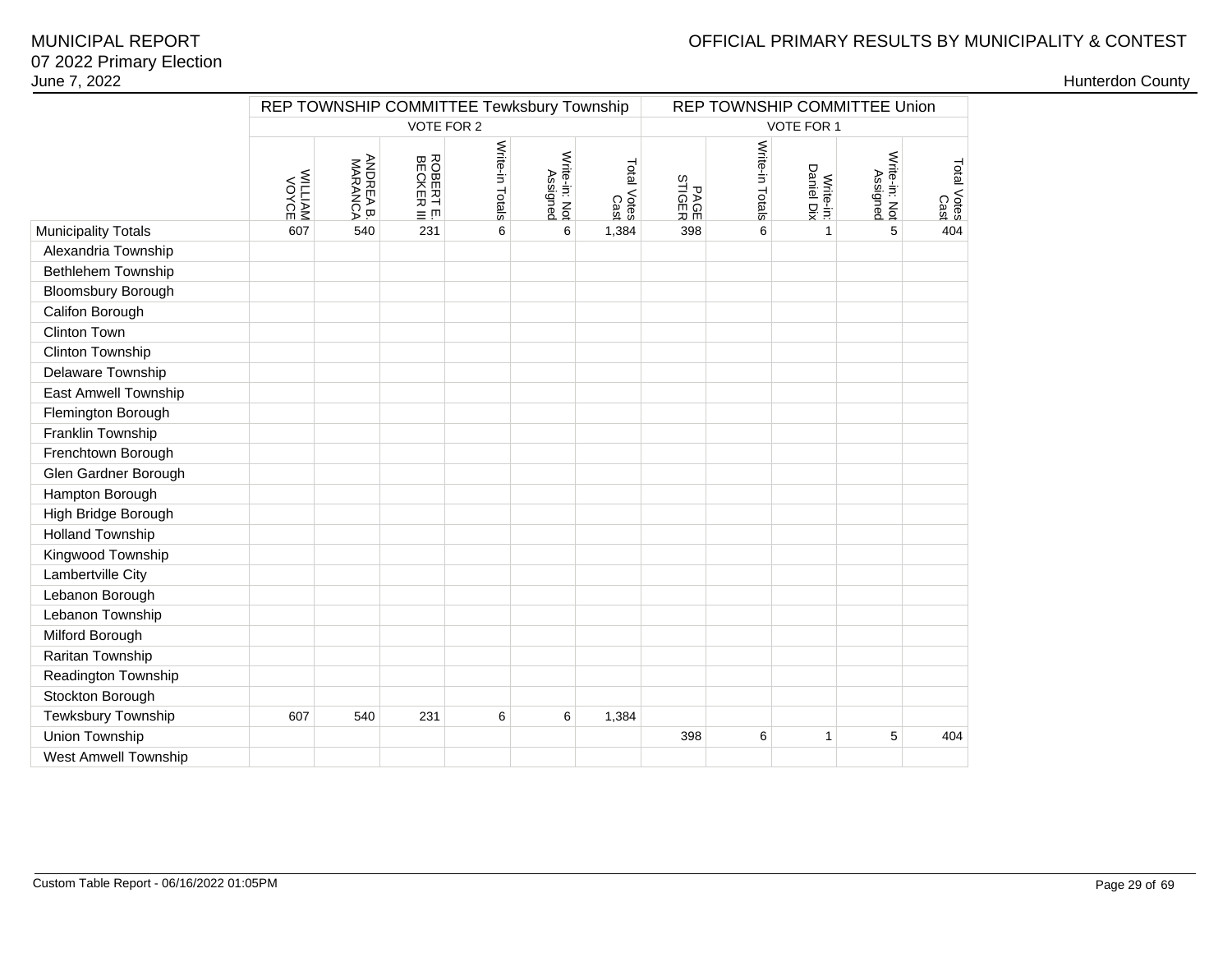# OFFICIAL PRIMARY RESULTS BY MUNICIPALITY & CONTEST

|                             |                    |                      |                        | REP TOWNSHIP COMMITTEE Tewksbury Township |                           |                     |                |                 |                         | REP TOWNSHIP COMMITTEE Union |                     |
|-----------------------------|--------------------|----------------------|------------------------|-------------------------------------------|---------------------------|---------------------|----------------|-----------------|-------------------------|------------------------------|---------------------|
|                             |                    |                      | VOTE FOR 2             |                                           |                           |                     |                |                 | VOTE FOR 1              |                              |                     |
|                             | WILLIAM<br>WALLIAM | ANDREA B.<br>MARANCA | ROBERT I<br>$\equiv$ m | Write-in Totals                           | Write-in: Not<br>Assigned | Total Votes<br>Cast | PAGE<br>STIGER | Write-in Totals | Daniel Dix<br>Write-in: | Write-in: Not<br>Assigned    | Total Votes<br>Cast |
| <b>Municipality Totals</b>  | 607                | 540                  | 231                    | 6                                         | 6                         | 1,384               | 398            | 6               | $\mathbf{1}$            | 5                            | 404                 |
| Alexandria Township         |                    |                      |                        |                                           |                           |                     |                |                 |                         |                              |                     |
| Bethlehem Township          |                    |                      |                        |                                           |                           |                     |                |                 |                         |                              |                     |
| <b>Bloomsbury Borough</b>   |                    |                      |                        |                                           |                           |                     |                |                 |                         |                              |                     |
| Califon Borough             |                    |                      |                        |                                           |                           |                     |                |                 |                         |                              |                     |
| Clinton Town                |                    |                      |                        |                                           |                           |                     |                |                 |                         |                              |                     |
| Clinton Township            |                    |                      |                        |                                           |                           |                     |                |                 |                         |                              |                     |
| Delaware Township           |                    |                      |                        |                                           |                           |                     |                |                 |                         |                              |                     |
| <b>East Amwell Township</b> |                    |                      |                        |                                           |                           |                     |                |                 |                         |                              |                     |
| Flemington Borough          |                    |                      |                        |                                           |                           |                     |                |                 |                         |                              |                     |
| Franklin Township           |                    |                      |                        |                                           |                           |                     |                |                 |                         |                              |                     |
| Frenchtown Borough          |                    |                      |                        |                                           |                           |                     |                |                 |                         |                              |                     |
| Glen Gardner Borough        |                    |                      |                        |                                           |                           |                     |                |                 |                         |                              |                     |
| Hampton Borough             |                    |                      |                        |                                           |                           |                     |                |                 |                         |                              |                     |
| High Bridge Borough         |                    |                      |                        |                                           |                           |                     |                |                 |                         |                              |                     |
| <b>Holland Township</b>     |                    |                      |                        |                                           |                           |                     |                |                 |                         |                              |                     |
| Kingwood Township           |                    |                      |                        |                                           |                           |                     |                |                 |                         |                              |                     |
| Lambertville City           |                    |                      |                        |                                           |                           |                     |                |                 |                         |                              |                     |
| Lebanon Borough             |                    |                      |                        |                                           |                           |                     |                |                 |                         |                              |                     |
| Lebanon Township            |                    |                      |                        |                                           |                           |                     |                |                 |                         |                              |                     |
| Milford Borough             |                    |                      |                        |                                           |                           |                     |                |                 |                         |                              |                     |
| Raritan Township            |                    |                      |                        |                                           |                           |                     |                |                 |                         |                              |                     |
| Readington Township         |                    |                      |                        |                                           |                           |                     |                |                 |                         |                              |                     |
| Stockton Borough            |                    |                      |                        |                                           |                           |                     |                |                 |                         |                              |                     |
| Tewksbury Township          | 607                | 540                  | 231                    | 6                                         | 6                         | 1,384               |                |                 |                         |                              |                     |
| Union Township              |                    |                      |                        |                                           |                           |                     | 398            | 6               | 1                       | 5                            | 404                 |
| <b>West Amwell Township</b> |                    |                      |                        |                                           |                           |                     |                |                 |                         |                              |                     |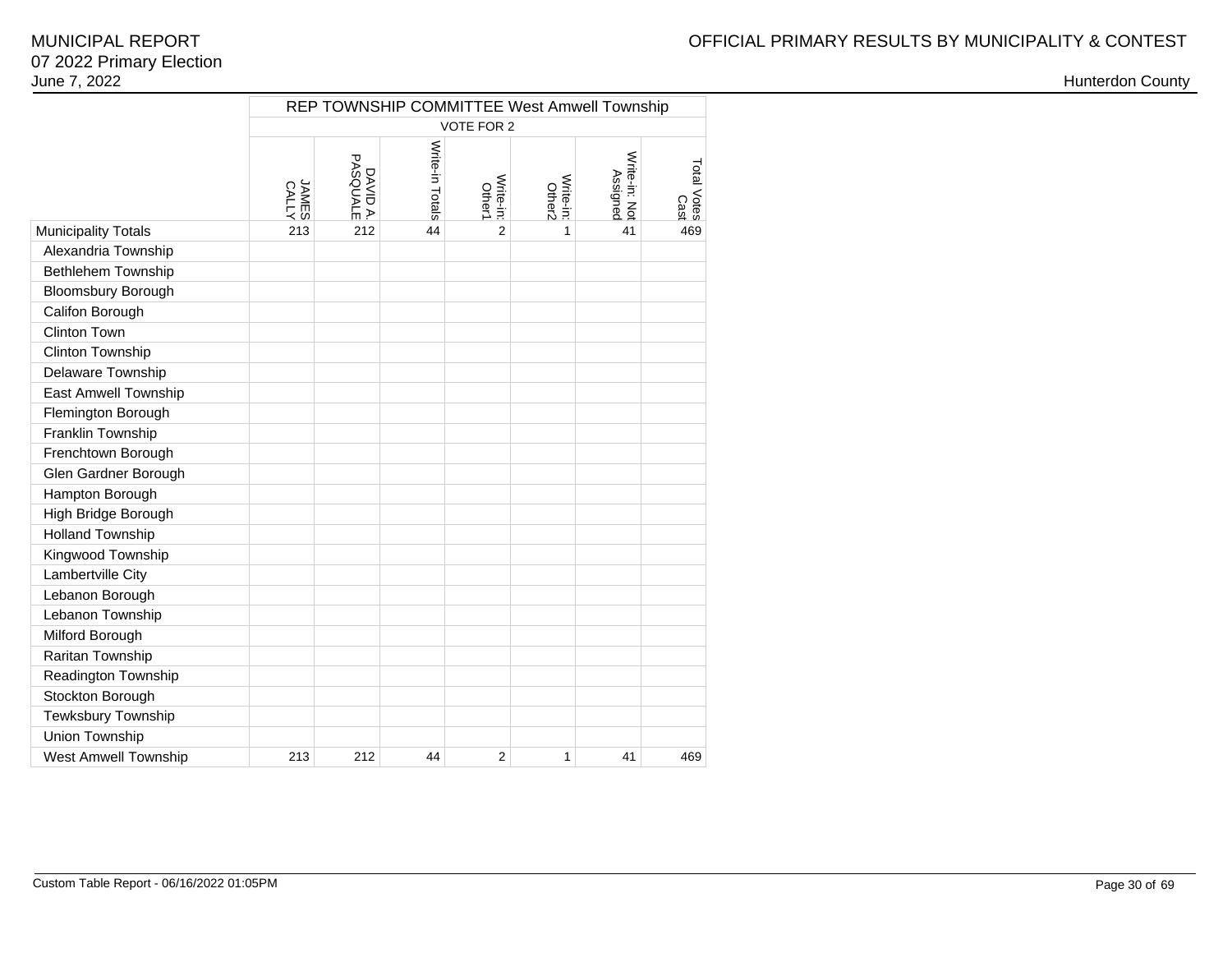|                             |                       | REP TOWNSHIP COMMITTEE West Amwell Township |                 |                            |                     |                           |                     |  |  |  |  |  |  |
|-----------------------------|-----------------------|---------------------------------------------|-----------------|----------------------------|---------------------|---------------------------|---------------------|--|--|--|--|--|--|
|                             | VOTE FOR 2            |                                             |                 |                            |                     |                           |                     |  |  |  |  |  |  |
|                             | <b>ANLES</b><br>CALLY | PASQUALE<br>DAVID A.                        | Write-in Totals | Write-in:<br><b>Other1</b> | Write-in:<br>Other2 | Write-in: Not<br>Assignec | Total Votes<br>Cast |  |  |  |  |  |  |
| <b>Municipality Totals</b>  | 213                   | 212                                         | 44              | $\overline{2}$             | 1                   | 41                        | 469                 |  |  |  |  |  |  |
| Alexandria Township         |                       |                                             |                 |                            |                     |                           |                     |  |  |  |  |  |  |
| Bethlehem Township          |                       |                                             |                 |                            |                     |                           |                     |  |  |  |  |  |  |
| Bloomsbury Borough          |                       |                                             |                 |                            |                     |                           |                     |  |  |  |  |  |  |
| Califon Borough             |                       |                                             |                 |                            |                     |                           |                     |  |  |  |  |  |  |
| <b>Clinton Town</b>         |                       |                                             |                 |                            |                     |                           |                     |  |  |  |  |  |  |
| Clinton Township            |                       |                                             |                 |                            |                     |                           |                     |  |  |  |  |  |  |
| Delaware Township           |                       |                                             |                 |                            |                     |                           |                     |  |  |  |  |  |  |
| East Amwell Township        |                       |                                             |                 |                            |                     |                           |                     |  |  |  |  |  |  |
| Flemington Borough          |                       |                                             |                 |                            |                     |                           |                     |  |  |  |  |  |  |
| Franklin Township           |                       |                                             |                 |                            |                     |                           |                     |  |  |  |  |  |  |
| Frenchtown Borough          |                       |                                             |                 |                            |                     |                           |                     |  |  |  |  |  |  |
| Glen Gardner Borough        |                       |                                             |                 |                            |                     |                           |                     |  |  |  |  |  |  |
| Hampton Borough             |                       |                                             |                 |                            |                     |                           |                     |  |  |  |  |  |  |
| High Bridge Borough         |                       |                                             |                 |                            |                     |                           |                     |  |  |  |  |  |  |
| <b>Holland Township</b>     |                       |                                             |                 |                            |                     |                           |                     |  |  |  |  |  |  |
| Kingwood Township           |                       |                                             |                 |                            |                     |                           |                     |  |  |  |  |  |  |
| Lambertville City           |                       |                                             |                 |                            |                     |                           |                     |  |  |  |  |  |  |
| Lebanon Borough             |                       |                                             |                 |                            |                     |                           |                     |  |  |  |  |  |  |
| Lebanon Township            |                       |                                             |                 |                            |                     |                           |                     |  |  |  |  |  |  |
| Milford Borough             |                       |                                             |                 |                            |                     |                           |                     |  |  |  |  |  |  |
| Raritan Township            |                       |                                             |                 |                            |                     |                           |                     |  |  |  |  |  |  |
| Readington Township         |                       |                                             |                 |                            |                     |                           |                     |  |  |  |  |  |  |
| Stockton Borough            |                       |                                             |                 |                            |                     |                           |                     |  |  |  |  |  |  |
| Tewksbury Township          |                       |                                             |                 |                            |                     |                           |                     |  |  |  |  |  |  |
| Union Township              |                       |                                             |                 |                            |                     |                           |                     |  |  |  |  |  |  |
| <b>West Amwell Township</b> | 213                   | 212                                         | 44              | $\overline{2}$             | 1                   | 41                        | 469                 |  |  |  |  |  |  |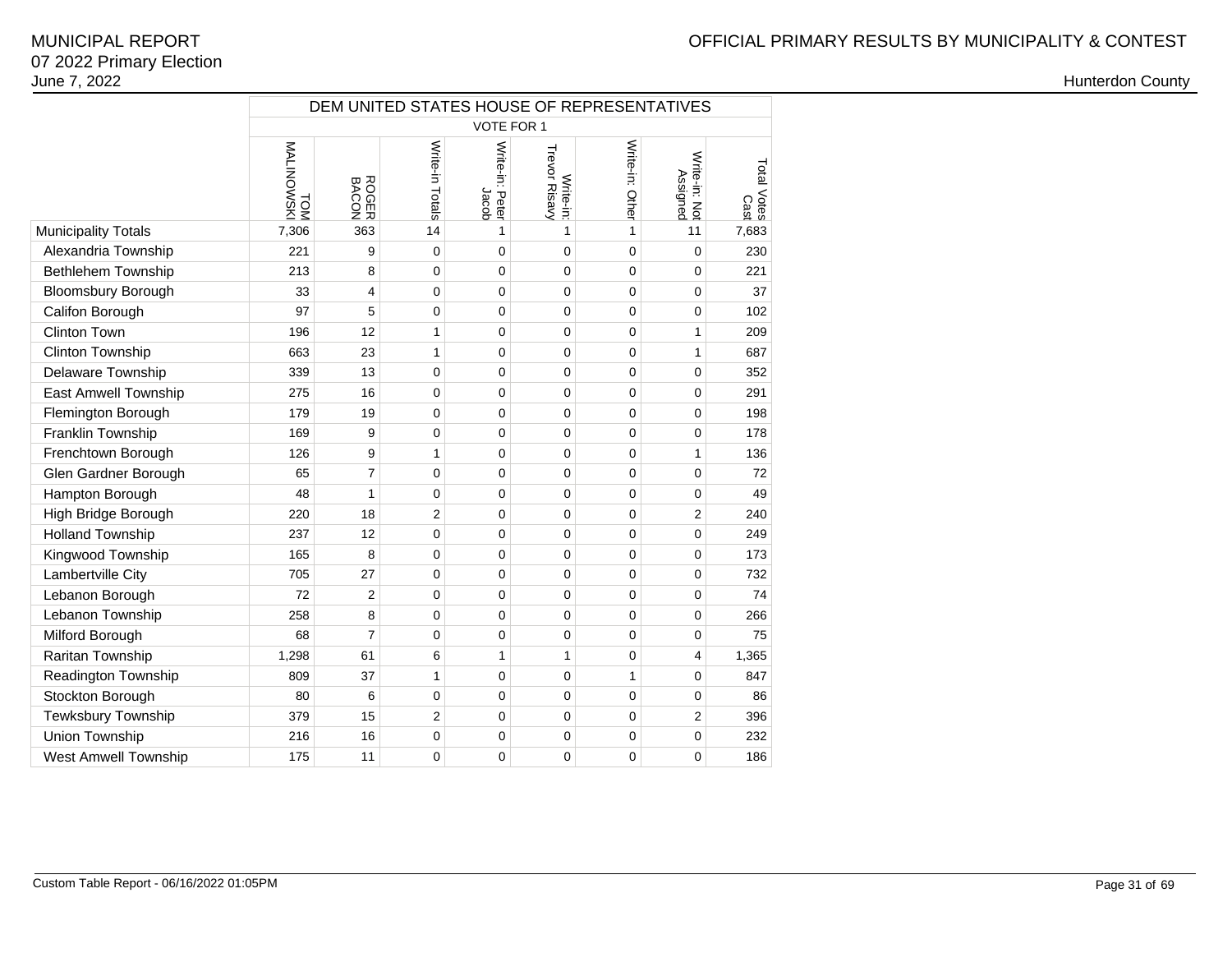|                             |                          |                | DEM UNITED STATES HOUSE OF REPRESENTATIVES |                          |                            |                 |                           |                     |  |  |  |  |  |
|-----------------------------|--------------------------|----------------|--------------------------------------------|--------------------------|----------------------------|-----------------|---------------------------|---------------------|--|--|--|--|--|
|                             | VOTE FOR 1               |                |                                            |                          |                            |                 |                           |                     |  |  |  |  |  |
|                             | <b>MALINOWSKI</b><br>TOM | ROGER<br>BACON | Write-in Totals                            | Write-in: Peter<br>Jacob | Trevor Risavy<br>Write-in: | Write-in: Other | Write-in: Not<br>Assigned | Total Votes<br>Cast |  |  |  |  |  |
| <b>Municipality Totals</b>  | 7,306                    | 363            | 14                                         | 1                        | 1                          | 1               | 11                        | 7,683               |  |  |  |  |  |
| Alexandria Township         | 221                      | 9              | $\mathbf 0$                                | 0                        | 0                          | 0               | $\mathbf 0$               | 230                 |  |  |  |  |  |
| Bethlehem Township          | 213                      | 8              | 0                                          | 0                        | 0                          | 0               | $\mathbf 0$               | 221                 |  |  |  |  |  |
| <b>Bloomsbury Borough</b>   | 33                       | 4              | 0                                          | 0                        | 0                          | 0               | $\mathbf 0$               | 37                  |  |  |  |  |  |
| Califon Borough             | 97                       | 5              | 0                                          | 0                        | 0                          | 0               | $\mathbf 0$               | 102                 |  |  |  |  |  |
| <b>Clinton Town</b>         | 196                      | 12             | 1                                          | $\overline{0}$           | 0                          | 0               | $\mathbf{1}$              | 209                 |  |  |  |  |  |
| Clinton Township            | 663                      | 23             | 1                                          | 0                        | 0                          | 0               | $\mathbf{1}$              | 687                 |  |  |  |  |  |
| Delaware Township           | 339                      | 13             | 0                                          | 0                        | 0                          | 0               | $\mathbf 0$               | 352                 |  |  |  |  |  |
| East Amwell Township        | 275                      | 16             | 0                                          | 0                        | 0                          | 0               | $\mathbf 0$               | 291                 |  |  |  |  |  |
| Flemington Borough          | 179                      | 19             | 0                                          | 0                        | 0                          | 0               | $\mathbf 0$               | 198                 |  |  |  |  |  |
| Franklin Township           | 169                      | 9              | 0                                          | 0                        | 0                          | 0               | $\mathbf 0$               | 178                 |  |  |  |  |  |
| Frenchtown Borough          | 126                      | 9              | $\mathbf{1}$                               | 0                        | 0                          | 0               | $\mathbf{1}$              | 136                 |  |  |  |  |  |
| Glen Gardner Borough        | 65                       | 7              | 0                                          | 0                        | 0                          | 0               | $\mathbf 0$               | 72                  |  |  |  |  |  |
| Hampton Borough             | 48                       | 1              | 0                                          | 0                        | 0                          | 0               | $\mathbf 0$               | 49                  |  |  |  |  |  |
| High Bridge Borough         | 220                      | 18             | $\overline{2}$                             | 0                        | 0                          | 0               | $\overline{2}$            | 240                 |  |  |  |  |  |
| <b>Holland Township</b>     | 237                      | 12             | $\mathbf 0$                                | 0                        | 0                          | 0               | $\mathbf 0$               | 249                 |  |  |  |  |  |
| Kingwood Township           | 165                      | 8              | 0                                          | 0                        | 0                          | 0               | $\mathbf 0$               | 173                 |  |  |  |  |  |
| Lambertville City           | 705                      | 27             | 0                                          | $\overline{0}$           | $\Omega$                   | $\Omega$        | $\mathbf 0$               | 732                 |  |  |  |  |  |
| Lebanon Borough             | 72                       | $\overline{2}$ | 0                                          | 0                        | $\Omega$                   | 0               | $\mathbf 0$               | 74                  |  |  |  |  |  |
| Lebanon Township            | 258                      | 8              | $\mathbf 0$                                | 0                        | $\Omega$                   | 0               | $\mathbf 0$               | 266                 |  |  |  |  |  |
| Milford Borough             | 68                       | $\overline{7}$ | 0                                          | 0                        | 0                          | 0               | 0                         | 75                  |  |  |  |  |  |
| Raritan Township            | 1,298                    | 61             | 6                                          | $\mathbf{1}$             | $\mathbf{1}$               | 0               | 4                         | 1,365               |  |  |  |  |  |
| Readington Township         | 809                      | 37             | 1                                          | 0                        | 0                          | 1               | $\mathbf 0$               | 847                 |  |  |  |  |  |
| Stockton Borough            | 80                       | 6              | $\mathbf 0$                                | $\overline{0}$           | $\mathbf 0$                | 0               | $\mathbf 0$               | 86                  |  |  |  |  |  |
| Tewksbury Township          | 379                      | 15             | $\overline{2}$                             | 0                        | 0                          | 0               | $\overline{2}$            | 396                 |  |  |  |  |  |
| Union Township              | 216                      | 16             | 0                                          | 0                        | 0                          | 0               | $\mathbf 0$               | 232                 |  |  |  |  |  |
| <b>West Amwell Township</b> | 175                      | 11             | 0                                          | 0                        | 0                          | 0               | $\mathbf 0$               | 186                 |  |  |  |  |  |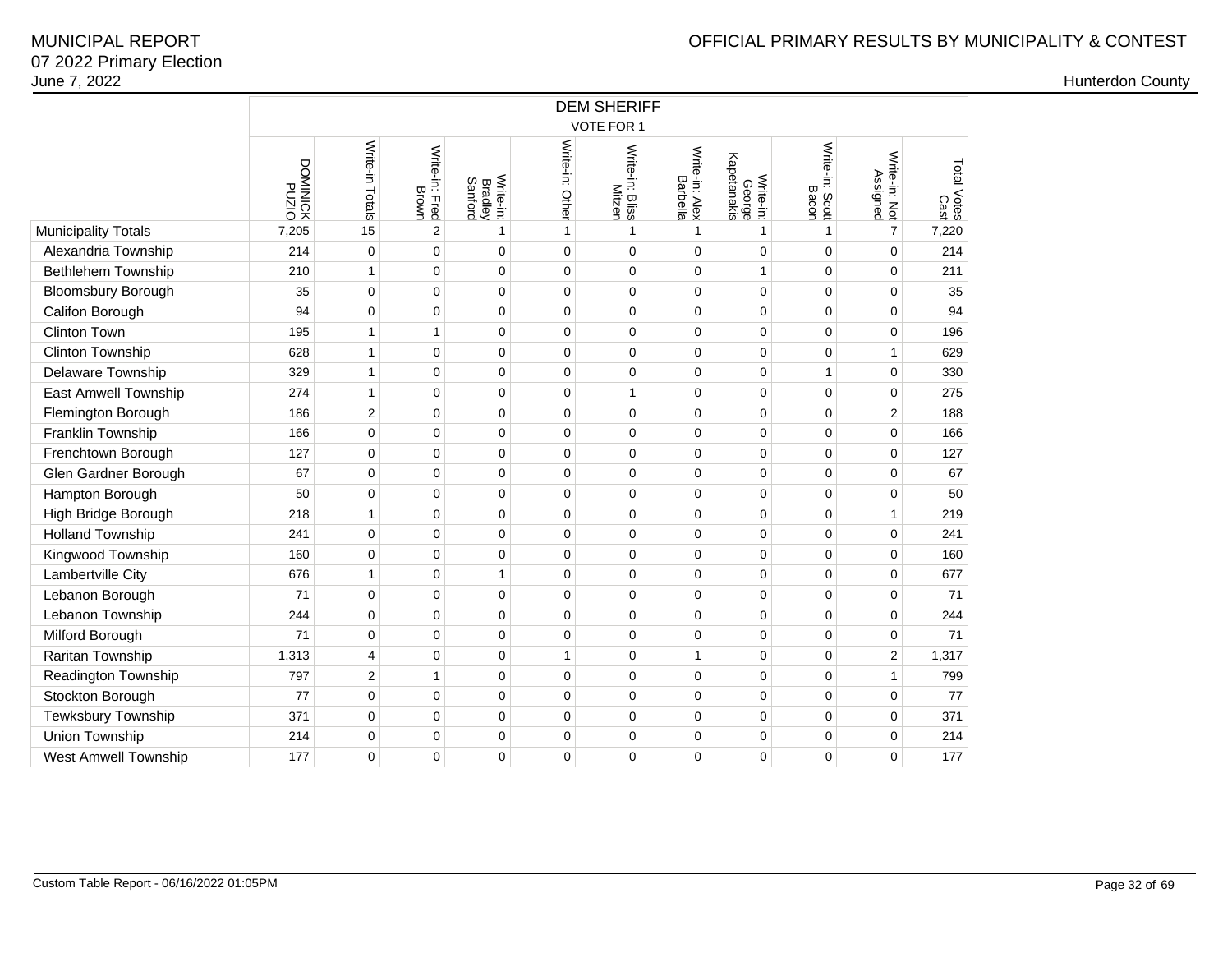|                             |                               | <b>DEM SHERIFF</b> |                         |                                        |                 |                                  |                            |                                    |                          |                           |                     |  |  |  |
|-----------------------------|-------------------------------|--------------------|-------------------------|----------------------------------------|-----------------|----------------------------------|----------------------------|------------------------------------|--------------------------|---------------------------|---------------------|--|--|--|
|                             |                               |                    |                         |                                        |                 | <b>VOTE FOR 1</b>                |                            |                                    |                          |                           |                     |  |  |  |
|                             | OIZN <sub>d</sub><br>XOINIWOO | Write-in Totals    | Write-in: Fred<br>Brown | Write-in:<br><b>Bradley</b><br>Sanford | Write-in: Other | Write-in: Bliss<br><b>Mitzen</b> | Write-in: Alex<br>Barbella | George<br>Kapetanakis<br>Write-in: | Write-in: Scott<br>Bacon | Write-in: Not<br>Assigned | Total Votes<br>Cast |  |  |  |
| <b>Municipality Totals</b>  | 7,205                         | 15                 | $\overline{2}$          | $\mathbf{1}$                           | $\mathbf{1}$    | 1                                | $\mathbf{1}$               |                                    | 1                        | $\overline{7}$            | 7,220               |  |  |  |
| Alexandria Township         | 214                           | $\mathbf 0$        | 0                       | 0                                      | $\pmb{0}$       | 0                                | $\mathbf 0$                | $\mathbf 0$                        | $\mathbf 0$              | $\mathbf 0$               | 214                 |  |  |  |
| <b>Bethlehem Township</b>   | 210                           | 1                  | 0                       | 0                                      | $\mathbf 0$     | 0                                | $\mathbf 0$                | $\mathbf{1}$                       | $\Omega$                 | $\mathbf 0$               | 211                 |  |  |  |
| <b>Bloomsbury Borough</b>   | 35                            | $\mathbf 0$        | $\mathbf 0$             | 0                                      | $\mathbf 0$     | 0                                | $\mathbf 0$                | $\mathbf 0$                        | $\mathbf 0$              | $\mathbf 0$               | 35                  |  |  |  |
| Califon Borough             | 94                            | 0                  | 0                       | $\Omega$                               | $\mathbf 0$     | 0                                | $\mathbf 0$                | $\Omega$                           | $\Omega$                 | $\mathbf 0$               | 94                  |  |  |  |
| Clinton Town                | 195                           | 1                  | $\mathbf{1}$            | 0                                      | $\mathbf 0$     | 0                                | $\mathbf 0$                | $\mathbf 0$                        | $\mathbf 0$              | $\mathbf 0$               | 196                 |  |  |  |
| Clinton Township            | 628                           | 1                  | 0                       | 0                                      | $\mathbf 0$     | 0                                | $\mathbf 0$                | $\Omega$                           | $\mathbf 0$              | 1                         | 629                 |  |  |  |
| Delaware Township           | 329                           | 1                  | $\mathbf 0$             | 0                                      | $\mathbf 0$     | 0                                | $\mathbf 0$                | $\mathbf 0$                        | 1                        | $\mathbf 0$               | 330                 |  |  |  |
| <b>East Amwell Township</b> | 274                           | 1                  | $\mathbf 0$             | 0                                      | $\mathbf 0$     | $\mathbf{1}$                     | $\mathbf 0$                | $\mathbf 0$                        | 0                        | 0                         | 275                 |  |  |  |
| Flemington Borough          | 186                           | $\overline{2}$     | $\mathbf 0$             | 0                                      | $\mathbf 0$     | 0                                | $\mathbf 0$                | $\mathbf 0$                        | $\mathbf 0$              | $\overline{2}$            | 188                 |  |  |  |
| Franklin Township           | 166                           | 0                  | $\mathbf 0$             | 0                                      | $\mathbf 0$     | 0                                | $\mathbf 0$                | $\Omega$                           | $\mathbf 0$              | $\mathbf 0$               | 166                 |  |  |  |
| Frenchtown Borough          | 127                           | $\mathbf 0$        | $\mathbf 0$             | 0                                      | $\mathbf 0$     | 0                                | $\mathbf 0$                | $\mathbf 0$                        | 0                        | $\mathbf 0$               | 127                 |  |  |  |
| Glen Gardner Borough        | 67                            | 0                  | $\mathbf 0$             | 0                                      | $\mathbf 0$     | 0                                | $\mathbf 0$                | $\Omega$                           | 0                        | $\mathbf 0$               | 67                  |  |  |  |
| Hampton Borough             | 50                            | $\mathbf 0$        | $\mathbf 0$             | 0                                      | $\mathbf 0$     | 0                                | $\mathbf 0$                | $\mathbf 0$                        | $\mathbf 0$              | $\mathbf 0$               | 50                  |  |  |  |
| High Bridge Borough         | 218                           | 1                  | 0                       | 0                                      | $\mathbf 0$     | 0                                | $\mathbf 0$                | $\Omega$                           | 0                        | 1                         | 219                 |  |  |  |
| <b>Holland Township</b>     | 241                           | $\mathbf 0$        | $\pmb{0}$               | 0                                      | $\mathbf 0$     | 0                                | $\mathbf 0$                | $\mathbf 0$                        | 0                        | $\mathbf 0$               | 241                 |  |  |  |
| Kingwood Township           | 160                           | 0                  | 0                       | 0                                      | $\mathbf 0$     | 0                                | $\mathbf 0$                | $\mathbf 0$                        | 0                        | 0                         | 160                 |  |  |  |
| Lambertville City           | 676                           | 1                  | 0                       | $\mathbf{1}$                           | $\mathbf 0$     | 0                                | $\mathbf 0$                | $\mathbf 0$                        | 0                        | $\mathbf 0$               | 677                 |  |  |  |
| Lebanon Borough             | 71                            | $\mathbf 0$        | 0                       | 0                                      | $\mathbf 0$     | 0                                | $\mathbf 0$                | $\Omega$                           | $\mathbf 0$              | $\mathbf 0$               | 71                  |  |  |  |
| Lebanon Township            | 244                           | 0                  | $\mathbf 0$             | 0                                      | $\mathbf 0$     | 0                                | $\mathbf 0$                | $\mathbf 0$                        | $\mathbf 0$              | $\mathbf 0$               | 244                 |  |  |  |
| Milford Borough             | 71                            | 0                  | 0                       | 0                                      | $\mathbf 0$     | 0                                | $\mathbf 0$                | $\mathbf 0$                        | $\mathbf 0$              | $\mathbf 0$               | 71                  |  |  |  |
| Raritan Township            | 1,313                         | 4                  | $\mathbf 0$             | 0                                      | $\mathbf{1}$    | 0                                | $\mathbf{1}$               | $\mathbf 0$                        | $\mathbf 0$              | $\overline{\mathbf{c}}$   | 1,317               |  |  |  |
| Readington Township         | 797                           | $\overline{2}$     | $\mathbf{1}$            | 0                                      | $\mathbf 0$     | 0                                | $\mathbf 0$                | $\mathbf 0$                        | $\mathbf 0$              | $\mathbf{1}$              | 799                 |  |  |  |
| Stockton Borough            | 77                            | 0                  | $\pmb{0}$               | 0                                      | $\pmb{0}$       | 0                                | $\mathbf 0$                | $\pmb{0}$                          | 0                        | $\mathbf 0$               | 77                  |  |  |  |
| Tewksbury Township          | 371                           | 0                  | $\mathbf 0$             | 0                                      | $\mathbf 0$     | 0                                | $\mathbf 0$                | $\mathbf 0$                        | $\mathbf 0$              | 0                         | 371                 |  |  |  |
| Union Township              | 214                           | 0                  | $\pmb{0}$               | 0                                      | $\pmb{0}$       | 0                                | $\mathbf 0$                | 0                                  | 0                        | $\mathbf 0$               | 214                 |  |  |  |
| <b>West Amwell Township</b> | 177                           | 0                  | $\mathbf 0$             | 0                                      | 0               | 0                                | $\mathbf 0$                | $\mathbf 0$                        | $\Omega$                 | $\mathbf 0$               | 177                 |  |  |  |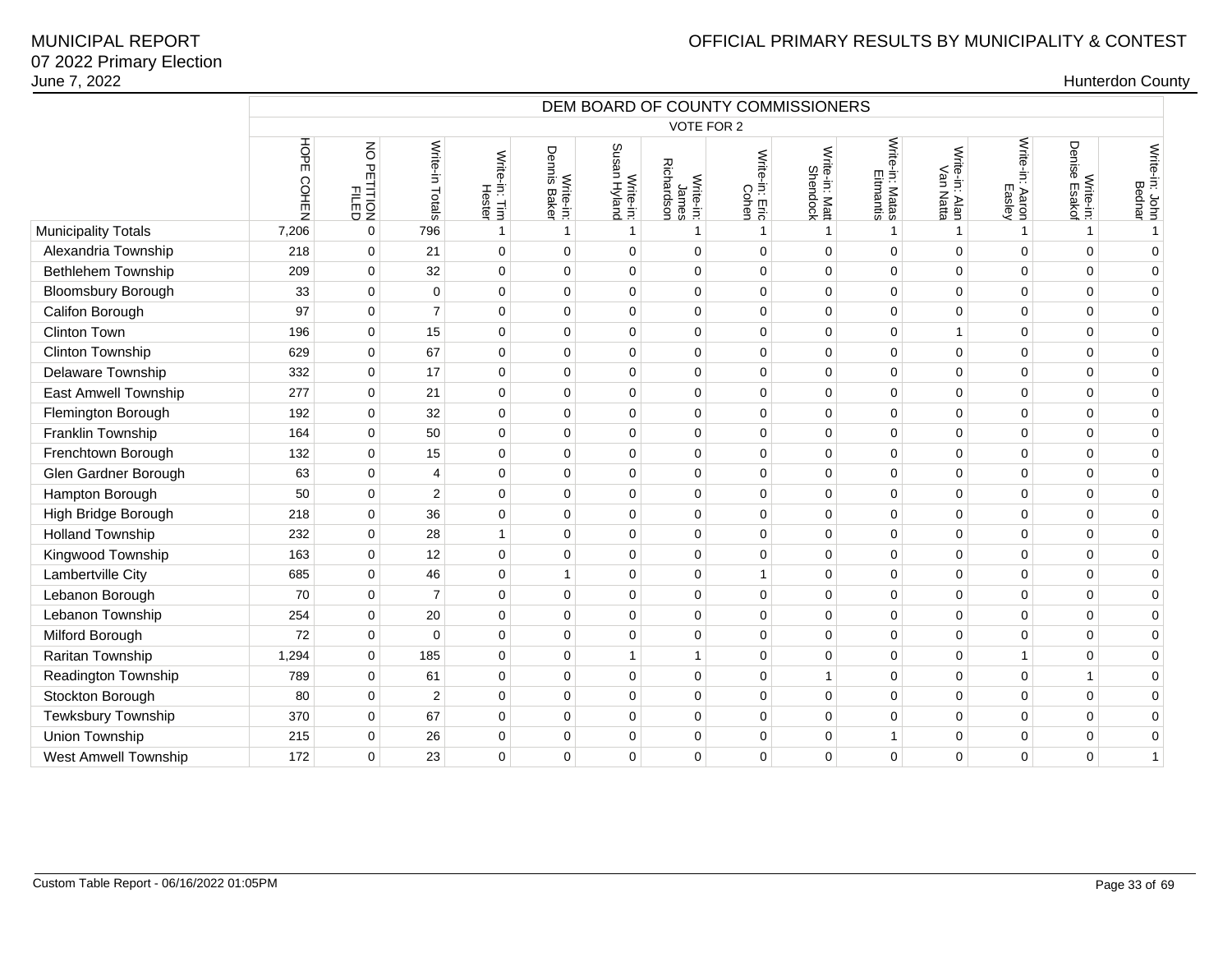|                             | DEM BOARD OF COUNTY COMMISSIONERS |                         |                 |                         |                           |                           |                                 |                         |                            |                              |                             |                           |                                  |                          |
|-----------------------------|-----------------------------------|-------------------------|-----------------|-------------------------|---------------------------|---------------------------|---------------------------------|-------------------------|----------------------------|------------------------------|-----------------------------|---------------------------|----------------------------------|--------------------------|
|                             |                                   |                         |                 |                         |                           |                           | VOTE FOR 2                      |                         |                            |                              |                             |                           |                                  |                          |
|                             | HOPE<br>COHEN                     | NO PETITION<br>PETITION | Write-in Totals | Write-in: Tim<br>Hester | Write-in:<br>Dennis Baker | Write-in:<br>Susan Hyland | James<br>Richardson<br>Write-in | Write-in: Eric<br>Cohen | Write-in: Matt<br>Shendock | Write-in: Matas<br>Eitmantis | Write-in: Alan<br>Van Natta | Write-in: Aaron<br>Easley | Denise<br>Write-in:<br>se Esakof | Write-in: John<br>Bednar |
| <b>Municipality Totals</b>  | 7,206                             | $\mathbf 0$             | 796             | $\mathbf{1}$            | $\mathbf{1}$              | $\mathbf{1}$              | $\mathbf{1}$                    | -1                      | $\mathbf{1}$               | $\mathbf{1}$                 | $\mathbf{1}$                | 1                         | 1                                | $\mathbf{1}$             |
| Alexandria Township         | 218                               | $\mathbf 0$             | 21              | $\mathbf 0$             | 0                         | $\mathbf 0$               | $\Omega$                        | $\mathbf 0$             | $\mathbf 0$                | $\mathbf 0$                  | $\mathbf 0$                 | 0                         | $\Omega$                         | $\mathbf 0$              |
| Bethlehem Township          | 209                               | $\mathbf 0$             | 32              | $\mathbf 0$             | $\mathbf 0$               | $\mathbf 0$               | $\mathbf 0$                     | $\mathbf 0$             | $\mathbf 0$                | $\mathbf 0$                  | $\mathbf 0$                 | 0                         | $\Omega$                         | $\pmb{0}$                |
| <b>Bloomsbury Borough</b>   | 33                                | $\mathbf 0$             | $\mathbf 0$     | $\mathbf 0$             | $\mathbf 0$               | $\Omega$                  | $\Omega$                        | $\mathbf 0$             | $\mathbf 0$                | $\mathbf 0$                  | $\Omega$                    | $\Omega$                  | $\Omega$                         | $\pmb{0}$                |
| Califon Borough             | 97                                | $\mathbf 0$             | $\overline{7}$  | $\mathbf 0$             | $\mathbf 0$               | $\mathbf 0$               | $\mathbf 0$                     | 0                       | $\mathbf 0$                | $\mathbf 0$                  | $\mathbf 0$                 | 0                         | 0                                | $\mathbf 0$              |
| <b>Clinton Town</b>         | 196                               | $\pmb{0}$               | 15              | $\mathbf 0$             | $\pmb{0}$                 | $\mathbf 0$               | $\mathbf 0$                     | $\pmb{0}$               | $\pmb{0}$                  | $\mathsf 0$                  | $\overline{1}$              | 0                         | $\mathbf 0$                      | $\pmb{0}$                |
| <b>Clinton Township</b>     | 629                               | $\mathbf 0$             | 67              | $\mathbf 0$             | $\mathbf 0$               | $\Omega$                  | $\mathbf 0$                     | $\mathbf 0$             | $\mathbf 0$                | $\mathbf 0$                  | $\mathbf 0$                 | $\Omega$                  | $\Omega$                         | $\mathbf 0$              |
| Delaware Township           | 332                               | $\mathbf 0$             | 17              | $\mathbf 0$             | $\mathbf 0$               | $\mathbf 0$               | $\mathbf 0$                     | $\mathbf 0$             | $\mathbf 0$                | 0                            | $\mathbf 0$                 | 0                         | $\Omega$                         | $\mathbf 0$              |
| East Amwell Township        | 277                               | $\mathbf 0$             | 21              | $\mathbf 0$             | $\mathbf 0$               | $\mathbf 0$               | $\mathbf 0$                     | $\pmb{0}$               | $\pmb{0}$                  | 0                            | $\mathbf 0$                 | 0                         | $\mathbf 0$                      | $\pmb{0}$                |
| Flemington Borough          | 192                               | $\mathbf 0$             | 32              | $\mathbf 0$             | $\mathbf 0$               | $\Omega$                  | $\Omega$                        | $\mathbf 0$             | $\mathbf 0$                | $\mathbf 0$                  | $\Omega$                    | $\Omega$                  | $\Omega$                         | $\mathbf 0$              |
| Franklin Township           | 164                               | $\mathbf 0$             | 50              | $\mathbf 0$             | $\mathbf 0$               | $\Omega$                  | $\mathbf 0$                     | $\mathbf 0$             | $\mathbf 0$                | $\mathbf 0$                  | $\mathbf 0$                 | $\Omega$                  | $\Omega$                         | $\mathbf 0$              |
| Frenchtown Borough          | 132                               | $\mathbf 0$             | 15              | $\mathbf 0$             | 0                         | $\mathbf 0$               | $\mathbf 0$                     | $\pmb{0}$               | $\mathbf 0$                | 0                            | $\mathbf 0$                 | 0                         | $\mathbf 0$                      | $\mathbf 0$              |
| Glen Gardner Borough        | 63                                | $\mathbf 0$             | $\overline{4}$  | $\mathbf 0$             | $\mathbf 0$               | $\mathbf 0$               | $\mathbf 0$                     | $\mathbf 0$             | $\mathbf 0$                | $\mathbf{0}$                 | $\mathbf 0$                 | 0                         | $\mathbf 0$                      | $\mathbf 0$              |
| Hampton Borough             | 50                                | $\mathbf 0$             | $\overline{2}$  | $\mathbf 0$             | $\mathbf 0$               | $\mathbf 0$               | $\mathbf 0$                     | $\mathbf 0$             | $\mathbf 0$                | $\mathbf 0$                  | $\mathbf 0$                 | 0                         | $\mathbf 0$                      | $\mathbf 0$              |
| High Bridge Borough         | 218                               | $\mathbf 0$             | 36              | $\mathbf 0$             | $\mathbf 0$               | $\mathbf 0$               | $\mathbf 0$                     | $\mathbf 0$             | $\mathbf 0$                | $\mathbf 0$                  | $\mathbf 0$                 | 0                         | $\mathbf 0$                      | $\pmb{0}$                |
| <b>Holland Township</b>     | 232                               | $\mathbf 0$             | 28              | $\mathbf{1}$            | $\mathbf 0$               | $\mathbf 0$               | $\mathbf 0$                     | $\mathbf 0$             | $\pmb{0}$                  | $\mathbf 0$                  | $\mathbf 0$                 | 0                         | $\mathbf 0$                      | $\pmb{0}$                |
| Kingwood Township           | 163                               | $\mathbf 0$             | 12              | $\mathbf 0$             | $\mathbf 0$               | $\mathbf 0$               | $\mathbf 0$                     | $\mathbf 0$             | $\mathbf 0$                | $\mathbf 0$                  | $\mathbf 0$                 | 0                         | $\Omega$                         | $\mathbf 0$              |
| Lambertville City           | 685                               | $\mathbf 0$             | 46              | 0                       | 1                         | $\mathbf 0$               | $\mathbf 0$                     | $\mathbf{1}$            | $\mathbf 0$                | $\mathbf 0$                  | $\mathbf 0$                 | 0                         | $\Omega$                         | $\mathbf 0$              |
| Lebanon Borough             | 70                                | $\mathbf 0$             | $\overline{7}$  | $\mathbf 0$             | $\mathbf 0$               | $\mathbf 0$               | $\mathbf 0$                     | $\mathbf 0$             | $\pmb{0}$                  | $\mathbf 0$                  | $\mathbf 0$                 | 0                         | $\Omega$                         | $\pmb{0}$                |
| Lebanon Township            | 254                               | $\mathbf 0$             | 20              | $\mathbf 0$             | 0                         | $\Omega$                  | $\mathbf 0$                     | $\mathbf 0$             | $\mathbf 0$                | $\mathbf 0$                  | $\mathbf 0$                 | $\Omega$                  | $\Omega$                         | $\pmb{0}$                |
| Milford Borough             | 72                                | $\mathbf 0$             | $\mathbf 0$     | $\mathbf 0$             | $\mathbf 0$               | $\mathbf 0$               | $\mathbf 0$                     | $\mathbf 0$             | $\mathbf 0$                | $\mathbf 0$                  | $\mathbf 0$                 | 0                         | $\mathbf 0$                      | $\mathbf 0$              |
| Raritan Township            | 1,294                             | $\pmb{0}$               | 185             | $\mathbf 0$             | $\mathbf 0$               | $\mathbf{1}$              | $\mathbf{1}$                    | $\mathbf 0$             | $\pmb{0}$                  | $\mathbf 0$                  | $\mathbf 0$                 | $\mathbf{1}$              | $\mathbf 0$                      | $\pmb{0}$                |
| Readington Township         | 789                               | $\mathbf 0$             | 61              | $\mathbf 0$             | $\mathbf 0$               | $\mathbf 0$               | $\mathbf 0$                     | $\mathbf 0$             | $\mathbf{1}$               | $\mathbf 0$                  | $\mathbf 0$                 | $\Omega$                  | 1                                | $\mathbf 0$              |
| Stockton Borough            | 80                                | $\mathbf 0$             | $\overline{2}$  | $\mathbf 0$             | $\mathbf 0$               | $\mathbf 0$               | $\mathbf 0$                     | $\pmb{0}$               | $\mathbf 0$                | 0                            | $\mathbf 0$                 | 0                         | $\mathbf 0$                      | $\pmb{0}$                |
| Tewksbury Township          | 370                               | $\mathbf 0$             | 67              | $\mathbf 0$             | $\mathbf 0$               | $\mathbf 0$               | $\mathbf 0$                     | $\mathbf 0$             | $\mathbf 0$                | 0                            | $\mathbf 0$                 | 0                         | $\mathbf 0$                      | $\mathbf 0$              |
| Union Township              | 215                               | $\mathbf 0$             | 26              | $\mathbf 0$             | $\mathbf 0$               | $\mathbf 0$               | $\mathbf 0$                     | $\mathbf 0$             | $\mathbf 0$                | $\mathbf{1}$                 | $\mathbf 0$                 | 0                         | $\mathbf 0$                      | $\mathbf 0$              |
| <b>West Amwell Township</b> | 172                               | $\mathbf 0$             | 23              | $\mathbf 0$             | 0                         | $\mathbf 0$               | $\mathbf 0$                     | $\mathbf 0$             | $\mathbf 0$                | $\mathbf 0$                  | $\mathbf 0$                 | 0                         | $\mathbf 0$                      | $\mathbf{1}$             |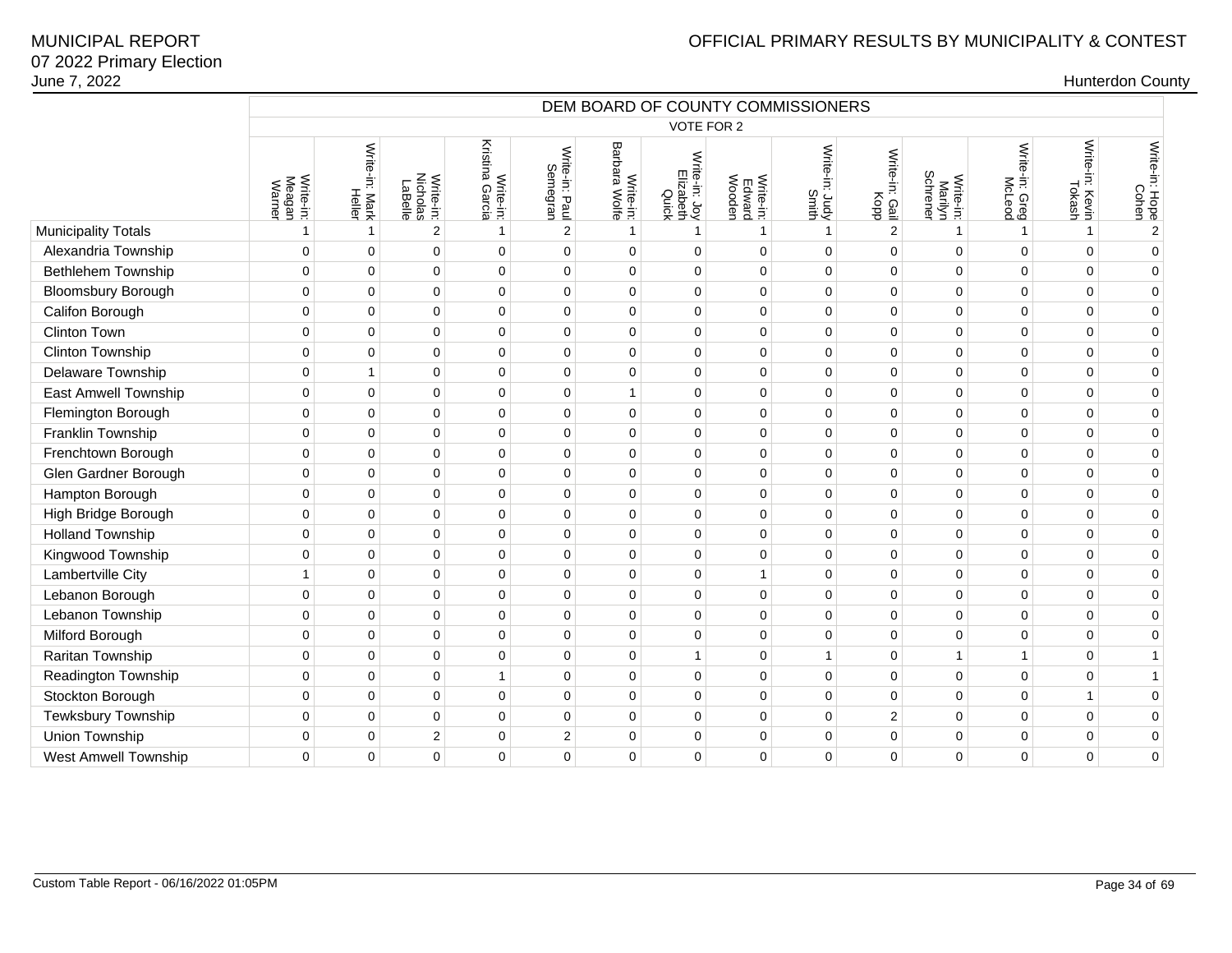| June 7, 2022               |                               |                          |                                  |                              |                            |                            |                                     |                               |                                   |                              |                                  |                          |                           | <b>Hunterdon County</b> |
|----------------------------|-------------------------------|--------------------------|----------------------------------|------------------------------|----------------------------|----------------------------|-------------------------------------|-------------------------------|-----------------------------------|------------------------------|----------------------------------|--------------------------|---------------------------|-------------------------|
|                            |                               |                          |                                  |                              |                            |                            |                                     |                               | DEM BOARD OF COUNTY COMMISSIONERS |                              |                                  |                          |                           |                         |
|                            |                               |                          |                                  |                              |                            |                            | VOTE FOR 2                          |                               |                                   |                              |                                  |                          |                           |                         |
|                            | Write-in:<br>Meagan<br>Warner | Write-in: Mark<br>Heller | Write-in:<br>Nicholas<br>LaBelle | Kristina Garcia<br>Write-in: | Write-in: Paul<br>Semegran | Write-in:<br>Barbara Wolfe | Write-in: Joy<br>Elizabeth<br>Quick | Write-in:<br>Edward<br>Wooden | Write-in: Judy<br>Smith           | Write-in:<br>r: Gail<br>Kopp | Write-in:<br>Marilyn<br>Schrener | Write-in: Greg<br>MoLeod | Write-in: Kevin<br>Tokash | Write-in: Hope<br>Cohen |
| <b>Municipality Totals</b> | $\overline{1}$                |                          | $\overline{2}$                   | $\mathbf{1}$                 | $\mathbf 2$                | $\overline{1}$             | $\mathbf{1}$                        | $\mathbf{1}$                  | $\mathbf{1}$                      | 2                            |                                  | $\mathbf{1}$             | $\mathbf{1}$              | $\sqrt{2}$              |
| Alexandria Township        | $\mathbf 0$                   | $\mathbf 0$              | 0                                | $\pmb{0}$                    | $\mathbf 0$                | $\mathbf 0$                | 0                                   | $\mathbf 0$                   | $\mathbf 0$                       | $\mathbf 0$                  | $\mathbf 0$                      | $\pmb{0}$                | $\mathbf 0$               | $\mathbf 0$             |
| Bethlehem Township         | $\mathbf 0$                   | $\mathbf 0$              | $\mathbf 0$                      | $\mathbf 0$                  | $\mathbf 0$                | $\mathbf 0$                | $\mathbf 0$                         | $\mathbf 0$                   | $\mathbf 0$                       | $\mathbf 0$                  | $\mathbf 0$                      | $\mathbf 0$              | $\mathbf 0$               | $\pmb{0}$               |
| <b>Bloomsbury Borough</b>  | $\Omega$                      | $\Omega$                 | 0                                | $\mathbf 0$                  | $\pmb{0}$                  | $\mathbf 0$                | $\mathbf 0$                         | $\Omega$                      | $\Omega$                          | $\Omega$                     | $\mathbf 0$                      | $\mathbf 0$              | $\mathbf{0}$              | $\mathbf 0$             |
| Califon Borough            | $\mathbf 0$                   | $\Omega$                 | $\mathbf 0$                      | $\pmb{0}$                    | $\pmb{0}$                  | $\mathbf 0$                | $\mathbf 0$                         | $\mathbf 0$                   | $\Omega$                          | $\mathbf 0$                  | $\mathbf 0$                      | $\mathbf 0$              | $\mathbf{0}$              | $\pmb{0}$               |
| <b>Clinton Town</b>        | $\mathbf 0$                   | $\mathbf 0$              | $\mathbf 0$                      | $\pmb{0}$                    | $\mathbf 0$                | $\mathbf 0$                | 0                                   | $\mathbf 0$                   | $\mathbf 0$                       | $\mathbf 0$                  | $\mathbf 0$                      | $\mathbf 0$              | $\mathbf 0$               | $\mathbf 0$             |
| Clinton Township           | $\mathbf 0$                   | $\Omega$                 | 0                                | 0                            | $\mathbf 0$                | $\mathbf 0$                | 0                                   | $\Omega$                      | $\Omega$                          | $\mathbf 0$                  | $\mathbf 0$                      | $\mathbf 0$              | $\mathbf 0$               | $\mathbf 0$             |
| Delaware Township          | $\mathbf 0$                   | $\mathbf 1$              | 0                                | $\pmb{0}$                    | $\pmb{0}$                  | $\mathbf 0$                | 0                                   | $\mathbf 0$                   | $\mathbf{0}$                      | $\mathbf{0}$                 | $\mathbf 0$                      | $\pmb{0}$                | $\pmb{0}$                 | $\mathbf 0$             |
| East Amwell Township       | $\mathbf 0$                   | $\mathbf 0$              | 0                                | $\pmb{0}$                    | $\pmb{0}$                  | $\overline{1}$             | 0                                   | $\Omega$                      | $\mathbf 0$                       | $\mathbf 0$                  | $\mathbf 0$                      | $\mathbf 0$              | $\pmb{0}$                 | $\mathbf 0$             |
| Flemington Borough         | $\mathbf 0$                   | $\mathbf 0$              | $\mathbf 0$                      | $\pmb{0}$                    | $\mathbf 0$                | $\mathbf 0$                | 0                                   | $\mathbf 0$                   | $\mathbf 0$                       | $\mathbf 0$                  | $\mathbf 0$                      | $\pmb{0}$                | $\mathbf 0$               | $\mathbf 0$             |
| Franklin Township          | $\mathbf 0$                   | $\Omega$                 | $\mathbf 0$                      | $\pmb{0}$                    | $\mathbf 0$                | $\mathbf 0$                | 0                                   | $\mathbf 0$                   | $\Omega$                          | $\mathbf 0$                  | $\mathbf 0$                      | $\mathbf 0$              | $\mathbf 0$               | $\mathbf 0$             |
| Frenchtown Borough         | $\mathbf 0$                   | $\Omega$                 | 0                                | $\pmb{0}$                    | $\mathbf 0$                | 0                          | 0                                   | $\Omega$                      | $\mathbf 0$                       | $\mathbf{0}$                 | $\pmb{0}$                        | $\pmb{0}$                | $\mathbf{0}$              | $\pmb{0}$               |
| Glen Gardner Borough       | $\mathbf 0$                   | $\mathbf 0$              | $\mathbf 0$                      | $\pmb{0}$                    | $\mathbf 0$                | $\mathbf 0$                | 0                                   | $\mathbf 0$                   | $\mathbf 0$                       | $\mathbf 0$                  | $\mathbf 0$                      | $\mathbf 0$              | $\mathbf 0$               | $\mathbf 0$             |
| Hampton Borough            | $\mathbf 0$                   | $\Omega$                 | $\mathbf 0$                      | $\mathbf 0$                  | $\mathbf 0$                | $\Omega$                   | $\Omega$                            | $\mathbf 0$                   | $\Omega$                          | $\Omega$                     | $\Omega$                         | $\mathbf 0$              | $\mathbf 0$               | $\mathbf 0$             |
| High Bridge Borough        | $\Omega$                      | $\Omega$                 | 0                                | $\pmb{0}$                    | $\pmb{0}$                  | $\mathbf 0$                | 0                                   | $\mathbf 0$                   | $\Omega$                          | $\Omega$                     | $\mathbf 0$                      | $\mathbf 0$              | $\pmb{0}$                 | $\mathbf 0$             |
| <b>Holland Township</b>    | $\mathbf 0$                   | $\Omega$                 | $\mathbf 0$                      | $\pmb{0}$                    | $\mathbf 0$                | $\mathbf 0$                | $\mathbf 0$                         | $\mathbf 0$                   | $\mathbf 0$                       | $\mathbf 0$                  | $\mathbf 0$                      | $\mathbf 0$              | $\mathbf 0$               | $\mathbf 0$             |
| Kingwood Township          | $\mathbf 0$                   | $\mathbf 0$              | $\mathbf 0$                      | $\pmb{0}$                    | 0                          | $\mathbf 0$                | 0                                   | $\mathbf 0$                   | $\mathbf 0$                       | $\mathbf 0$                  | $\mathbf 0$                      | $\mathbf 0$              | $\mathbf 0$               | $\mathbf 0$             |
| Lambertville City          | $\mathbf{1}$                  | $\mathbf 0$              | 0                                | $\pmb{0}$                    | $\mathbf 0$                | $\mathbf 0$                | 0                                   | $\mathbf{1}$                  | $\mathbf 0$                       | $\mathbf 0$                  | $\mathbf 0$                      | $\mathbf 0$              | $\mathbf 0$               | $\mathbf 0$             |
| Lebanon Borough            | $\mathbf 0$                   | $\mathbf 0$              | 0                                | $\pmb{0}$                    | $\pmb{0}$                  | $\mathbf 0$                | 0                                   | $\mathbf 0$                   | $\mathbf 0$                       | $\mathbf 0$                  | $\mathbf 0$                      | $\pmb{0}$                | $\pmb{0}$                 | $\mathbf 0$             |
| Lebanon Township           | $\mathbf 0$                   | $\mathbf 0$              | 0                                | $\pmb{0}$                    | $\mathbf 0$                | $\mathbf 0$                | 0                                   | $\mathbf 0$                   | $\mathbf 0$                       | $\mathbf 0$                  | $\mathbf 0$                      | $\mathbf 0$              | $\mathbf 0$               | $\mathbf 0$             |
| Milford Borough            | $\Omega$                      | $\Omega$                 | $\mathbf 0$                      | $\mathbf 0$                  | $\mathbf 0$                | $\mathbf 0$                | 0                                   | $\mathbf 0$                   | $\mathbf 0$                       | $\mathbf 0$                  | $\mathbf 0$                      | $\mathbf 0$              | $\mathbf 0$               | $\mathbf 0$             |
| Raritan Township           | $\mathbf 0$                   | $\mathbf 0$              | 0                                | $\pmb{0}$                    | $\mathbf 0$                | $\mathbf 0$                | $\mathbf{1}$                        | $\mathbf 0$                   | $\mathbf{1}$                      | $\mathbf 0$                  | $\mathbf{1}$                     | $\mathbf{1}$             | $\mathbf 0$               | $\mathbf{1}$            |
| Readington Township        | $\mathbf 0$                   | $\mathbf 0$              | 0                                | $\mathbf{1}$                 | $\mathbf 0$                | 0                          | 0                                   | $\Omega$                      | $\mathbf 0$                       | $\mathbf{0}$                 | $\pmb{0}$                        | $\pmb{0}$                | $\pmb{0}$                 | $\mathbf{1}$            |
| Stockton Borough           | $\mathbf 0$                   | $\Omega$                 | 0                                | $\mathbf 0$                  | $\mathbf 0$                | $\mathbf 0$                | $\Omega$                            | $\mathbf 0$                   | $\Omega$                          | $\mathbf 0$                  | $\mathbf 0$                      | $\mathbf 0$              | $\mathbf{1}$              | $\mathbf 0$             |
| Tewksbury Township         | $\mathbf 0$                   | $\Omega$                 | $\mathbf 0$                      | $\pmb{0}$                    | $\mathbf 0$                | $\mathbf 0$                | 0                                   | $\mathbf 0$                   | $\mathbf 0$                       | $\overline{2}$               | $\mathbf 0$                      | $\mathbf 0$              | $\mathbf 0$               | $\mathbf 0$             |
| Union Township             | $\mathbf 0$                   | $\mathbf 0$              | $\overline{c}$                   | $\pmb{0}$                    | $\mathbf 2$                | 0                          | 0                                   | $\mathbf 0$                   | $\mathbf 0$                       | $\pmb{0}$                    | $\pmb{0}$                        | $\pmb{0}$                | $\mathbf 0$               | $\mathbf 0$             |
| West Amwell Township       | $\mathbf 0$                   | $\mathbf 0$              | 0                                | $\mathbf 0$                  | $\mathbf 0$                | 0                          | 0                                   | $\mathbf 0$                   | $\mathbf 0$                       | $\mathbf 0$                  | $\mathbf 0$                      | $\mathbf 0$              | $\mathbf 0$               | 0                       |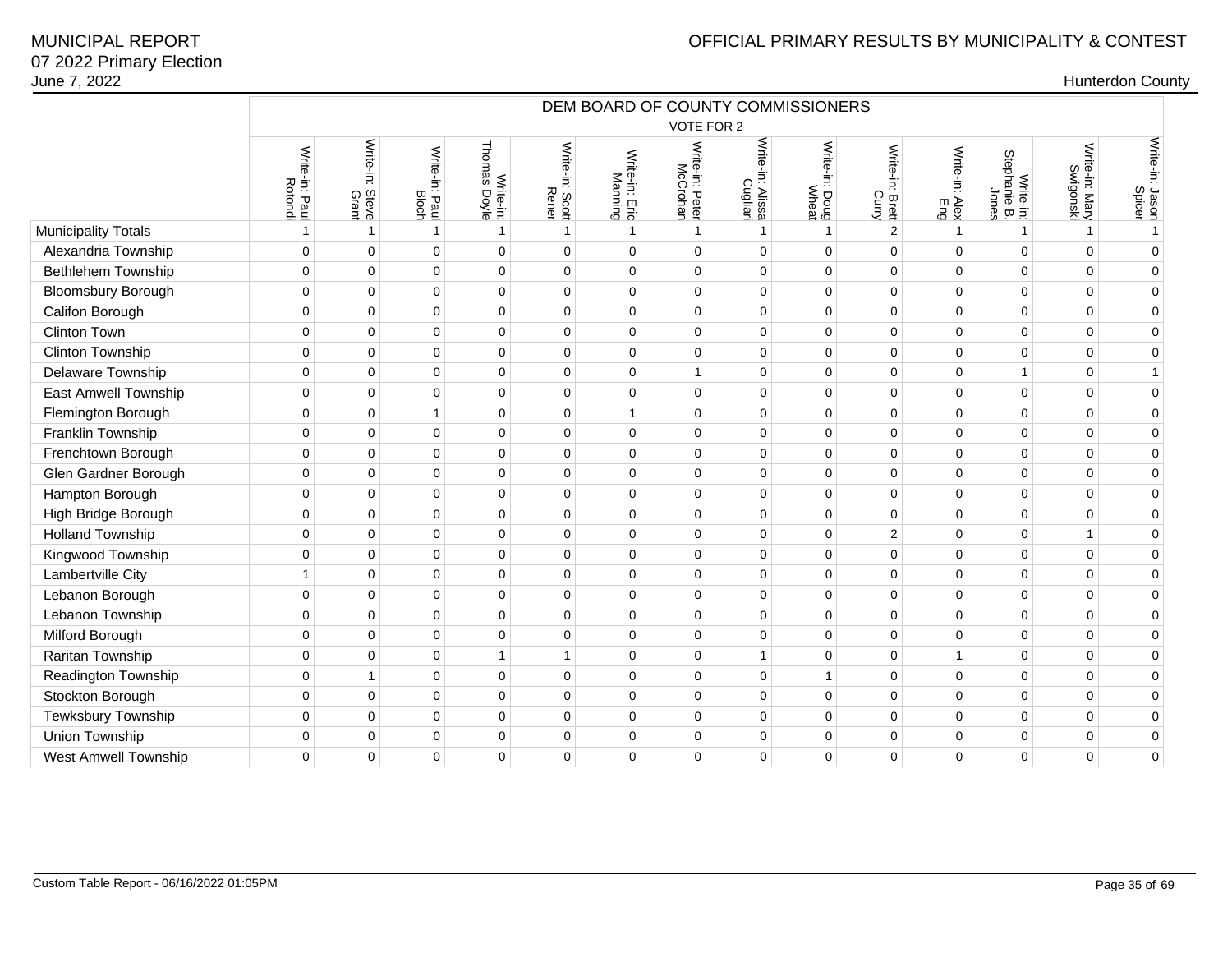# OFFICIAL PRIMARY RESULTS BY MUNICIPALITY & CONTEST

|                           | DEM BOARD OF COUNTY COMMISSIONERS |                          |                         |                           |                          |                           |                             |                                    |                         |                 |                          |                                    |                             |                           |
|---------------------------|-----------------------------------|--------------------------|-------------------------|---------------------------|--------------------------|---------------------------|-----------------------------|------------------------------------|-------------------------|-----------------|--------------------------|------------------------------------|-----------------------------|---------------------------|
|                           |                                   |                          |                         |                           |                          |                           | VOTE FOR 2                  |                                    |                         |                 |                          |                                    |                             |                           |
|                           | Write-in: Paul<br>Rotondi         | Write-in: Steve<br>Grant | Write-in: Paul<br>Bloch | Write-in:<br>Thomas Doyle | Write-in: Scott<br>Rener | Write-in: Eric<br>Manning | Write-in: Peter<br>McCrohan | Write-in:<br>n: Alissa<br>Cugliari | Write-in: Doug<br>Wheat | Write-in: Brett | Write-in:<br>Alex<br>Eng | Write-in:<br>Stephanie B.<br>Jones | Write-in: Mary<br>Swigonski | Write-in: Jason<br>Spicer |
| Municipality Totals       | $\mathbf{1}$                      | $\mathbf{1}$             | $\mathbf{1}$            | $\mathbf{1}$              | $\mathbf{1}$             | $\mathbf{1}$              | $\mathbf{1}$                | 1                                  | $\mathbf{1}$            | $\overline{2}$  | $\overline{1}$           | 1                                  | $\mathbf{1}$                | $\mathbf{1}$              |
| Alexandria Township       | $\mathbf 0$                       | $\mathbf 0$              | $\mathbf 0$             | $\mathbf 0$               | $\mathbf 0$              | $\Omega$                  | $\Omega$                    | 0                                  | $\mathbf 0$             | $\mathbf 0$     | $\mathbf 0$              | $\mathbf 0$                        | $\Omega$                    | $\mathbf 0$               |
| Bethlehem Township        | $\pmb{0}$                         | $\mathbf 0$              | 0                       | $\mathbf 0$               | $\mathbf 0$              | $\mathbf 0$               | $\mathbf 0$                 | $\mathbf 0$                        | $\mathbf 0$             | 0               | $\mathbf 0$              | $\mathbf 0$                        | $\Omega$                    | $\pmb{0}$                 |
| <b>Bloomsbury Borough</b> | $\mathbf 0$                       | $\mathbf 0$              | $\mathbf 0$             | $\mathbf 0$               | $\mathbf 0$              | $\mathbf 0$               | $\mathbf 0$                 | 0                                  | $\mathbf 0$             | 0               | $\Omega$                 | $\Omega$                           | $\Omega$                    | $\pmb{0}$                 |
| Califon Borough           | $\mathbf 0$                       | $\mathbf 0$              | $\pmb{0}$               | $\mathbf 0$               | $\mathbf 0$              | $\mathbf 0$               | $\mathbf 0$                 | 0                                  | $\mathbf 0$             | 0               | $\mathbf 0$              | $\mathbf 0$                        | $\Omega$                    | $\mathbf 0$               |
| Clinton Town              | $\mathbf 0$                       | $\mathsf 0$              | $\mathsf 0$             | $\mathbf 0$               | $\overline{0}$           | $\mathbf 0$               | $\mathbf 0$                 | 0                                  | $\mathbf 0$             | 0               | $\mathbf 0$              | $\mathbf 0$                        | $\mathbf 0$                 | $\mathbf 0$               |
| Clinton Township          | $\mathbf 0$                       | $\mathbf 0$              | $\mathbf 0$             | $\mathbf 0$               | $\Omega$                 | $\Omega$                  | $\mathbf 0$                 | $\mathbf 0$                        | $\mathbf 0$             | 0               | $\mathbf 0$              | $\Omega$                           | $\Omega$                    | $\mathbf 0$               |
| Delaware Township         | $\mathbf 0$                       | $\mathbf 0$              | $\mathbf 0$             | $\mathbf 0$               | $\mathbf 0$              | $\mathbf 0$               | $\mathbf{1}$                | 0                                  | $\mathbf 0$             | 0               | $\mathbf 0$              | $\mathbf{1}$                       | $\mathbf 0$                 | $\mathbf{1}$              |
| East Amwell Township      | $\pmb{0}$                         | 0                        | $\pmb{0}$               | $\mathbf 0$               | $\pmb{0}$                | $\mathbf 0$               | $\mathbf{0}$                | 0                                  | $\pmb{0}$               | 0               | $\mathbf 0$              | $\overline{0}$                     | $\mathbf{0}$                | $\pmb{0}$                 |
| Flemington Borough        | $\mathbf 0$                       | $\mathbf 0$              | $\mathbf{1}$            | $\Omega$                  | $\mathbf 0$              | $\mathbf{1}$              | $\Omega$                    | 0                                  | $\mathbf{0}$            | 0               | $\Omega$                 | $\Omega$                           | $\Omega$                    | $\mathbf 0$               |
| Franklin Township         | $\mathbf 0$                       | $\mathbf 0$              | $\mathbf 0$             | $\mathbf 0$               | $\mathbf 0$              | $\Omega$                  | $\mathbf 0$                 | $\mathbf 0$                        | $\mathbf 0$             | 0               | $\mathbf 0$              | $\Omega$                           | $\Omega$                    | $\mathbf 0$               |
| Frenchtown Borough        | $\mathbf 0$                       | 0                        | $\mathbf 0$             | $\mathbf 0$               | $\mathbf 0$              | $\mathbf 0$               | $\mathbf 0$                 | 0                                  | $\pmb{0}$               | 0               | $\mathbf 0$              | $\mathbf 0$                        | $\Omega$                    | $\mathbf 0$               |
| Glen Gardner Borough      | $\mathbf 0$                       | $\mathbf 0$              | $\pmb{0}$               | $\mathbf 0$               | $\mathbf 0$              | $\mathbf 0$               | $\mathbf 0$                 | 0                                  | $\mathbf 0$             | 0               | $\mathbf 0$              | $\mathbf 0$                        | $\mathbf 0$                 | $\mathbf 0$               |
| Hampton Borough           | $\mathbf 0$                       | $\mathbf 0$              | $\pmb{0}$               | $\mathbf 0$               | $\mathbf 0$              | $\mathbf 0$               | $\mathbf 0$                 | 0                                  | $\mathbf 0$             | 0               | 0                        | $\mathbf 0$                        | $\Omega$                    | $\mathbf 0$               |
| High Bridge Borough       | 0                                 | $\mathbf 0$              | $\mathbf 0$             | $\mathbf 0$               | $\mathbf 0$              | $\mathbf 0$               | $\mathbf 0$                 | $\mathbf 0$                        | $\mathbf 0$             | 0               | $\mathbf 0$              | $\mathbf 0$                        | $\Omega$                    | $\mathbf 0$               |
| <b>Holland Township</b>   | $\mathbf 0$                       | $\mathbf 0$              | $\mathbf 0$             | $\mathbf 0$               | $\mathbf 0$              | $\mathbf 0$               | $\mathbf 0$                 | 0                                  | $\pmb{0}$               | $\overline{2}$  | 0                        | $\mathbf 0$                        | $\mathbf{1}$                | $\pmb{0}$                 |
| Kingwood Township         | $\mathbf 0$                       | $\mathbf 0$              | $\mathbf 0$             | $\mathbf 0$               | $\mathbf 0$              | $\mathbf 0$               | $\mathbf 0$                 | 0                                  | $\pmb{0}$               | 0               | $\mathbf 0$              | $\mathbf 0$                        | $\Omega$                    | $\mathbf 0$               |
| Lambertville City         | $\mathbf{1}$                      | $\mathbf 0$              | $\mathbf 0$             | $\mathbf 0$               | $\mathbf 0$              | $\mathbf 0$               | $\mathbf 0$                 | 0                                  | $\mathbf 0$             | 0               | $\mathbf 0$              | $\mathbf 0$                        | $\Omega$                    | $\mathbf 0$               |
| Lebanon Borough           | $\pmb{0}$                         | $\mathbf 0$              | 0                       | $\mathbf 0$               | $\mathbf 0$              | $\mathbf 0$               | $\mathbf 0$                 | 0                                  | $\mathbf 0$             | 0               | 0                        | $\mathbf 0$                        | $\Omega$                    | $\pmb{0}$                 |
| Lebanon Township          | $\mathbf 0$                       | $\mathbf 0$              | $\mathbf 0$             | $\mathbf 0$               | $\Omega$                 | $\Omega$                  | $\mathbf 0$                 | 0                                  | $\mathbf 0$             | 0               | $\Omega$                 | $\Omega$                           | $\Omega$                    | $\pmb{0}$                 |
| Milford Borough           | $\mathbf 0$                       | $\mathbf 0$              | 0                       | $\mathbf 0$               | $\mathbf 0$              | $\mathbf 0$               | $\mathbf 0$                 | 0                                  | $\pmb{0}$               | 0               | $\mathbf 0$              | $\mathbf 0$                        | 0                           | $\mathbf 0$               |
| Raritan Township          | $\pmb{0}$                         | $\mathsf{O}\xspace$      | $\pmb{0}$               | 1                         | $\mathbf{1}$             | $\mathbf 0$               | $\mathbf 0$                 | $\mathbf{1}$                       | $\mathbf 0$             | $\mathbf 0$     | $\mathbf{1}$             | $\mathbf 0$                        | 0                           | $\mathbf 0$               |
| Readington Township       | $\mathbf 0$                       | $\mathbf{1}$             | $\mathbf 0$             | $\mathbf 0$               | $\mathbf 0$              | $\mathbf 0$               | $\mathbf 0$                 | $\mathbf 0$                        | $\mathbf{1}$            | 0               | 0                        | $\Omega$                           | $\Omega$                    | $\mathbf 0$               |
| Stockton Borough          | $\mathbf 0$                       | $\mathbf 0$              | $\mathbf 0$             | $\mathbf 0$               | $\mathbf 0$              | $\mathbf 0$               | $\mathbf 0$                 | 0                                  | $\pmb{0}$               | 0               | 0                        | $\mathbf 0$                        | 0                           | $\mathbf 0$               |
| Tewksbury Township        | $\mathbf 0$                       | $\mathbf 0$              | $\pmb{0}$               | $\mathbf 0$               | $\mathbf 0$              | $\mathbf 0$               | $\mathbf 0$                 | 0                                  | $\pmb{0}$               | 0               | 0                        | $\mathbf 0$                        | 0                           | $\mathbf 0$               |
| Union Township            | $\mathbf 0$                       | $\mathbf 0$              | $\mathbf 0$             | $\mathbf 0$               | $\mathbf 0$              | $\mathbf 0$               | $\mathbf 0$                 | 0                                  | $\mathbf 0$             | 0               | $\Omega$                 | $\mathbf 0$                        | 0                           | $\mathbf 0$               |
| West Amwell Township      | $\mathbf 0$                       | $\mathbf 0$              | $\mathbf 0$             | $\mathbf 0$               | $\mathbf 0$              | $\mathbf 0$               | $\mathbf 0$                 | 0                                  | $\mathbf 0$             | 0               | $\mathbf 0$              | $\mathbf 0$                        | $\Omega$                    | $\mathbf 0$               |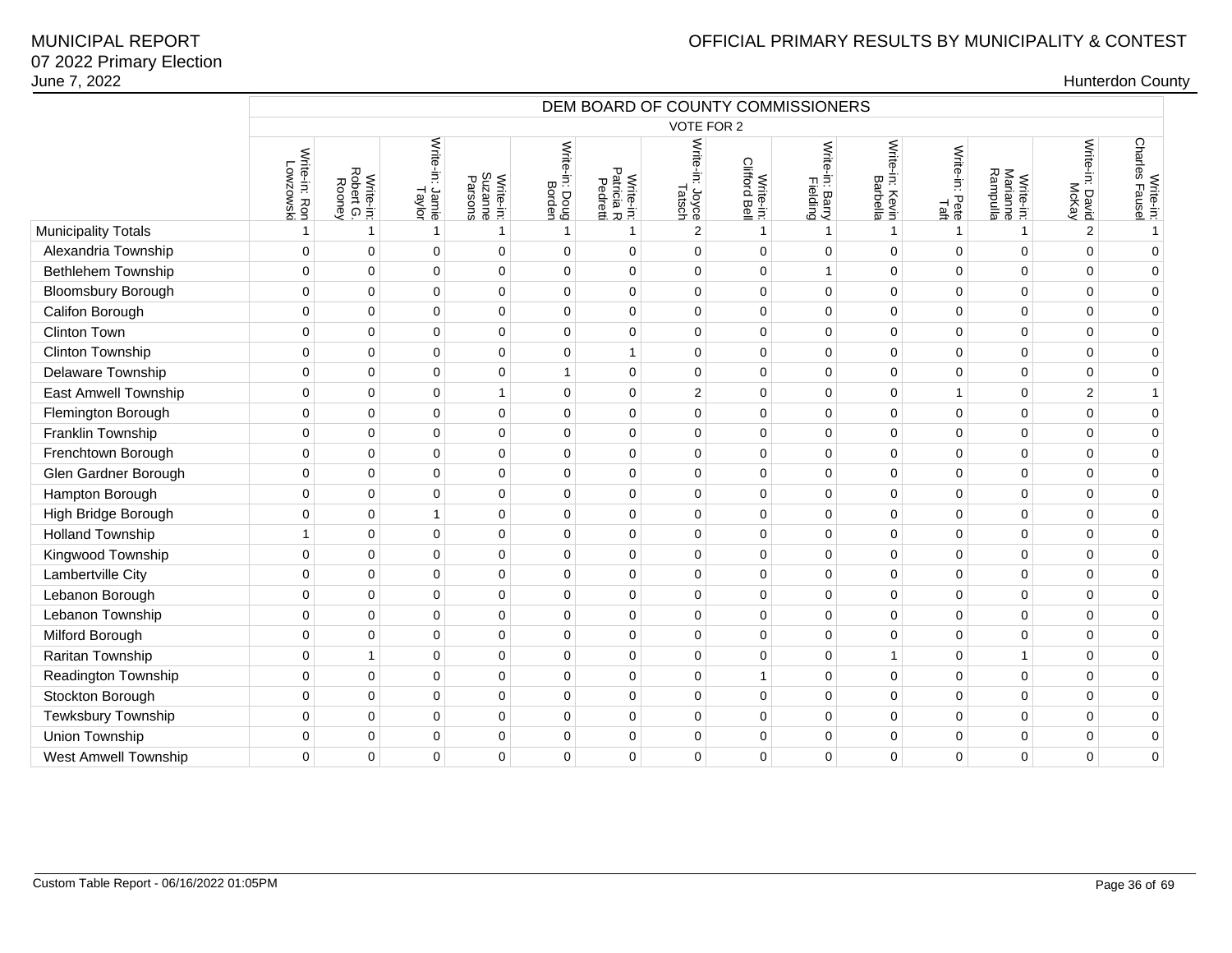|                             | DEM BOARD OF COUNTY COMMISSIONERS |                                  |                           |                      |                          |                                           |                           |                            |                             |                             |                           |                                   |                          |                             |
|-----------------------------|-----------------------------------|----------------------------------|---------------------------|----------------------|--------------------------|-------------------------------------------|---------------------------|----------------------------|-----------------------------|-----------------------------|---------------------------|-----------------------------------|--------------------------|-----------------------------|
|                             |                                   |                                  |                           |                      |                          |                                           | VOTE FOR 2                |                            |                             |                             |                           |                                   |                          |                             |
|                             | Write-in: Ron<br>Lowzowski        | Write-in:<br>Robert G.<br>Rooney | Write-in: Jamie<br>Taylor | Suzanne<br>Write-in: | Write-in: Doug<br>Borden | ᠊ᠣ<br>Write-in:<br>Patricia R<br>Pedretti | Write-in: Joyce<br>Tatsch | Write-in:<br>Clifford Bell | Write-in: Barry<br>Fielding | Write-in: Kevin<br>Barbella | Write-in:<br>Pete<br>Taft | Write-in:<br>Marianne<br>Rampulla | Write-in: David<br>McKay | Write-in:<br>Charles Fausel |
| <b>Municipality Totals</b>  | 1                                 | -1                               | $\mathbf{1}$              | $\mathbf{1}$         | $\mathbf{1}$             | $\mathbf{1}$                              | 2                         | $\mathbf{1}$               | $\mathbf{1}$                | $\mathbf{1}$                | $\mathbf{1}$              | $\mathbf{1}$                      | $\overline{2}$           | $\overline{1}$              |
| Alexandria Township         | $\mathbf 0$                       | $\mathbf 0$                      | $\mathbf 0$               | $\mathbf 0$          | $\Omega$                 | $\Omega$                                  | $\Omega$                  | $\Omega$                   | $\mathbf 0$                 | $\mathbf 0$                 | $\Omega$                  | $\Omega$                          | $\Omega$                 | $\Omega$                    |
| <b>Bethlehem Township</b>   | $\mathbf 0$                       | $\mathbf 0$                      | $\mathbf 0$               | $\mathbf 0$          | 0                        | $\Omega$                                  | $\mathbf 0$               | 0                          | $\mathbf{1}$                | 0                           | $\mathbf 0$               | $\Omega$                          | $\mathbf{0}$             | $\Omega$                    |
| <b>Bloomsbury Borough</b>   | $\pmb{0}$                         | $\mathbf 0$                      | $\pmb{0}$                 | $\mathbf 0$          | 0                        | $\mathbf 0$                               | $\mathbf 0$               | $\mathbf 0$                | 0                           | $\pmb{0}$                   | $\mathbf 0$               | $\Omega$                          | $\Omega$                 | $\mathbf 0$                 |
| Califon Borough             | $\pmb{0}$                         | $\pmb{0}$                        | $\mathbf 0$               | $\mathbf 0$          | 0                        | $\mathbf 0$                               | $\mathbf 0$               | $\pmb{0}$                  | $\mathbf 0$                 | $\pmb{0}$                   | $\mathbf 0$               | $\mathbf 0$                       | $\mathbf{0}$             | $\mathbf 0$                 |
| Clinton Town                | $\mathbf 0$                       | $\mathbf 0$                      | $\mathbf 0$               | $\mathbf 0$          | 0                        | $\Omega$                                  | $\Omega$                  | $\mathbf 0$                | $\mathbf 0$                 | $\mathbf 0$                 | $\Omega$                  | $\Omega$                          | $\Omega$                 | $\Omega$                    |
| Clinton Township            | $\mathbf 0$                       | $\mathbf 0$                      | 0                         | $\mathbf 0$          | 0                        | $\mathbf{1}$                              | $\mathbf 0$               | 0                          | $\mathbf 0$                 | 0                           | $\Omega$                  | $\Omega$                          | $\mathbf{0}$             | $\mathbf 0$                 |
| Delaware Township           | $\pmb{0}$                         | $\pmb{0}$                        | $\pmb{0}$                 | $\mathbf 0$          | 1                        | $\mathbf 0$                               | $\mathbf 0$               | $\mathbf 0$                | 0                           | $\pmb{0}$                   | $\mathbf 0$               | $\mathbf 0$                       | $\mathbf 0$              | $\mathbf 0$                 |
| East Amwell Township        | $\pmb{0}$                         | $\pmb{0}$                        | $\pmb{0}$                 | $\mathbf{1}$         | 0                        | $\mathbf 0$                               | $\sqrt{2}$                | $\pmb{0}$                  | $\pmb{0}$                   | $\pmb{0}$                   | $\mathbf{1}$              | $\mathbf 0$                       | $\overline{c}$           | $\mathbf{1}$                |
| Flemington Borough          | $\mathbf{0}$                      | $\mathbf 0$                      | $\mathbf 0$               | $\mathbf 0$          | $\Omega$                 | $\Omega$                                  | $\Omega$                  | $\mathbf 0$                | $\pmb{0}$                   | $\mathbf 0$                 | $\Omega$                  | $\Omega$                          | $\Omega$                 | $\Omega$                    |
| Franklin Township           | $\mathbf 0$                       | $\mathbf 0$                      | $\mathbf 0$               | 0                    | 0                        | $\Omega$                                  | $\mathbf 0$               | 0                          | $\mathbf 0$                 | 0                           | $\mathbf 0$               | $\Omega$                          | $\mathbf{0}$             | $\mathbf 0$                 |
| Frenchtown Borough          | $\pmb{0}$                         | $\mathbf 0$                      | $\pmb{0}$                 | $\mathbf 0$          | 0                        | $\mathbf 0$                               | $\mathbf 0$               | $\pmb{0}$                  | 0                           | $\pmb{0}$                   | $\mathbf 0$               | $\mathbf 0$                       | $\Omega$                 | $\mathbf 0$                 |
| Glen Gardner Borough        | $\mathbf 0$                       | $\pmb{0}$                        | $\pmb{0}$                 | $\mathbf 0$          | 0                        | $\mathbf 0$                               | $\mathbf 0$               | $\mathbf 0$                | 0                           | $\mathbf 0$                 | $\mathbf 0$               | $\mathbf 0$                       | $\mathbf{0}$             | $\mathbf 0$                 |
| Hampton Borough             | $\mathbf 0$                       | $\mathbf 0$                      | $\pmb{0}$                 | $\mathbf 0$          | $\mathbf 0$              | $\Omega$                                  | $\Omega$                  | $\mathbf 0$                | $\pmb{0}$                   | $\mathbf 0$                 | $\Omega$                  | $\Omega$                          | $\Omega$                 | $\mathbf 0$                 |
| High Bridge Borough         | $\mathbf 0$                       | $\mathbf 0$                      | $\mathbf{1}$              | 0                    | 0                        | $\mathbf 0$                               | $\mathbf 0$               | 0                          | 0                           | 0                           | $\mathbf 0$               | $\mathbf 0$                       | $\mathbf 0$              | $\mathbf 0$                 |
| <b>Holland Township</b>     | $\mathbf{1}$                      | $\mathbf 0$                      | $\pmb{0}$                 | $\mathbf 0$          | 0                        | $\mathbf 0$                               | $\mathbf 0$               | $\mathbf 0$                | 0                           | $\pmb{0}$                   | $\mathbf 0$               | $\mathbf 0$                       | $\mathbf 0$              | $\mathbf 0$                 |
| Kingwood Township           | $\mathbf 0$                       | $\pmb{0}$                        | $\pmb{0}$                 | $\mathbf 0$          | 0                        | $\mathbf 0$                               | $\mathbf 0$               | $\pmb{0}$                  | 0                           | $\pmb{0}$                   | $\mathbf 0$               | $\mathbf 0$                       | $\mathbf{0}$             | $\mathbf 0$                 |
| Lambertville City           | $\mathbf 0$                       | $\mathbf 0$                      | $\mathbf 0$               | $\mathbf 0$          | $\mathbf 0$              | $\Omega$                                  | $\Omega$                  | $\mathbf 0$                | $\mathbf 0$                 | $\mathbf 0$                 | $\Omega$                  | $\Omega$                          | $\Omega$                 | $\mathbf 0$                 |
| Lebanon Borough             | $\mathbf 0$                       | $\mathbf 0$                      | $\mathbf 0$               | $\mathbf 0$          | 0                        | $\Omega$                                  | $\mathbf 0$               | $\mathbf 0$                | $\mathbf 0$                 | 0                           | $\Omega$                  | $\Omega$                          | $\mathbf{0}$             | $\mathbf 0$                 |
| Lebanon Township            | $\mathbf 0$                       | $\pmb{0}$                        | $\pmb{0}$                 | $\pmb{0}$            | 0                        | $\mathbf 0$                               | $\mathbf{0}$              | $\pmb{0}$                  | 0                           | $\pmb{0}$                   | $\overline{0}$            | $\mathbf 0$                       | $\mathbf{0}$             | $\pmb{0}$                   |
| Milford Borough             | $\mathbf 0$                       | $\mathbf 0$                      | $\pmb{0}$                 | $\mathbf 0$          | 0                        | $\mathbf 0$                               | $\mathbf 0$               | $\mathbf 0$                | 0                           | $\pmb{0}$                   | $\mathbf 0$               | $\mathbf 0$                       | $\mathbf{0}$             | $\mathbf 0$                 |
| Raritan Township            | $\mathbf 0$                       | $\mathbf{1}$                     | $\mathbf 0$               | $\mathbf 0$          | 0                        | $\mathbf 0$                               | $\mathbf 0$               | $\mathbf 0$                | $\mathbf 0$                 | $\mathbf{1}$                | $\mathbf 0$               | $\mathbf{1}$                      | $\Omega$                 | $\mathbf 0$                 |
| Readington Township         | $\mathbf 0$                       | $\mathbf 0$                      | $\mathbf 0$               | 0                    | 0                        | $\mathbf 0$                               | $\mathbf 0$               | $\mathbf{1}$               | $\mathbf 0$                 | $\pmb{0}$                   | $\mathbf 0$               | $\mathbf 0$                       | $\mathbf 0$              | $\mathbf 0$                 |
| Stockton Borough            | $\pmb{0}$                         | $\mathbf 0$                      | $\pmb{0}$                 | $\pmb{0}$            | 0                        | $\mathbf 0$                               | $\pmb{0}$                 | $\pmb{0}$                  | 0                           | $\pmb{0}$                   | $\mathbf 0$               | $\mathbf 0$                       | $\mathbf{0}$             | $\pmb{0}$                   |
| Tewksbury Township          | $\mathbf 0$                       | $\mathbf 0$                      | $\pmb{0}$                 | $\mathbf 0$          | 0                        | 0                                         | $\mathbf 0$               | $\mathbf 0$                | $\pmb{0}$                   | $\pmb{0}$                   | $\mathbf 0$               | $\mathbf 0$                       | $\mathbf 0$              | $\mathbf 0$                 |
| Union Township              | $\mathbf 0$                       | $\mathbf 0$                      | $\mathbf 0$               | $\mathbf 0$          | 0                        | $\mathbf 0$                               | $\mathbf 0$               | $\mathbf 0$                | $\mathbf 0$                 | $\pmb{0}$                   | $\mathbf 0$               | $\mathbf 0$                       | $\mathbf 0$              | $\mathbf 0$                 |
| <b>West Amwell Township</b> | $\mathbf 0$                       | $\mathbf 0$                      | $\pmb{0}$                 | $\mathbf 0$          | 0                        | 0                                         | $\mathbf 0$               | $\mathbf 0$                | 0                           | 0                           | $\mathbf 0$               | $\mathbf 0$                       | $\mathbf 0$              | $\mathbf 0$                 |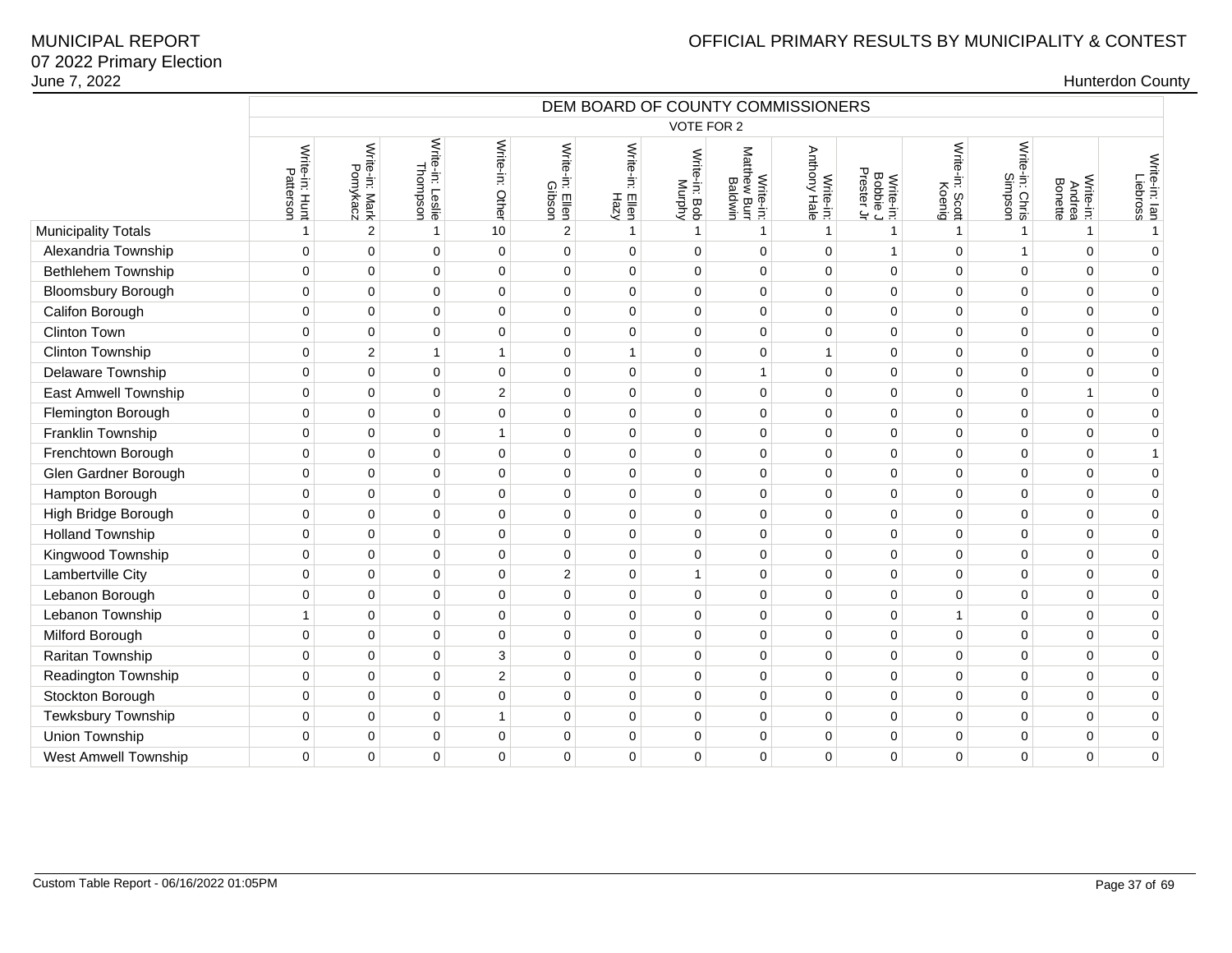|                             | DEM BOARD OF COUNTY COMMISSIONERS<br>VOTE FOR 2 |                            |                              |                  |                           |                            |                         |                                      |                                  |                                     |                           |                            |                                |                           |
|-----------------------------|-------------------------------------------------|----------------------------|------------------------------|------------------|---------------------------|----------------------------|-------------------------|--------------------------------------|----------------------------------|-------------------------------------|---------------------------|----------------------------|--------------------------------|---------------------------|
|                             |                                                 |                            |                              |                  |                           |                            |                         |                                      |                                  |                                     |                           |                            |                                |                           |
|                             | Write-in: Hunt<br>Patterson                     | Write-in: Mark<br>Pomykacz | Write-in: Leslie<br>Thompson | Write-in: Other  | Write-in: Ellen<br>Gibson | Write-in:<br>Eilen<br>Hazy | Write-in: Bob<br>Murphy | Write-in:<br>Matthew Burr<br>Baldwin | <b>Anthony Hale</b><br>Write-in: | Write-in:<br>Bobbie J<br>Prester Jr | Write-in: Scott<br>Koenig | Write-in: Chris<br>Simpson | Write-in:<br>Andrea<br>Bonette | Write-in: lan<br>Liebross |
| Municipality Totals         |                                                 | $\overline{2}$             | $\mathbf{1}$                 | 10               | $\overline{2}$            | $\mathbf{1}$               | $\mathbf{1}$            | 1                                    | $\mathbf{1}$                     | $\mathbf{1}$                        | $\mathbf{1}$              | 1                          | $\mathbf{1}$                   | $\mathbf{1}$              |
| Alexandria Township         | $\mathbf 0$                                     | $\mathbf 0$                | $\mathbf 0$                  | $\mathbf 0$      | 0                         | $\Omega$                   | $\mathbf 0$             | $\mathbf 0$                          | $\mathbf 0$                      | $\mathbf{1}$                        | $\mathbf 0$               | 1                          | $\Omega$                       | $\mathbf 0$               |
| Bethlehem Township          | $\mathbf 0$                                     | $\mathbf 0$                | $\pmb{0}$                    | $\mathbf 0$      | 0                         | $\mathbf 0$                | $\mathbf 0$             | $\mathbf 0$                          | $\mathbf 0$                      | $\mathbf 0$                         | $\mathbf 0$               | 0                          | $\Omega$                       | $\mathbf 0$               |
| <b>Bloomsbury Borough</b>   | $\mathbf 0$                                     | $\mathbf 0$                | 0                            | $\mathbf 0$      | 0                         | $\Omega$                   | $\mathbf 0$             | $\mathbf 0$                          | $\mathbf 0$                      | $\mathbf 0$                         | $\mathbf 0$               | $\Omega$                   | $\Omega$                       | $\pmb{0}$                 |
| Califon Borough             | $\mathbf 0$                                     | $\mathbf 0$                | 0                            | $\pmb{0}$        | 0                         | $\mathbf 0$                | $\mathbf 0$             | $\mathbf 0$                          | $\pmb{0}$                        | 0                                   | 0                         | 0                          | $\mathbf 0$                    | $\mathbf 0$               |
| Clinton Town                | $\mathbf 0$                                     | $\mathbf 0$                | 0                            | 0                | 0                         | $\mathbf 0$                | $\mathbf 0$             | $\mathbf 0$                          | $\mathbf 0$                      | $\mathbf 0$                         | 0                         | 0                          | $\Omega$                       | $\mathbf 0$               |
| Clinton Township            | $\mathbf 0$                                     | $\overline{c}$             | $\mathbf{1}$                 | $\mathbf 1$      | 0                         | 1                          | $\mathbf 0$             | $\mathbf 0$                          | $\mathbf{1}$                     | 0                                   | $\mathbf 0$               | 0                          | $\Omega$                       | $\mathbf 0$               |
| Delaware Township           | $\mathbf 0$                                     | $\mathbf 0$                | 0                            | $\mathbf 0$      | 0                         | $\mathbf 0$                | $\mathbf 0$             | $\mathbf{1}$                         | $\mathbf 0$                      | 0                                   | 0                         | $\Omega$                   | $\Omega$                       | $\pmb{0}$                 |
| East Amwell Township        | $\mathbf 0$                                     | $\mathbf 0$                | 0                            | $\boldsymbol{2}$ | 0                         | 0                          | $\mathbf 0$             | $\mathbf 0$                          | $\mathbf 0$                      | 0                                   | $\mathbf 0$               | 0                          | 1                              | $\mathbf 0$               |
| Flemington Borough          | $\mathbf 0$                                     | $\mathbf 0$                | $\pmb{0}$                    | 0                | 0                         | 0                          | $\mathbf 0$             | $\mathsf 0$                          | $\mathbf 0$                      | $\pmb{0}$                           | 0                         | 0                          | $\mathbf 0$                    | $\pmb{0}$                 |
| Franklin Township           | $\mathbf 0$                                     | $\mathbf 0$                | 0                            | $\mathbf 1$      | 0                         | $\Omega$                   | $\mathbf 0$             | $\mathbf 0$                          | $\mathbf 0$                      | 0                                   | $\mathbf 0$               | $\Omega$                   | $\Omega$                       | $\mathbf 0$               |
| Frenchtown Borough          | $\pmb{0}$                                       | $\mathbf 0$                | 0                            | $\pmb{0}$        | 0                         | $\overline{0}$             | $\mathbf 0$             | $\pmb{0}$                            | $\pmb{0}$                        | 0                                   | $\mathbf 0$               | 0                          | $\mathbf 0$                    | $\mathbf{1}$              |
| Glen Gardner Borough        | $\mathbf 0$                                     | $\mathbf 0$                | 0                            | $\mathbf 0$      | 0                         | $\Omega$                   | $\mathbf 0$             | $\mathbf 0$                          | $\mathbf 0$                      | 0                                   | $\mathbf 0$               | 0                          | $\Omega$                       | $\mathbf 0$               |
| Hampton Borough             | $\mathbf 0$                                     | $\pmb{0}$                  | $\pmb{0}$                    | $\pmb{0}$        | 0                         | $\mathbf 0$                | $\mathbf 0$             | $\mathbf 0$                          | $\mathsf 0$                      | $\pmb{0}$                           | $\mathbf 0$               | 0                          | $\mathbf 0$                    | $\pmb{0}$                 |
| High Bridge Borough         | $\mathbf 0$                                     | $\mathbf 0$                | 0                            | $\mathbf 0$      | 0                         | $\mathbf 0$                | $\mathbf 0$             | $\mathbf 0$                          | $\mathbf 0$                      | 0                                   | $\mathbf 0$               | 0                          | $\Omega$                       | $\pmb{0}$                 |
| <b>Holland Township</b>     | $\mathbf 0$                                     | $\mathbf 0$                | 0                            | $\pmb{0}$        | 0                         | 0                          | $\mathbf 0$             | $\mathsf 0$                          | $\mathbf 0$                      | 0                                   | 0                         | 0                          | $\Omega$                       | $\pmb{0}$                 |
| Kingwood Township           | $\mathbf 0$                                     | $\mathbf 0$                | $\mathbf 0$                  | $\mathbf 0$      | 0                         | $\Omega$                   | $\mathbf 0$             | $\mathbf 0$                          | $\mathbf 0$                      | $\mathbf 0$                         | $\Omega$                  | $\Omega$                   | $\Omega$                       | $\mathbf 0$               |
| Lambertville City           | $\mathbf 0$                                     | $\mathbf 0$                | $\mathbf 0$                  | $\mathbf 0$      | $\overline{2}$            | $\Omega$                   | $\mathbf{1}$            | $\mathbf 0$                          | $\mathbf 0$                      | $\mathbf 0$                         | $\mathbf 0$               | $\Omega$                   | $\Omega$                       | $\mathbf 0$               |
| Lebanon Borough             | $\mathbf 0$                                     | $\mathbf 0$                | 0                            | 0                | 0                         | $\mathbf 0$                | $\mathbf 0$             | $\mathbf 0$                          | $\mathbf 0$                      | 0                                   | $\mathbf 0$               | 0                          | $\mathbf 0$                    | $\pmb{0}$                 |
| Lebanon Township            | $\mathbf{1}$                                    | $\mathbf 0$                | 0                            | $\mathbf 0$      | 0                         | $\mathbf 0$                | $\overline{0}$          | $\mathbf 0$                          | $\pmb{0}$                        | 0                                   | 1                         | 0                          | $\Omega$                       | $\pmb{0}$                 |
| Milford Borough             | $\mathbf 0$                                     | $\mathbf 0$                | $\mathbf 0$                  | $\pmb{0}$        | 0                         | $\mathbf 0$                | $\mathbf 0$             | $\mathbf 0$                          | $\mathbf 0$                      | $\mathbf 0$                         | $\mathbf 0$               | 0                          | $\mathbf 0$                    | $\pmb{0}$                 |
| Raritan Township            | $\mathbf 0$                                     | $\mathbf 0$                | $\mathbf 0$                  | 3                | 0                         | $\Omega$                   | $\mathbf 0$             | $\mathbf 0$                          | $\mathbf 0$                      | $\mathbf 0$                         | $\Omega$                  | $\Omega$                   | $\Omega$                       | $\mathbf 0$               |
| Readington Township         | $\mathbf 0$                                     | $\mathbf 0$                | 0                            | $\overline{2}$   | 0                         | $\mathbf 0$                | $\mathbf 0$             | $\mathbf 0$                          | $\mathbf 0$                      | 0                                   | $\mathbf 0$               | 0                          | $\mathbf 0$                    | $\pmb{0}$                 |
| Stockton Borough            | $\mathbf 0$                                     | $\mathbf 0$                | 0                            | $\mathbf 0$      | 0                         | $\mathbf 0$                | $\mathbf 0$             | $\mathbf 0$                          | $\mathbf 0$                      | 0                                   | $\mathbf 0$               | 0                          | $\Omega$                       | $\pmb{0}$                 |
| Tewksbury Township          | $\mathbf 0$                                     | $\mathbf 0$                | 0                            | $\mathbf{1}$     | 0                         | $\mathbf 0$                | $\mathbf 0$             | $\mathbf 0$                          | $\mathbf 0$                      | 0                                   | $\mathbf 0$               | 0                          | $\Omega$                       | $\mathbf 0$               |
| Union Township              | $\mathbf 0$                                     | $\mathbf 0$                | 0                            | $\mathbf 0$      | $\mathbf 0$               | $\Omega$                   | $\mathbf 0$             | $\mathbf 0$                          | $\mathbf 0$                      | 0                                   | $\Omega$                  | 0                          | $\Omega$                       | $\pmb{0}$                 |
| <b>West Amwell Township</b> | $\Omega$                                        | $\mathbf 0$                | 0                            | $\mathbf 0$      | 0                         | $\Omega$                   | $\mathbf 0$             | $\mathbf 0$                          | $\mathbf 0$                      | 0                                   | $\mathbf 0$               | 0                          | $\Omega$                       | $\mathbf 0$               |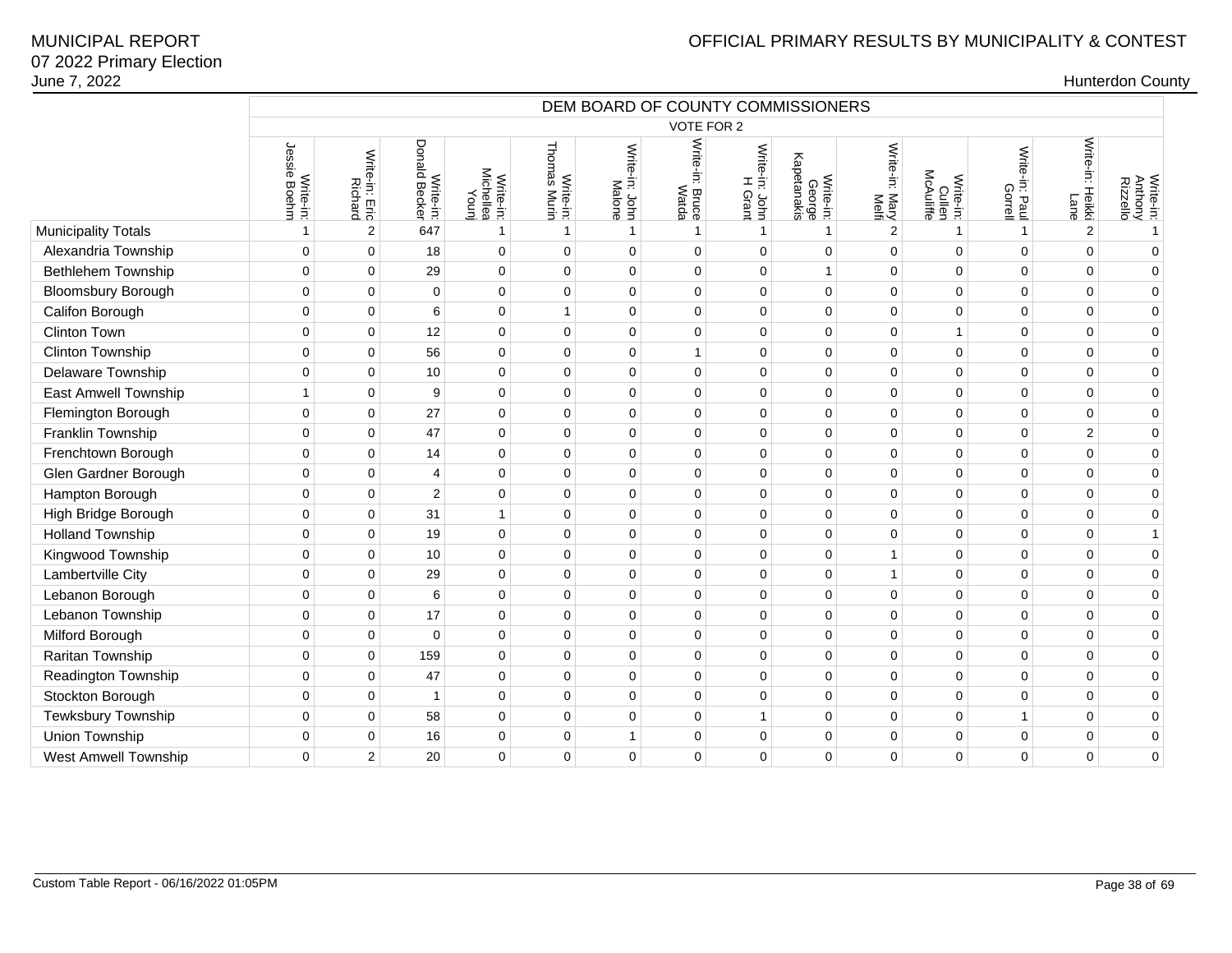|                             | DEM BOARD OF COUNTY COMMISSIONERS |                                  |                            |                                 |                                  |                          |                          |                           |                                    |                         |                                  |                           |                                    |                                  |
|-----------------------------|-----------------------------------|----------------------------------|----------------------------|---------------------------------|----------------------------------|--------------------------|--------------------------|---------------------------|------------------------------------|-------------------------|----------------------------------|---------------------------|------------------------------------|----------------------------------|
|                             |                                   |                                  |                            |                                 |                                  |                          | VOTE FOR 2               |                           |                                    |                         |                                  |                           |                                    |                                  |
|                             | Jessie<br>Write-in:<br>ie Boehm   | Write-in: Eric<br><b>Richard</b> | Write-in:<br>Donald Becker | Write-in:<br>Michellea<br>Younj | <b>Thomas Murin</b><br>Write-in: | Write-in: John<br>Malone | Write-in: Bruce<br>Watda | Write-in: John<br>H Grant | Write-in:<br>George<br>Kapetanakis | Write-in: Mary<br>Melfi | Write-in:<br>Cullen<br>McAuliffe | Write-in: Paul<br>Gorrell | Write-in:<br>Heikki<br><b>Lane</b> | Write-in:<br>Anthony<br>Rizzello |
| <b>Municipality Totals</b>  | -1                                | $\overline{2}$                   | 647                        | $\overline{1}$                  | $\mathbf{1}$                     | $\mathbf{1}$             | $\mathbf{1}$             | $\mathbf{1}$              | $\mathbf{1}$                       | 2                       | $\overline{\mathbf{1}}$          | $\mathbf{1}$              | $\overline{2}$                     | $\mathbf{1}$                     |
| Alexandria Township         | $\Omega$                          | $\mathbf 0$                      | 18                         | $\mathbf 0$                     | $\mathbf 0$                      | $\Omega$                 | $\Omega$                 | $\Omega$                  | $\mathbf 0$                        | $\mathbf 0$             | $\mathbf 0$                      | $\mathbf 0$               | $\Omega$                           | $\Omega$                         |
| <b>Bethlehem Township</b>   | $\mathbf 0$                       | $\mathbf 0$                      | 29                         | $\mathbf 0$                     | $\mathbf 0$                      | $\mathbf 0$              | 0                        | $\mathbf 0$               | $\mathbf{1}$                       | $\mathbf 0$             | $\mathbf 0$                      | $\mathbf 0$               | $\Omega$                           | $\mathbf 0$                      |
| <b>Bloomsbury Borough</b>   | $\pmb{0}$                         | $\pmb{0}$                        | $\pmb{0}$                  | $\pmb{0}$                       | $\pmb{0}$                        | 0                        | $\overline{0}$           | $\pmb{0}$                 | $\pmb{0}$                          | $\pmb{0}$               | $\mathsf 0$                      | $\mathbf 0$               | 0                                  | $\overline{0}$                   |
| Califon Borough             | $\mathbf 0$                       | $\pmb{0}$                        | 6                          | $\mathbf 0$                     | $\mathbf{1}$                     | $\Omega$                 | $\mathbf 0$              | $\mathbf 0$               | $\pmb{0}$                          | $\mathbf 0$             | $\mathbf 0$                      | $\mathbf 0$               | $\Omega$                           | $\mathbf 0$                      |
| Clinton Town                | $\mathbf 0$                       | $\pmb{0}$                        | 12                         | $\mathbf 0$                     | $\mathbf 0$                      | $\mathbf 0$              | $\mathbf 0$              | $\mathbf 0$               | $\mathbf 0$                        | $\mathbf 0$             | $\overline{1}$                   | $\mathbf 0$               | 0                                  | $\mathbf 0$                      |
| Clinton Township            | $\mathbf 0$                       | $\pmb{0}$                        | 56                         | $\mathbf 0$                     | $\mathbf 0$                      | $\mathbf 0$              | $\mathbf{1}$             | $\mathbf 0$               | $\pmb{0}$                          | $\mathbf 0$             | $\mathbf 0$                      | $\mathbf 0$               | $\mathbf 0$                        | $\mathbf 0$                      |
| Delaware Township           | $\mathbf 0$                       | $\pmb{0}$                        | 10                         | $\mathbf 0$                     | $\mathbf 0$                      | 0                        | $\mathbf 0$              | $\mathbf 0$               | $\pmb{0}$                          | $\mathbf{0}$            | $\mathbf 0$                      | $\mathbf 0$               | 0                                  | $\overline{0}$                   |
| East Amwell Township        | $\mathbf{1}$                      | $\mathbf 0$                      | 9                          | $\mathbf 0$                     | $\mathbf 0$                      | $\mathbf 0$              | $\mathbf 0$              | $\mathbf 0$               | $\mathbf 0$                        | $\mathbf 0$             | $\mathbf 0$                      | $\mathbf 0$               | $\mathbf 0$                        | $\mathbf 0$                      |
| Flemington Borough          | $\mathbf 0$                       | $\mathbf 0$                      | 27                         | $\mathbf 0$                     | $\mathbf 0$                      | $\mathbf 0$              | $\mathbf 0$              | $\mathbf 0$               | $\mathbf 0$                        | $\mathbf 0$             | $\mathbf 0$                      | $\mathbf 0$               | 0                                  | $\mathbf 0$                      |
| Franklin Township           | $\mathbf 0$                       | $\mathbf 0$                      | 47                         | $\mathbf 0$                     | $\mathbf 0$                      | $\mathbf 0$              | $\mathbf 0$              | $\mathbf 0$               | $\pmb{0}$                          | $\mathbf 0$             | $\mathbf 0$                      | $\mathbf 0$               | $\overline{2}$                     | $\mathbf 0$                      |
| Frenchtown Borough          | $\mathbf 0$                       | $\pmb{0}$                        | 14                         | $\mathbf 0$                     | $\mathbf 0$                      | 0                        | $\mathbf 0$              | $\mathbf 0$               | $\pmb{0}$                          | $\mathbf 0$             | $\mathbf 0$                      | $\mathbf 0$               | $\Omega$                           | $\overline{0}$                   |
| Glen Gardner Borough        | $\mathbf 0$                       | $\mathbf 0$                      | 4                          | $\mathbf 0$                     | $\mathbf 0$                      | $\mathbf 0$              | $\mathbf 0$              | $\mathbf 0$               | $\mathbf 0$                        | $\mathbf 0$             | $\mathbf 0$                      | $\mathbf 0$               | 0                                  | $\mathbf 0$                      |
| Hampton Borough             | $\mathbf 0$                       | $\pmb{0}$                        | $\overline{2}$             | $\mathbf 0$                     | $\mathbf 0$                      | $\mathbf 0$              | $\mathbf 0$              | $\mathbf 0$               | $\pmb{0}$                          | $\mathbf 0$             | $\mathbf 0$                      | $\mathbf 0$               | $\mathbf 0$                        | $\mathbf 0$                      |
| High Bridge Borough         | $\mathbf 0$                       | $\pmb{0}$                        | 31                         | $\overline{1}$                  | $\mathbf 0$                      | $\Omega$                 | $\mathbf 0$              | $\mathbf 0$               | $\mathbf 0$                        | $\mathbf 0$             | $\mathbf 0$                      | $\mathbf 0$               | $\Omega$                           | $\mathbf 0$                      |
| <b>Holland Township</b>     | $\mathbf 0$                       | $\mathbf 0$                      | 19                         | $\mathbf 0$                     | $\mathbf 0$                      | $\mathbf 0$              | $\mathbf 0$              | $\mathbf 0$               | $\mathbf 0$                        | $\mathbf 0$             | $\mathbf 0$                      | $\mathbf 0$               | $\Omega$                           | $\mathbf{1}$                     |
| Kingwood Township           | $\mathbf 0$                       | $\mathbf 0$                      | 10                         | $\mathbf 0$                     | $\mathbf 0$                      | $\mathbf 0$              | $\mathbf 0$              | $\mathbf 0$               | $\mathbf 0$                        | $\mathbf{1}$            | $\mathbf 0$                      | $\mathbf 0$               | 0                                  | $\mathbf 0$                      |
| Lambertville City           | $\mathbf 0$                       | $\pmb{0}$                        | 29                         | $\mathbf 0$                     | $\mathbf 0$                      | $\mathbf 0$              | $\mathbf 0$              | $\mathbf 0$               | $\pmb{0}$                          | $\mathbf{1}$            | $\mathbf 0$                      | $\mathbf 0$               | 0                                  | $\mathbf 0$                      |
| Lebanon Borough             | $\mathbf 0$                       | $\mathbf 0$                      | 6                          | $\mathbf 0$                     | $\mathbf 0$                      | $\Omega$                 | $\Omega$                 | $\mathbf 0$               | $\mathbf 0$                        | $\mathbf 0$             | $\mathbf 0$                      | $\Omega$                  | $\Omega$                           | $\mathbf 0$                      |
| Lebanon Township            | $\mathbf 0$                       | $\mathbf 0$                      | 17                         | $\mathbf 0$                     | $\mathbf 0$                      | 0                        | $\mathbf 0$              | $\mathbf 0$               | $\mathbf 0$                        | $\mathbf 0$             | $\mathbf 0$                      | $\mathbf 0$               | $\Omega$                           | $\mathbf 0$                      |
| Milford Borough             | $\mathbf 0$                       | $\mathbf 0$                      | $\pmb{0}$                  | $\mathbf 0$                     | $\pmb{0}$                        | $\mathbf 0$              | $\pmb{0}$                | $\pmb{0}$                 | $\pmb{0}$                          | $\pmb{0}$               | $\mathbf 0$                      | $\pmb{0}$                 | $\mathbf 0$                        | $\mathbf 0$                      |
| Raritan Township            | $\Omega$                          | $\mathbf 0$                      | 159                        | $\mathbf 0$                     | $\mathbf 0$                      | $\Omega$                 | $\Omega$                 | $\mathbf 0$               | $\pmb{0}$                          | $\mathbf 0$             | $\Omega$                         | $\mathbf 0$               | 0                                  | $\mathbf 0$                      |
| Readington Township         | $\mathbf 0$                       | $\mathbf 0$                      | 47                         | $\mathbf 0$                     | $\mathbf 0$                      | $\mathbf 0$              | $\mathbf 0$              | $\mathbf 0$               | $\mathbf 0$                        | $\mathbf 0$             | $\mathbf 0$                      | $\mathbf 0$               | $\mathbf 0$                        | $\mathbf 0$                      |
| Stockton Borough            | $\mathbf 0$                       | $\mathbf 0$                      | $\mathbf{1}$               | $\mathbf 0$                     | $\mathbf 0$                      | $\mathbf 0$              | $\mathbf 0$              | $\mathbf 0$               | $\mathbf 0$                        | $\mathbf 0$             | $\mathbf 0$                      | $\mathbf 0$               | 0                                  | $\mathbf 0$                      |
| Tewksbury Township          | $\mathbf 0$                       | $\pmb{0}$                        | 58                         | $\mathbf 0$                     | $\pmb{0}$                        | $\mathbf 0$              | $\mathbf 0$              | $\mathbf{1}$              | $\pmb{0}$                          | $\pmb{0}$               | $\mathbf 0$                      | 1                         | 0                                  | $\mathbf 0$                      |
| Union Township              | $\mathbf 0$                       | $\mathbf 0$                      | 16                         | $\mathbf 0$                     | $\mathbf 0$                      | 1                        | $\mathbf 0$              | $\mathbf 0$               | $\mathbf 0$                        | $\mathbf 0$             | $\mathbf 0$                      | $\mathbf 0$               | 0                                  | $\mathbf 0$                      |
| <b>West Amwell Township</b> | $\Omega$                          | $\overline{2}$                   | 20                         | $\mathbf 0$                     | $\mathbf 0$                      | $\mathbf 0$              | $\mathbf 0$              | $\mathbf 0$               | $\mathbf 0$                        | $\mathbf 0$             | 0                                | $\mathbf 0$               | 0                                  | $\mathbf 0$                      |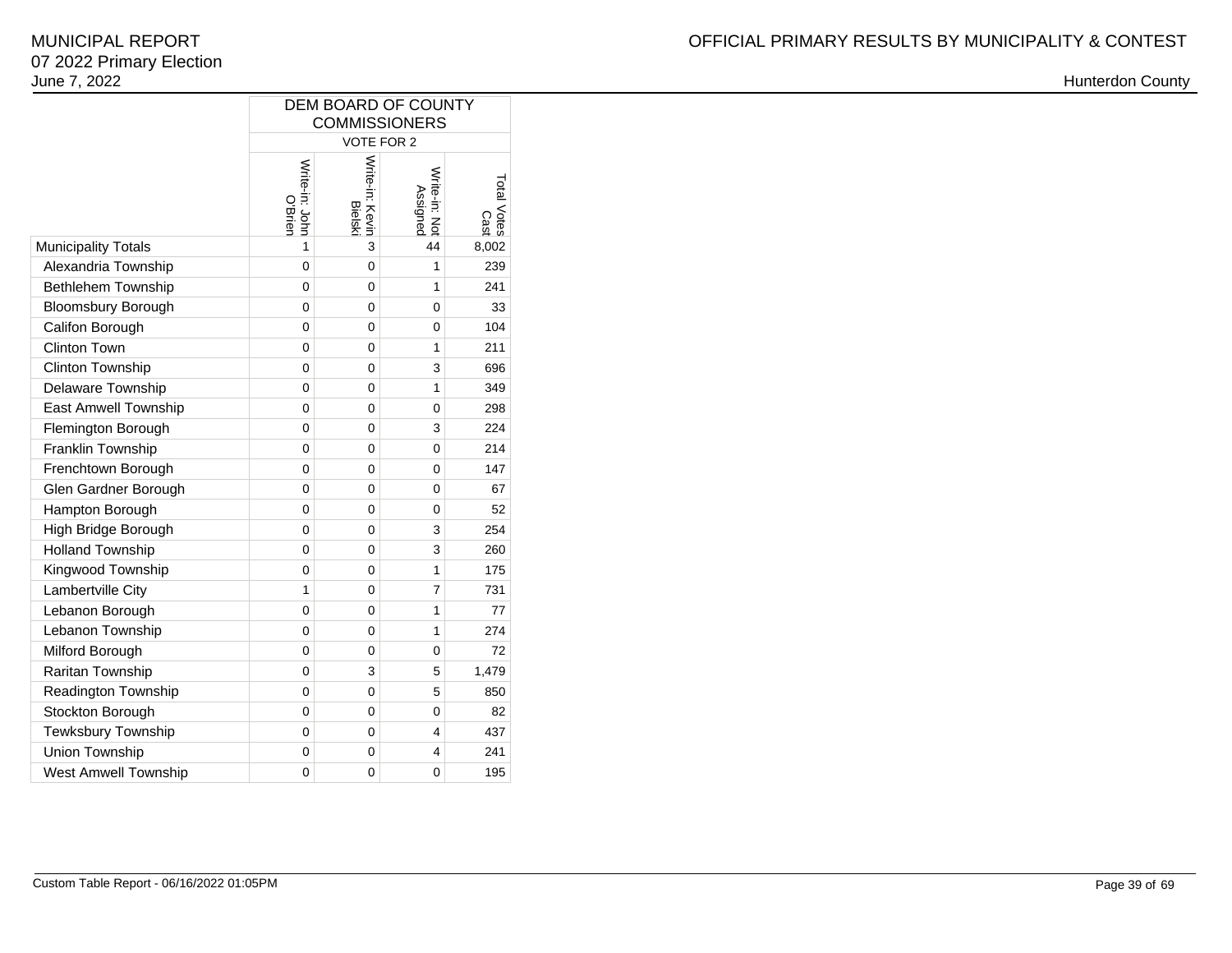|                             | DEM BOARD OF COUNTY<br><b>COMMISSIONERS</b>                                                                         |   |              |       |  |  |  |  |  |  |  |  |  |  |
|-----------------------------|---------------------------------------------------------------------------------------------------------------------|---|--------------|-------|--|--|--|--|--|--|--|--|--|--|
|                             | VOTE FOR 2<br>Total Votes                                                                                           |   |              |       |  |  |  |  |  |  |  |  |  |  |
|                             | Write-in: Kevin<br>Write-in: John<br>O'Brien<br>Write-in: Not<br>Assigned<br><b>Bielski</b><br>Cast<br>44<br>1<br>3 |   |              |       |  |  |  |  |  |  |  |  |  |  |
| <b>Municipality Totals</b>  |                                                                                                                     |   |              | 8,002 |  |  |  |  |  |  |  |  |  |  |
| Alexandria Township         | $\mathbf 0$                                                                                                         | 0 | 1            | 239   |  |  |  |  |  |  |  |  |  |  |
| Bethlehem Township          | 0                                                                                                                   | 0 | $\mathbf{1}$ | 241   |  |  |  |  |  |  |  |  |  |  |
| <b>Bloomsbury Borough</b>   | $\overline{0}$                                                                                                      | 0 | 0            | 33    |  |  |  |  |  |  |  |  |  |  |
| Califon Borough             | 0                                                                                                                   | 0 | 0            | 104   |  |  |  |  |  |  |  |  |  |  |
| <b>Clinton Town</b>         | 0                                                                                                                   | 0 | 1            | 211   |  |  |  |  |  |  |  |  |  |  |
| Clinton Township            | 0                                                                                                                   | 0 | 3            | 696   |  |  |  |  |  |  |  |  |  |  |
| Delaware Township           | 0                                                                                                                   | 0 | 1            | 349   |  |  |  |  |  |  |  |  |  |  |
| <b>East Amwell Township</b> | 0                                                                                                                   | 0 | 0            | 298   |  |  |  |  |  |  |  |  |  |  |
| Flemington Borough          | 0                                                                                                                   | 0 | 3            | 224   |  |  |  |  |  |  |  |  |  |  |
| Franklin Township           | 0                                                                                                                   | 0 | 0            | 214   |  |  |  |  |  |  |  |  |  |  |
| Frenchtown Borough          | 0                                                                                                                   | 0 | 0            | 147   |  |  |  |  |  |  |  |  |  |  |
| Glen Gardner Borough        | 0                                                                                                                   | 0 | 0            | 67    |  |  |  |  |  |  |  |  |  |  |
| Hampton Borough             | 0                                                                                                                   | 0 | 0            | 52    |  |  |  |  |  |  |  |  |  |  |
| High Bridge Borough         | 0                                                                                                                   | 0 | 3            | 254   |  |  |  |  |  |  |  |  |  |  |
| <b>Holland Township</b>     | 0                                                                                                                   | 0 | 3            | 260   |  |  |  |  |  |  |  |  |  |  |
| Kingwood Township           | 0                                                                                                                   | 0 | 1            | 175   |  |  |  |  |  |  |  |  |  |  |
| Lambertville City           | 1                                                                                                                   | 0 | 7            | 731   |  |  |  |  |  |  |  |  |  |  |
| Lebanon Borough             | 0                                                                                                                   | 0 | 1            | 77    |  |  |  |  |  |  |  |  |  |  |
| Lebanon Township            | 0                                                                                                                   | 0 | 1            | 274   |  |  |  |  |  |  |  |  |  |  |
| Milford Borough             | 0                                                                                                                   | 0 | 0            | 72    |  |  |  |  |  |  |  |  |  |  |
| Raritan Township            | 0                                                                                                                   | 3 | 5            | 1,479 |  |  |  |  |  |  |  |  |  |  |
| Readington Township         | 0                                                                                                                   | 0 | 5            | 850   |  |  |  |  |  |  |  |  |  |  |
| Stockton Borough            | 0                                                                                                                   | 0 | 0            | 82    |  |  |  |  |  |  |  |  |  |  |
| Tewksbury Township          | 0                                                                                                                   | 0 | 4            | 437   |  |  |  |  |  |  |  |  |  |  |
| Union Township              | 0                                                                                                                   | 0 | 4            | 241   |  |  |  |  |  |  |  |  |  |  |
| <b>West Amwell Township</b> | 0                                                                                                                   | 0 | 0            | 195   |  |  |  |  |  |  |  |  |  |  |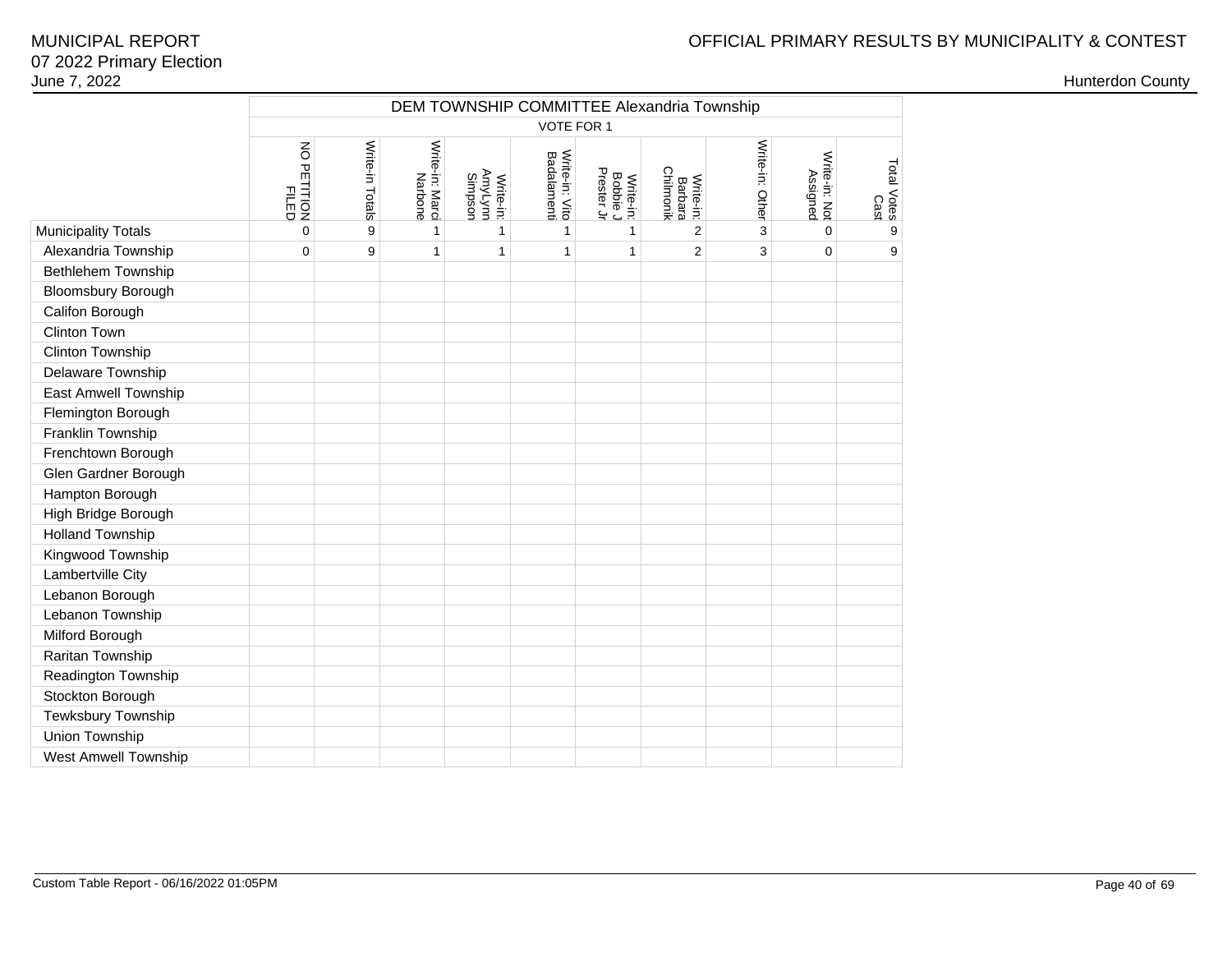|                             |                      | DEM TOWNSHIP COMMITTEE Alexandria Township<br>VOTE FOR 1 |                            |                                 |                                      |                                     |                                   |                 |                           |                     |  |  |  |  |
|-----------------------------|----------------------|----------------------------------------------------------|----------------------------|---------------------------------|--------------------------------------|-------------------------------------|-----------------------------------|-----------------|---------------------------|---------------------|--|--|--|--|
|                             |                      |                                                          |                            |                                 |                                      |                                     |                                   |                 |                           |                     |  |  |  |  |
|                             | NO PETITION<br>FILED | Write-in Totals                                          | Write-in: Marci<br>Narbone | AmyLynn<br>Simpson<br>Write-in: | Write-in: Vito<br><b>Badalamenti</b> | Prester Jr<br>Write-in:<br>Bobbie J | Chilmonik<br>Write-in:<br>Barbara | Write-in: Other | Write-in: Not<br>Assigned | Total Votes<br>Cast |  |  |  |  |
| <b>Municipality Totals</b>  | $\mathbf 0$          | 9                                                        | $\mathbf{1}$               | 1                               | 1                                    | 1                                   | 2                                 | 3               | $\mathbf 0$               | 9                   |  |  |  |  |
| Alexandria Township         | $\pmb{0}$            | 9                                                        | $\mathbf{1}$               | $\mathbf{1}$                    | $\mathbf{1}$                         | 1                                   | $\overline{c}$                    | 3               | $\mathbf 0$               | 9                   |  |  |  |  |
| Bethlehem Township          |                      |                                                          |                            |                                 |                                      |                                     |                                   |                 |                           |                     |  |  |  |  |
| <b>Bloomsbury Borough</b>   |                      |                                                          |                            |                                 |                                      |                                     |                                   |                 |                           |                     |  |  |  |  |
| Califon Borough             |                      |                                                          |                            |                                 |                                      |                                     |                                   |                 |                           |                     |  |  |  |  |
| <b>Clinton Town</b>         |                      |                                                          |                            |                                 |                                      |                                     |                                   |                 |                           |                     |  |  |  |  |
| Clinton Township            |                      |                                                          |                            |                                 |                                      |                                     |                                   |                 |                           |                     |  |  |  |  |
| Delaware Township           |                      |                                                          |                            |                                 |                                      |                                     |                                   |                 |                           |                     |  |  |  |  |
| <b>East Amwell Township</b> |                      |                                                          |                            |                                 |                                      |                                     |                                   |                 |                           |                     |  |  |  |  |
| Flemington Borough          |                      |                                                          |                            |                                 |                                      |                                     |                                   |                 |                           |                     |  |  |  |  |
| Franklin Township           |                      |                                                          |                            |                                 |                                      |                                     |                                   |                 |                           |                     |  |  |  |  |
| Frenchtown Borough          |                      |                                                          |                            |                                 |                                      |                                     |                                   |                 |                           |                     |  |  |  |  |
| Glen Gardner Borough        |                      |                                                          |                            |                                 |                                      |                                     |                                   |                 |                           |                     |  |  |  |  |
| Hampton Borough             |                      |                                                          |                            |                                 |                                      |                                     |                                   |                 |                           |                     |  |  |  |  |
| High Bridge Borough         |                      |                                                          |                            |                                 |                                      |                                     |                                   |                 |                           |                     |  |  |  |  |
| <b>Holland Township</b>     |                      |                                                          |                            |                                 |                                      |                                     |                                   |                 |                           |                     |  |  |  |  |
| Kingwood Township           |                      |                                                          |                            |                                 |                                      |                                     |                                   |                 |                           |                     |  |  |  |  |
| Lambertville City           |                      |                                                          |                            |                                 |                                      |                                     |                                   |                 |                           |                     |  |  |  |  |
| Lebanon Borough             |                      |                                                          |                            |                                 |                                      |                                     |                                   |                 |                           |                     |  |  |  |  |
| Lebanon Township            |                      |                                                          |                            |                                 |                                      |                                     |                                   |                 |                           |                     |  |  |  |  |
| Milford Borough             |                      |                                                          |                            |                                 |                                      |                                     |                                   |                 |                           |                     |  |  |  |  |
| Raritan Township            |                      |                                                          |                            |                                 |                                      |                                     |                                   |                 |                           |                     |  |  |  |  |
| Readington Township         |                      |                                                          |                            |                                 |                                      |                                     |                                   |                 |                           |                     |  |  |  |  |
| Stockton Borough            |                      |                                                          |                            |                                 |                                      |                                     |                                   |                 |                           |                     |  |  |  |  |
| Tewksbury Township          |                      |                                                          |                            |                                 |                                      |                                     |                                   |                 |                           |                     |  |  |  |  |
| Union Township              |                      |                                                          |                            |                                 |                                      |                                     |                                   |                 |                           |                     |  |  |  |  |
| <b>West Amwell Township</b> |                      |                                                          |                            |                                 |                                      |                                     |                                   |                 |                           |                     |  |  |  |  |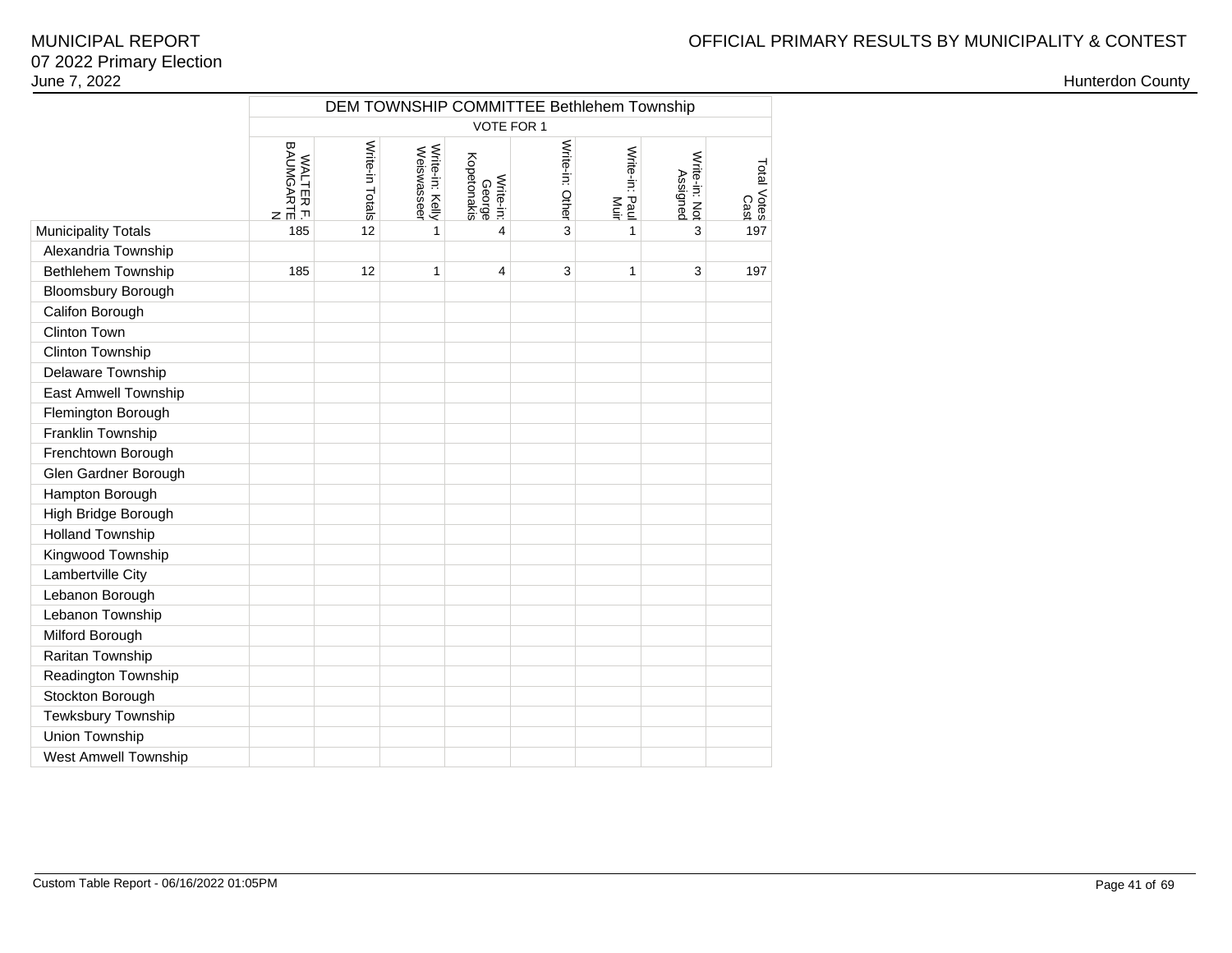|                             | DEM TOWNSHIP COMMITTEE Bethlehem Township<br>VOTE FOR 1 |                 |                                |                                    |                 |                        |                           |                     |  |  |  |  |  |  |
|-----------------------------|---------------------------------------------------------|-----------------|--------------------------------|------------------------------------|-----------------|------------------------|---------------------------|---------------------|--|--|--|--|--|--|
|                             |                                                         |                 |                                |                                    |                 |                        |                           |                     |  |  |  |  |  |  |
|                             | WALTER F.<br>BAUMGARTE<br>BAUMGARTE                     | Write-in Totals | Write-in: Kelly<br>Weiswasseer | Kopetonakis<br>Write-in:<br>George | Write-in: Other | Write-in: Paul<br>Muir | Write-in: Not<br>Assigned | Total Votes<br>Cast |  |  |  |  |  |  |
| <b>Municipality Totals</b>  | 185                                                     | 12              | 1                              | $\overline{\mathbf{4}}$            | 3               | 1                      | 3                         | 197                 |  |  |  |  |  |  |
| Alexandria Township         |                                                         |                 |                                |                                    |                 |                        |                           |                     |  |  |  |  |  |  |
| Bethlehem Township          | 185                                                     | 12              | 1                              | 4                                  | 3               | 1                      | 3                         | 197                 |  |  |  |  |  |  |
| <b>Bloomsbury Borough</b>   |                                                         |                 |                                |                                    |                 |                        |                           |                     |  |  |  |  |  |  |
| Califon Borough             |                                                         |                 |                                |                                    |                 |                        |                           |                     |  |  |  |  |  |  |
| Clinton Town                |                                                         |                 |                                |                                    |                 |                        |                           |                     |  |  |  |  |  |  |
| Clinton Township            |                                                         |                 |                                |                                    |                 |                        |                           |                     |  |  |  |  |  |  |
| Delaware Township           |                                                         |                 |                                |                                    |                 |                        |                           |                     |  |  |  |  |  |  |
| East Amwell Township        |                                                         |                 |                                |                                    |                 |                        |                           |                     |  |  |  |  |  |  |
| Flemington Borough          |                                                         |                 |                                |                                    |                 |                        |                           |                     |  |  |  |  |  |  |
| Franklin Township           |                                                         |                 |                                |                                    |                 |                        |                           |                     |  |  |  |  |  |  |
| Frenchtown Borough          |                                                         |                 |                                |                                    |                 |                        |                           |                     |  |  |  |  |  |  |
| Glen Gardner Borough        |                                                         |                 |                                |                                    |                 |                        |                           |                     |  |  |  |  |  |  |
| Hampton Borough             |                                                         |                 |                                |                                    |                 |                        |                           |                     |  |  |  |  |  |  |
| High Bridge Borough         |                                                         |                 |                                |                                    |                 |                        |                           |                     |  |  |  |  |  |  |
| <b>Holland Township</b>     |                                                         |                 |                                |                                    |                 |                        |                           |                     |  |  |  |  |  |  |
| Kingwood Township           |                                                         |                 |                                |                                    |                 |                        |                           |                     |  |  |  |  |  |  |
| Lambertville City           |                                                         |                 |                                |                                    |                 |                        |                           |                     |  |  |  |  |  |  |
| Lebanon Borough             |                                                         |                 |                                |                                    |                 |                        |                           |                     |  |  |  |  |  |  |
| Lebanon Township            |                                                         |                 |                                |                                    |                 |                        |                           |                     |  |  |  |  |  |  |
| Milford Borough             |                                                         |                 |                                |                                    |                 |                        |                           |                     |  |  |  |  |  |  |
| Raritan Township            |                                                         |                 |                                |                                    |                 |                        |                           |                     |  |  |  |  |  |  |
| Readington Township         |                                                         |                 |                                |                                    |                 |                        |                           |                     |  |  |  |  |  |  |
| Stockton Borough            |                                                         |                 |                                |                                    |                 |                        |                           |                     |  |  |  |  |  |  |
| Tewksbury Township          |                                                         |                 |                                |                                    |                 |                        |                           |                     |  |  |  |  |  |  |
| Union Township              |                                                         |                 |                                |                                    |                 |                        |                           |                     |  |  |  |  |  |  |
| <b>West Amwell Township</b> |                                                         |                 |                                |                                    |                 |                        |                           |                     |  |  |  |  |  |  |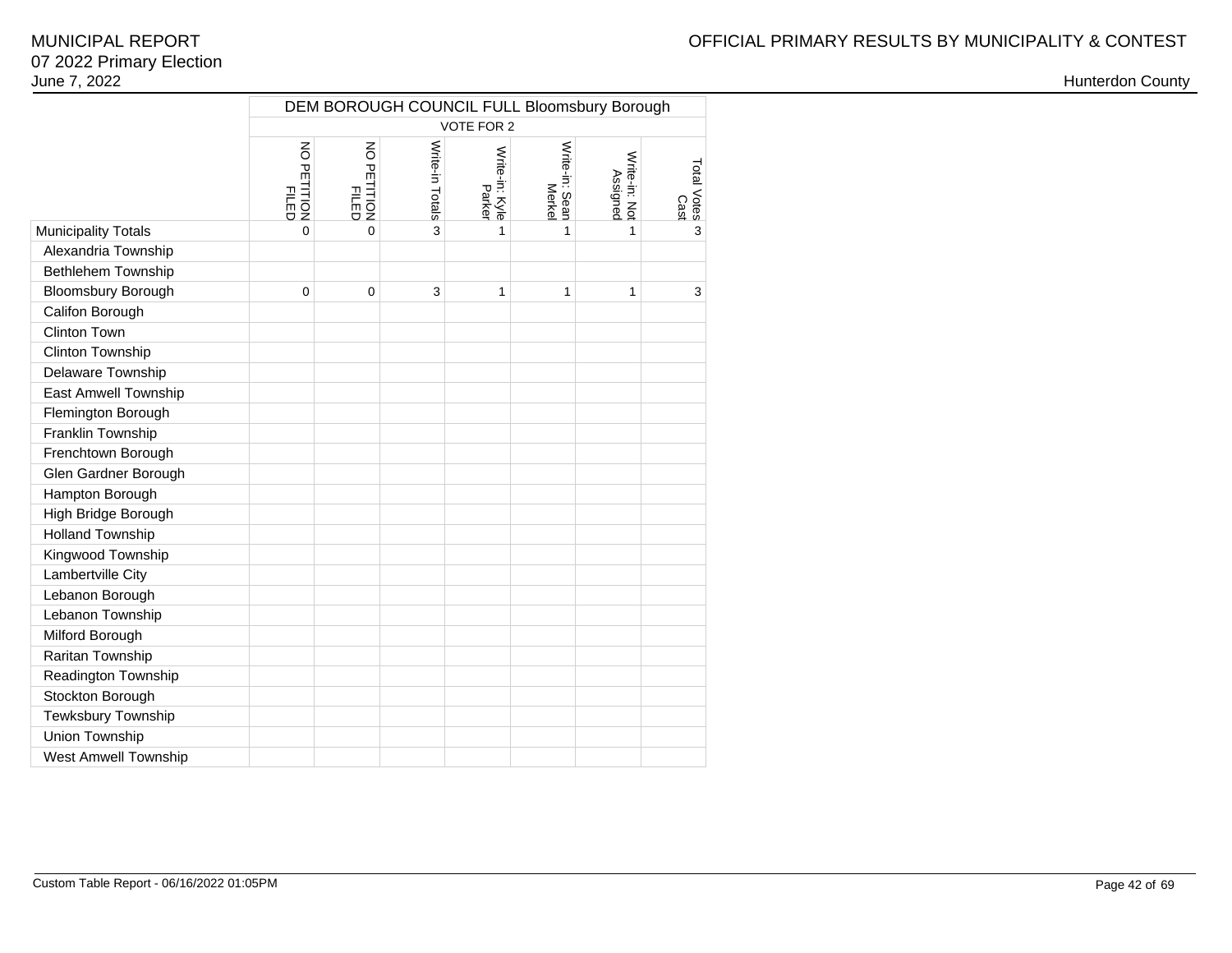|                             | DEM BOROUGH COUNCIL FULL Bloomsbury Borough<br><b>VOTE FOR 2</b> |                                             |                 |                          |                          |                           |                     |  |  |  |  |  |  |  |
|-----------------------------|------------------------------------------------------------------|---------------------------------------------|-----------------|--------------------------|--------------------------|---------------------------|---------------------|--|--|--|--|--|--|--|
|                             |                                                                  |                                             |                 |                          |                          |                           |                     |  |  |  |  |  |  |  |
|                             | $\overline{6}$<br>) PETITION<br>) PILED<br>HLED                  | $\overline{6}$<br><b>FILIDON</b><br>PFILIPO | Write-in Totals | Write-in: Kyle<br>Parker | Write-in: Sean<br>Merkel | Write-in: Not<br>Assigned | Total Votes<br>Cast |  |  |  |  |  |  |  |
| <b>Municipality Totals</b>  | $\Omega$                                                         | $\Omega$                                    | 3               | 1                        | 1                        | 1                         | 3                   |  |  |  |  |  |  |  |
| Alexandria Township         |                                                                  |                                             |                 |                          |                          |                           |                     |  |  |  |  |  |  |  |
| <b>Bethlehem Township</b>   |                                                                  |                                             |                 |                          |                          |                           |                     |  |  |  |  |  |  |  |
| Bloomsbury Borough          | 0                                                                | $\Omega$                                    | 3               | 1                        | 1                        | 1                         | 3                   |  |  |  |  |  |  |  |
| Califon Borough             |                                                                  |                                             |                 |                          |                          |                           |                     |  |  |  |  |  |  |  |
| <b>Clinton Town</b>         |                                                                  |                                             |                 |                          |                          |                           |                     |  |  |  |  |  |  |  |
| Clinton Township            |                                                                  |                                             |                 |                          |                          |                           |                     |  |  |  |  |  |  |  |
| Delaware Township           |                                                                  |                                             |                 |                          |                          |                           |                     |  |  |  |  |  |  |  |
| <b>East Amwell Township</b> |                                                                  |                                             |                 |                          |                          |                           |                     |  |  |  |  |  |  |  |
| Flemington Borough          |                                                                  |                                             |                 |                          |                          |                           |                     |  |  |  |  |  |  |  |
| Franklin Township           |                                                                  |                                             |                 |                          |                          |                           |                     |  |  |  |  |  |  |  |
| Frenchtown Borough          |                                                                  |                                             |                 |                          |                          |                           |                     |  |  |  |  |  |  |  |
| Glen Gardner Borough        |                                                                  |                                             |                 |                          |                          |                           |                     |  |  |  |  |  |  |  |
| Hampton Borough             |                                                                  |                                             |                 |                          |                          |                           |                     |  |  |  |  |  |  |  |
| High Bridge Borough         |                                                                  |                                             |                 |                          |                          |                           |                     |  |  |  |  |  |  |  |
| <b>Holland Township</b>     |                                                                  |                                             |                 |                          |                          |                           |                     |  |  |  |  |  |  |  |
| Kingwood Township           |                                                                  |                                             |                 |                          |                          |                           |                     |  |  |  |  |  |  |  |
| Lambertville City           |                                                                  |                                             |                 |                          |                          |                           |                     |  |  |  |  |  |  |  |
| Lebanon Borough             |                                                                  |                                             |                 |                          |                          |                           |                     |  |  |  |  |  |  |  |
| Lebanon Township            |                                                                  |                                             |                 |                          |                          |                           |                     |  |  |  |  |  |  |  |
| Milford Borough             |                                                                  |                                             |                 |                          |                          |                           |                     |  |  |  |  |  |  |  |
| Raritan Township            |                                                                  |                                             |                 |                          |                          |                           |                     |  |  |  |  |  |  |  |
| Readington Township         |                                                                  |                                             |                 |                          |                          |                           |                     |  |  |  |  |  |  |  |
| Stockton Borough            |                                                                  |                                             |                 |                          |                          |                           |                     |  |  |  |  |  |  |  |
| Tewksbury Township          |                                                                  |                                             |                 |                          |                          |                           |                     |  |  |  |  |  |  |  |
| Union Township              |                                                                  |                                             |                 |                          |                          |                           |                     |  |  |  |  |  |  |  |
| <b>West Amwell Township</b> |                                                                  |                                             |                 |                          |                          |                           |                     |  |  |  |  |  |  |  |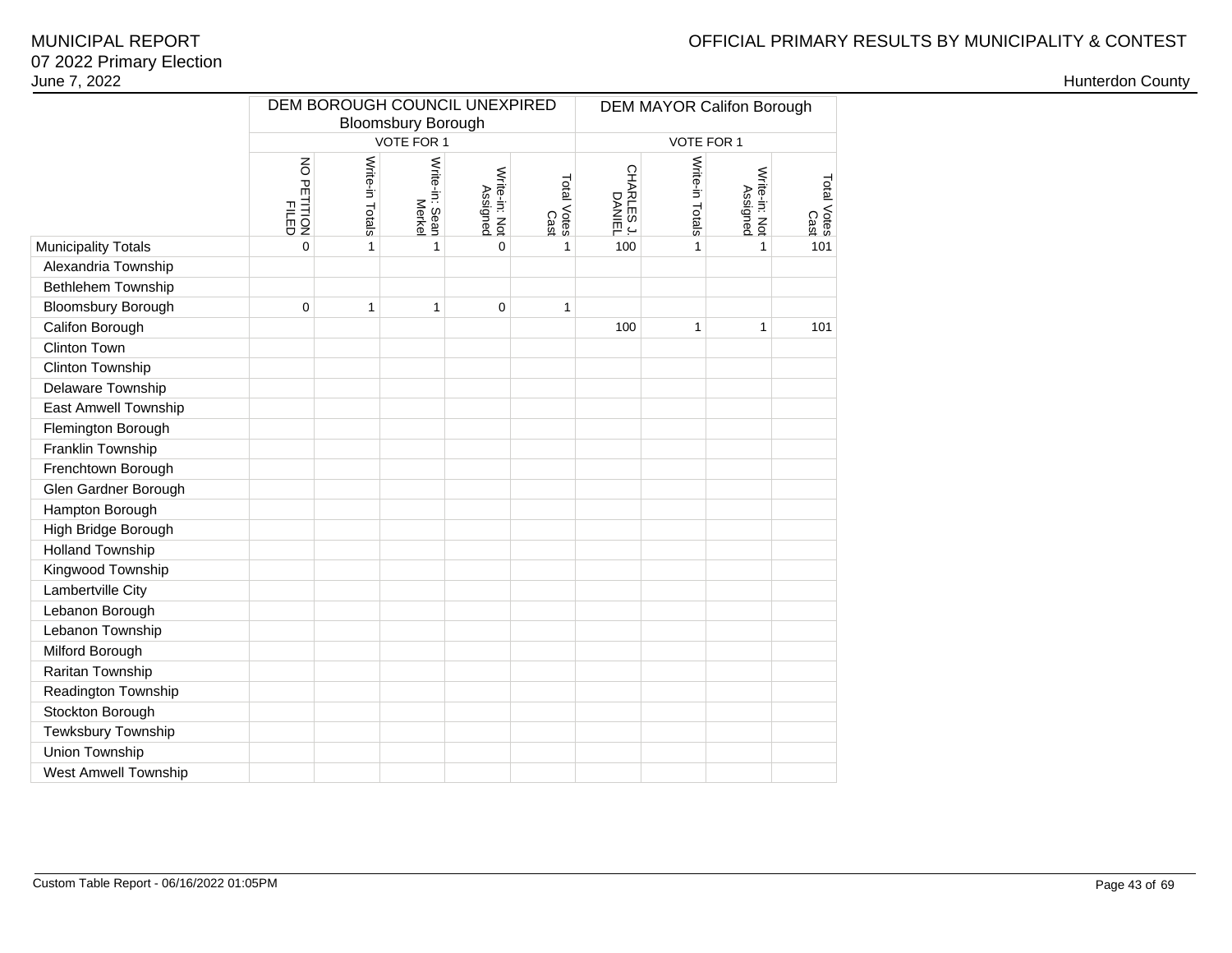## OFFICIAL PRIMARY RESULTS BY MUNICIPALITY & CONTEST

|                            |                      |                 |                           | DEM BOROUGH COUNCIL UNEXPIRED |                     | <b>DEM MAYOR Califon Borough</b> |                 |                           |                     |  |  |  |
|----------------------------|----------------------|-----------------|---------------------------|-------------------------------|---------------------|----------------------------------|-----------------|---------------------------|---------------------|--|--|--|
|                            |                      |                 | <b>Bloomsbury Borough</b> |                               |                     |                                  |                 |                           |                     |  |  |  |
|                            |                      |                 | VOTE FOR 1                |                               |                     |                                  | VOTE FOR 1      |                           |                     |  |  |  |
|                            | NO PETITION<br>FILED | Write-in Totals | Write-in: Sean<br>Merkel  | Write-in: Not<br>Assigned     | Total Votes<br>Cast | CHARLES J.<br>DANIEL             | Write-in Totals | Write-in: Not<br>Assigned | Total Votes<br>Cast |  |  |  |
| <b>Municipality Totals</b> | $\overline{0}$       | 1               | $\mathbf{1}$              | 0                             | $\mathbf{1}$        | 100                              | 1               | $\mathbf{1}$              | 101                 |  |  |  |
| Alexandria Township        |                      |                 |                           |                               |                     |                                  |                 |                           |                     |  |  |  |
| Bethlehem Township         |                      |                 |                           |                               |                     |                                  |                 |                           |                     |  |  |  |
| <b>Bloomsbury Borough</b>  | $\mathbf 0$          | 1               | 1                         | 0                             | 1                   |                                  |                 |                           |                     |  |  |  |
| Califon Borough            |                      |                 |                           |                               |                     | 100                              | 1               | 1                         | 101                 |  |  |  |
| <b>Clinton Town</b>        |                      |                 |                           |                               |                     |                                  |                 |                           |                     |  |  |  |
| Clinton Township           |                      |                 |                           |                               |                     |                                  |                 |                           |                     |  |  |  |
| Delaware Township          |                      |                 |                           |                               |                     |                                  |                 |                           |                     |  |  |  |
| East Amwell Township       |                      |                 |                           |                               |                     |                                  |                 |                           |                     |  |  |  |
| Flemington Borough         |                      |                 |                           |                               |                     |                                  |                 |                           |                     |  |  |  |
| Franklin Township          |                      |                 |                           |                               |                     |                                  |                 |                           |                     |  |  |  |
| Frenchtown Borough         |                      |                 |                           |                               |                     |                                  |                 |                           |                     |  |  |  |
| Glen Gardner Borough       |                      |                 |                           |                               |                     |                                  |                 |                           |                     |  |  |  |
| Hampton Borough            |                      |                 |                           |                               |                     |                                  |                 |                           |                     |  |  |  |
| High Bridge Borough        |                      |                 |                           |                               |                     |                                  |                 |                           |                     |  |  |  |
| <b>Holland Township</b>    |                      |                 |                           |                               |                     |                                  |                 |                           |                     |  |  |  |
| Kingwood Township          |                      |                 |                           |                               |                     |                                  |                 |                           |                     |  |  |  |
| Lambertville City          |                      |                 |                           |                               |                     |                                  |                 |                           |                     |  |  |  |
| Lebanon Borough            |                      |                 |                           |                               |                     |                                  |                 |                           |                     |  |  |  |
| Lebanon Township           |                      |                 |                           |                               |                     |                                  |                 |                           |                     |  |  |  |
| Milford Borough            |                      |                 |                           |                               |                     |                                  |                 |                           |                     |  |  |  |
| Raritan Township           |                      |                 |                           |                               |                     |                                  |                 |                           |                     |  |  |  |
| Readington Township        |                      |                 |                           |                               |                     |                                  |                 |                           |                     |  |  |  |
| Stockton Borough           |                      |                 |                           |                               |                     |                                  |                 |                           |                     |  |  |  |
| Tewksbury Township         |                      |                 |                           |                               |                     |                                  |                 |                           |                     |  |  |  |
| Union Township             |                      |                 |                           |                               |                     |                                  |                 |                           |                     |  |  |  |
| West Amwell Township       |                      |                 |                           |                               |                     |                                  |                 |                           |                     |  |  |  |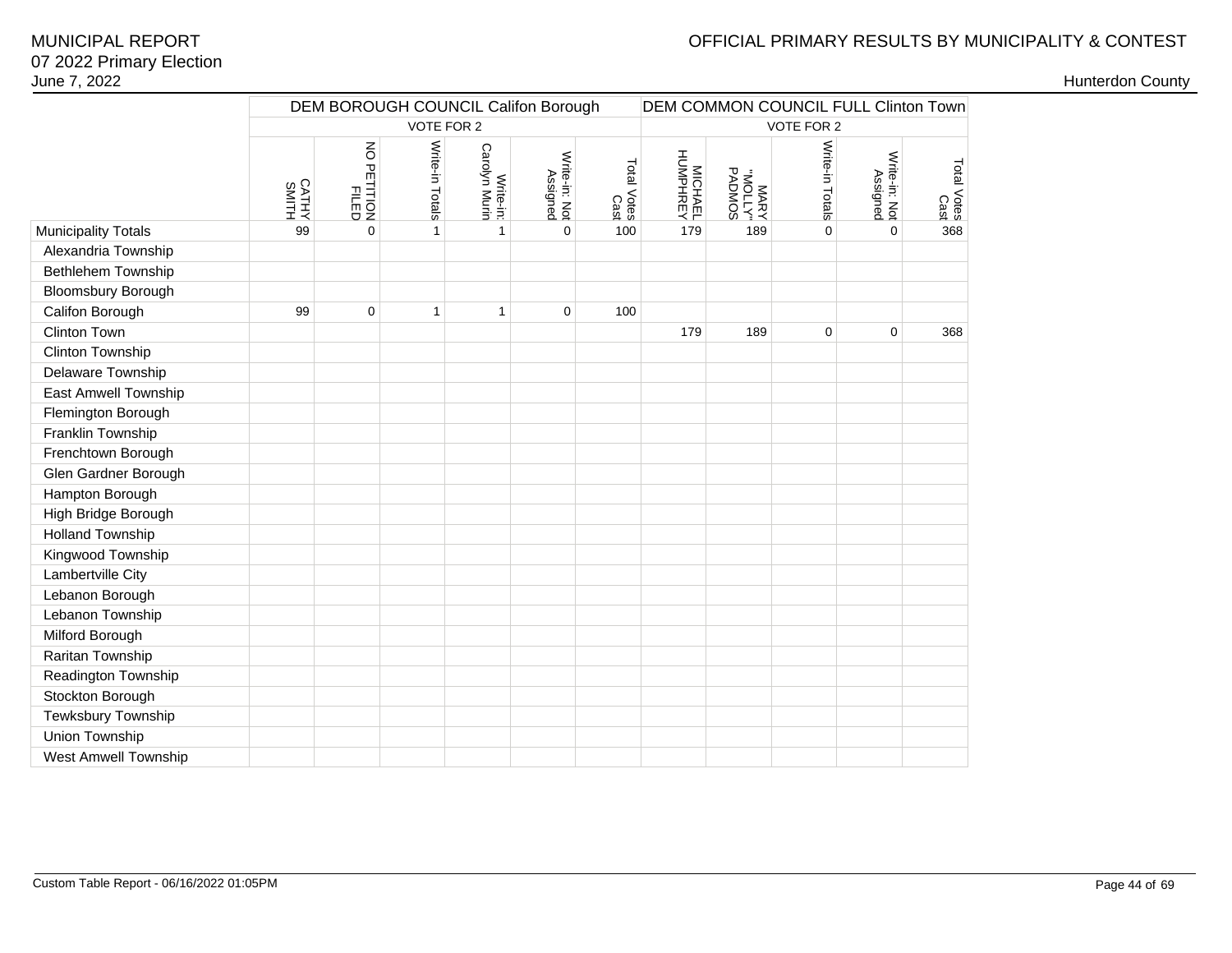# OFFICIAL PRIMARY RESULTS BY MUNICIPALITY & CONTEST

|                            |                | DEM BOROUGH COUNCIL Califon Borough |                 |                            |                           | <b>DEM COMMON COUNCIL FULL Clinton Town</b> |                     |                           |                 |                           |                     |
|----------------------------|----------------|-------------------------------------|-----------------|----------------------------|---------------------------|---------------------------------------------|---------------------|---------------------------|-----------------|---------------------------|---------------------|
|                            |                |                                     | VOTE FOR 2      |                            |                           |                                             |                     |                           | VOTE FOR 2      |                           |                     |
|                            | CATHY<br>SMITH | NO PETITION<br><b>FILED</b>         | Write-in Totals | Carolyn Murin<br>Write-in: | Write-in: Not<br>Assigned | Total Votes<br>Cast                         | MICHAEL<br>HUMPHREY | MARY<br>"YJJOM"<br>PADMOS | Write-in Totals | Write-in: Not<br>Assigned | Total Votes<br>Cast |
| <b>Municipality Totals</b> | 99             | $\mathbf 0$                         | $\mathbf{1}$    | $\mathbf{1}$               | $\mathbf 0$               | 100                                         | 179                 | 189                       | $\mathbf 0$     | $\mathbf 0$               | 368                 |
| Alexandria Township        |                |                                     |                 |                            |                           |                                             |                     |                           |                 |                           |                     |
| Bethlehem Township         |                |                                     |                 |                            |                           |                                             |                     |                           |                 |                           |                     |
| <b>Bloomsbury Borough</b>  |                |                                     |                 |                            |                           |                                             |                     |                           |                 |                           |                     |
| Califon Borough            | 99             | 0                                   | $\mathbf{1}$    | 1                          | $\mathbf 0$               | 100                                         |                     |                           |                 |                           |                     |
| Clinton Town               |                |                                     |                 |                            |                           |                                             | 179                 | 189                       | $\mathbf 0$     | 0                         | 368                 |
| Clinton Township           |                |                                     |                 |                            |                           |                                             |                     |                           |                 |                           |                     |
| Delaware Township          |                |                                     |                 |                            |                           |                                             |                     |                           |                 |                           |                     |
| East Amwell Township       |                |                                     |                 |                            |                           |                                             |                     |                           |                 |                           |                     |
| Flemington Borough         |                |                                     |                 |                            |                           |                                             |                     |                           |                 |                           |                     |
| Franklin Township          |                |                                     |                 |                            |                           |                                             |                     |                           |                 |                           |                     |
| Frenchtown Borough         |                |                                     |                 |                            |                           |                                             |                     |                           |                 |                           |                     |
| Glen Gardner Borough       |                |                                     |                 |                            |                           |                                             |                     |                           |                 |                           |                     |
| Hampton Borough            |                |                                     |                 |                            |                           |                                             |                     |                           |                 |                           |                     |
| High Bridge Borough        |                |                                     |                 |                            |                           |                                             |                     |                           |                 |                           |                     |
| <b>Holland Township</b>    |                |                                     |                 |                            |                           |                                             |                     |                           |                 |                           |                     |
| Kingwood Township          |                |                                     |                 |                            |                           |                                             |                     |                           |                 |                           |                     |
| Lambertville City          |                |                                     |                 |                            |                           |                                             |                     |                           |                 |                           |                     |
| Lebanon Borough            |                |                                     |                 |                            |                           |                                             |                     |                           |                 |                           |                     |
| Lebanon Township           |                |                                     |                 |                            |                           |                                             |                     |                           |                 |                           |                     |
| Milford Borough            |                |                                     |                 |                            |                           |                                             |                     |                           |                 |                           |                     |
| Raritan Township           |                |                                     |                 |                            |                           |                                             |                     |                           |                 |                           |                     |
| Readington Township        |                |                                     |                 |                            |                           |                                             |                     |                           |                 |                           |                     |
| Stockton Borough           |                |                                     |                 |                            |                           |                                             |                     |                           |                 |                           |                     |
| Tewksbury Township         |                |                                     |                 |                            |                           |                                             |                     |                           |                 |                           |                     |
| Union Township             |                |                                     |                 |                            |                           |                                             |                     |                           |                 |                           |                     |
| West Amwell Township       |                |                                     |                 |                            |                           |                                             |                     |                           |                 |                           |                     |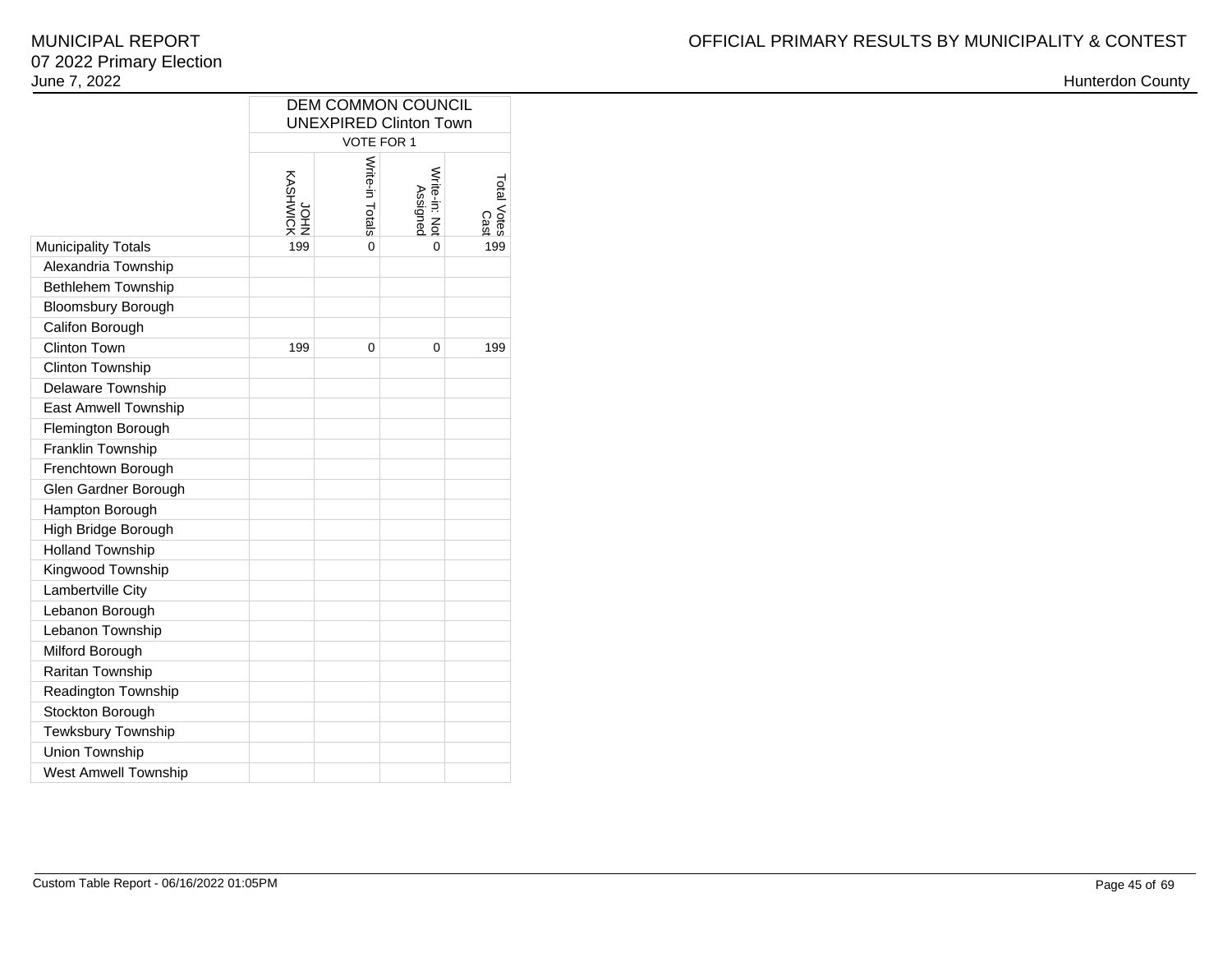|                             | <b>DEM COMMON COUNCIL</b><br><b>UNEXPIRED Clinton Town</b> |                 |                           |                     |  |  |  |  |  |  |  |  |  |
|-----------------------------|------------------------------------------------------------|-----------------|---------------------------|---------------------|--|--|--|--|--|--|--|--|--|
|                             | VOTE FOR 1                                                 |                 |                           |                     |  |  |  |  |  |  |  |  |  |
|                             | <b>XOIMHSVX</b><br>NHOL                                    | Write-in Totals | Write-in: Not<br>Assigned | Total Votes<br>Cast |  |  |  |  |  |  |  |  |  |
| Municipality Totals         | 199                                                        | 0               | 0                         | 199                 |  |  |  |  |  |  |  |  |  |
| Alexandria Township         |                                                            |                 |                           |                     |  |  |  |  |  |  |  |  |  |
| <b>Bethlehem Township</b>   |                                                            |                 |                           |                     |  |  |  |  |  |  |  |  |  |
| Bloomsbury Borough          |                                                            |                 |                           |                     |  |  |  |  |  |  |  |  |  |
| Califon Borough             |                                                            |                 |                           |                     |  |  |  |  |  |  |  |  |  |
| <b>Clinton Town</b>         | 199                                                        | $\Omega$        | 0                         | 199                 |  |  |  |  |  |  |  |  |  |
| Clinton Township            |                                                            |                 |                           |                     |  |  |  |  |  |  |  |  |  |
| Delaware Township           |                                                            |                 |                           |                     |  |  |  |  |  |  |  |  |  |
| <b>East Amwell Township</b> |                                                            |                 |                           |                     |  |  |  |  |  |  |  |  |  |
| Flemington Borough          |                                                            |                 |                           |                     |  |  |  |  |  |  |  |  |  |
| Franklin Township           |                                                            |                 |                           |                     |  |  |  |  |  |  |  |  |  |
| Frenchtown Borough          |                                                            |                 |                           |                     |  |  |  |  |  |  |  |  |  |
| Glen Gardner Borough        |                                                            |                 |                           |                     |  |  |  |  |  |  |  |  |  |
| Hampton Borough             |                                                            |                 |                           |                     |  |  |  |  |  |  |  |  |  |
| High Bridge Borough         |                                                            |                 |                           |                     |  |  |  |  |  |  |  |  |  |
| <b>Holland Township</b>     |                                                            |                 |                           |                     |  |  |  |  |  |  |  |  |  |
| Kingwood Township           |                                                            |                 |                           |                     |  |  |  |  |  |  |  |  |  |
| Lambertville City           |                                                            |                 |                           |                     |  |  |  |  |  |  |  |  |  |
| Lebanon Borough             |                                                            |                 |                           |                     |  |  |  |  |  |  |  |  |  |
| Lebanon Township            |                                                            |                 |                           |                     |  |  |  |  |  |  |  |  |  |
| Milford Borough             |                                                            |                 |                           |                     |  |  |  |  |  |  |  |  |  |
| Raritan Township            |                                                            |                 |                           |                     |  |  |  |  |  |  |  |  |  |
| Readington Township         |                                                            |                 |                           |                     |  |  |  |  |  |  |  |  |  |
| Stockton Borough            |                                                            |                 |                           |                     |  |  |  |  |  |  |  |  |  |
| Tewksbury Township          |                                                            |                 |                           |                     |  |  |  |  |  |  |  |  |  |
| Union Township              |                                                            |                 |                           |                     |  |  |  |  |  |  |  |  |  |
| <b>West Amwell Township</b> |                                                            |                 |                           |                     |  |  |  |  |  |  |  |  |  |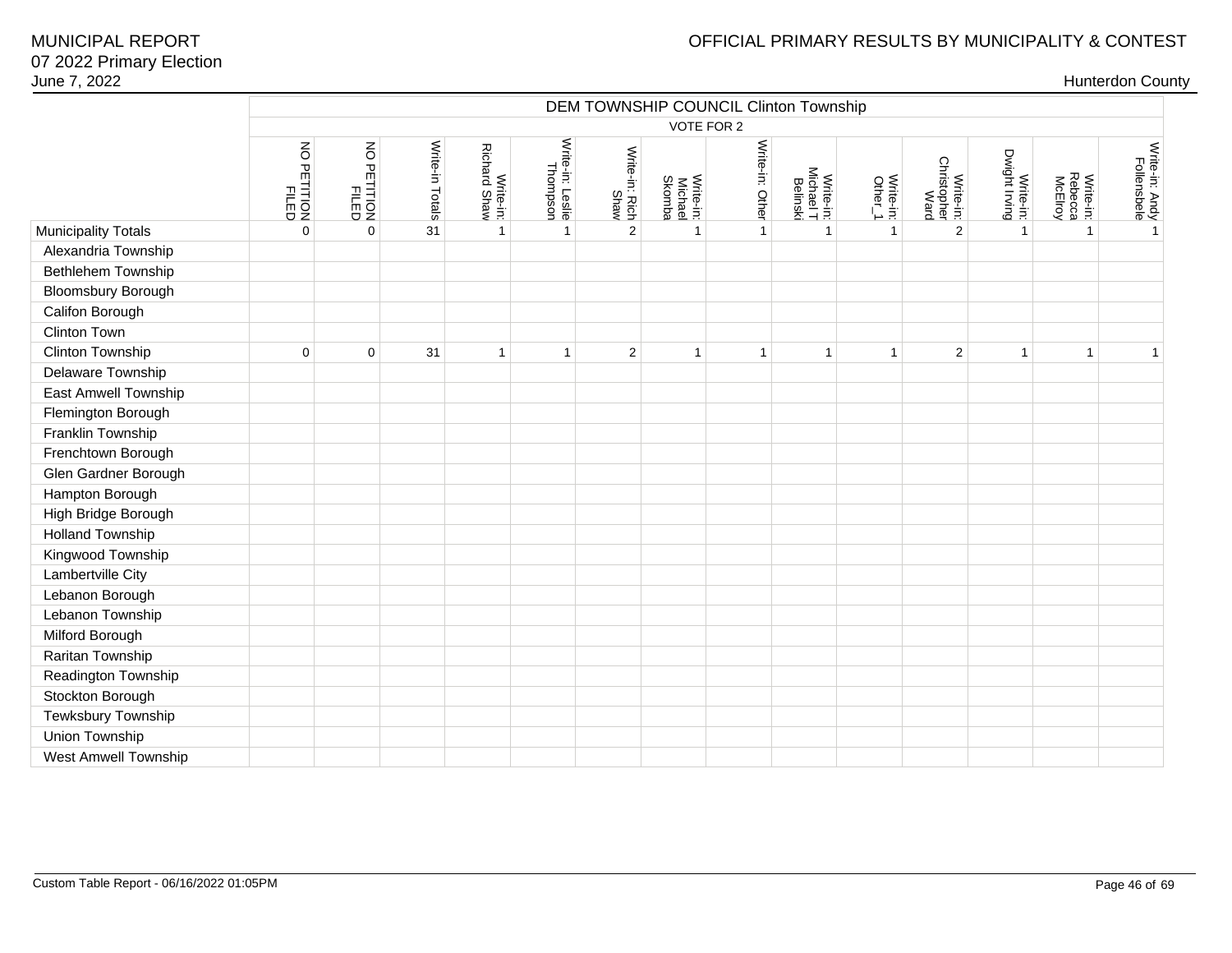# OFFICIAL PRIMARY RESULTS BY MUNICIPALITY & CONTEST

|                             |                         | DEM TOWNSHIP COUNCIL Clinton Township<br>VOTE FOR 2 |                 |                                  |                              |                        |                                |                 |                                    |                                                                      |                                  |                            |                                 |                               |  |
|-----------------------------|-------------------------|-----------------------------------------------------|-----------------|----------------------------------|------------------------------|------------------------|--------------------------------|-----------------|------------------------------------|----------------------------------------------------------------------|----------------------------------|----------------------------|---------------------------------|-------------------------------|--|
|                             |                         |                                                     |                 |                                  |                              |                        |                                |                 |                                    |                                                                      |                                  |                            |                                 |                               |  |
|                             | NO PETITION<br>PETITION | NO PETITION<br>FILED                                | Write-in Totals | <b>Richard Shaw</b><br>Write-in: | Write-in: Leslie<br>Thompson | Write-in: Rich<br>Shaw | Write-in:<br>Michael<br>Skomba | Write-in: Other | Write-in:<br>Michael T<br>Belinski | $\begin{array}{c}\n\text{Write-in:} \\ \text{Other\_1}\n\end{array}$ | Christopher<br>Ward<br>Write-in: | Dwight Irving<br>Write-in: | Rebecca<br>McElroy<br>Write-in: | Write-in: Andy<br>Follensbele |  |
| <b>Municipality Totals</b>  | $\mathbf 0$             | $\mathbf 0$                                         | 31              | $\mathbf{1}$                     | $\mathbf{1}$                 | $\overline{2}$         | $\mathbf{1}$                   | $\mathbf{1}$    | $\mathbf{1}$                       | $\mathbf{1}$                                                         | $\overline{2}$                   | $\mathbf{1}$               | $\mathbf{1}$                    | $\overline{1}$                |  |
| Alexandria Township         |                         |                                                     |                 |                                  |                              |                        |                                |                 |                                    |                                                                      |                                  |                            |                                 |                               |  |
| Bethlehem Township          |                         |                                                     |                 |                                  |                              |                        |                                |                 |                                    |                                                                      |                                  |                            |                                 |                               |  |
| <b>Bloomsbury Borough</b>   |                         |                                                     |                 |                                  |                              |                        |                                |                 |                                    |                                                                      |                                  |                            |                                 |                               |  |
| Califon Borough             |                         |                                                     |                 |                                  |                              |                        |                                |                 |                                    |                                                                      |                                  |                            |                                 |                               |  |
| Clinton Town                |                         |                                                     |                 |                                  |                              |                        |                                |                 |                                    |                                                                      |                                  |                            |                                 |                               |  |
| Clinton Township            | $\mathbf 0$             | $\mathbf 0$                                         | 31              | 1                                | $\mathbf{1}$                 | $\overline{c}$         | $\overline{1}$                 | $\mathbf{1}$    | $\mathbf{1}$                       | $\mathbf{1}$                                                         | $\overline{c}$                   | 1                          | 1                               | $\mathbf{1}$                  |  |
| Delaware Township           |                         |                                                     |                 |                                  |                              |                        |                                |                 |                                    |                                                                      |                                  |                            |                                 |                               |  |
| East Amwell Township        |                         |                                                     |                 |                                  |                              |                        |                                |                 |                                    |                                                                      |                                  |                            |                                 |                               |  |
| Flemington Borough          |                         |                                                     |                 |                                  |                              |                        |                                |                 |                                    |                                                                      |                                  |                            |                                 |                               |  |
| Franklin Township           |                         |                                                     |                 |                                  |                              |                        |                                |                 |                                    |                                                                      |                                  |                            |                                 |                               |  |
| Frenchtown Borough          |                         |                                                     |                 |                                  |                              |                        |                                |                 |                                    |                                                                      |                                  |                            |                                 |                               |  |
| Glen Gardner Borough        |                         |                                                     |                 |                                  |                              |                        |                                |                 |                                    |                                                                      |                                  |                            |                                 |                               |  |
| Hampton Borough             |                         |                                                     |                 |                                  |                              |                        |                                |                 |                                    |                                                                      |                                  |                            |                                 |                               |  |
| High Bridge Borough         |                         |                                                     |                 |                                  |                              |                        |                                |                 |                                    |                                                                      |                                  |                            |                                 |                               |  |
| <b>Holland Township</b>     |                         |                                                     |                 |                                  |                              |                        |                                |                 |                                    |                                                                      |                                  |                            |                                 |                               |  |
| Kingwood Township           |                         |                                                     |                 |                                  |                              |                        |                                |                 |                                    |                                                                      |                                  |                            |                                 |                               |  |
| Lambertville City           |                         |                                                     |                 |                                  |                              |                        |                                |                 |                                    |                                                                      |                                  |                            |                                 |                               |  |
| Lebanon Borough             |                         |                                                     |                 |                                  |                              |                        |                                |                 |                                    |                                                                      |                                  |                            |                                 |                               |  |
| Lebanon Township            |                         |                                                     |                 |                                  |                              |                        |                                |                 |                                    |                                                                      |                                  |                            |                                 |                               |  |
| Milford Borough             |                         |                                                     |                 |                                  |                              |                        |                                |                 |                                    |                                                                      |                                  |                            |                                 |                               |  |
| Raritan Township            |                         |                                                     |                 |                                  |                              |                        |                                |                 |                                    |                                                                      |                                  |                            |                                 |                               |  |
| Readington Township         |                         |                                                     |                 |                                  |                              |                        |                                |                 |                                    |                                                                      |                                  |                            |                                 |                               |  |
| Stockton Borough            |                         |                                                     |                 |                                  |                              |                        |                                |                 |                                    |                                                                      |                                  |                            |                                 |                               |  |
| Tewksbury Township          |                         |                                                     |                 |                                  |                              |                        |                                |                 |                                    |                                                                      |                                  |                            |                                 |                               |  |
| Union Township              |                         |                                                     |                 |                                  |                              |                        |                                |                 |                                    |                                                                      |                                  |                            |                                 |                               |  |
| <b>West Amwell Township</b> |                         |                                                     |                 |                                  |                              |                        |                                |                 |                                    |                                                                      |                                  |                            |                                 |                               |  |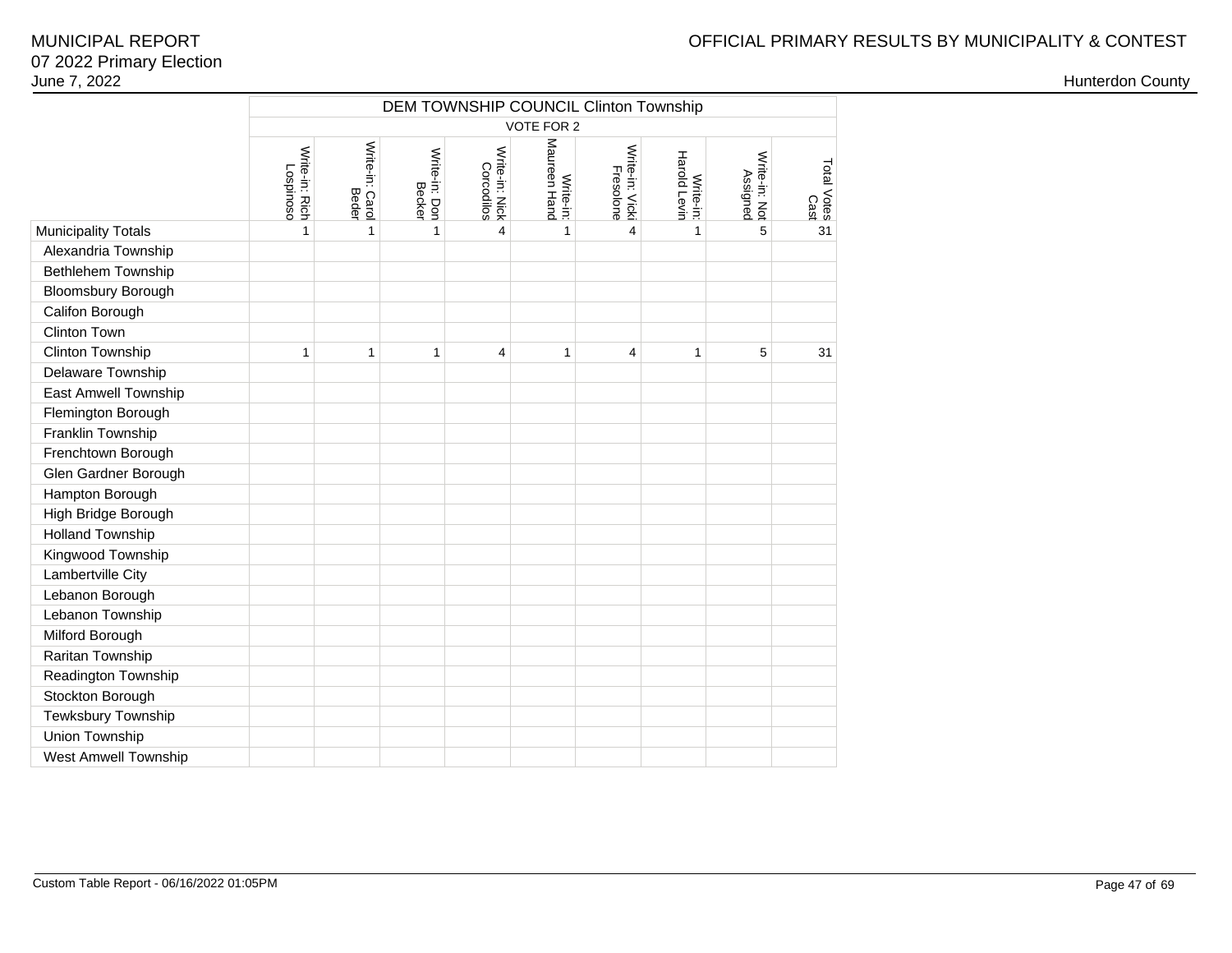## OFFICIAL PRIMARY RESULTS BY MUNICIPALITY & CONTEST

|                             | DEM TOWNSHIP COUNCIL Clinton Township<br>VOTE FOR 2 |                          |                         |                              |                              |                              |                           |                           |                     |  |  |  |  |
|-----------------------------|-----------------------------------------------------|--------------------------|-------------------------|------------------------------|------------------------------|------------------------------|---------------------------|---------------------------|---------------------|--|--|--|--|
|                             |                                                     |                          |                         |                              |                              |                              |                           |                           |                     |  |  |  |  |
|                             | Write-in: Rich<br><b>Lospinoso</b>                  | Write-in: Carol<br>Beder | Write-in: Don<br>Becker | Write-in: Nick<br>Corcodilos | Maureen<br>Hand<br>Write-in: | Write-in: Vicki<br>Fresolone | Harold Levin<br>Write-in: | Write-in: Not<br>Assigned | Total Votes<br>Cast |  |  |  |  |
| <b>Municipality Totals</b>  | 1                                                   | 1                        | $\mathbf{1}$            | 4                            | $\mathbf{1}$                 | 4                            | $\mathbf{1}$              | 5                         | 31                  |  |  |  |  |
| Alexandria Township         |                                                     |                          |                         |                              |                              |                              |                           |                           |                     |  |  |  |  |
| Bethlehem Township          |                                                     |                          |                         |                              |                              |                              |                           |                           |                     |  |  |  |  |
| <b>Bloomsbury Borough</b>   |                                                     |                          |                         |                              |                              |                              |                           |                           |                     |  |  |  |  |
| Califon Borough             |                                                     |                          |                         |                              |                              |                              |                           |                           |                     |  |  |  |  |
| Clinton Town                |                                                     |                          |                         |                              |                              |                              |                           |                           |                     |  |  |  |  |
| Clinton Township            | 1                                                   | 1                        | 1                       | $\overline{4}$               | 1                            | 4                            | 1                         | 5                         | 31                  |  |  |  |  |
| Delaware Township           |                                                     |                          |                         |                              |                              |                              |                           |                           |                     |  |  |  |  |
| <b>East Amwell Township</b> |                                                     |                          |                         |                              |                              |                              |                           |                           |                     |  |  |  |  |
| Flemington Borough          |                                                     |                          |                         |                              |                              |                              |                           |                           |                     |  |  |  |  |
| Franklin Township           |                                                     |                          |                         |                              |                              |                              |                           |                           |                     |  |  |  |  |
| Frenchtown Borough          |                                                     |                          |                         |                              |                              |                              |                           |                           |                     |  |  |  |  |
| Glen Gardner Borough        |                                                     |                          |                         |                              |                              |                              |                           |                           |                     |  |  |  |  |
| Hampton Borough             |                                                     |                          |                         |                              |                              |                              |                           |                           |                     |  |  |  |  |
| High Bridge Borough         |                                                     |                          |                         |                              |                              |                              |                           |                           |                     |  |  |  |  |
| <b>Holland Township</b>     |                                                     |                          |                         |                              |                              |                              |                           |                           |                     |  |  |  |  |
| Kingwood Township           |                                                     |                          |                         |                              |                              |                              |                           |                           |                     |  |  |  |  |
| Lambertville City           |                                                     |                          |                         |                              |                              |                              |                           |                           |                     |  |  |  |  |
| Lebanon Borough             |                                                     |                          |                         |                              |                              |                              |                           |                           |                     |  |  |  |  |
| Lebanon Township            |                                                     |                          |                         |                              |                              |                              |                           |                           |                     |  |  |  |  |
| Milford Borough             |                                                     |                          |                         |                              |                              |                              |                           |                           |                     |  |  |  |  |
| Raritan Township            |                                                     |                          |                         |                              |                              |                              |                           |                           |                     |  |  |  |  |
| Readington Township         |                                                     |                          |                         |                              |                              |                              |                           |                           |                     |  |  |  |  |
| Stockton Borough            |                                                     |                          |                         |                              |                              |                              |                           |                           |                     |  |  |  |  |
| Tewksbury Township          |                                                     |                          |                         |                              |                              |                              |                           |                           |                     |  |  |  |  |
| Union Township              |                                                     |                          |                         |                              |                              |                              |                           |                           |                     |  |  |  |  |
| West Amwell Township        |                                                     |                          |                         |                              |                              |                              |                           |                           |                     |  |  |  |  |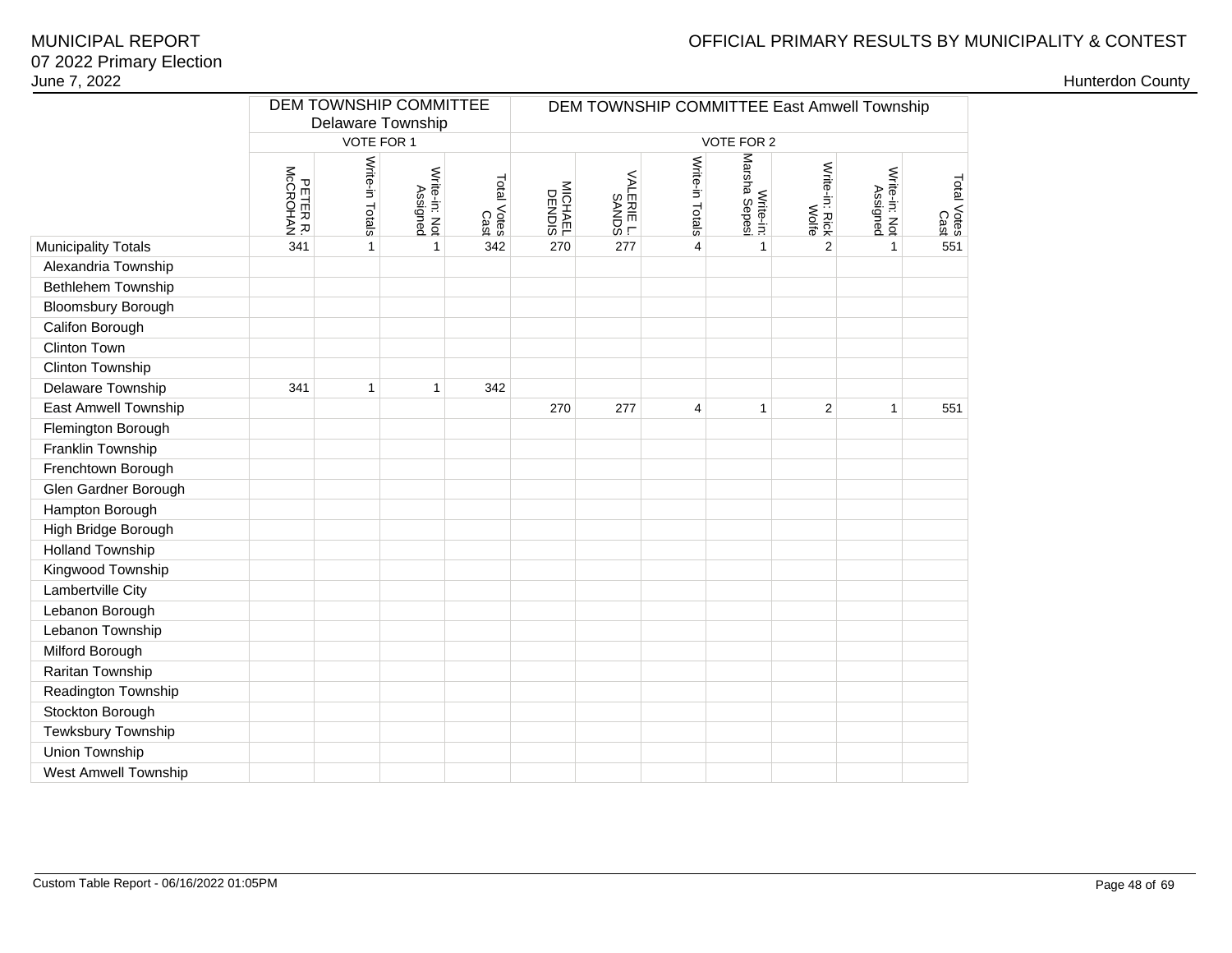## OFFICIAL PRIMARY RESULTS BY MUNICIPALITY & CONTEST

| June 7, 2022              |                      |                                                           |                           |                     |         |                                             |                 |                            |                         |                           |                     |  | <b>Hunterdon County</b> |  |
|---------------------------|----------------------|-----------------------------------------------------------|---------------------------|---------------------|---------|---------------------------------------------|-----------------|----------------------------|-------------------------|---------------------------|---------------------|--|-------------------------|--|
|                           |                      | DEM TOWNSHIP COMMITTEE<br>Delaware Township<br>VOTE FOR 1 |                           |                     |         | DEM TOWNSHIP COMMITTEE East Amwell Township |                 |                            |                         |                           |                     |  |                         |  |
|                           |                      |                                                           |                           |                     |         |                                             |                 | VOTE FOR 2                 |                         |                           |                     |  |                         |  |
|                           | PETER R.<br>MCCROHAN | Write-in Totals                                           | Write-in: Not<br>Assigned | Total Votes<br>Cast | MICHAEL | VALERIE L.<br>SANDS                         | Write-in Totals | Write-in:<br>Marsha Sepesi | Write-in: Rick<br>Wolfe | Write-in: Not<br>Assigned | Total Votes<br>Cast |  |                         |  |
| Municipality Totals       | 341                  | $\mathbf{1}$                                              | $\mathbf{1}$              | 342                 | 270     | 277                                         | $\overline{4}$  | $\mathbf{1}$               | $\overline{2}$          | $\mathbf{1}$              | 551                 |  |                         |  |
| Alexandria Township       |                      |                                                           |                           |                     |         |                                             |                 |                            |                         |                           |                     |  |                         |  |
| <b>Bethlehem Township</b> |                      |                                                           |                           |                     |         |                                             |                 |                            |                         |                           |                     |  |                         |  |
| Bloomsbury Borough        |                      |                                                           |                           |                     |         |                                             |                 |                            |                         |                           |                     |  |                         |  |
| Califon Borough           |                      |                                                           |                           |                     |         |                                             |                 |                            |                         |                           |                     |  |                         |  |
| Clinton Town              |                      |                                                           |                           |                     |         |                                             |                 |                            |                         |                           |                     |  |                         |  |
| Clinton Township          |                      |                                                           |                           |                     |         |                                             |                 |                            |                         |                           |                     |  |                         |  |
| Delaware Township         | 341                  | $\mathbf{1}$                                              | $\mathbf{1}$              | 342                 |         |                                             |                 |                            |                         |                           |                     |  |                         |  |
| East Amwell Township      |                      |                                                           |                           |                     | 270     | 277                                         | $\overline{4}$  | $\mathbf{1}$               | $\overline{2}$          | $\mathbf{1}$              | 551                 |  |                         |  |
| Flemington Borough        |                      |                                                           |                           |                     |         |                                             |                 |                            |                         |                           |                     |  |                         |  |
| Franklin Township         |                      |                                                           |                           |                     |         |                                             |                 |                            |                         |                           |                     |  |                         |  |
| Frenchtown Borough        |                      |                                                           |                           |                     |         |                                             |                 |                            |                         |                           |                     |  |                         |  |
| Glen Gardner Borough      |                      |                                                           |                           |                     |         |                                             |                 |                            |                         |                           |                     |  |                         |  |
| Hampton Borough           |                      |                                                           |                           |                     |         |                                             |                 |                            |                         |                           |                     |  |                         |  |
| High Bridge Borough       |                      |                                                           |                           |                     |         |                                             |                 |                            |                         |                           |                     |  |                         |  |
| <b>Holland Township</b>   |                      |                                                           |                           |                     |         |                                             |                 |                            |                         |                           |                     |  |                         |  |
| Kingwood Township         |                      |                                                           |                           |                     |         |                                             |                 |                            |                         |                           |                     |  |                         |  |
| Lambertville City         |                      |                                                           |                           |                     |         |                                             |                 |                            |                         |                           |                     |  |                         |  |
| Lebanon Borough           |                      |                                                           |                           |                     |         |                                             |                 |                            |                         |                           |                     |  |                         |  |
| Lebanon Township          |                      |                                                           |                           |                     |         |                                             |                 |                            |                         |                           |                     |  |                         |  |
| Milford Borough           |                      |                                                           |                           |                     |         |                                             |                 |                            |                         |                           |                     |  |                         |  |
| Raritan Township          |                      |                                                           |                           |                     |         |                                             |                 |                            |                         |                           |                     |  |                         |  |
| Readington Township       |                      |                                                           |                           |                     |         |                                             |                 |                            |                         |                           |                     |  |                         |  |
| Stockton Borough          |                      |                                                           |                           |                     |         |                                             |                 |                            |                         |                           |                     |  |                         |  |
| Tewksbury Township        |                      |                                                           |                           |                     |         |                                             |                 |                            |                         |                           |                     |  |                         |  |
| Union Township            |                      |                                                           |                           |                     |         |                                             |                 |                            |                         |                           |                     |  |                         |  |
| West Amwell Township      |                      |                                                           |                           |                     |         |                                             |                 |                            |                         |                           |                     |  |                         |  |
|                           |                      |                                                           |                           |                     |         |                                             |                 |                            |                         |                           |                     |  |                         |  |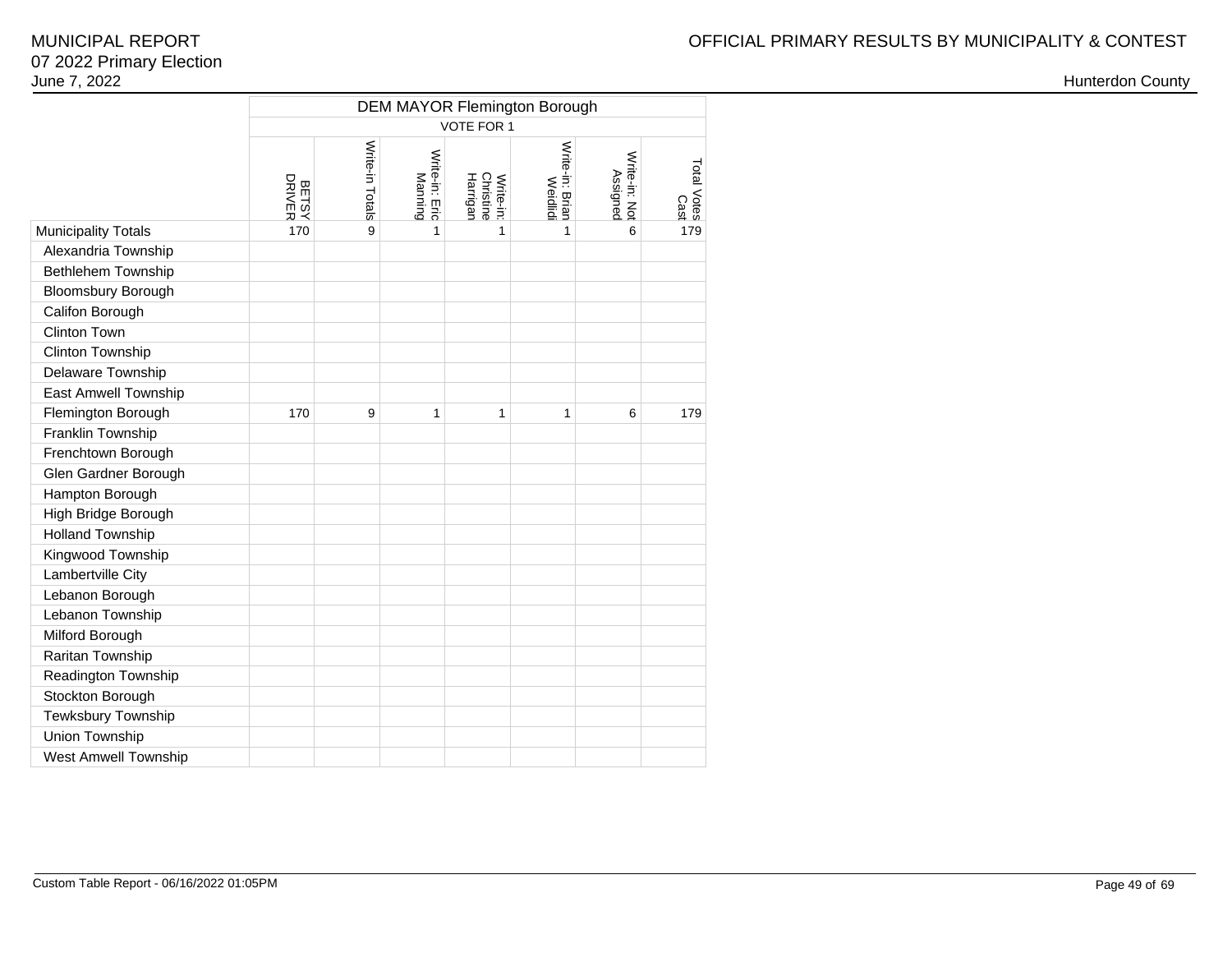|                             | <b>DEM MAYOR Flemington Borough</b> |                 |                           |                                    |                            |                           |                     |  |  |  |  |  |  |  |
|-----------------------------|-------------------------------------|-----------------|---------------------------|------------------------------------|----------------------------|---------------------------|---------------------|--|--|--|--|--|--|--|
|                             | <b>VOTE FOR 1</b>                   |                 |                           |                                    |                            |                           |                     |  |  |  |  |  |  |  |
|                             | <b>BETSY</b><br>DRIVER              | Write-in Totals | Write-in: Eric<br>Manning | Christine<br>Harrigan<br>Write-in: | Write-in: Brian<br>Weidlid | Write-in: Not<br>Assigned | Total Votes<br>Cast |  |  |  |  |  |  |  |
| <b>Municipality Totals</b>  | 170                                 | 9               | $\mathbf{1}$              | 1                                  | $\mathbf{1}$               | 6                         | 179                 |  |  |  |  |  |  |  |
| Alexandria Township         |                                     |                 |                           |                                    |                            |                           |                     |  |  |  |  |  |  |  |
| <b>Bethlehem Township</b>   |                                     |                 |                           |                                    |                            |                           |                     |  |  |  |  |  |  |  |
| <b>Bloomsbury Borough</b>   |                                     |                 |                           |                                    |                            |                           |                     |  |  |  |  |  |  |  |
| Califon Borough             |                                     |                 |                           |                                    |                            |                           |                     |  |  |  |  |  |  |  |
| Clinton Town                |                                     |                 |                           |                                    |                            |                           |                     |  |  |  |  |  |  |  |
| Clinton Township            |                                     |                 |                           |                                    |                            |                           |                     |  |  |  |  |  |  |  |
| Delaware Township           |                                     |                 |                           |                                    |                            |                           |                     |  |  |  |  |  |  |  |
| East Amwell Township        |                                     |                 |                           |                                    |                            |                           |                     |  |  |  |  |  |  |  |
| Flemington Borough          | 170                                 | 9               | 1                         | 1                                  | 1                          | 6                         | 179                 |  |  |  |  |  |  |  |
| Franklin Township           |                                     |                 |                           |                                    |                            |                           |                     |  |  |  |  |  |  |  |
| Frenchtown Borough          |                                     |                 |                           |                                    |                            |                           |                     |  |  |  |  |  |  |  |
| Glen Gardner Borough        |                                     |                 |                           |                                    |                            |                           |                     |  |  |  |  |  |  |  |
| Hampton Borough             |                                     |                 |                           |                                    |                            |                           |                     |  |  |  |  |  |  |  |
| High Bridge Borough         |                                     |                 |                           |                                    |                            |                           |                     |  |  |  |  |  |  |  |
| <b>Holland Township</b>     |                                     |                 |                           |                                    |                            |                           |                     |  |  |  |  |  |  |  |
| Kingwood Township           |                                     |                 |                           |                                    |                            |                           |                     |  |  |  |  |  |  |  |
| Lambertville City           |                                     |                 |                           |                                    |                            |                           |                     |  |  |  |  |  |  |  |
| Lebanon Borough             |                                     |                 |                           |                                    |                            |                           |                     |  |  |  |  |  |  |  |
| Lebanon Township            |                                     |                 |                           |                                    |                            |                           |                     |  |  |  |  |  |  |  |
| Milford Borough             |                                     |                 |                           |                                    |                            |                           |                     |  |  |  |  |  |  |  |
| Raritan Township            |                                     |                 |                           |                                    |                            |                           |                     |  |  |  |  |  |  |  |
| Readington Township         |                                     |                 |                           |                                    |                            |                           |                     |  |  |  |  |  |  |  |
| Stockton Borough            |                                     |                 |                           |                                    |                            |                           |                     |  |  |  |  |  |  |  |
| Tewksbury Township          |                                     |                 |                           |                                    |                            |                           |                     |  |  |  |  |  |  |  |
| Union Township              |                                     |                 |                           |                                    |                            |                           |                     |  |  |  |  |  |  |  |
| <b>West Amwell Township</b> |                                     |                 |                           |                                    |                            |                           |                     |  |  |  |  |  |  |  |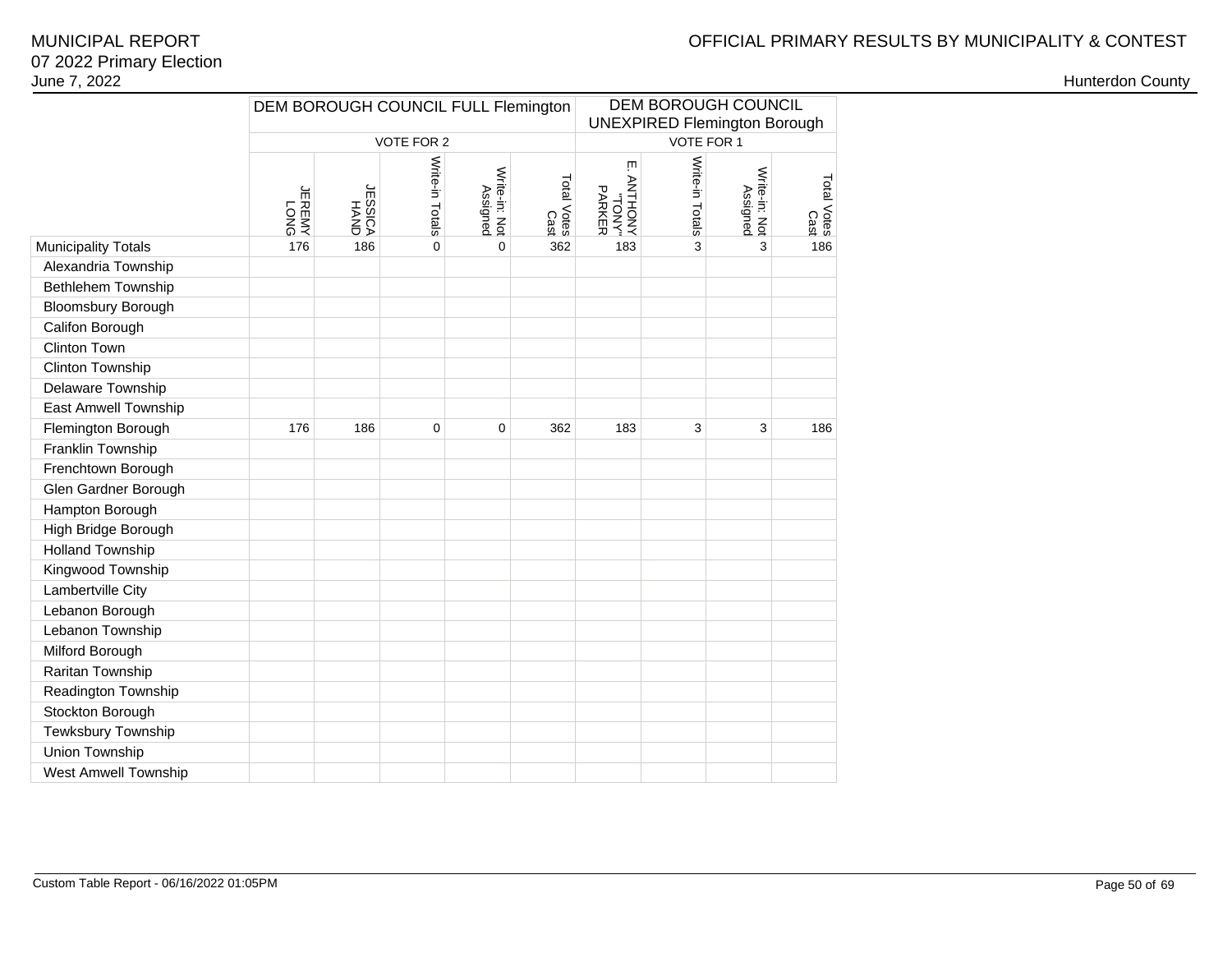# OFFICIAL PRIMARY RESULTS BY MUNICIPALITY & CONTEST

### 07 2022 Primary ElectionJune 7, 2022MUNICIPAL REPORT

|                            | DEM BOROUGH COUNCIL FULL Flemington |                         |                 |                           |                     | DEM BOROUGH COUNCIL<br><b>UNEXPIRED Flemington Borough</b> |                 |                           |                     |  |
|----------------------------|-------------------------------------|-------------------------|-----------------|---------------------------|---------------------|------------------------------------------------------------|-----------------|---------------------------|---------------------|--|
|                            |                                     |                         | VOTE FOR 2      |                           |                     |                                                            | VOTE FOR 1      |                           |                     |  |
|                            |                                     |                         |                 |                           |                     |                                                            |                 |                           |                     |  |
|                            | <b>LERENY</b><br>YMERE              | <b>UNVH<br/>VJISSEN</b> | Write-in Totals | Write-in: Not<br>Assigned | Total Votes<br>Cast | ŢΠ<br>ANOHINA<br>PARKER<br>"NOL.                           | Write-in Totals | Write-in: Not<br>Assigned | Total Votes<br>Cast |  |
| <b>Municipality Totals</b> | 176                                 | 186                     | $\pmb{0}$       | $\overline{0}$            | 362                 | 183                                                        | 3               | 3                         | 186                 |  |
| Alexandria Township        |                                     |                         |                 |                           |                     |                                                            |                 |                           |                     |  |
| Bethlehem Township         |                                     |                         |                 |                           |                     |                                                            |                 |                           |                     |  |
| <b>Bloomsbury Borough</b>  |                                     |                         |                 |                           |                     |                                                            |                 |                           |                     |  |
| Califon Borough            |                                     |                         |                 |                           |                     |                                                            |                 |                           |                     |  |
| Clinton Town               |                                     |                         |                 |                           |                     |                                                            |                 |                           |                     |  |
| Clinton Township           |                                     |                         |                 |                           |                     |                                                            |                 |                           |                     |  |
| <b>Delaware Township</b>   |                                     |                         |                 |                           |                     |                                                            |                 |                           |                     |  |
| East Amwell Township       |                                     |                         |                 |                           |                     |                                                            |                 |                           |                     |  |
| Flemington Borough         | 176                                 | 186                     | 0               | 0                         | 362                 | 183                                                        | 3               | 3                         | 186                 |  |
| Franklin Township          |                                     |                         |                 |                           |                     |                                                            |                 |                           |                     |  |
| Frenchtown Borough         |                                     |                         |                 |                           |                     |                                                            |                 |                           |                     |  |
| Glen Gardner Borough       |                                     |                         |                 |                           |                     |                                                            |                 |                           |                     |  |
| Hampton Borough            |                                     |                         |                 |                           |                     |                                                            |                 |                           |                     |  |
| High Bridge Borough        |                                     |                         |                 |                           |                     |                                                            |                 |                           |                     |  |
| <b>Holland Township</b>    |                                     |                         |                 |                           |                     |                                                            |                 |                           |                     |  |
| Kingwood Township          |                                     |                         |                 |                           |                     |                                                            |                 |                           |                     |  |
| Lambertville City          |                                     |                         |                 |                           |                     |                                                            |                 |                           |                     |  |
| Lebanon Borough            |                                     |                         |                 |                           |                     |                                                            |                 |                           |                     |  |
| Lebanon Township           |                                     |                         |                 |                           |                     |                                                            |                 |                           |                     |  |
| Milford Borough            |                                     |                         |                 |                           |                     |                                                            |                 |                           |                     |  |
| Raritan Township           |                                     |                         |                 |                           |                     |                                                            |                 |                           |                     |  |
| Readington Township        |                                     |                         |                 |                           |                     |                                                            |                 |                           |                     |  |
| Stockton Borough           |                                     |                         |                 |                           |                     |                                                            |                 |                           |                     |  |
| Tewksbury Township         |                                     |                         |                 |                           |                     |                                                            |                 |                           |                     |  |
| Union Township             |                                     |                         |                 |                           |                     |                                                            |                 |                           |                     |  |
| West Amwell Township       |                                     |                         |                 |                           |                     |                                                            |                 |                           |                     |  |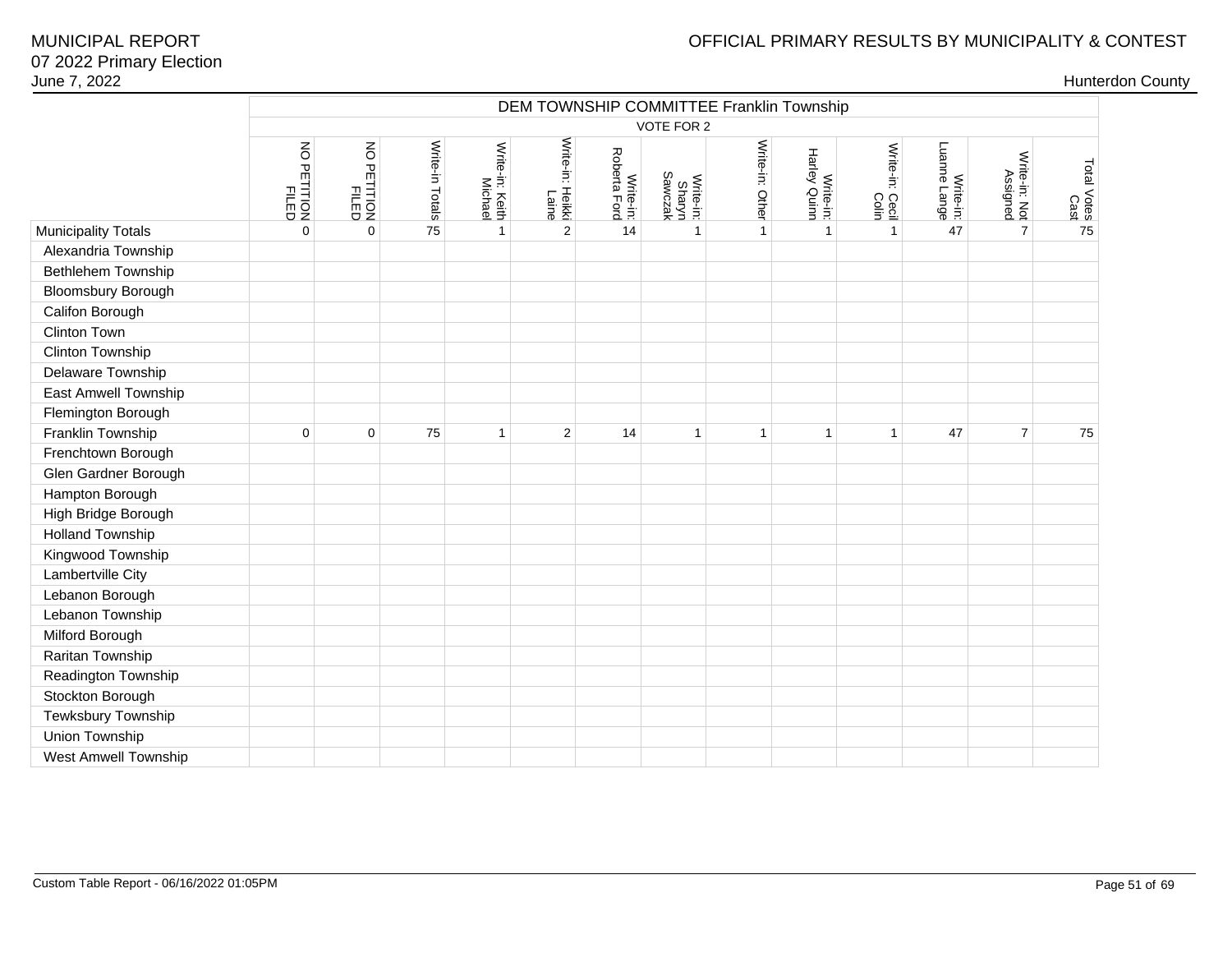| June 7, 2022                |                         |                      |                 |                            |                           |                           |                                          |                 |                           |                          |                           |                           |                     | <b>Hunterdon County</b> |
|-----------------------------|-------------------------|----------------------|-----------------|----------------------------|---------------------------|---------------------------|------------------------------------------|-----------------|---------------------------|--------------------------|---------------------------|---------------------------|---------------------|-------------------------|
|                             |                         |                      |                 |                            |                           |                           | DEM TOWNSHIP COMMITTEE Franklin Township |                 |                           |                          |                           |                           |                     |                         |
|                             |                         |                      |                 |                            |                           |                           | VOTE FOR 2                               |                 |                           |                          |                           |                           |                     |                         |
|                             | NO PETITION<br>PETITION | NO PETITION<br>FILED | Write-in Totals | Write-in: Keith<br>Michael | Write-in: Heikki<br>Laine | Write-in:<br>Roberta Ford | Write-in:<br>Sharyn<br>Sawczak           | Write-in: Other | Write-in:<br>Harley Quinn | Write-in: Cecil<br>Colin | Write-in:<br>Luanne Lange | Write-in: Not<br>Assigned | Total Votes<br>Cast |                         |
| <b>Municipality Totals</b>  | $\Omega$                | $\mathbf 0$          | 75              | $\mathbf{1}$               | 2                         | 14                        | $\mathbf{1}$                             | $\mathbf{1}$    | $\overline{1}$            | $\mathbf{1}$             | 47                        | $\overline{7}$            | 75                  |                         |
| Alexandria Township         |                         |                      |                 |                            |                           |                           |                                          |                 |                           |                          |                           |                           |                     |                         |
| Bethlehem Township          |                         |                      |                 |                            |                           |                           |                                          |                 |                           |                          |                           |                           |                     |                         |
| Bloomsbury Borough          |                         |                      |                 |                            |                           |                           |                                          |                 |                           |                          |                           |                           |                     |                         |
| Califon Borough             |                         |                      |                 |                            |                           |                           |                                          |                 |                           |                          |                           |                           |                     |                         |
| Clinton Town                |                         |                      |                 |                            |                           |                           |                                          |                 |                           |                          |                           |                           |                     |                         |
| Clinton Township            |                         |                      |                 |                            |                           |                           |                                          |                 |                           |                          |                           |                           |                     |                         |
| Delaware Township           |                         |                      |                 |                            |                           |                           |                                          |                 |                           |                          |                           |                           |                     |                         |
| East Amwell Township        |                         |                      |                 |                            |                           |                           |                                          |                 |                           |                          |                           |                           |                     |                         |
| Flemington Borough          |                         |                      |                 |                            |                           |                           |                                          |                 |                           |                          |                           |                           |                     |                         |
| Franklin Township           | $\Omega$                | $\mathbf 0$          | 75              | $\mathbf{1}$               | 2                         | 14                        | $\mathbf{1}$                             | $\mathbf{1}$    | $\mathbf{1}$              | $\overline{1}$           | 47                        | $\overline{7}$            | 75                  |                         |
| Frenchtown Borough          |                         |                      |                 |                            |                           |                           |                                          |                 |                           |                          |                           |                           |                     |                         |
| Glen Gardner Borough        |                         |                      |                 |                            |                           |                           |                                          |                 |                           |                          |                           |                           |                     |                         |
| Hampton Borough             |                         |                      |                 |                            |                           |                           |                                          |                 |                           |                          |                           |                           |                     |                         |
| High Bridge Borough         |                         |                      |                 |                            |                           |                           |                                          |                 |                           |                          |                           |                           |                     |                         |
| <b>Holland Township</b>     |                         |                      |                 |                            |                           |                           |                                          |                 |                           |                          |                           |                           |                     |                         |
| Kingwood Township           |                         |                      |                 |                            |                           |                           |                                          |                 |                           |                          |                           |                           |                     |                         |
| Lambertville City           |                         |                      |                 |                            |                           |                           |                                          |                 |                           |                          |                           |                           |                     |                         |
| Lebanon Borough             |                         |                      |                 |                            |                           |                           |                                          |                 |                           |                          |                           |                           |                     |                         |
| Lebanon Township            |                         |                      |                 |                            |                           |                           |                                          |                 |                           |                          |                           |                           |                     |                         |
| Milford Borough             |                         |                      |                 |                            |                           |                           |                                          |                 |                           |                          |                           |                           |                     |                         |
| Raritan Township            |                         |                      |                 |                            |                           |                           |                                          |                 |                           |                          |                           |                           |                     |                         |
| Readington Township         |                         |                      |                 |                            |                           |                           |                                          |                 |                           |                          |                           |                           |                     |                         |
| Stockton Borough            |                         |                      |                 |                            |                           |                           |                                          |                 |                           |                          |                           |                           |                     |                         |
| Tewksbury Township          |                         |                      |                 |                            |                           |                           |                                          |                 |                           |                          |                           |                           |                     |                         |
| Union Township              |                         |                      |                 |                            |                           |                           |                                          |                 |                           |                          |                           |                           |                     |                         |
| <b>West Amwell Township</b> |                         |                      |                 |                            |                           |                           |                                          |                 |                           |                          |                           |                           |                     |                         |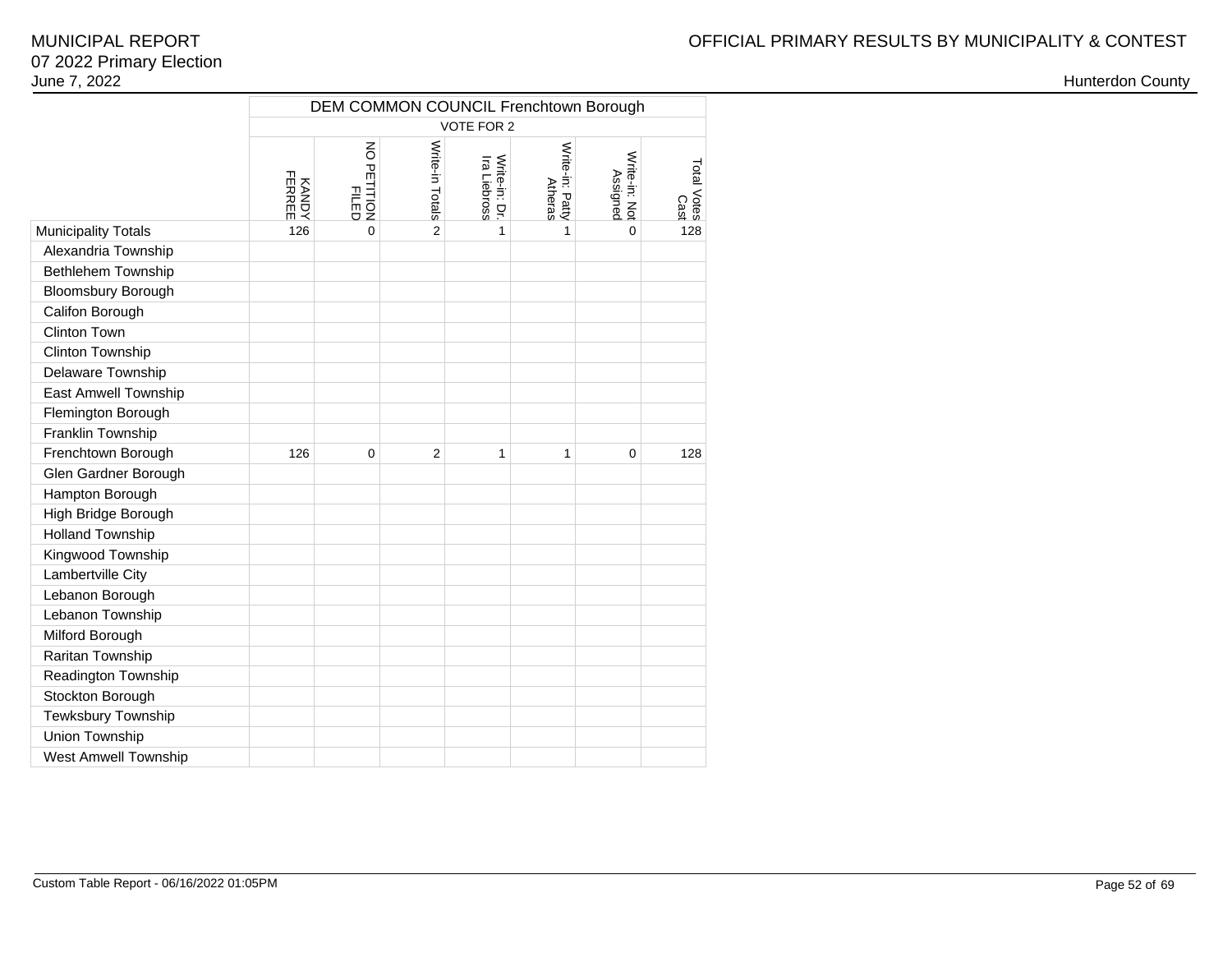|                             | DEM COMMON COUNCIL Frenchtown Borough<br><b>VOTE FOR 2</b> |                             |                 |                               |                                   |                           |                     |  |  |  |  |  |  |  |
|-----------------------------|------------------------------------------------------------|-----------------------------|-----------------|-------------------------------|-----------------------------------|---------------------------|---------------------|--|--|--|--|--|--|--|
|                             |                                                            |                             |                 |                               |                                   |                           |                     |  |  |  |  |  |  |  |
|                             | KANDY<br>FERREE                                            | NO PETITION<br><b>FILED</b> | Write-in Totals | Write-in: Dr.<br>Ira Liebross | Write-in: Patty<br><b>Atheras</b> | Write-in: Not<br>Assignec | Total Votes<br>Cast |  |  |  |  |  |  |  |
| <b>Municipality Totals</b>  | 126                                                        | $\Omega$                    | $\overline{2}$  | 1                             | 1                                 | $\Omega$                  | 128                 |  |  |  |  |  |  |  |
| Alexandria Township         |                                                            |                             |                 |                               |                                   |                           |                     |  |  |  |  |  |  |  |
| Bethlehem Township          |                                                            |                             |                 |                               |                                   |                           |                     |  |  |  |  |  |  |  |
| <b>Bloomsbury Borough</b>   |                                                            |                             |                 |                               |                                   |                           |                     |  |  |  |  |  |  |  |
| Califon Borough             |                                                            |                             |                 |                               |                                   |                           |                     |  |  |  |  |  |  |  |
| Clinton Town                |                                                            |                             |                 |                               |                                   |                           |                     |  |  |  |  |  |  |  |
| Clinton Township            |                                                            |                             |                 |                               |                                   |                           |                     |  |  |  |  |  |  |  |
| Delaware Township           |                                                            |                             |                 |                               |                                   |                           |                     |  |  |  |  |  |  |  |
| East Amwell Township        |                                                            |                             |                 |                               |                                   |                           |                     |  |  |  |  |  |  |  |
| Flemington Borough          |                                                            |                             |                 |                               |                                   |                           |                     |  |  |  |  |  |  |  |
| Franklin Township           |                                                            |                             |                 |                               |                                   |                           |                     |  |  |  |  |  |  |  |
| Frenchtown Borough          | 126                                                        | $\mathbf 0$                 | $\overline{2}$  | $\mathbf{1}$                  | 1                                 | $\mathbf 0$               | 128                 |  |  |  |  |  |  |  |
| Glen Gardner Borough        |                                                            |                             |                 |                               |                                   |                           |                     |  |  |  |  |  |  |  |
| Hampton Borough             |                                                            |                             |                 |                               |                                   |                           |                     |  |  |  |  |  |  |  |
| High Bridge Borough         |                                                            |                             |                 |                               |                                   |                           |                     |  |  |  |  |  |  |  |
| <b>Holland Township</b>     |                                                            |                             |                 |                               |                                   |                           |                     |  |  |  |  |  |  |  |
| Kingwood Township           |                                                            |                             |                 |                               |                                   |                           |                     |  |  |  |  |  |  |  |
| Lambertville City           |                                                            |                             |                 |                               |                                   |                           |                     |  |  |  |  |  |  |  |
| Lebanon Borough             |                                                            |                             |                 |                               |                                   |                           |                     |  |  |  |  |  |  |  |
| Lebanon Township            |                                                            |                             |                 |                               |                                   |                           |                     |  |  |  |  |  |  |  |
| Milford Borough             |                                                            |                             |                 |                               |                                   |                           |                     |  |  |  |  |  |  |  |
| Raritan Township            |                                                            |                             |                 |                               |                                   |                           |                     |  |  |  |  |  |  |  |
| Readington Township         |                                                            |                             |                 |                               |                                   |                           |                     |  |  |  |  |  |  |  |
| Stockton Borough            |                                                            |                             |                 |                               |                                   |                           |                     |  |  |  |  |  |  |  |
| Tewksbury Township          |                                                            |                             |                 |                               |                                   |                           |                     |  |  |  |  |  |  |  |
| Union Township              |                                                            |                             |                 |                               |                                   |                           |                     |  |  |  |  |  |  |  |
| <b>West Amwell Township</b> |                                                            |                             |                 |                               |                                   |                           |                     |  |  |  |  |  |  |  |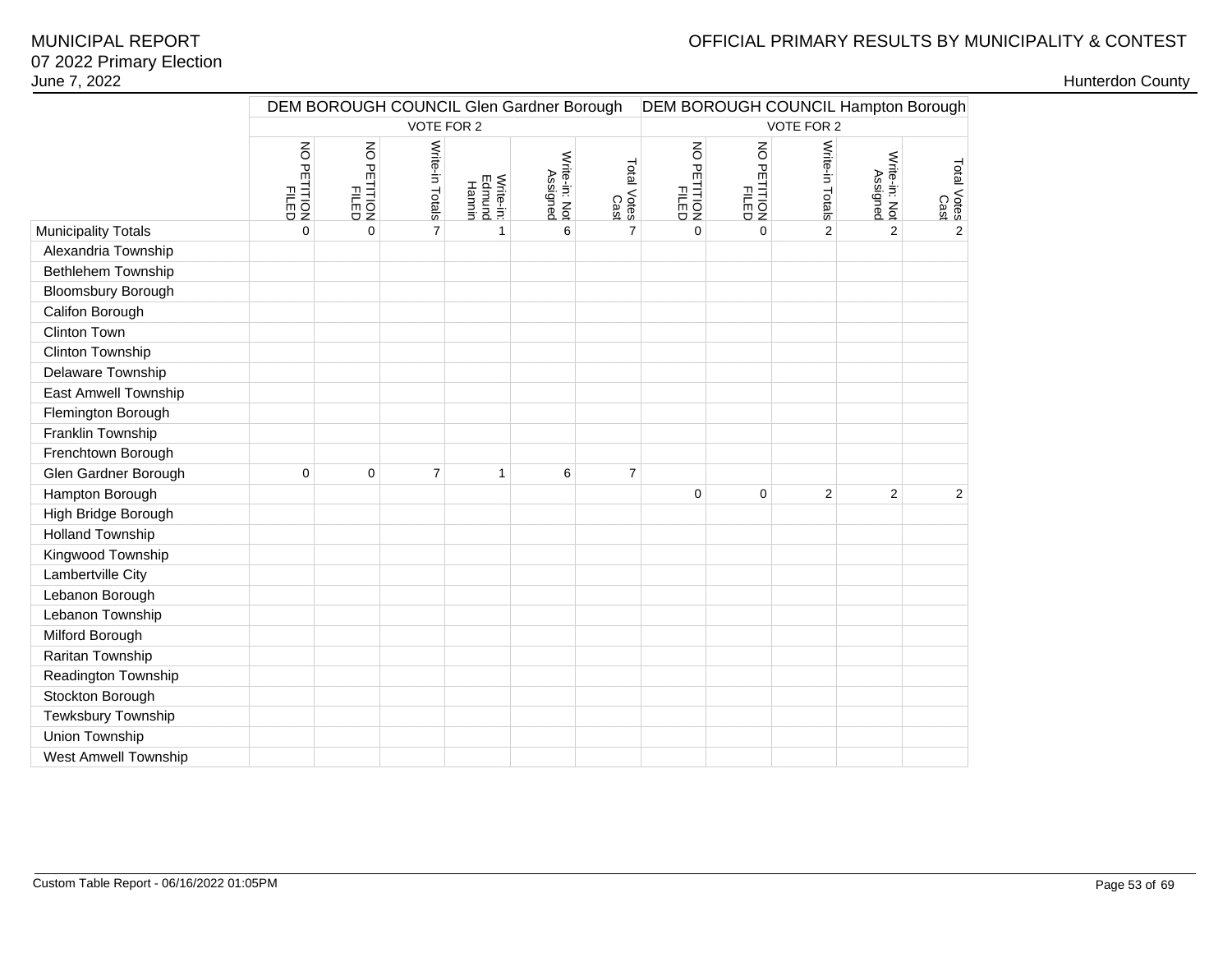# OFFICIAL PRIMARY RESULTS BY MUNICIPALITY & CONTEST

|                            |                         |                      |                 |                               | DEM BOROUGH COUNCIL Glen Gardner Borough | DEM BOROUGH COUNCIL Hampton Borough |                                                  |                      |                 |                           |                     |
|----------------------------|-------------------------|----------------------|-----------------|-------------------------------|------------------------------------------|-------------------------------------|--------------------------------------------------|----------------------|-----------------|---------------------------|---------------------|
|                            |                         |                      | VOTE FOR 2      |                               |                                          |                                     |                                                  |                      | VOTE FOR 2      |                           |                     |
|                            | NO PETITION<br>PETITION | NO PETITION<br>FILED | Write-in Totals | Write-in:<br>Edmund<br>Hannin | Write-in: Not<br>Assigned                | Total Votes<br>Cast                 | $\mathsf S$<br><b>FILTION</b><br>FILTED<br>FILED | NO PETITION<br>FILED | Write-in Totals | Write-in: Not<br>Assigned | Total Votes<br>Cast |
| <b>Municipality Totals</b> | $\mathbf 0$             | $\pmb{0}$            | $\overline{7}$  | $\mathbf{1}$                  | 6                                        | $\overline{7}$                      | $\mathbf 0$                                      | $\mathbf 0$          | $\overline{c}$  | $\overline{c}$            | $\overline{2}$      |
| Alexandria Township        |                         |                      |                 |                               |                                          |                                     |                                                  |                      |                 |                           |                     |
| Bethlehem Township         |                         |                      |                 |                               |                                          |                                     |                                                  |                      |                 |                           |                     |
| <b>Bloomsbury Borough</b>  |                         |                      |                 |                               |                                          |                                     |                                                  |                      |                 |                           |                     |
| Califon Borough            |                         |                      |                 |                               |                                          |                                     |                                                  |                      |                 |                           |                     |
| <b>Clinton Town</b>        |                         |                      |                 |                               |                                          |                                     |                                                  |                      |                 |                           |                     |
| Clinton Township           |                         |                      |                 |                               |                                          |                                     |                                                  |                      |                 |                           |                     |
| Delaware Township          |                         |                      |                 |                               |                                          |                                     |                                                  |                      |                 |                           |                     |
| East Amwell Township       |                         |                      |                 |                               |                                          |                                     |                                                  |                      |                 |                           |                     |
| Flemington Borough         |                         |                      |                 |                               |                                          |                                     |                                                  |                      |                 |                           |                     |
| Franklin Township          |                         |                      |                 |                               |                                          |                                     |                                                  |                      |                 |                           |                     |
| Frenchtown Borough         |                         |                      |                 |                               |                                          |                                     |                                                  |                      |                 |                           |                     |
| Glen Gardner Borough       | 0                       | $\mathbf 0$          | $\overline{7}$  | $\mathbf{1}$                  | 6                                        | $\overline{7}$                      |                                                  |                      |                 |                           |                     |
| Hampton Borough            |                         |                      |                 |                               |                                          |                                     | $\pmb{0}$                                        | $\mathbf 0$          | $\overline{2}$  | $\overline{2}$            | $\boldsymbol{2}$    |
| High Bridge Borough        |                         |                      |                 |                               |                                          |                                     |                                                  |                      |                 |                           |                     |
| <b>Holland Township</b>    |                         |                      |                 |                               |                                          |                                     |                                                  |                      |                 |                           |                     |
| Kingwood Township          |                         |                      |                 |                               |                                          |                                     |                                                  |                      |                 |                           |                     |
| Lambertville City          |                         |                      |                 |                               |                                          |                                     |                                                  |                      |                 |                           |                     |
| Lebanon Borough            |                         |                      |                 |                               |                                          |                                     |                                                  |                      |                 |                           |                     |
| Lebanon Township           |                         |                      |                 |                               |                                          |                                     |                                                  |                      |                 |                           |                     |
| Milford Borough            |                         |                      |                 |                               |                                          |                                     |                                                  |                      |                 |                           |                     |
| Raritan Township           |                         |                      |                 |                               |                                          |                                     |                                                  |                      |                 |                           |                     |
| Readington Township        |                         |                      |                 |                               |                                          |                                     |                                                  |                      |                 |                           |                     |
| Stockton Borough           |                         |                      |                 |                               |                                          |                                     |                                                  |                      |                 |                           |                     |
| Tewksbury Township         |                         |                      |                 |                               |                                          |                                     |                                                  |                      |                 |                           |                     |
| Union Township             |                         |                      |                 |                               |                                          |                                     |                                                  |                      |                 |                           |                     |
| West Amwell Township       |                         |                      |                 |                               |                                          |                                     |                                                  |                      |                 |                           |                     |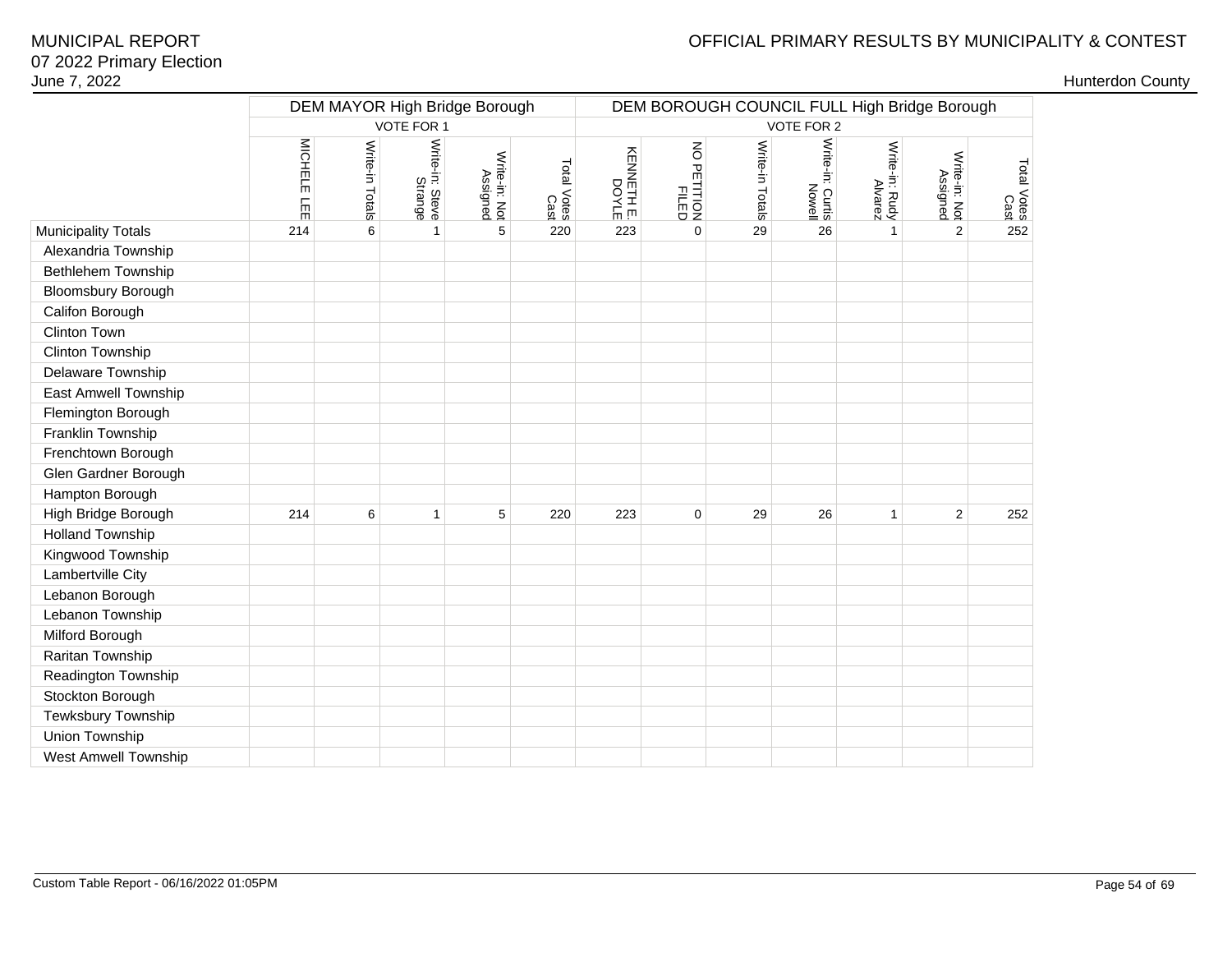# OFFICIAL PRIMARY RESULTS BY MUNICIPALITY & CONTEST

|                            | DEM MAYOR High Bridge Borough                                                                                                                                          |   |              |            |                      |                 | DEM BOROUGH COUNCIL FULL High Bridge Borough |                           |                           |                     |                |     |
|----------------------------|------------------------------------------------------------------------------------------------------------------------------------------------------------------------|---|--------------|------------|----------------------|-----------------|----------------------------------------------|---------------------------|---------------------------|---------------------|----------------|-----|
|                            |                                                                                                                                                                        |   | VOTE FOR 1   |            |                      |                 |                                              |                           | VOTE FOR 2                |                     |                |     |
|                            | <b>MICHELE</b><br>Write-in: Steve<br>Strange<br>Write-in Totals<br>Write-in: Not<br>Total Votes<br>Cast<br>Assigned<br>三<br>$\,6\,$<br>5<br>214<br>220<br>$\mathbf{1}$ |   |              | KENNETH E. | NO PETITION<br>FILED | Write-in Totals | Write-in: Curtis<br>Notte-in: Curtis         | Write-in: Rudy<br>Alvarez | Write-in: Not<br>Assigned | Total Votes<br>Cast |                |     |
| <b>Municipality Totals</b> |                                                                                                                                                                        |   |              |            |                      | 223             | $\mathbf 0$                                  | 29                        | 26                        | $\mathbf{1}$        | $\overline{2}$ | 252 |
| Alexandria Township        |                                                                                                                                                                        |   |              |            |                      |                 |                                              |                           |                           |                     |                |     |
| Bethlehem Township         |                                                                                                                                                                        |   |              |            |                      |                 |                                              |                           |                           |                     |                |     |
| Bloomsbury Borough         |                                                                                                                                                                        |   |              |            |                      |                 |                                              |                           |                           |                     |                |     |
| Califon Borough            |                                                                                                                                                                        |   |              |            |                      |                 |                                              |                           |                           |                     |                |     |
| Clinton Town               |                                                                                                                                                                        |   |              |            |                      |                 |                                              |                           |                           |                     |                |     |
| Clinton Township           |                                                                                                                                                                        |   |              |            |                      |                 |                                              |                           |                           |                     |                |     |
| Delaware Township          |                                                                                                                                                                        |   |              |            |                      |                 |                                              |                           |                           |                     |                |     |
| East Amwell Township       |                                                                                                                                                                        |   |              |            |                      |                 |                                              |                           |                           |                     |                |     |
| Flemington Borough         |                                                                                                                                                                        |   |              |            |                      |                 |                                              |                           |                           |                     |                |     |
| Franklin Township          |                                                                                                                                                                        |   |              |            |                      |                 |                                              |                           |                           |                     |                |     |
| Frenchtown Borough         |                                                                                                                                                                        |   |              |            |                      |                 |                                              |                           |                           |                     |                |     |
| Glen Gardner Borough       |                                                                                                                                                                        |   |              |            |                      |                 |                                              |                           |                           |                     |                |     |
| Hampton Borough            |                                                                                                                                                                        |   |              |            |                      |                 |                                              |                           |                           |                     |                |     |
| High Bridge Borough        | 214                                                                                                                                                                    | 6 | $\mathbf{1}$ | 5          | 220                  | 223             | $\mathbf 0$                                  | 29                        | 26                        | 1                   | $\overline{2}$ | 252 |
| <b>Holland Township</b>    |                                                                                                                                                                        |   |              |            |                      |                 |                                              |                           |                           |                     |                |     |
| Kingwood Township          |                                                                                                                                                                        |   |              |            |                      |                 |                                              |                           |                           |                     |                |     |
| Lambertville City          |                                                                                                                                                                        |   |              |            |                      |                 |                                              |                           |                           |                     |                |     |
| Lebanon Borough            |                                                                                                                                                                        |   |              |            |                      |                 |                                              |                           |                           |                     |                |     |
| Lebanon Township           |                                                                                                                                                                        |   |              |            |                      |                 |                                              |                           |                           |                     |                |     |
| Milford Borough            |                                                                                                                                                                        |   |              |            |                      |                 |                                              |                           |                           |                     |                |     |
| Raritan Township           |                                                                                                                                                                        |   |              |            |                      |                 |                                              |                           |                           |                     |                |     |
| Readington Township        |                                                                                                                                                                        |   |              |            |                      |                 |                                              |                           |                           |                     |                |     |
| Stockton Borough           |                                                                                                                                                                        |   |              |            |                      |                 |                                              |                           |                           |                     |                |     |
| Tewksbury Township         |                                                                                                                                                                        |   |              |            |                      |                 |                                              |                           |                           |                     |                |     |
| Union Township             |                                                                                                                                                                        |   |              |            |                      |                 |                                              |                           |                           |                     |                |     |
| West Amwell Township       |                                                                                                                                                                        |   |              |            |                      |                 |                                              |                           |                           |                     |                |     |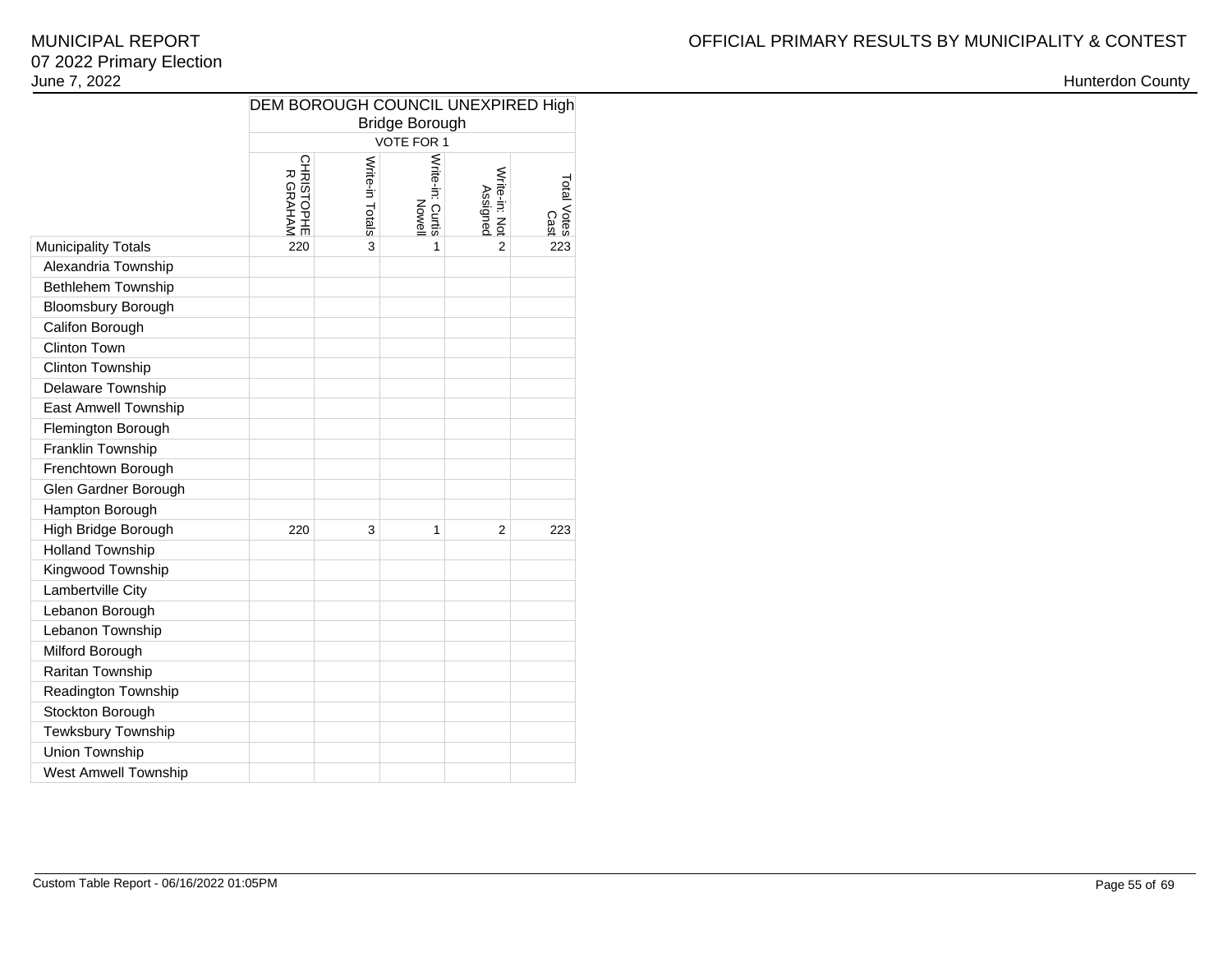|                             | DEM BOROUGH COUNCIL UNEXPIRED High<br><b>Bridge Borough</b><br><b>VOTE FOR 1</b>                                                                 |   |   |   |     |  |  |  |  |  |  |  |  |  |
|-----------------------------|--------------------------------------------------------------------------------------------------------------------------------------------------|---|---|---|-----|--|--|--|--|--|--|--|--|--|
|                             |                                                                                                                                                  |   |   |   |     |  |  |  |  |  |  |  |  |  |
|                             | Write-in: Curtis<br>CHRISTOPHE<br>R GRAHAM<br>Write-in Totals<br>Write-in: Not<br>Total Votes<br>Cast<br>Assigned<br>Nowel<br>220<br>3<br>1<br>2 |   |   |   |     |  |  |  |  |  |  |  |  |  |
| <b>Municipality Totals</b>  |                                                                                                                                                  |   |   |   | 223 |  |  |  |  |  |  |  |  |  |
| Alexandria Township         |                                                                                                                                                  |   |   |   |     |  |  |  |  |  |  |  |  |  |
| Bethlehem Township          |                                                                                                                                                  |   |   |   |     |  |  |  |  |  |  |  |  |  |
| <b>Bloomsbury Borough</b>   |                                                                                                                                                  |   |   |   |     |  |  |  |  |  |  |  |  |  |
| Califon Borough             |                                                                                                                                                  |   |   |   |     |  |  |  |  |  |  |  |  |  |
| Clinton Town                |                                                                                                                                                  |   |   |   |     |  |  |  |  |  |  |  |  |  |
| Clinton Township            |                                                                                                                                                  |   |   |   |     |  |  |  |  |  |  |  |  |  |
| Delaware Township           |                                                                                                                                                  |   |   |   |     |  |  |  |  |  |  |  |  |  |
| <b>East Amwell Township</b> |                                                                                                                                                  |   |   |   |     |  |  |  |  |  |  |  |  |  |
| Flemington Borough          |                                                                                                                                                  |   |   |   |     |  |  |  |  |  |  |  |  |  |
| Franklin Township           |                                                                                                                                                  |   |   |   |     |  |  |  |  |  |  |  |  |  |
| Frenchtown Borough          |                                                                                                                                                  |   |   |   |     |  |  |  |  |  |  |  |  |  |
| Glen Gardner Borough        |                                                                                                                                                  |   |   |   |     |  |  |  |  |  |  |  |  |  |
| Hampton Borough             |                                                                                                                                                  |   |   |   |     |  |  |  |  |  |  |  |  |  |
| High Bridge Borough         | 220                                                                                                                                              | 3 | 1 | 2 | 223 |  |  |  |  |  |  |  |  |  |
| <b>Holland Township</b>     |                                                                                                                                                  |   |   |   |     |  |  |  |  |  |  |  |  |  |
| Kingwood Township           |                                                                                                                                                  |   |   |   |     |  |  |  |  |  |  |  |  |  |
| Lambertville City           |                                                                                                                                                  |   |   |   |     |  |  |  |  |  |  |  |  |  |
| Lebanon Borough             |                                                                                                                                                  |   |   |   |     |  |  |  |  |  |  |  |  |  |
| Lebanon Township            |                                                                                                                                                  |   |   |   |     |  |  |  |  |  |  |  |  |  |
| Milford Borough             |                                                                                                                                                  |   |   |   |     |  |  |  |  |  |  |  |  |  |
| Raritan Township            |                                                                                                                                                  |   |   |   |     |  |  |  |  |  |  |  |  |  |
| Readington Township         |                                                                                                                                                  |   |   |   |     |  |  |  |  |  |  |  |  |  |
| Stockton Borough            |                                                                                                                                                  |   |   |   |     |  |  |  |  |  |  |  |  |  |
| Tewksbury Township          |                                                                                                                                                  |   |   |   |     |  |  |  |  |  |  |  |  |  |
| Union Township              |                                                                                                                                                  |   |   |   |     |  |  |  |  |  |  |  |  |  |
| <b>West Amwell Township</b> |                                                                                                                                                  |   |   |   |     |  |  |  |  |  |  |  |  |  |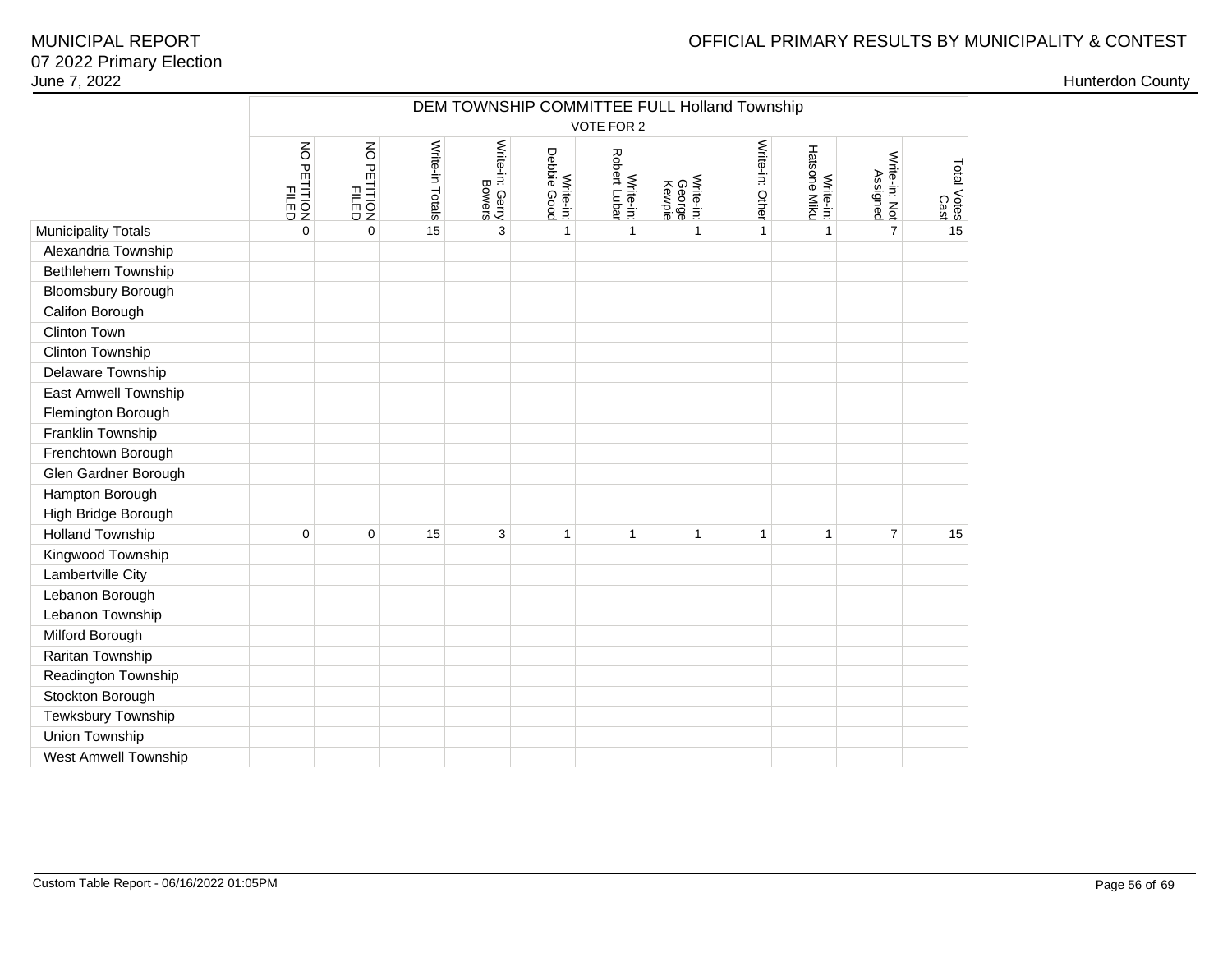|                            |                         |                         |                 | DEM TOWNSHIP COMMITTEE FULL Holland Township |                          |                           |                               |                 |                           |                           |                     |  |  |  |
|----------------------------|-------------------------|-------------------------|-----------------|----------------------------------------------|--------------------------|---------------------------|-------------------------------|-----------------|---------------------------|---------------------------|---------------------|--|--|--|
|                            |                         |                         |                 |                                              |                          | VOTE FOR 2                |                               |                 |                           |                           |                     |  |  |  |
|                            | NO PETITION<br>PETITION | NO PETITION<br>PETITION | Write-in Totals | Write-in: Gerry<br>Bowers                    | Write-in:<br>Debbie Good | Robert Lubar<br>Write-in: | Write-in:<br>George<br>Kewpie | Write-in: Other | Write-in:<br>Hatsone Miku | Write-in: Not<br>Assigned | Total Votes<br>Cast |  |  |  |
| <b>Municipality Totals</b> | $\mathbf 0$             | $\mathbf 0$             | 15              | 3                                            | $\mathbf{1}$             | $\mathbf{1}$              | $\mathbf{1}$                  | 1               | $\mathbf{1}$              | $\overline{7}$            | 15                  |  |  |  |
| Alexandria Township        |                         |                         |                 |                                              |                          |                           |                               |                 |                           |                           |                     |  |  |  |
| Bethlehem Township         |                         |                         |                 |                                              |                          |                           |                               |                 |                           |                           |                     |  |  |  |
| <b>Bloomsbury Borough</b>  |                         |                         |                 |                                              |                          |                           |                               |                 |                           |                           |                     |  |  |  |
| Califon Borough            |                         |                         |                 |                                              |                          |                           |                               |                 |                           |                           |                     |  |  |  |
| <b>Clinton Town</b>        |                         |                         |                 |                                              |                          |                           |                               |                 |                           |                           |                     |  |  |  |
| Clinton Township           |                         |                         |                 |                                              |                          |                           |                               |                 |                           |                           |                     |  |  |  |
| Delaware Township          |                         |                         |                 |                                              |                          |                           |                               |                 |                           |                           |                     |  |  |  |
| East Amwell Township       |                         |                         |                 |                                              |                          |                           |                               |                 |                           |                           |                     |  |  |  |
| Flemington Borough         |                         |                         |                 |                                              |                          |                           |                               |                 |                           |                           |                     |  |  |  |
| Franklin Township          |                         |                         |                 |                                              |                          |                           |                               |                 |                           |                           |                     |  |  |  |
| Frenchtown Borough         |                         |                         |                 |                                              |                          |                           |                               |                 |                           |                           |                     |  |  |  |
| Glen Gardner Borough       |                         |                         |                 |                                              |                          |                           |                               |                 |                           |                           |                     |  |  |  |
| Hampton Borough            |                         |                         |                 |                                              |                          |                           |                               |                 |                           |                           |                     |  |  |  |
| High Bridge Borough        |                         |                         |                 |                                              |                          |                           |                               |                 |                           |                           |                     |  |  |  |
| <b>Holland Township</b>    | $\mathbf 0$             | 0                       | 15              | 3                                            | $\mathbf{1}$             | $\overline{1}$            | $\mathbf{1}$                  | $\mathbf{1}$    | 1                         | $\overline{7}$            | 15                  |  |  |  |
| Kingwood Township          |                         |                         |                 |                                              |                          |                           |                               |                 |                           |                           |                     |  |  |  |
| Lambertville City          |                         |                         |                 |                                              |                          |                           |                               |                 |                           |                           |                     |  |  |  |
| Lebanon Borough            |                         |                         |                 |                                              |                          |                           |                               |                 |                           |                           |                     |  |  |  |
| Lebanon Township           |                         |                         |                 |                                              |                          |                           |                               |                 |                           |                           |                     |  |  |  |
| Milford Borough            |                         |                         |                 |                                              |                          |                           |                               |                 |                           |                           |                     |  |  |  |
| Raritan Township           |                         |                         |                 |                                              |                          |                           |                               |                 |                           |                           |                     |  |  |  |
| Readington Township        |                         |                         |                 |                                              |                          |                           |                               |                 |                           |                           |                     |  |  |  |
| Stockton Borough           |                         |                         |                 |                                              |                          |                           |                               |                 |                           |                           |                     |  |  |  |
| Tewksbury Township         |                         |                         |                 |                                              |                          |                           |                               |                 |                           |                           |                     |  |  |  |
| Union Township             |                         |                         |                 |                                              |                          |                           |                               |                 |                           |                           |                     |  |  |  |
| West Amwell Township       |                         |                         |                 |                                              |                          |                           |                               |                 |                           |                           |                     |  |  |  |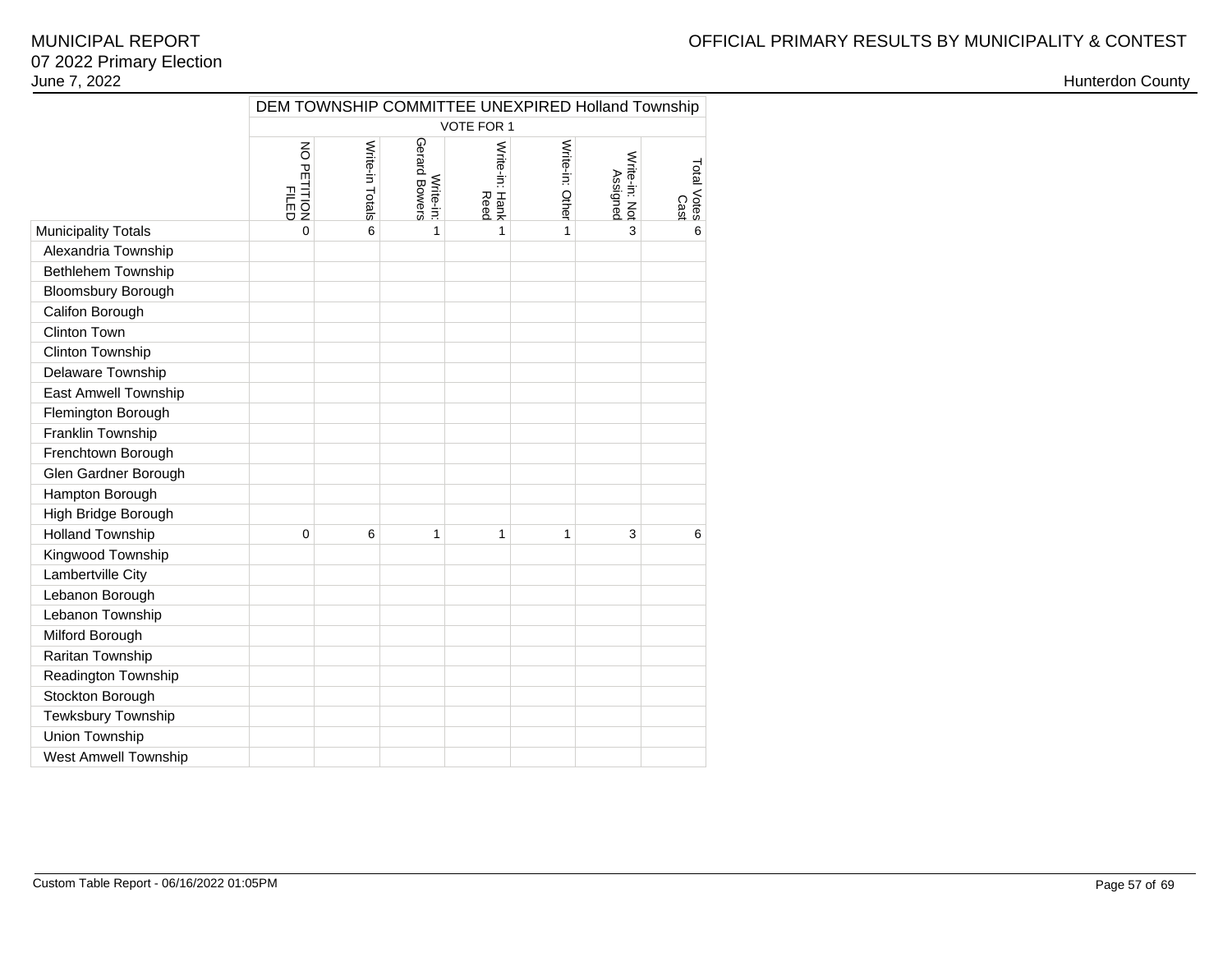|                            |                            |                              |                            |                        |                 | DEM TOWNSHIP COMMITTEE UNEXPIRED Holland Township |                     |  |  |  |  |  |  |  |  |
|----------------------------|----------------------------|------------------------------|----------------------------|------------------------|-----------------|---------------------------------------------------|---------------------|--|--|--|--|--|--|--|--|
|                            |                            | VOTE FOR 1<br>$\overline{5}$ |                            |                        |                 |                                                   |                     |  |  |  |  |  |  |  |  |
|                            | PETITION<br>PILED<br>PILED | Write-in Totals              | Write-in:<br>Gerard Bowers | Write-in: Hank<br>Reed | Write-in: Other | Write-in: Not<br>Assigned                         | Total Votes<br>Cast |  |  |  |  |  |  |  |  |
| <b>Municipality Totals</b> | 0                          | 6                            | 1                          | 1                      | 1               | 3                                                 | 6                   |  |  |  |  |  |  |  |  |
| Alexandria Township        |                            |                              |                            |                        |                 |                                                   |                     |  |  |  |  |  |  |  |  |
| Bethlehem Township         |                            |                              |                            |                        |                 |                                                   |                     |  |  |  |  |  |  |  |  |
| <b>Bloomsbury Borough</b>  |                            |                              |                            |                        |                 |                                                   |                     |  |  |  |  |  |  |  |  |
| Califon Borough            |                            |                              |                            |                        |                 |                                                   |                     |  |  |  |  |  |  |  |  |
| <b>Clinton Town</b>        |                            |                              |                            |                        |                 |                                                   |                     |  |  |  |  |  |  |  |  |
| Clinton Township           |                            |                              |                            |                        |                 |                                                   |                     |  |  |  |  |  |  |  |  |
| Delaware Township          |                            |                              |                            |                        |                 |                                                   |                     |  |  |  |  |  |  |  |  |
| East Amwell Township       |                            |                              |                            |                        |                 |                                                   |                     |  |  |  |  |  |  |  |  |
| Flemington Borough         |                            |                              |                            |                        |                 |                                                   |                     |  |  |  |  |  |  |  |  |
| Franklin Township          |                            |                              |                            |                        |                 |                                                   |                     |  |  |  |  |  |  |  |  |
| Frenchtown Borough         |                            |                              |                            |                        |                 |                                                   |                     |  |  |  |  |  |  |  |  |
| Glen Gardner Borough       |                            |                              |                            |                        |                 |                                                   |                     |  |  |  |  |  |  |  |  |
| Hampton Borough            |                            |                              |                            |                        |                 |                                                   |                     |  |  |  |  |  |  |  |  |
| High Bridge Borough        |                            |                              |                            |                        |                 |                                                   |                     |  |  |  |  |  |  |  |  |
| <b>Holland Township</b>    | $\mathbf{0}$               | 6                            | 1                          | 1                      | 1               | 3                                                 | 6                   |  |  |  |  |  |  |  |  |
| Kingwood Township          |                            |                              |                            |                        |                 |                                                   |                     |  |  |  |  |  |  |  |  |
| Lambertville City          |                            |                              |                            |                        |                 |                                                   |                     |  |  |  |  |  |  |  |  |
| Lebanon Borough            |                            |                              |                            |                        |                 |                                                   |                     |  |  |  |  |  |  |  |  |
| Lebanon Township           |                            |                              |                            |                        |                 |                                                   |                     |  |  |  |  |  |  |  |  |
| Milford Borough            |                            |                              |                            |                        |                 |                                                   |                     |  |  |  |  |  |  |  |  |
| Raritan Township           |                            |                              |                            |                        |                 |                                                   |                     |  |  |  |  |  |  |  |  |
| Readington Township        |                            |                              |                            |                        |                 |                                                   |                     |  |  |  |  |  |  |  |  |
| Stockton Borough           |                            |                              |                            |                        |                 |                                                   |                     |  |  |  |  |  |  |  |  |
| Tewksbury Township         |                            |                              |                            |                        |                 |                                                   |                     |  |  |  |  |  |  |  |  |
| Union Township             |                            |                              |                            |                        |                 |                                                   |                     |  |  |  |  |  |  |  |  |
| West Amwell Township       |                            |                              |                            |                        |                 |                                                   |                     |  |  |  |  |  |  |  |  |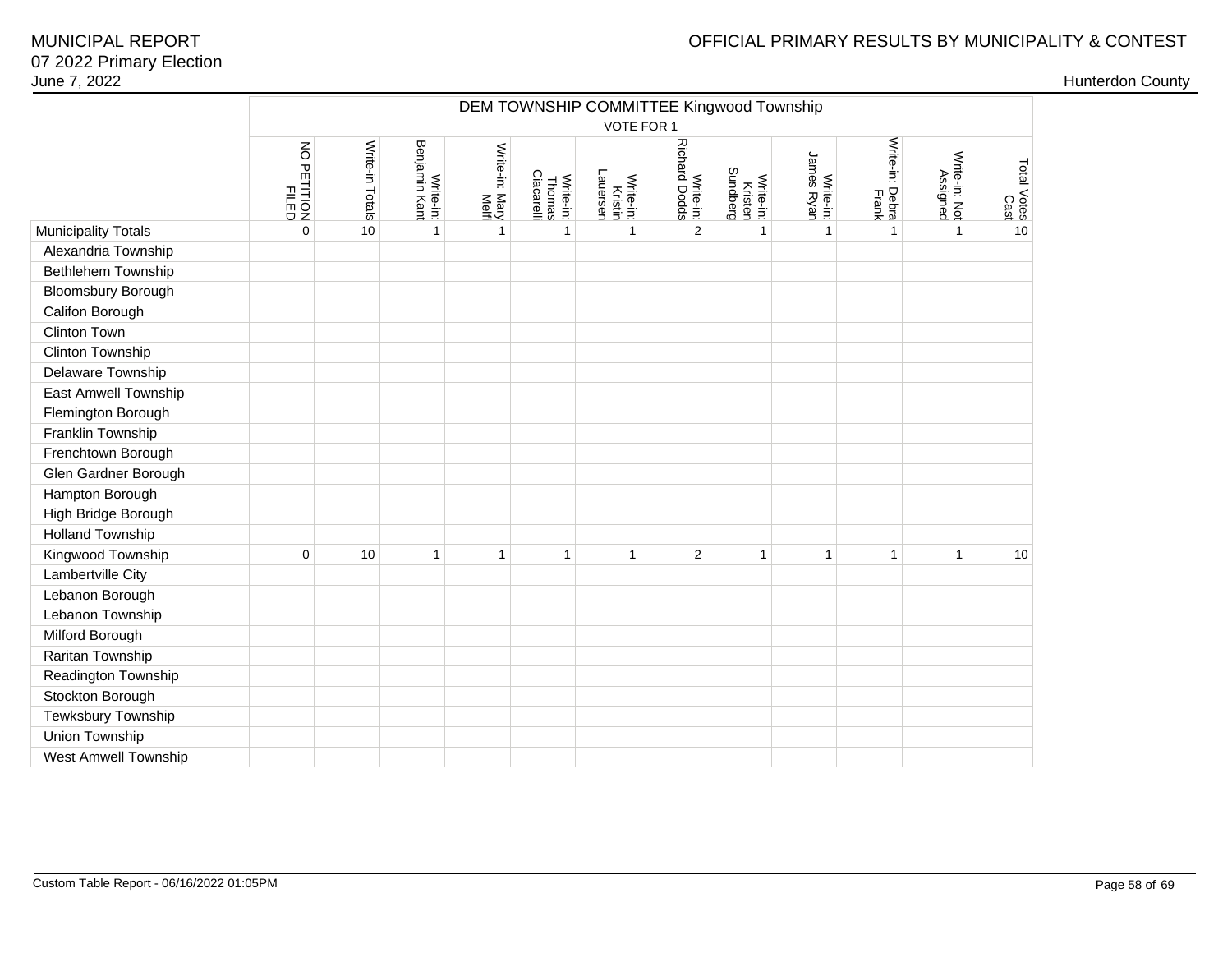|                             | DEM TOWNSHIP COMMITTEE Kingwood Township |                 |                            |                         |                                   |                                  |                                   |                                  |                         |                          |                           |                     |  |  |  |
|-----------------------------|------------------------------------------|-----------------|----------------------------|-------------------------|-----------------------------------|----------------------------------|-----------------------------------|----------------------------------|-------------------------|--------------------------|---------------------------|---------------------|--|--|--|
|                             |                                          | VOTE FOR 1      |                            |                         |                                   |                                  |                                   |                                  |                         |                          |                           |                     |  |  |  |
|                             | NO PETITION<br>FILED                     | Write-in Totals | Benjamin Kant<br>Write-in: | Write-in: Mary<br>Melfi | Thomas<br>Ciacarelli<br>Write-in: | Lauersen<br>Write-in:<br>Kristin | <b>Richard Dodds</b><br>Write-in: | Sundberg<br>Write-in:<br>Kristen | James Ryan<br>Write-in: | Write-in: Debra<br>Frank | Write-in: Not<br>Assigned | Total Votes<br>Cast |  |  |  |
| <b>Municipality Totals</b>  | $\mathbf 0$                              | 10              | $\mathbf{1}$               | $\mathbf{1}$            | $\mathbf{1}$                      | 1                                | $\overline{2}$                    | $\mathbf{1}$                     | $\overline{1}$          | $\mathbf{1}$             | 1                         | 10                  |  |  |  |
| Alexandria Township         |                                          |                 |                            |                         |                                   |                                  |                                   |                                  |                         |                          |                           |                     |  |  |  |
| Bethlehem Township          |                                          |                 |                            |                         |                                   |                                  |                                   |                                  |                         |                          |                           |                     |  |  |  |
| <b>Bloomsbury Borough</b>   |                                          |                 |                            |                         |                                   |                                  |                                   |                                  |                         |                          |                           |                     |  |  |  |
| Califon Borough             |                                          |                 |                            |                         |                                   |                                  |                                   |                                  |                         |                          |                           |                     |  |  |  |
| <b>Clinton Town</b>         |                                          |                 |                            |                         |                                   |                                  |                                   |                                  |                         |                          |                           |                     |  |  |  |
| Clinton Township            |                                          |                 |                            |                         |                                   |                                  |                                   |                                  |                         |                          |                           |                     |  |  |  |
| Delaware Township           |                                          |                 |                            |                         |                                   |                                  |                                   |                                  |                         |                          |                           |                     |  |  |  |
| East Amwell Township        |                                          |                 |                            |                         |                                   |                                  |                                   |                                  |                         |                          |                           |                     |  |  |  |
| Flemington Borough          |                                          |                 |                            |                         |                                   |                                  |                                   |                                  |                         |                          |                           |                     |  |  |  |
| Franklin Township           |                                          |                 |                            |                         |                                   |                                  |                                   |                                  |                         |                          |                           |                     |  |  |  |
| Frenchtown Borough          |                                          |                 |                            |                         |                                   |                                  |                                   |                                  |                         |                          |                           |                     |  |  |  |
| Glen Gardner Borough        |                                          |                 |                            |                         |                                   |                                  |                                   |                                  |                         |                          |                           |                     |  |  |  |
| Hampton Borough             |                                          |                 |                            |                         |                                   |                                  |                                   |                                  |                         |                          |                           |                     |  |  |  |
| High Bridge Borough         |                                          |                 |                            |                         |                                   |                                  |                                   |                                  |                         |                          |                           |                     |  |  |  |
| <b>Holland Township</b>     |                                          |                 |                            |                         |                                   |                                  |                                   |                                  |                         |                          |                           |                     |  |  |  |
| Kingwood Township           | $\mathbf 0$                              | 10              | $\mathbf{1}$               | 1                       | 1                                 | 1                                | $\overline{2}$                    | $\mathbf{1}$                     | 1                       | 1                        | 1                         | 10                  |  |  |  |
| Lambertville City           |                                          |                 |                            |                         |                                   |                                  |                                   |                                  |                         |                          |                           |                     |  |  |  |
| Lebanon Borough             |                                          |                 |                            |                         |                                   |                                  |                                   |                                  |                         |                          |                           |                     |  |  |  |
| Lebanon Township            |                                          |                 |                            |                         |                                   |                                  |                                   |                                  |                         |                          |                           |                     |  |  |  |
| Milford Borough             |                                          |                 |                            |                         |                                   |                                  |                                   |                                  |                         |                          |                           |                     |  |  |  |
| Raritan Township            |                                          |                 |                            |                         |                                   |                                  |                                   |                                  |                         |                          |                           |                     |  |  |  |
| Readington Township         |                                          |                 |                            |                         |                                   |                                  |                                   |                                  |                         |                          |                           |                     |  |  |  |
| Stockton Borough            |                                          |                 |                            |                         |                                   |                                  |                                   |                                  |                         |                          |                           |                     |  |  |  |
| Tewksbury Township          |                                          |                 |                            |                         |                                   |                                  |                                   |                                  |                         |                          |                           |                     |  |  |  |
| Union Township              |                                          |                 |                            |                         |                                   |                                  |                                   |                                  |                         |                          |                           |                     |  |  |  |
| <b>West Amwell Township</b> |                                          |                 |                            |                         |                                   |                                  |                                   |                                  |                         |                          |                           |                     |  |  |  |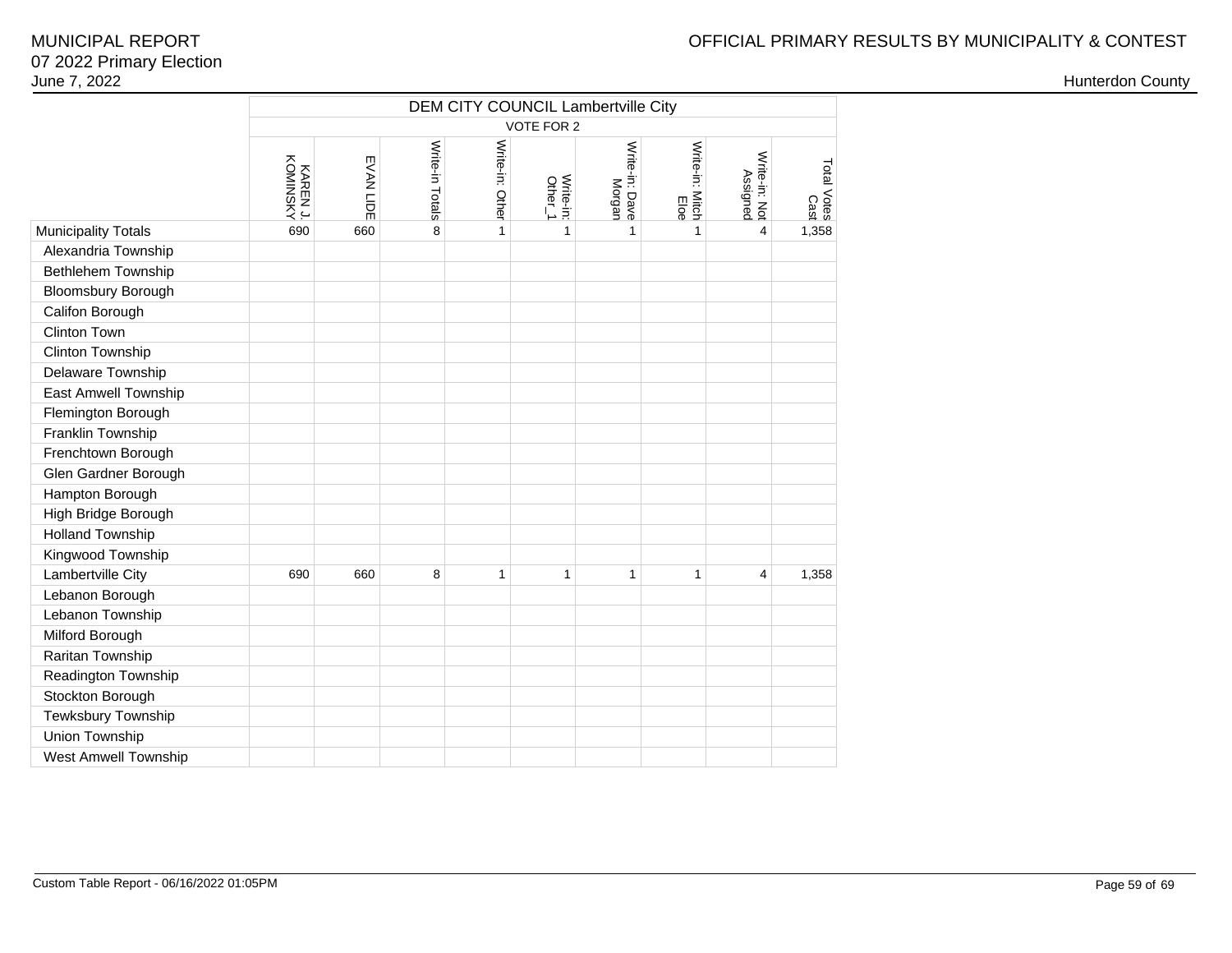|                             |                     | DEM CITY COUNCIL Lambertville City<br>VOTE FOR 2 |                 |                 |                      |                          |                         |                           |                     |  |  |  |  |  |
|-----------------------------|---------------------|--------------------------------------------------|-----------------|-----------------|----------------------|--------------------------|-------------------------|---------------------------|---------------------|--|--|--|--|--|
|                             | KOMINSKY<br>KARENJ. | EVAN LIDE                                        | Write-in Totals | Write-in: Other | Write-in:<br>Other_1 | Write-in: Dave<br>Morgan | Write-in: Mitch<br>Eloe | Write-in: Not<br>Assigned | Total Votes<br>Cast |  |  |  |  |  |
| <b>Municipality Totals</b>  | 690                 | 660                                              | 8               | $\mathbf{1}$    | $\mathbf{1}$         | 1                        | $\mathbf{1}$            | $\overline{4}$            | 1,358               |  |  |  |  |  |
| Alexandria Township         |                     |                                                  |                 |                 |                      |                          |                         |                           |                     |  |  |  |  |  |
| Bethlehem Township          |                     |                                                  |                 |                 |                      |                          |                         |                           |                     |  |  |  |  |  |
| <b>Bloomsbury Borough</b>   |                     |                                                  |                 |                 |                      |                          |                         |                           |                     |  |  |  |  |  |
| Califon Borough             |                     |                                                  |                 |                 |                      |                          |                         |                           |                     |  |  |  |  |  |
| Clinton Town                |                     |                                                  |                 |                 |                      |                          |                         |                           |                     |  |  |  |  |  |
| <b>Clinton Township</b>     |                     |                                                  |                 |                 |                      |                          |                         |                           |                     |  |  |  |  |  |
| Delaware Township           |                     |                                                  |                 |                 |                      |                          |                         |                           |                     |  |  |  |  |  |
| East Amwell Township        |                     |                                                  |                 |                 |                      |                          |                         |                           |                     |  |  |  |  |  |
| Flemington Borough          |                     |                                                  |                 |                 |                      |                          |                         |                           |                     |  |  |  |  |  |
| Franklin Township           |                     |                                                  |                 |                 |                      |                          |                         |                           |                     |  |  |  |  |  |
| Frenchtown Borough          |                     |                                                  |                 |                 |                      |                          |                         |                           |                     |  |  |  |  |  |
| Glen Gardner Borough        |                     |                                                  |                 |                 |                      |                          |                         |                           |                     |  |  |  |  |  |
| Hampton Borough             |                     |                                                  |                 |                 |                      |                          |                         |                           |                     |  |  |  |  |  |
| High Bridge Borough         |                     |                                                  |                 |                 |                      |                          |                         |                           |                     |  |  |  |  |  |
| <b>Holland Township</b>     |                     |                                                  |                 |                 |                      |                          |                         |                           |                     |  |  |  |  |  |
| Kingwood Township           |                     |                                                  |                 |                 |                      |                          |                         |                           |                     |  |  |  |  |  |
| Lambertville City           | 690                 | 660                                              | 8               | $\mathbf{1}$    | $\mathbf{1}$         | $\mathbf{1}$             | 1                       | 4                         | 1,358               |  |  |  |  |  |
| Lebanon Borough             |                     |                                                  |                 |                 |                      |                          |                         |                           |                     |  |  |  |  |  |
| Lebanon Township            |                     |                                                  |                 |                 |                      |                          |                         |                           |                     |  |  |  |  |  |
| Milford Borough             |                     |                                                  |                 |                 |                      |                          |                         |                           |                     |  |  |  |  |  |
| Raritan Township            |                     |                                                  |                 |                 |                      |                          |                         |                           |                     |  |  |  |  |  |
| Readington Township         |                     |                                                  |                 |                 |                      |                          |                         |                           |                     |  |  |  |  |  |
| Stockton Borough            |                     |                                                  |                 |                 |                      |                          |                         |                           |                     |  |  |  |  |  |
| Tewksbury Township          |                     |                                                  |                 |                 |                      |                          |                         |                           |                     |  |  |  |  |  |
| Union Township              |                     |                                                  |                 |                 |                      |                          |                         |                           |                     |  |  |  |  |  |
| <b>West Amwell Township</b> |                     |                                                  |                 |                 |                      |                          |                         |                           |                     |  |  |  |  |  |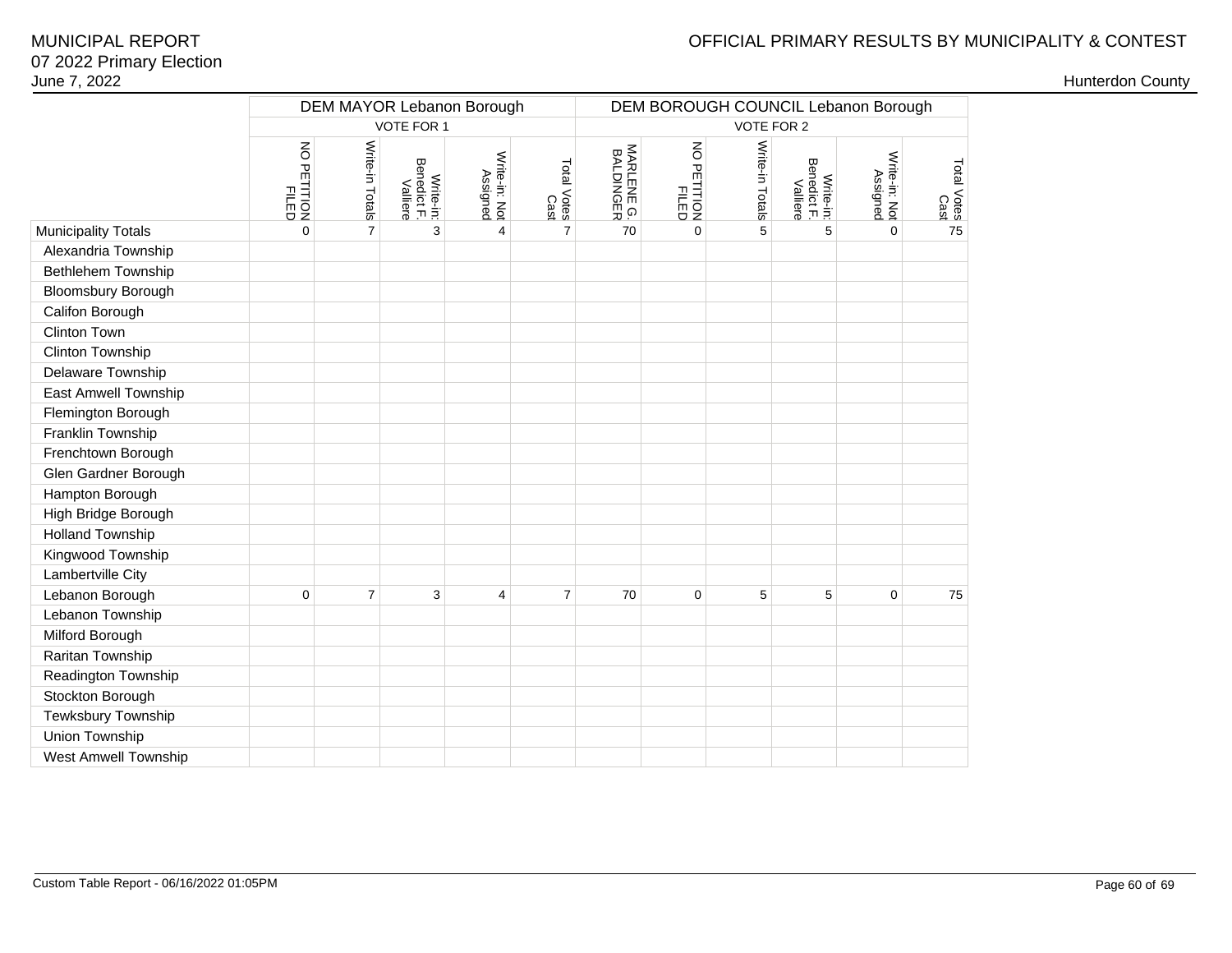# OFFICIAL PRIMARY RESULTS BY MUNICIPALITY & CONTEST

| June 7, 2022            |                           |                 |                                      |                           |                     |                         |                      |                                     |                                      |                           |                     |  | <b>Hunterdon County</b> |  |
|-------------------------|---------------------------|-----------------|--------------------------------------|---------------------------|---------------------|-------------------------|----------------------|-------------------------------------|--------------------------------------|---------------------------|---------------------|--|-------------------------|--|
|                         | DEM MAYOR Lebanon Borough |                 |                                      |                           |                     |                         |                      | DEM BOROUGH COUNCIL Lebanon Borough |                                      |                           |                     |  |                         |  |
|                         |                           |                 | VOTE FOR 1                           |                           |                     |                         |                      | VOTE FOR 2                          |                                      |                           |                     |  |                         |  |
|                         |                           |                 |                                      |                           |                     |                         |                      |                                     |                                      |                           |                     |  |                         |  |
|                         | NO PETITION<br>FILED      | Write-in Totals | Write-in:<br>Benedict F.<br>Valliere | Write-in: Not<br>Assigned | Total Votes<br>Cast | MARLENE G.<br>BALDINGER | NO PETITION<br>FILED | Write-in Totals                     | Write-in:<br>Benedict F.<br>Valliere | Write-in: Not<br>Assigned | Total Votes<br>Cast |  |                         |  |
| Municipality Totals     | $\mathbf 0$               | $\overline{7}$  | 3                                    | $\overline{4}$            | $\overline{7}$      | 70                      | $\mathbf{0}$         | 5                                   | 5                                    | $\Omega$                  | 75                  |  |                         |  |
| Alexandria Township     |                           |                 |                                      |                           |                     |                         |                      |                                     |                                      |                           |                     |  |                         |  |
| Bethlehem Township      |                           |                 |                                      |                           |                     |                         |                      |                                     |                                      |                           |                     |  |                         |  |
| Bloomsbury Borough      |                           |                 |                                      |                           |                     |                         |                      |                                     |                                      |                           |                     |  |                         |  |
| Califon Borough         |                           |                 |                                      |                           |                     |                         |                      |                                     |                                      |                           |                     |  |                         |  |
| Clinton Town            |                           |                 |                                      |                           |                     |                         |                      |                                     |                                      |                           |                     |  |                         |  |
| Clinton Township        |                           |                 |                                      |                           |                     |                         |                      |                                     |                                      |                           |                     |  |                         |  |
| Delaware Township       |                           |                 |                                      |                           |                     |                         |                      |                                     |                                      |                           |                     |  |                         |  |
| East Amwell Township    |                           |                 |                                      |                           |                     |                         |                      |                                     |                                      |                           |                     |  |                         |  |
| Flemington Borough      |                           |                 |                                      |                           |                     |                         |                      |                                     |                                      |                           |                     |  |                         |  |
| Franklin Township       |                           |                 |                                      |                           |                     |                         |                      |                                     |                                      |                           |                     |  |                         |  |
| Frenchtown Borough      |                           |                 |                                      |                           |                     |                         |                      |                                     |                                      |                           |                     |  |                         |  |
| Glen Gardner Borough    |                           |                 |                                      |                           |                     |                         |                      |                                     |                                      |                           |                     |  |                         |  |
| Hampton Borough         |                           |                 |                                      |                           |                     |                         |                      |                                     |                                      |                           |                     |  |                         |  |
| High Bridge Borough     |                           |                 |                                      |                           |                     |                         |                      |                                     |                                      |                           |                     |  |                         |  |
| <b>Holland Township</b> |                           |                 |                                      |                           |                     |                         |                      |                                     |                                      |                           |                     |  |                         |  |
| Kingwood Township       |                           |                 |                                      |                           |                     |                         |                      |                                     |                                      |                           |                     |  |                         |  |
| Lambertville City       |                           |                 |                                      |                           |                     |                         |                      |                                     |                                      |                           |                     |  |                         |  |
| Lebanon Borough         | $\mathbf 0$               | $\overline{7}$  | 3                                    | $\overline{4}$            | $\overline{7}$      | 70                      | $\mathbf 0$          | 5                                   | 5                                    | $\mathbf 0$               | 75                  |  |                         |  |
| Lebanon Township        |                           |                 |                                      |                           |                     |                         |                      |                                     |                                      |                           |                     |  |                         |  |
| Milford Borough         |                           |                 |                                      |                           |                     |                         |                      |                                     |                                      |                           |                     |  |                         |  |
| Raritan Township        |                           |                 |                                      |                           |                     |                         |                      |                                     |                                      |                           |                     |  |                         |  |
| Readington Township     |                           |                 |                                      |                           |                     |                         |                      |                                     |                                      |                           |                     |  |                         |  |
| Stockton Borough        |                           |                 |                                      |                           |                     |                         |                      |                                     |                                      |                           |                     |  |                         |  |
| Tewksbury Township      |                           |                 |                                      |                           |                     |                         |                      |                                     |                                      |                           |                     |  |                         |  |
| Union Township          |                           |                 |                                      |                           |                     |                         |                      |                                     |                                      |                           |                     |  |                         |  |
| West Amwell Township    |                           |                 |                                      |                           |                     |                         |                      |                                     |                                      |                           |                     |  |                         |  |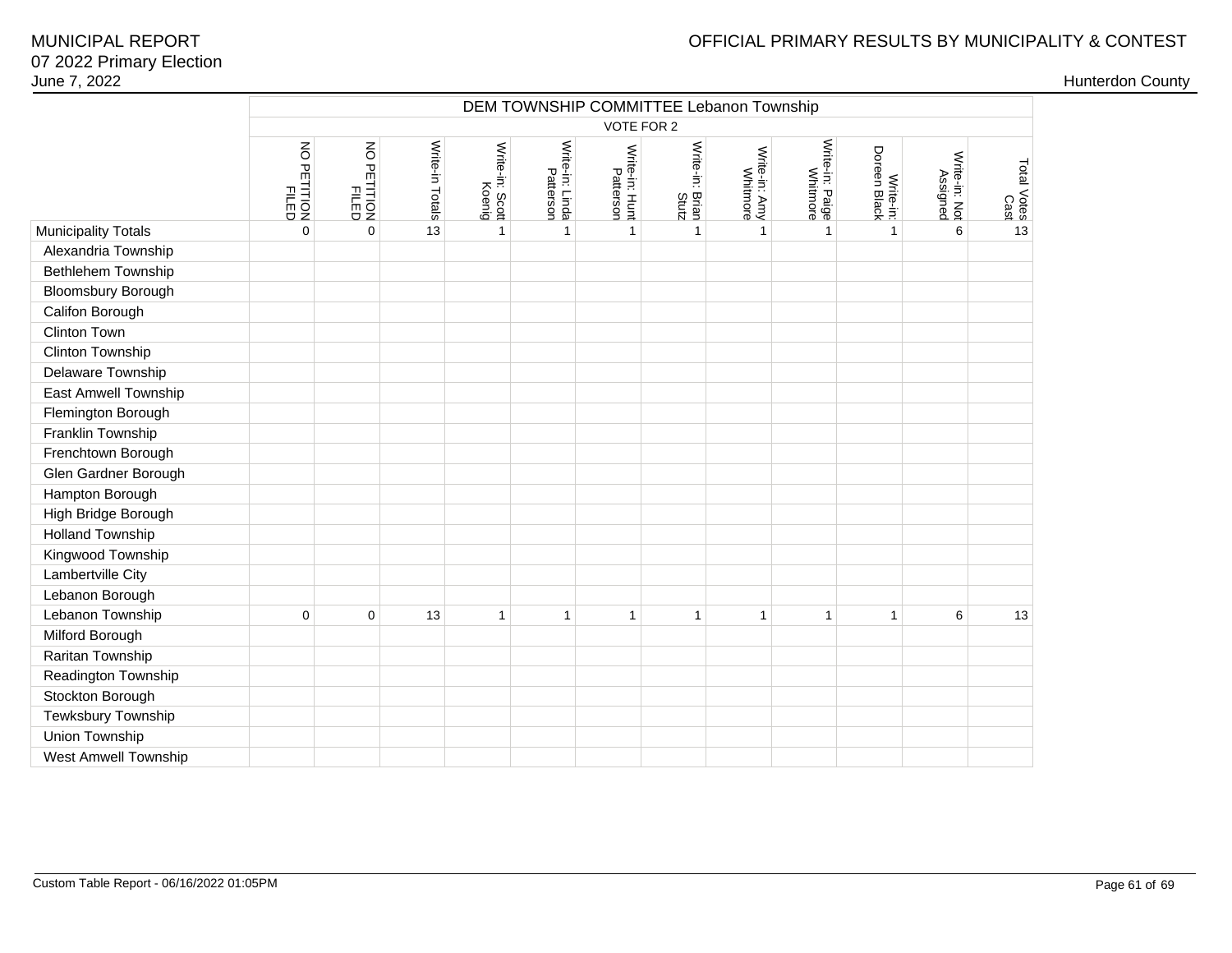|                             |                         | DEM TOWNSHIP COMMITTEE Lebanon Township |                 |                           |                              |                             |                          |                           |                                    |                           |                           |                     |  |
|-----------------------------|-------------------------|-----------------------------------------|-----------------|---------------------------|------------------------------|-----------------------------|--------------------------|---------------------------|------------------------------------|---------------------------|---------------------------|---------------------|--|
|                             |                         |                                         |                 |                           |                              | VOTE FOR 2                  |                          |                           |                                    |                           |                           |                     |  |
|                             | NO PETITION<br>PETITION | NO PETITION<br>FILED                    | Write-in Totals | Write-in: Scott<br>Koenig | Write-in: Linda<br>Patterson | Write-in: Hunt<br>Patterson | Write-in: Brian<br>Stutz | Write-in: Amy<br>Whitmore | Write-in: Paige<br>Write-in: Paige | Write-in:<br>Doreen Black | Write-in: Not<br>Assigned | Total Votes<br>Cast |  |
| <b>Municipality Totals</b>  | $\mathbf 0$             | $\mathbf{0}$                            | 13              | $\mathbf{1}$              | $\mathbf{1}$                 | $\mathbf{1}$                | $\mathbf{1}$             | $\mathbf{1}$              | $\overline{1}$                     | $\mathbf{1}$              | 6                         | 13                  |  |
| Alexandria Township         |                         |                                         |                 |                           |                              |                             |                          |                           |                                    |                           |                           |                     |  |
| Bethlehem Township          |                         |                                         |                 |                           |                              |                             |                          |                           |                                    |                           |                           |                     |  |
| Bloomsbury Borough          |                         |                                         |                 |                           |                              |                             |                          |                           |                                    |                           |                           |                     |  |
| Califon Borough             |                         |                                         |                 |                           |                              |                             |                          |                           |                                    |                           |                           |                     |  |
| Clinton Town                |                         |                                         |                 |                           |                              |                             |                          |                           |                                    |                           |                           |                     |  |
| <b>Clinton Township</b>     |                         |                                         |                 |                           |                              |                             |                          |                           |                                    |                           |                           |                     |  |
| Delaware Township           |                         |                                         |                 |                           |                              |                             |                          |                           |                                    |                           |                           |                     |  |
| East Amwell Township        |                         |                                         |                 |                           |                              |                             |                          |                           |                                    |                           |                           |                     |  |
| Flemington Borough          |                         |                                         |                 |                           |                              |                             |                          |                           |                                    |                           |                           |                     |  |
| Franklin Township           |                         |                                         |                 |                           |                              |                             |                          |                           |                                    |                           |                           |                     |  |
| Frenchtown Borough          |                         |                                         |                 |                           |                              |                             |                          |                           |                                    |                           |                           |                     |  |
| Glen Gardner Borough        |                         |                                         |                 |                           |                              |                             |                          |                           |                                    |                           |                           |                     |  |
| Hampton Borough             |                         |                                         |                 |                           |                              |                             |                          |                           |                                    |                           |                           |                     |  |
| High Bridge Borough         |                         |                                         |                 |                           |                              |                             |                          |                           |                                    |                           |                           |                     |  |
| <b>Holland Township</b>     |                         |                                         |                 |                           |                              |                             |                          |                           |                                    |                           |                           |                     |  |
| Kingwood Township           |                         |                                         |                 |                           |                              |                             |                          |                           |                                    |                           |                           |                     |  |
| Lambertville City           |                         |                                         |                 |                           |                              |                             |                          |                           |                                    |                           |                           |                     |  |
| Lebanon Borough             |                         |                                         |                 |                           |                              |                             |                          |                           |                                    |                           |                           |                     |  |
| Lebanon Township            | 0                       | $\mathbf 0$                             | 13              | 1                         | 1                            | 1                           | 1                        | 1                         | $\overline{\mathbf{1}}$            | $\mathbf 1$               | 6                         | 13                  |  |
| Milford Borough             |                         |                                         |                 |                           |                              |                             |                          |                           |                                    |                           |                           |                     |  |
| Raritan Township            |                         |                                         |                 |                           |                              |                             |                          |                           |                                    |                           |                           |                     |  |
| Readington Township         |                         |                                         |                 |                           |                              |                             |                          |                           |                                    |                           |                           |                     |  |
| Stockton Borough            |                         |                                         |                 |                           |                              |                             |                          |                           |                                    |                           |                           |                     |  |
| Tewksbury Township          |                         |                                         |                 |                           |                              |                             |                          |                           |                                    |                           |                           |                     |  |
| Union Township              |                         |                                         |                 |                           |                              |                             |                          |                           |                                    |                           |                           |                     |  |
| <b>West Amwell Township</b> |                         |                                         |                 |                           |                              |                             |                          |                           |                                    |                           |                           |                     |  |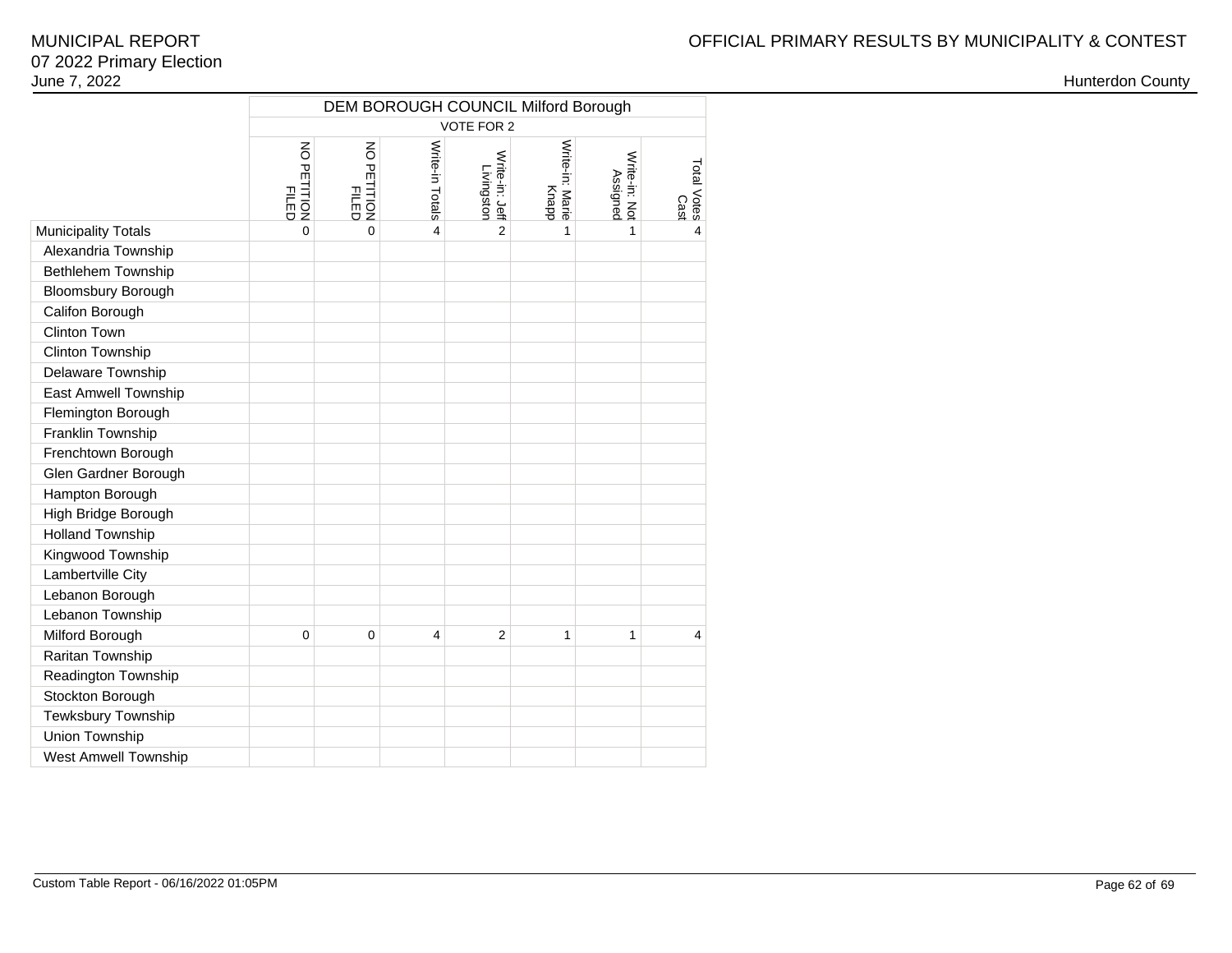|                             | <b>DEM BOROUGH COUNCIL Milford Borough</b>    |                             |                         |                              |                          |                           |                     |  |  |  |  |
|-----------------------------|-----------------------------------------------|-----------------------------|-------------------------|------------------------------|--------------------------|---------------------------|---------------------|--|--|--|--|
|                             | <b>VOTE FOR 2</b>                             |                             |                         |                              |                          |                           |                     |  |  |  |  |
|                             | $\overline{6}$<br><b>PETITION</b><br>PETITION | NO PETITION<br><b>FILED</b> | Write-in Totals         | Write-in: Jeff<br>Livingston | Write-in: Marie<br>Knapp | Write-in: Not<br>Assigned | Total Votes<br>Cast |  |  |  |  |
| <b>Municipality Totals</b>  | $\Omega$                                      | $\Omega$                    | 4                       | $\overline{2}$               | 1                        | 1                         | $\overline{4}$      |  |  |  |  |
| Alexandria Township         |                                               |                             |                         |                              |                          |                           |                     |  |  |  |  |
| Bethlehem Township          |                                               |                             |                         |                              |                          |                           |                     |  |  |  |  |
| <b>Bloomsbury Borough</b>   |                                               |                             |                         |                              |                          |                           |                     |  |  |  |  |
| Califon Borough             |                                               |                             |                         |                              |                          |                           |                     |  |  |  |  |
| <b>Clinton Town</b>         |                                               |                             |                         |                              |                          |                           |                     |  |  |  |  |
| Clinton Township            |                                               |                             |                         |                              |                          |                           |                     |  |  |  |  |
| Delaware Township           |                                               |                             |                         |                              |                          |                           |                     |  |  |  |  |
| <b>East Amwell Township</b> |                                               |                             |                         |                              |                          |                           |                     |  |  |  |  |
| Flemington Borough          |                                               |                             |                         |                              |                          |                           |                     |  |  |  |  |
| Franklin Township           |                                               |                             |                         |                              |                          |                           |                     |  |  |  |  |
| Frenchtown Borough          |                                               |                             |                         |                              |                          |                           |                     |  |  |  |  |
| Glen Gardner Borough        |                                               |                             |                         |                              |                          |                           |                     |  |  |  |  |
| Hampton Borough             |                                               |                             |                         |                              |                          |                           |                     |  |  |  |  |
| High Bridge Borough         |                                               |                             |                         |                              |                          |                           |                     |  |  |  |  |
| <b>Holland Township</b>     |                                               |                             |                         |                              |                          |                           |                     |  |  |  |  |
| Kingwood Township           |                                               |                             |                         |                              |                          |                           |                     |  |  |  |  |
| Lambertville City           |                                               |                             |                         |                              |                          |                           |                     |  |  |  |  |
| Lebanon Borough             |                                               |                             |                         |                              |                          |                           |                     |  |  |  |  |
| Lebanon Township            |                                               |                             |                         |                              |                          |                           |                     |  |  |  |  |
| Milford Borough             | $\overline{0}$                                | $\mathbf 0$                 | $\overline{\mathbf{4}}$ | $\overline{2}$               | 1                        | 1                         | $\overline{4}$      |  |  |  |  |
| Raritan Township            |                                               |                             |                         |                              |                          |                           |                     |  |  |  |  |
| Readington Township         |                                               |                             |                         |                              |                          |                           |                     |  |  |  |  |
| Stockton Borough            |                                               |                             |                         |                              |                          |                           |                     |  |  |  |  |
| Tewksbury Township          |                                               |                             |                         |                              |                          |                           |                     |  |  |  |  |
| Union Township              |                                               |                             |                         |                              |                          |                           |                     |  |  |  |  |
| West Amwell Township        |                                               |                             |                         |                              |                          |                           |                     |  |  |  |  |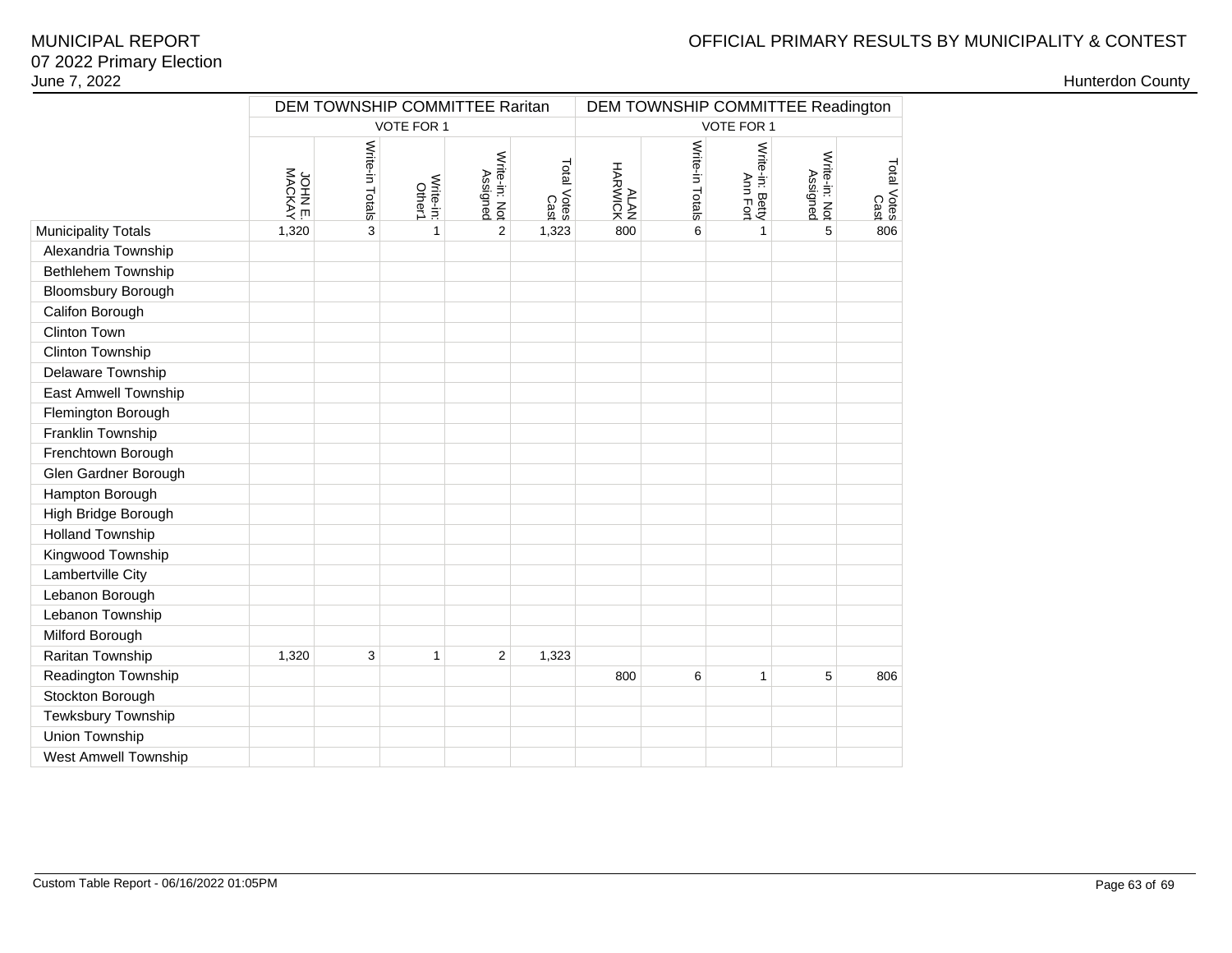# OFFICIAL PRIMARY RESULTS BY MUNICIPALITY & CONTEST

|                            | JOHN E. | Write-in Totals | VOTE FOR 1                 |                           |                     |                    |                 | VOTE FOR 1                  |                           |                     |
|----------------------------|---------|-----------------|----------------------------|---------------------------|---------------------|--------------------|-----------------|-----------------------------|---------------------------|---------------------|
|                            |         |                 |                            |                           |                     |                    |                 |                             |                           |                     |
|                            |         |                 | Write-in:<br><b>Other1</b> | Write-in: Not<br>Assigned | Total Votes<br>Cast | HARWICK<br>HARWICK | Write-in Totals | Write-in: Betty<br>Ann Fort | Write-in: Not<br>Assigned | Total Votes<br>Cast |
| <b>Municipality Totals</b> | 1,320   | 3               | $\mathbf{1}$               | $\overline{2}$            | 1,323               | 800                | 6               | 1                           | 5                         | 806                 |
| Alexandria Township        |         |                 |                            |                           |                     |                    |                 |                             |                           |                     |
| Bethlehem Township         |         |                 |                            |                           |                     |                    |                 |                             |                           |                     |
| <b>Bloomsbury Borough</b>  |         |                 |                            |                           |                     |                    |                 |                             |                           |                     |
| Califon Borough            |         |                 |                            |                           |                     |                    |                 |                             |                           |                     |
| Clinton Town               |         |                 |                            |                           |                     |                    |                 |                             |                           |                     |
| Clinton Township           |         |                 |                            |                           |                     |                    |                 |                             |                           |                     |
| Delaware Township          |         |                 |                            |                           |                     |                    |                 |                             |                           |                     |
| East Amwell Township       |         |                 |                            |                           |                     |                    |                 |                             |                           |                     |
| Flemington Borough         |         |                 |                            |                           |                     |                    |                 |                             |                           |                     |
| Franklin Township          |         |                 |                            |                           |                     |                    |                 |                             |                           |                     |
| Frenchtown Borough         |         |                 |                            |                           |                     |                    |                 |                             |                           |                     |
| Glen Gardner Borough       |         |                 |                            |                           |                     |                    |                 |                             |                           |                     |
| Hampton Borough            |         |                 |                            |                           |                     |                    |                 |                             |                           |                     |
| High Bridge Borough        |         |                 |                            |                           |                     |                    |                 |                             |                           |                     |
| <b>Holland Township</b>    |         |                 |                            |                           |                     |                    |                 |                             |                           |                     |
| Kingwood Township          |         |                 |                            |                           |                     |                    |                 |                             |                           |                     |
| Lambertville City          |         |                 |                            |                           |                     |                    |                 |                             |                           |                     |
| Lebanon Borough            |         |                 |                            |                           |                     |                    |                 |                             |                           |                     |
| Lebanon Township           |         |                 |                            |                           |                     |                    |                 |                             |                           |                     |
| Milford Borough            |         |                 |                            |                           |                     |                    |                 |                             |                           |                     |
| Raritan Township           | 1,320   | 3               | 1                          | $\overline{2}$            | 1,323               |                    |                 |                             |                           |                     |
| Readington Township        |         |                 |                            |                           |                     | 800                | 6               | $\mathbf{1}$                | 5                         | 806                 |
| Stockton Borough           |         |                 |                            |                           |                     |                    |                 |                             |                           |                     |
| Tewksbury Township         |         |                 |                            |                           |                     |                    |                 |                             |                           |                     |
| Union Township             |         |                 |                            |                           |                     |                    |                 |                             |                           |                     |
| West Amwell Township       |         |                 |                            |                           |                     |                    |                 |                             |                           |                     |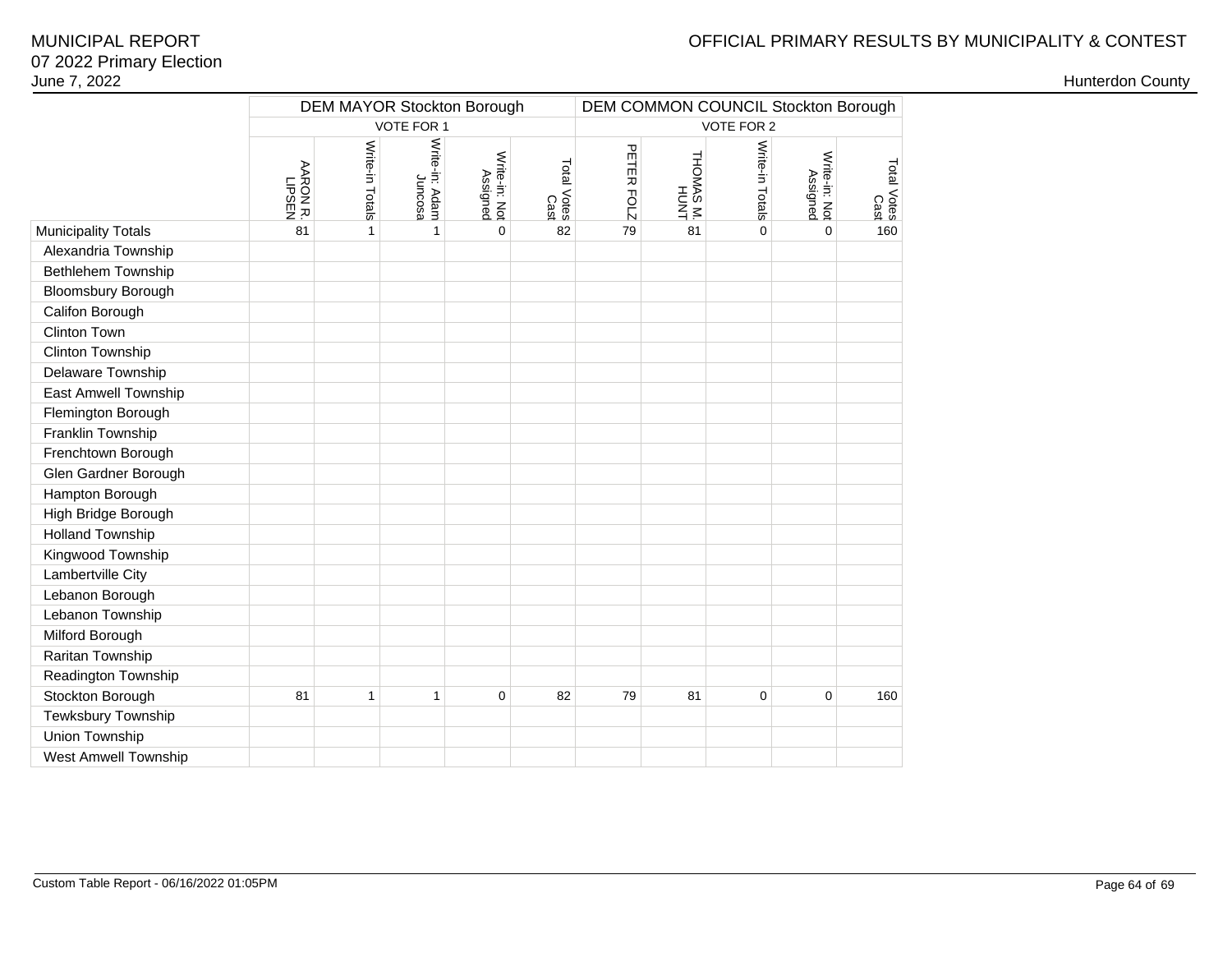# OFFICIAL PRIMARY RESULTS BY MUNICIPALITY & CONTEST

|                             | <b>DEM MAYOR Stockton Borough</b><br>DEM COMMON COUNCIL Stockton Borough |                 |                           |                           |                     |            |                   |                 |                           |                     |
|-----------------------------|--------------------------------------------------------------------------|-----------------|---------------------------|---------------------------|---------------------|------------|-------------------|-----------------|---------------------------|---------------------|
|                             | VOTE FOR 1                                                               |                 |                           |                           |                     |            |                   | VOTE FOR 2      |                           |                     |
|                             | <b>AARON R</b><br><b>LIPSEN</b>                                          | Write-in Totals | Write-in: Adam<br>Juncosa | Write-in: Not<br>Assigned | Total Votes<br>Cast | PETER FOLZ | THOMAS M.<br>HUNT | Write-in Totals | Write-in: Not<br>Assigned | Total Votes<br>Cast |
| <b>Municipality Totals</b>  | 81                                                                       | $\mathbf{1}$    | $\mathbf{1}$              | $\Omega$                  | 82                  | 79         | 81                | $\Omega$        | $\Omega$                  | 160                 |
| Alexandria Township         |                                                                          |                 |                           |                           |                     |            |                   |                 |                           |                     |
| <b>Bethlehem Township</b>   |                                                                          |                 |                           |                           |                     |            |                   |                 |                           |                     |
| <b>Bloomsbury Borough</b>   |                                                                          |                 |                           |                           |                     |            |                   |                 |                           |                     |
| Califon Borough             |                                                                          |                 |                           |                           |                     |            |                   |                 |                           |                     |
| Clinton Town                |                                                                          |                 |                           |                           |                     |            |                   |                 |                           |                     |
| Clinton Township            |                                                                          |                 |                           |                           |                     |            |                   |                 |                           |                     |
| Delaware Township           |                                                                          |                 |                           |                           |                     |            |                   |                 |                           |                     |
| East Amwell Township        |                                                                          |                 |                           |                           |                     |            |                   |                 |                           |                     |
| Flemington Borough          |                                                                          |                 |                           |                           |                     |            |                   |                 |                           |                     |
| Franklin Township           |                                                                          |                 |                           |                           |                     |            |                   |                 |                           |                     |
| Frenchtown Borough          |                                                                          |                 |                           |                           |                     |            |                   |                 |                           |                     |
| Glen Gardner Borough        |                                                                          |                 |                           |                           |                     |            |                   |                 |                           |                     |
| Hampton Borough             |                                                                          |                 |                           |                           |                     |            |                   |                 |                           |                     |
| High Bridge Borough         |                                                                          |                 |                           |                           |                     |            |                   |                 |                           |                     |
| <b>Holland Township</b>     |                                                                          |                 |                           |                           |                     |            |                   |                 |                           |                     |
| Kingwood Township           |                                                                          |                 |                           |                           |                     |            |                   |                 |                           |                     |
| Lambertville City           |                                                                          |                 |                           |                           |                     |            |                   |                 |                           |                     |
| Lebanon Borough             |                                                                          |                 |                           |                           |                     |            |                   |                 |                           |                     |
| Lebanon Township            |                                                                          |                 |                           |                           |                     |            |                   |                 |                           |                     |
| Milford Borough             |                                                                          |                 |                           |                           |                     |            |                   |                 |                           |                     |
| Raritan Township            |                                                                          |                 |                           |                           |                     |            |                   |                 |                           |                     |
| Readington Township         |                                                                          |                 |                           |                           |                     |            |                   |                 |                           |                     |
| Stockton Borough            | 81                                                                       | 1               | 1                         | $\mathbf 0$               | 82                  | 79         | 81                | $\mathbf 0$     | $\mathbf 0$               | 160                 |
| Tewksbury Township          |                                                                          |                 |                           |                           |                     |            |                   |                 |                           |                     |
| Union Township              |                                                                          |                 |                           |                           |                     |            |                   |                 |                           |                     |
| <b>West Amwell Township</b> |                                                                          |                 |                           |                           |                     |            |                   |                 |                           |                     |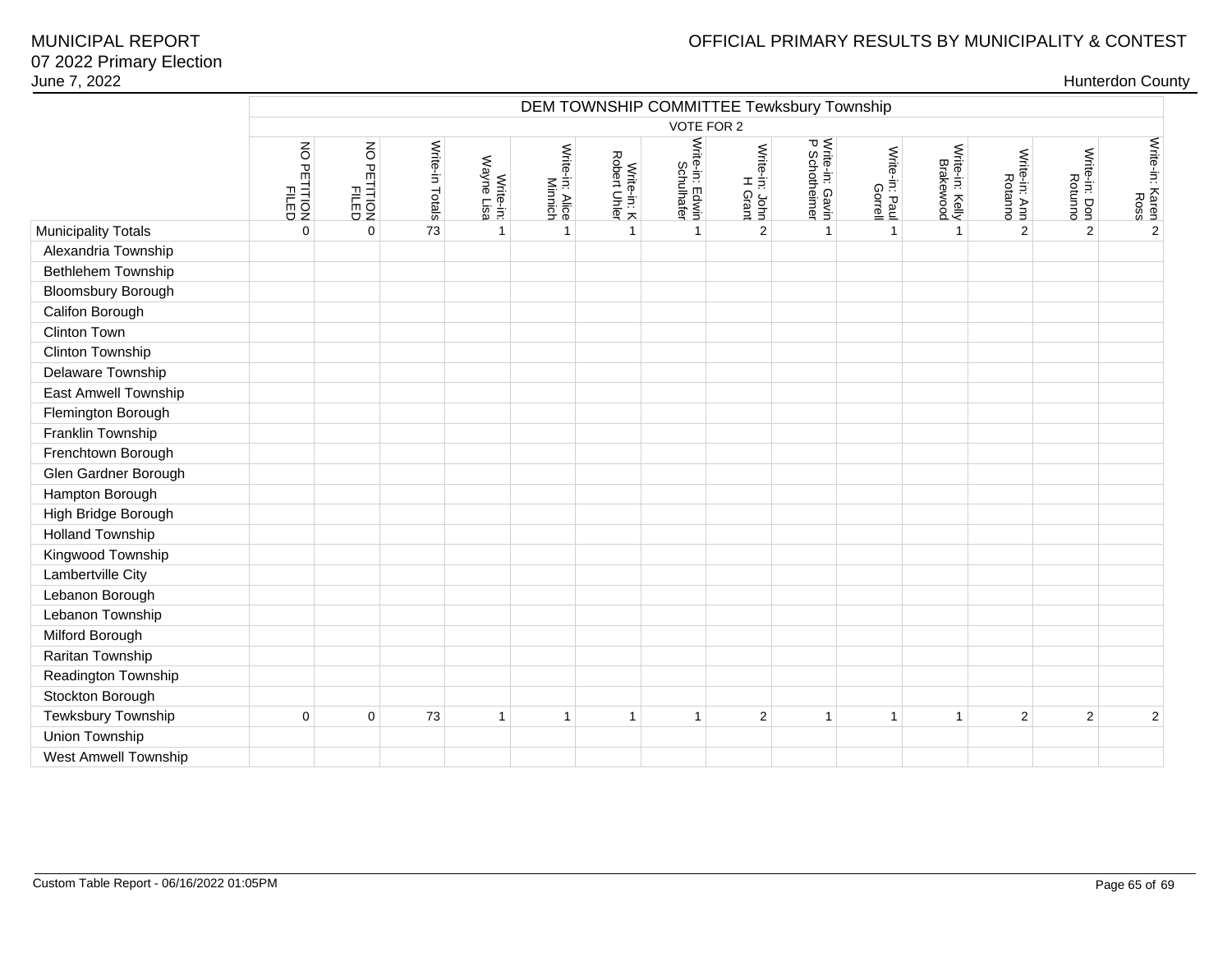# OFFICIAL PRIMARY RESULTS BY MUNICIPALITY & CONTEST

|                             |                         | DEM TOWNSHIP COMMITTEE Tewksbury Township |                 |                         |                            |                             |                               |                           |                                  |                           |                              |                          |                          |                                      |
|-----------------------------|-------------------------|-------------------------------------------|-----------------|-------------------------|----------------------------|-----------------------------|-------------------------------|---------------------------|----------------------------------|---------------------------|------------------------------|--------------------------|--------------------------|--------------------------------------|
|                             |                         |                                           |                 |                         |                            |                             |                               | VOTE FOR 2                |                                  |                           |                              |                          |                          |                                      |
|                             | NO PETITION<br>PETITION | NO PETITION<br>PETITION                   | Write-in Totals | Write-in:<br>Wayne Lisa | Write-in: Alice<br>Minnich | Write-in: K<br>Robert Uhler | Write-in: Edwin<br>Schulhafer | Write-in: John<br>H Grant | Write-in: Gavin<br>P Schotheimer | Write-in: Paul<br>Gorrell | Write-in: Kelly<br>Brakewood | Write-in: Ann<br>Rotanno | Write-in: Don<br>Rotunno | Write-in: Karen <sup>(</sup><br>Ross |
| <b>Municipality Totals</b>  | $\overline{0}$          | $\mathbf 0$                               | 73              | $\mathbf{1}$            | 1                          | $\mathbf{1}$                | $\mathbf{1}$                  | $\overline{2}$            | $\mathbf{1}$                     | $\overline{1}$            | $\mathbf{1}$                 | 2                        | 2                        | $\overline{\mathbf{2}}$              |
| Alexandria Township         |                         |                                           |                 |                         |                            |                             |                               |                           |                                  |                           |                              |                          |                          |                                      |
| Bethlehem Township          |                         |                                           |                 |                         |                            |                             |                               |                           |                                  |                           |                              |                          |                          |                                      |
| Bloomsbury Borough          |                         |                                           |                 |                         |                            |                             |                               |                           |                                  |                           |                              |                          |                          |                                      |
| Califon Borough             |                         |                                           |                 |                         |                            |                             |                               |                           |                                  |                           |                              |                          |                          |                                      |
| Clinton Town                |                         |                                           |                 |                         |                            |                             |                               |                           |                                  |                           |                              |                          |                          |                                      |
| Clinton Township            |                         |                                           |                 |                         |                            |                             |                               |                           |                                  |                           |                              |                          |                          |                                      |
| Delaware Township           |                         |                                           |                 |                         |                            |                             |                               |                           |                                  |                           |                              |                          |                          |                                      |
| East Amwell Township        |                         |                                           |                 |                         |                            |                             |                               |                           |                                  |                           |                              |                          |                          |                                      |
| Flemington Borough          |                         |                                           |                 |                         |                            |                             |                               |                           |                                  |                           |                              |                          |                          |                                      |
| Franklin Township           |                         |                                           |                 |                         |                            |                             |                               |                           |                                  |                           |                              |                          |                          |                                      |
| Frenchtown Borough          |                         |                                           |                 |                         |                            |                             |                               |                           |                                  |                           |                              |                          |                          |                                      |
| Glen Gardner Borough        |                         |                                           |                 |                         |                            |                             |                               |                           |                                  |                           |                              |                          |                          |                                      |
| Hampton Borough             |                         |                                           |                 |                         |                            |                             |                               |                           |                                  |                           |                              |                          |                          |                                      |
| High Bridge Borough         |                         |                                           |                 |                         |                            |                             |                               |                           |                                  |                           |                              |                          |                          |                                      |
| <b>Holland Township</b>     |                         |                                           |                 |                         |                            |                             |                               |                           |                                  |                           |                              |                          |                          |                                      |
| Kingwood Township           |                         |                                           |                 |                         |                            |                             |                               |                           |                                  |                           |                              |                          |                          |                                      |
| Lambertville City           |                         |                                           |                 |                         |                            |                             |                               |                           |                                  |                           |                              |                          |                          |                                      |
| Lebanon Borough             |                         |                                           |                 |                         |                            |                             |                               |                           |                                  |                           |                              |                          |                          |                                      |
| Lebanon Township            |                         |                                           |                 |                         |                            |                             |                               |                           |                                  |                           |                              |                          |                          |                                      |
| Milford Borough             |                         |                                           |                 |                         |                            |                             |                               |                           |                                  |                           |                              |                          |                          |                                      |
| Raritan Township            |                         |                                           |                 |                         |                            |                             |                               |                           |                                  |                           |                              |                          |                          |                                      |
| Readington Township         |                         |                                           |                 |                         |                            |                             |                               |                           |                                  |                           |                              |                          |                          |                                      |
| Stockton Borough            |                         |                                           |                 |                         |                            |                             |                               |                           |                                  |                           |                              |                          |                          |                                      |
| Tewksbury Township          | $\mathbf 0$             | $\mathsf 0$                               | 73              | $\mathbf{1}$            | $\mathbf{1}$               | $\mathbf{1}$                | $\mathbf{1}$                  | $\sqrt{2}$                | $\mathbf{1}$                     | $\mathbf 1$               | $\mathbf{1}$                 | $\overline{2}$           | $\overline{2}$           | $\boldsymbol{2}$                     |
| Union Township              |                         |                                           |                 |                         |                            |                             |                               |                           |                                  |                           |                              |                          |                          |                                      |
| <b>West Amwell Township</b> |                         |                                           |                 |                         |                            |                             |                               |                           |                                  |                           |                              |                          |                          |                                      |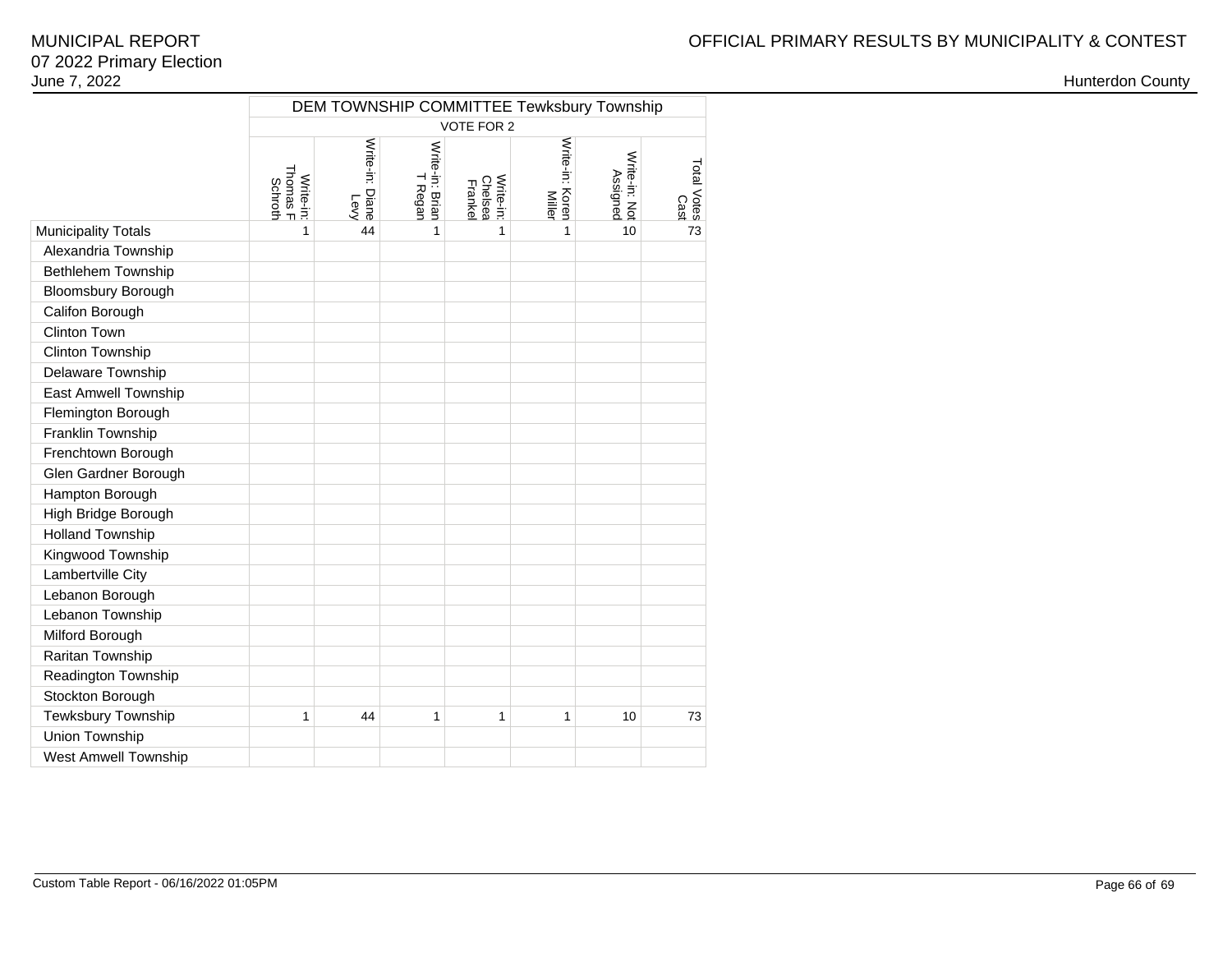|                             |                                  | DEM TOWNSHIP COMMITTEE Tewksbury Township |                            |                                        |                                  |                           |                     |  |  |  |  |  |
|-----------------------------|----------------------------------|-------------------------------------------|----------------------------|----------------------------------------|----------------------------------|---------------------------|---------------------|--|--|--|--|--|
|                             |                                  |                                           |                            | VOTE FOR 2                             |                                  |                           |                     |  |  |  |  |  |
|                             | Thomas F<br>Write-in:<br>Schroth | Write-in: Diane<br>Levy                   | Write-in: Brian<br>T Regan | <b>Chelsea</b><br>Write-in:<br>Frankel | Write-in: Koren<br><b>Miller</b> | Write-in: Not<br>Assigned | Total Votes<br>Cast |  |  |  |  |  |
| <b>Municipality Totals</b>  | 1                                | 44                                        | 1                          | 1                                      | 1                                | 10                        | 73                  |  |  |  |  |  |
| Alexandria Township         |                                  |                                           |                            |                                        |                                  |                           |                     |  |  |  |  |  |
| Bethlehem Township          |                                  |                                           |                            |                                        |                                  |                           |                     |  |  |  |  |  |
| <b>Bloomsbury Borough</b>   |                                  |                                           |                            |                                        |                                  |                           |                     |  |  |  |  |  |
| Califon Borough             |                                  |                                           |                            |                                        |                                  |                           |                     |  |  |  |  |  |
| <b>Clinton Town</b>         |                                  |                                           |                            |                                        |                                  |                           |                     |  |  |  |  |  |
| <b>Clinton Township</b>     |                                  |                                           |                            |                                        |                                  |                           |                     |  |  |  |  |  |
| Delaware Township           |                                  |                                           |                            |                                        |                                  |                           |                     |  |  |  |  |  |
| East Amwell Township        |                                  |                                           |                            |                                        |                                  |                           |                     |  |  |  |  |  |
| Flemington Borough          |                                  |                                           |                            |                                        |                                  |                           |                     |  |  |  |  |  |
| Franklin Township           |                                  |                                           |                            |                                        |                                  |                           |                     |  |  |  |  |  |
| Frenchtown Borough          |                                  |                                           |                            |                                        |                                  |                           |                     |  |  |  |  |  |
| Glen Gardner Borough        |                                  |                                           |                            |                                        |                                  |                           |                     |  |  |  |  |  |
| Hampton Borough             |                                  |                                           |                            |                                        |                                  |                           |                     |  |  |  |  |  |
| High Bridge Borough         |                                  |                                           |                            |                                        |                                  |                           |                     |  |  |  |  |  |
| <b>Holland Township</b>     |                                  |                                           |                            |                                        |                                  |                           |                     |  |  |  |  |  |
| Kingwood Township           |                                  |                                           |                            |                                        |                                  |                           |                     |  |  |  |  |  |
| Lambertville City           |                                  |                                           |                            |                                        |                                  |                           |                     |  |  |  |  |  |
| Lebanon Borough             |                                  |                                           |                            |                                        |                                  |                           |                     |  |  |  |  |  |
| Lebanon Township            |                                  |                                           |                            |                                        |                                  |                           |                     |  |  |  |  |  |
| Milford Borough             |                                  |                                           |                            |                                        |                                  |                           |                     |  |  |  |  |  |
| Raritan Township            |                                  |                                           |                            |                                        |                                  |                           |                     |  |  |  |  |  |
| Readington Township         |                                  |                                           |                            |                                        |                                  |                           |                     |  |  |  |  |  |
| Stockton Borough            |                                  |                                           |                            |                                        |                                  |                           |                     |  |  |  |  |  |
| Tewksbury Township          | 1                                | 44                                        | $\mathbf{1}$               | 1                                      | 1                                | 10                        | 73                  |  |  |  |  |  |
| Union Township              |                                  |                                           |                            |                                        |                                  |                           |                     |  |  |  |  |  |
| <b>West Amwell Township</b> |                                  |                                           |                            |                                        |                                  |                           |                     |  |  |  |  |  |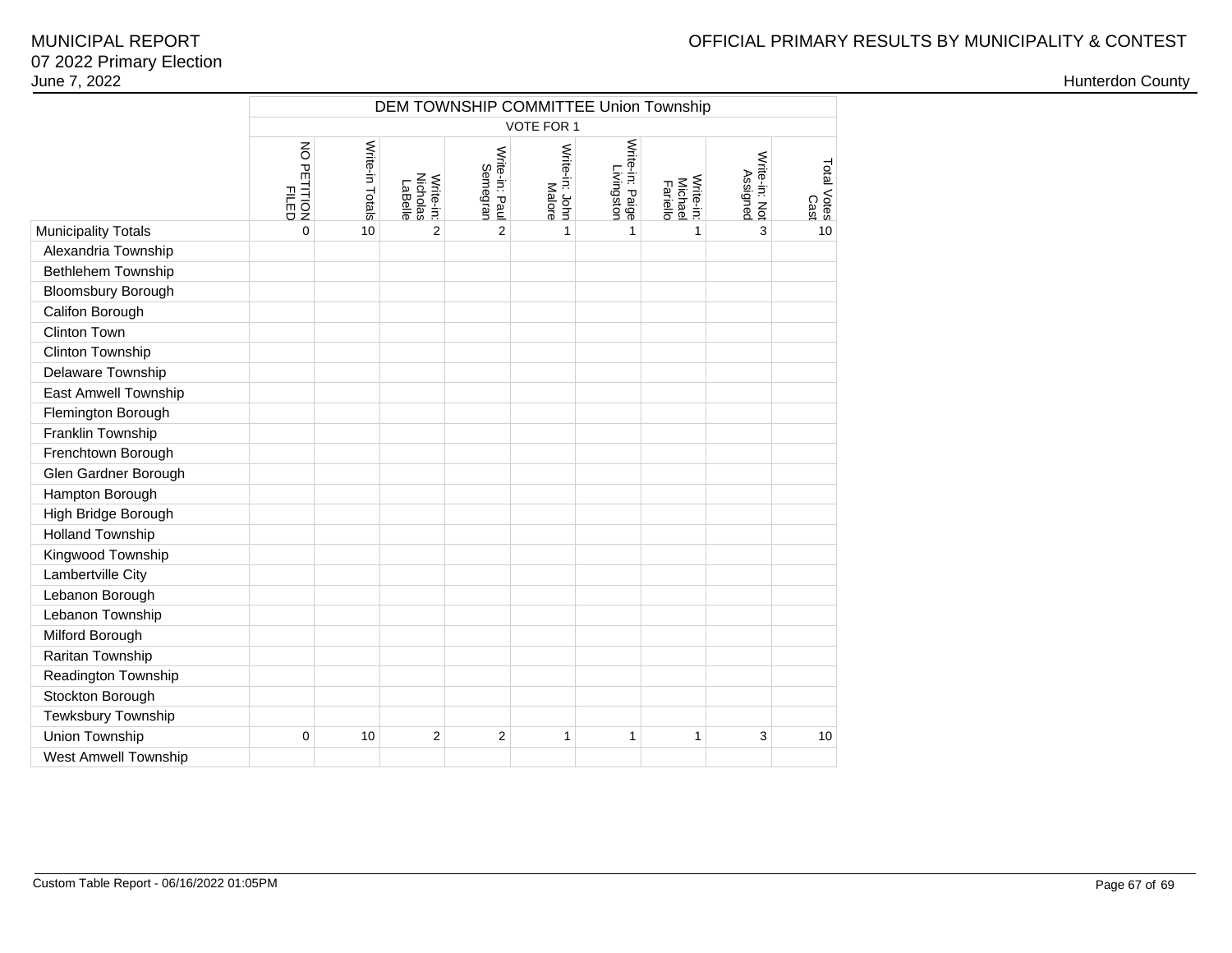# OFFICIAL PRIMARY RESULTS BY MUNICIPALITY & CONTEST

|                            |                             |                 |                                  |                            |                          | DEM TOWNSHIP COMMITTEE Union Township |                                         |                           |                     |
|----------------------------|-----------------------------|-----------------|----------------------------------|----------------------------|--------------------------|---------------------------------------|-----------------------------------------|---------------------------|---------------------|
|                            |                             |                 |                                  |                            | <b>VOTE FOR 1</b>        |                                       |                                         |                           |                     |
|                            | NO PETITION<br><b>FILED</b> | Write-in Totals | Write-in:<br>Nicholas<br>LaBelle | Write-in: Paul<br>Semegran | Write-in: John<br>Malore | Write-in: Paige<br>Livingston         | Write-in:<br><b>Michael</b><br>Fariello | Write-in: Not<br>Assigned | Total Votes<br>Cast |
| <b>Municipality Totals</b> | 0                           | 10              | $\overline{2}$                   | $\overline{2}$             | 1                        | 1                                     | $\mathbf{1}$                            | 3                         | 10                  |
| Alexandria Township        |                             |                 |                                  |                            |                          |                                       |                                         |                           |                     |
| Bethlehem Township         |                             |                 |                                  |                            |                          |                                       |                                         |                           |                     |
| <b>Bloomsbury Borough</b>  |                             |                 |                                  |                            |                          |                                       |                                         |                           |                     |
| Califon Borough            |                             |                 |                                  |                            |                          |                                       |                                         |                           |                     |
| Clinton Town               |                             |                 |                                  |                            |                          |                                       |                                         |                           |                     |
| Clinton Township           |                             |                 |                                  |                            |                          |                                       |                                         |                           |                     |
| Delaware Township          |                             |                 |                                  |                            |                          |                                       |                                         |                           |                     |
| East Amwell Township       |                             |                 |                                  |                            |                          |                                       |                                         |                           |                     |
| Flemington Borough         |                             |                 |                                  |                            |                          |                                       |                                         |                           |                     |
| Franklin Township          |                             |                 |                                  |                            |                          |                                       |                                         |                           |                     |
| Frenchtown Borough         |                             |                 |                                  |                            |                          |                                       |                                         |                           |                     |
| Glen Gardner Borough       |                             |                 |                                  |                            |                          |                                       |                                         |                           |                     |
| Hampton Borough            |                             |                 |                                  |                            |                          |                                       |                                         |                           |                     |
| High Bridge Borough        |                             |                 |                                  |                            |                          |                                       |                                         |                           |                     |
| <b>Holland Township</b>    |                             |                 |                                  |                            |                          |                                       |                                         |                           |                     |
| Kingwood Township          |                             |                 |                                  |                            |                          |                                       |                                         |                           |                     |
| Lambertville City          |                             |                 |                                  |                            |                          |                                       |                                         |                           |                     |
| Lebanon Borough            |                             |                 |                                  |                            |                          |                                       |                                         |                           |                     |
| Lebanon Township           |                             |                 |                                  |                            |                          |                                       |                                         |                           |                     |
| Milford Borough            |                             |                 |                                  |                            |                          |                                       |                                         |                           |                     |
| Raritan Township           |                             |                 |                                  |                            |                          |                                       |                                         |                           |                     |
| Readington Township        |                             |                 |                                  |                            |                          |                                       |                                         |                           |                     |
| Stockton Borough           |                             |                 |                                  |                            |                          |                                       |                                         |                           |                     |
| Tewksbury Township         |                             |                 |                                  |                            |                          |                                       |                                         |                           |                     |
| Union Township             | 0                           | 10              | $\overline{c}$                   | $\overline{c}$             | 1                        | 1                                     | $\mathbf{1}$                            | 3                         | 10                  |
| West Amwell Township       |                             |                 |                                  |                            |                          |                                       |                                         |                           |                     |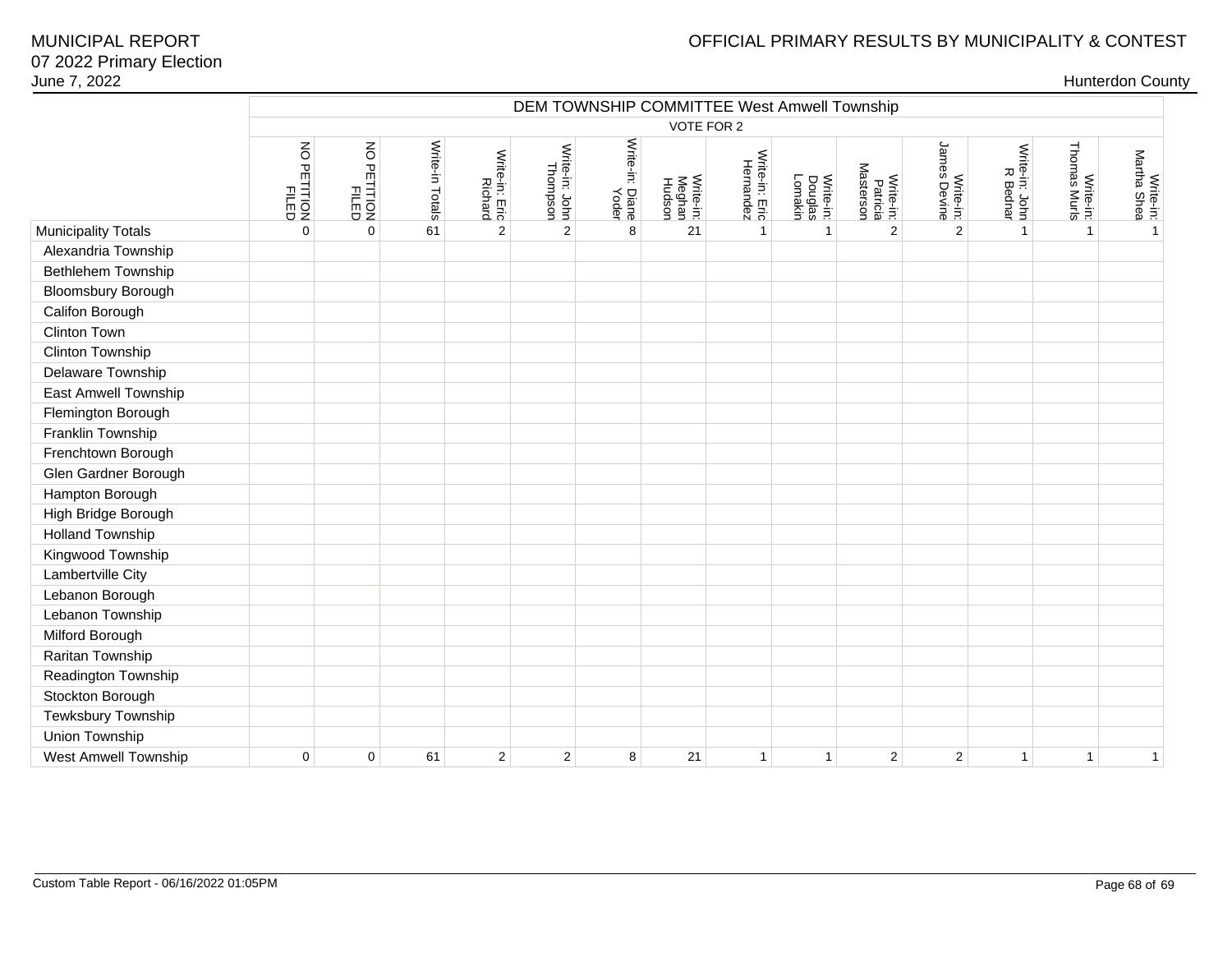## OFFICIAL PRIMARY RESULTS BY MUNICIPALITY & CONTEST

| June 7, 2022               |                      |                      |                 |                           |                            |                          |                               |                                             |                                        |                                    |                           |                            |                           | <b>Hunterdon County</b>  |
|----------------------------|----------------------|----------------------|-----------------|---------------------------|----------------------------|--------------------------|-------------------------------|---------------------------------------------|----------------------------------------|------------------------------------|---------------------------|----------------------------|---------------------------|--------------------------|
|                            |                      |                      |                 |                           |                            |                          |                               | DEM TOWNSHIP COMMITTEE West Amwell Township |                                        |                                    |                           |                            |                           |                          |
|                            |                      |                      |                 |                           |                            |                          | VOTE FOR 2                    |                                             |                                        |                                    |                           |                            |                           |                          |
|                            | NO PETITION<br>FILED | NO PETITION<br>FILED | Write-in Totals | Write-in: Eric<br>Richard | Write-in: John<br>Thompson | Write-in: Diane<br>Yoder | Write-in:<br>Meghan<br>Hudson | Write-in: Eric<br>Hernandez                 | <b>Douglas</b><br>Lomakin<br>Write-in: | Masterson<br>Write-in:<br>Patricia | Write-in:<br>James Devine | Write-in: John<br>R Bednar | Write-in:<br>Thomas Murls | Write-in:<br>Martha Shea |
| <b>Municipality Totals</b> | $\mathbf 0$          | $\mathbf 0$          | 61              | $\mathbf{2}$              | $\overline{2}$             | 8                        | 21                            | $\mathbf{1}$                                | $\mathbf{1}$                           | $\overline{2}$                     | $\mathbf{2}$              | $\mathbf{1}$               | $\mathbf{1}$              | $\mathbf{1}$             |
| Alexandria Township        |                      |                      |                 |                           |                            |                          |                               |                                             |                                        |                                    |                           |                            |                           |                          |
| Bethlehem Township         |                      |                      |                 |                           |                            |                          |                               |                                             |                                        |                                    |                           |                            |                           |                          |
| <b>Bloomsbury Borough</b>  |                      |                      |                 |                           |                            |                          |                               |                                             |                                        |                                    |                           |                            |                           |                          |
| Califon Borough            |                      |                      |                 |                           |                            |                          |                               |                                             |                                        |                                    |                           |                            |                           |                          |
| Clinton Town               |                      |                      |                 |                           |                            |                          |                               |                                             |                                        |                                    |                           |                            |                           |                          |
| Clinton Township           |                      |                      |                 |                           |                            |                          |                               |                                             |                                        |                                    |                           |                            |                           |                          |
| Delaware Township          |                      |                      |                 |                           |                            |                          |                               |                                             |                                        |                                    |                           |                            |                           |                          |
| East Amwell Township       |                      |                      |                 |                           |                            |                          |                               |                                             |                                        |                                    |                           |                            |                           |                          |
| Flemington Borough         |                      |                      |                 |                           |                            |                          |                               |                                             |                                        |                                    |                           |                            |                           |                          |
| Franklin Township          |                      |                      |                 |                           |                            |                          |                               |                                             |                                        |                                    |                           |                            |                           |                          |
| Frenchtown Borough         |                      |                      |                 |                           |                            |                          |                               |                                             |                                        |                                    |                           |                            |                           |                          |
| Glen Gardner Borough       |                      |                      |                 |                           |                            |                          |                               |                                             |                                        |                                    |                           |                            |                           |                          |
| Hampton Borough            |                      |                      |                 |                           |                            |                          |                               |                                             |                                        |                                    |                           |                            |                           |                          |
| High Bridge Borough        |                      |                      |                 |                           |                            |                          |                               |                                             |                                        |                                    |                           |                            |                           |                          |
| <b>Holland Township</b>    |                      |                      |                 |                           |                            |                          |                               |                                             |                                        |                                    |                           |                            |                           |                          |
| Kingwood Township          |                      |                      |                 |                           |                            |                          |                               |                                             |                                        |                                    |                           |                            |                           |                          |
| Lambertville City          |                      |                      |                 |                           |                            |                          |                               |                                             |                                        |                                    |                           |                            |                           |                          |
| Lebanon Borough            |                      |                      |                 |                           |                            |                          |                               |                                             |                                        |                                    |                           |                            |                           |                          |
| Lebanon Township           |                      |                      |                 |                           |                            |                          |                               |                                             |                                        |                                    |                           |                            |                           |                          |
| Milford Borough            |                      |                      |                 |                           |                            |                          |                               |                                             |                                        |                                    |                           |                            |                           |                          |
| Raritan Township           |                      |                      |                 |                           |                            |                          |                               |                                             |                                        |                                    |                           |                            |                           |                          |
| Readington Township        |                      |                      |                 |                           |                            |                          |                               |                                             |                                        |                                    |                           |                            |                           |                          |
| Stockton Borough           |                      |                      |                 |                           |                            |                          |                               |                                             |                                        |                                    |                           |                            |                           |                          |
| Tewksbury Township         |                      |                      |                 |                           |                            |                          |                               |                                             |                                        |                                    |                           |                            |                           |                          |
| Union Township             |                      |                      |                 |                           |                            |                          |                               |                                             |                                        |                                    |                           |                            |                           |                          |
| West Amwell Township       | $\mathbf 0$          | $\mathbf 0$          | 61              | $\overline{\mathbf{c}}$   | $\overline{c}$             | 8                        | 21                            | $\mathbf{1}$                                | $\mathbf{1}$                           | 2                                  | $\overline{c}$            | $\mathbf{1}$               | $\mathbf{1}$              | $\mathbf{1}$             |